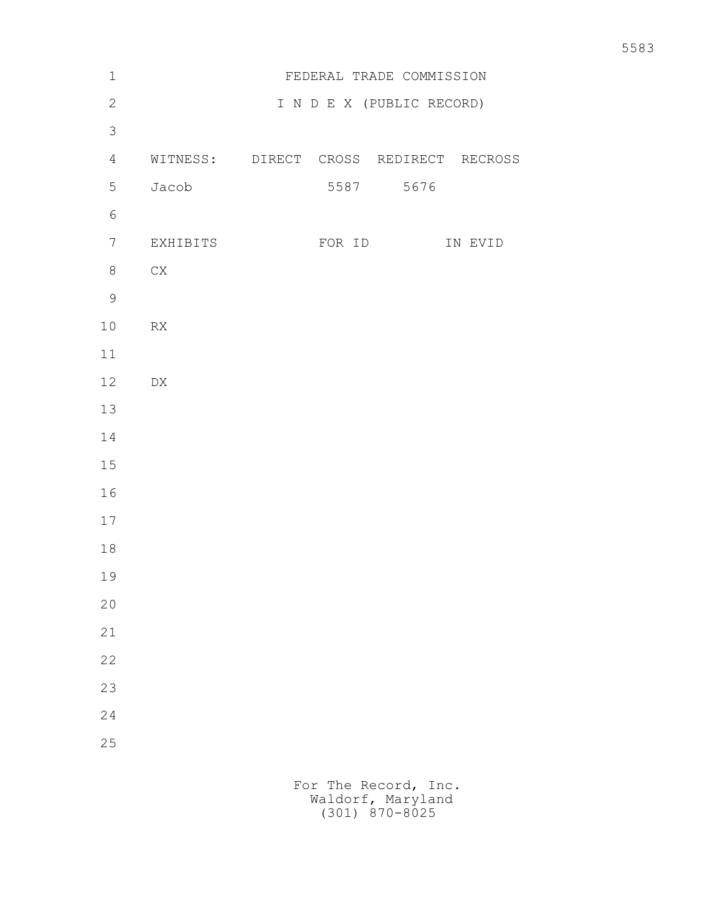| $\mathbf 1$     |                                        |        | FEDERAL TRADE COMMISSION  |         |
|-----------------|----------------------------------------|--------|---------------------------|---------|
| $\mathbf{2}$    |                                        |        | I N D E X (PUBLIC RECORD) |         |
| $\mathcal{S}$   |                                        |        |                           |         |
| $\overline{4}$  | WITNESS: DIRECT CROSS REDIRECT RECROSS |        |                           |         |
| 5               | Jacob                                  |        | 5587 5676                 |         |
| $\sqrt{6}$      |                                        |        |                           |         |
| $7\phantom{.0}$ | EXHIBITS                               | FOR ID |                           | IN EVID |
| $8\,$           | ${\rm CX}$                             |        |                           |         |
| $\mathcal{G}$   |                                        |        |                           |         |
| 10              | ${\sf RX}$                             |        |                           |         |
| 11              |                                        |        |                           |         |
| 12              | ${\rm D}{\rm X}$                       |        |                           |         |
| 13              |                                        |        |                           |         |
| 14              |                                        |        |                           |         |
| 15              |                                        |        |                           |         |
| 16              |                                        |        |                           |         |
| 17              |                                        |        |                           |         |
| 18              |                                        |        |                           |         |
| 19              |                                        |        |                           |         |
| $20$            |                                        |        |                           |         |
| 21              |                                        |        |                           |         |
| 22              |                                        |        |                           |         |
| 23              |                                        |        |                           |         |
| 24              |                                        |        |                           |         |
| 25              |                                        |        |                           |         |
|                 |                                        |        |                           |         |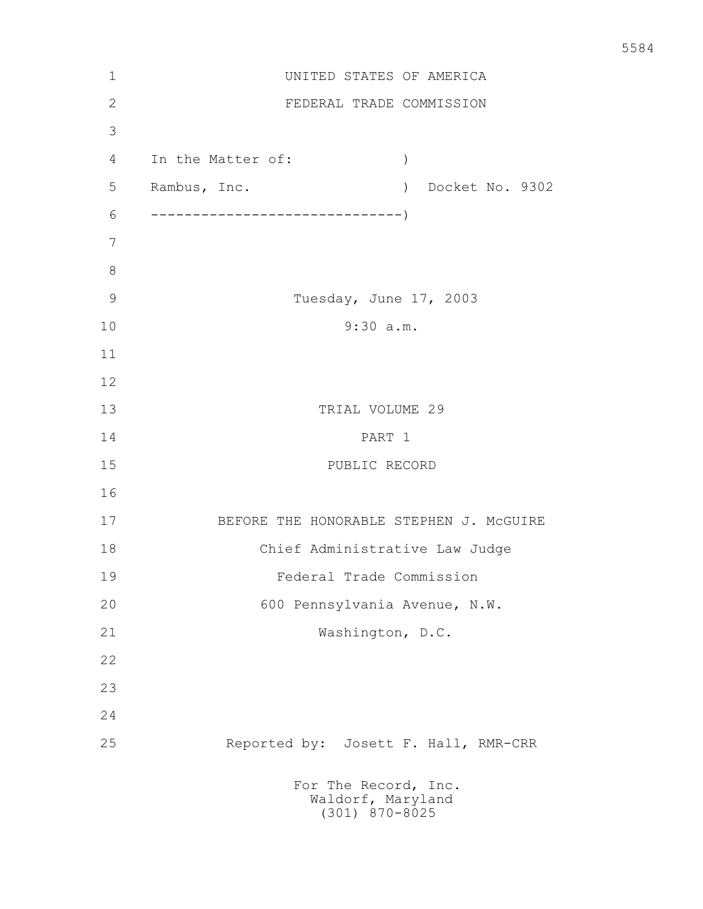| $\mathbf 1$    | UNITED STATES OF AMERICA                                          |
|----------------|-------------------------------------------------------------------|
| $\overline{2}$ | FEDERAL TRADE COMMISSION                                          |
| 3              |                                                                   |
| 4              | In the Matter of:<br>$\mathcal{C}$                                |
| 5              | Rambus, Inc.<br>Docket No. 9302<br>$\left( \right)$               |
| 6              | ----------------------                                            |
| 7              |                                                                   |
| 8              |                                                                   |
| $\mathcal{G}$  | Tuesday, June 17, 2003                                            |
| 10             | 9:30 a.m.                                                         |
| 11             |                                                                   |
| 12             |                                                                   |
| 13             | TRIAL VOLUME 29                                                   |
| 14             | PART 1                                                            |
| 15             | PUBLIC RECORD                                                     |
| 16             |                                                                   |
| 17             | BEFORE THE HONORABLE STEPHEN J. MCGUIRE                           |
| 18             | Chief Administrative Law Judge                                    |
| 19             | Federal Trade Commission                                          |
| 20             | 600 Pennsylvania Avenue, N.W.                                     |
| 21             | Washington, D.C.                                                  |
| 22             |                                                                   |
| 23             |                                                                   |
| 24             |                                                                   |
| 25             | Reported by: Josett F. Hall, RMR-CRR                              |
|                | For The Record, Inc.<br>Waldorf, Maryland<br>$(301)$ $870 - 8025$ |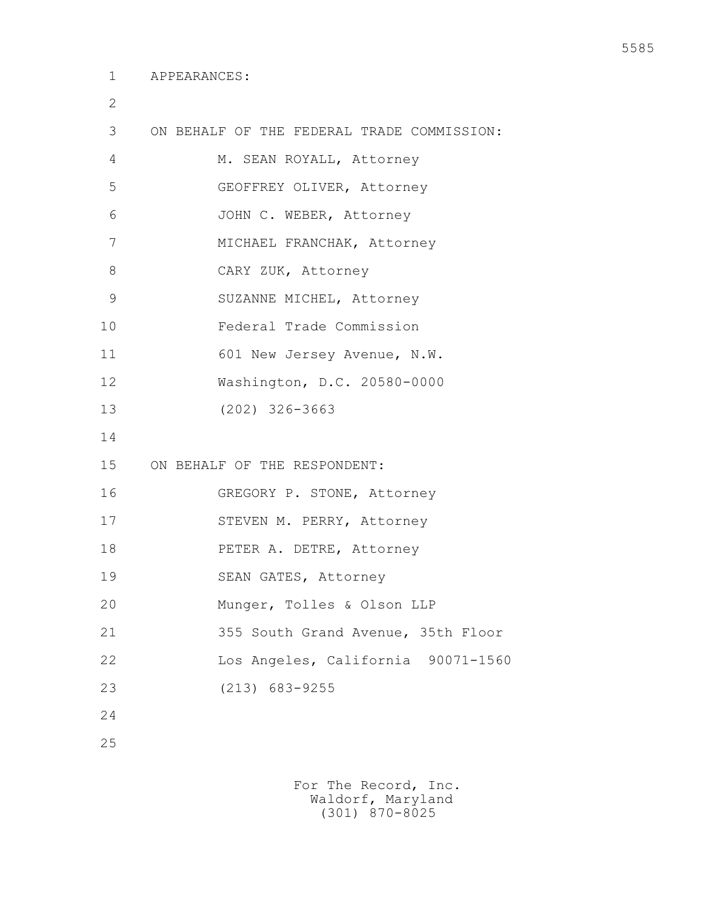2

| 3  | ON BEHALF OF THE FEDERAL TRADE COMMISSION: |
|----|--------------------------------------------|
| 4  | M. SEAN ROYALL, Attorney                   |
| 5  | GEOFFREY OLIVER, Attorney                  |
| 6  | JOHN C. WEBER, Attorney                    |
| 7  | MICHAEL FRANCHAK, Attorney                 |
| 8  | CARY ZUK, Attorney                         |
| 9  | SUZANNE MICHEL, Attorney                   |
| 10 | Federal Trade Commission                   |
| 11 | 601 New Jersey Avenue, N.W.                |
| 12 | Washington, D.C. 20580-0000                |
| 13 | $(202)$ 326-3663                           |
| 14 |                                            |
| 15 | ON BEHALF OF THE RESPONDENT:               |
| 16 | GREGORY P. STONE, Attorney                 |
| 17 | STEVEN M. PERRY, Attorney                  |
| 18 | PETER A. DETRE, Attorney                   |
| 19 | SEAN GATES, Attorney                       |
| 20 | Munger, Tolles & Olson LLP                 |
| 21 | 355 South Grand Avenue, 35th Floor         |
| 22 | Los Angeles, California 90071-1560         |
| 23 | $(213)$ 683-9255                           |
| 24 |                                            |
| 25 |                                            |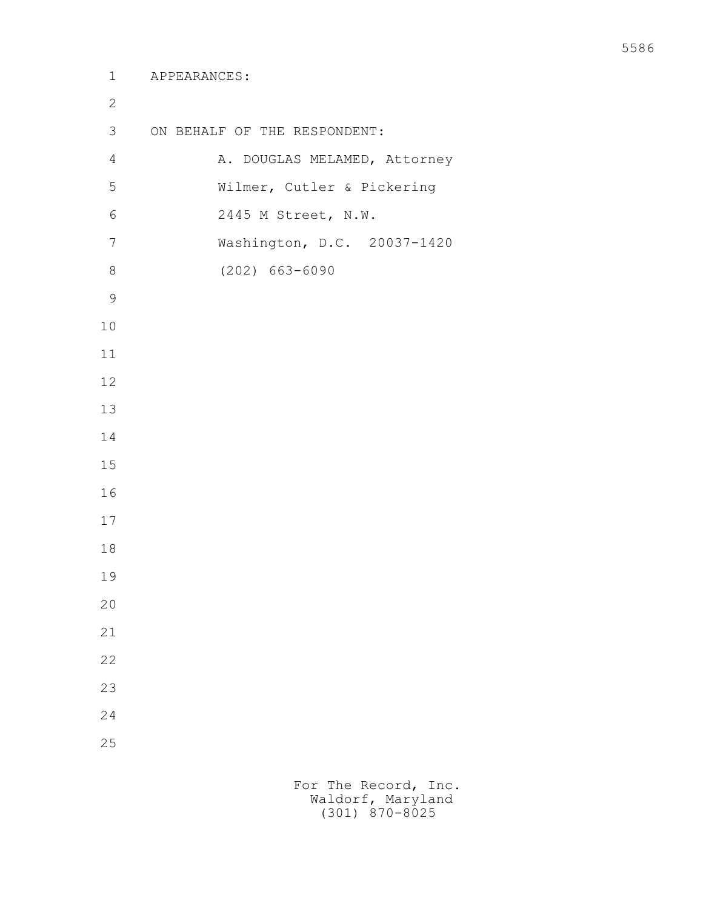| $\mathbf{2}$   |                              |
|----------------|------------------------------|
| 3              | ON BEHALF OF THE RESPONDENT: |
| $\overline{4}$ | A. DOUGLAS MELAMED, Attorney |
| 5              | Wilmer, Cutler & Pickering   |
| 6              | 2445 M Street, N.W.          |
| $\overline{7}$ | Washington, D.C. 20037-1420  |
| 8              | $(202) 663 - 6090$           |
| $\mathsf 9$    |                              |
| 10             |                              |
| 11             |                              |
| 12             |                              |
| 13             |                              |
| 14             |                              |
| 15             |                              |
| 16             |                              |
| 17             |                              |
| 18             |                              |
| 19             |                              |
| 20             |                              |
| 21             |                              |
| 22             |                              |
| 23             |                              |
| 24             |                              |
| 25             |                              |
|                |                              |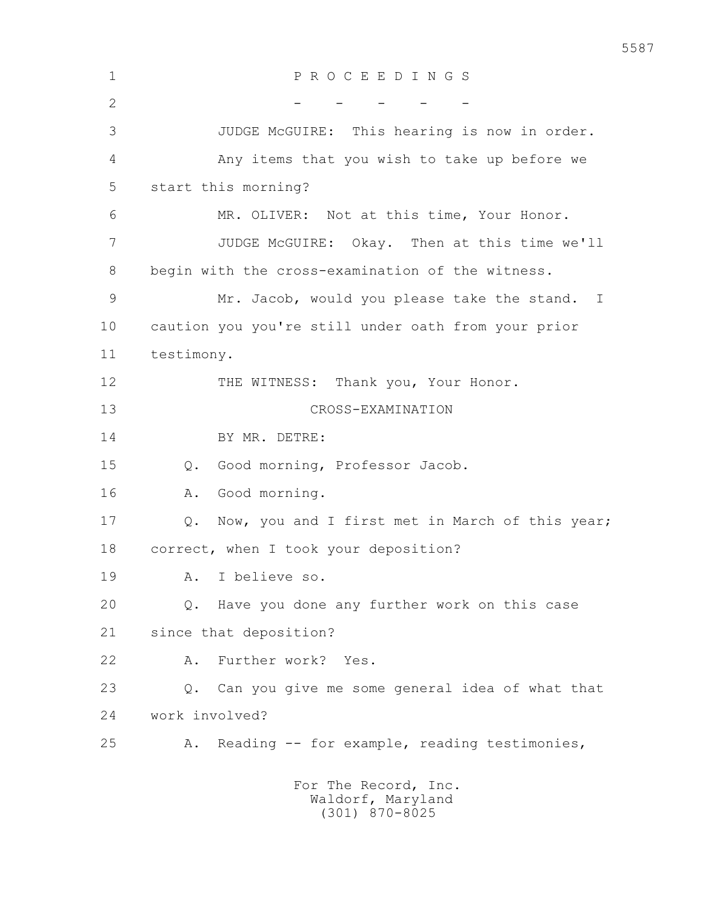| $\mathbf 1$    | PROCEEDINGS                                              |
|----------------|----------------------------------------------------------|
| $\overline{2}$ |                                                          |
| 3              | JUDGE McGUIRE: This hearing is now in order.             |
| 4              | Any items that you wish to take up before we             |
| 5              | start this morning?                                      |
| 6              | MR. OLIVER: Not at this time, Your Honor.                |
| 7              | JUDGE McGUIRE: Okay. Then at this time we'll             |
| 8              | begin with the cross-examination of the witness.         |
| 9              | Mr. Jacob, would you please take the stand. I            |
| 10             | caution you you're still under oath from your prior      |
| 11             | testimony.                                               |
| 12             | THE WITNESS:<br>Thank you, Your Honor.                   |
| 13             | CROSS-EXAMINATION                                        |
| 14             | BY MR. DETRE:                                            |
| 15             | Good morning, Professor Jacob.<br>$Q$ .                  |
| 16             | Good morning.<br>Α.                                      |
| 17             | Now, you and I first met in March of this year;<br>$Q$ . |
| 18             | correct, when I took your deposition?                    |
| 19             | A. I believe so.                                         |
| 20             | Have you done any further work on this case<br>$\circ$ . |
| 21             | since that deposition?                                   |
| 22             | Further work? Yes.<br>Α.                                 |
| 23             | Can you give me some general idea of what that<br>Q.     |
| 24             | work involved?                                           |
| 25             | Reading -- for example, reading testimonies,<br>Α.       |
|                | For The Record, Inc.<br>Waldorf, Maryland                |

(301) 870-8025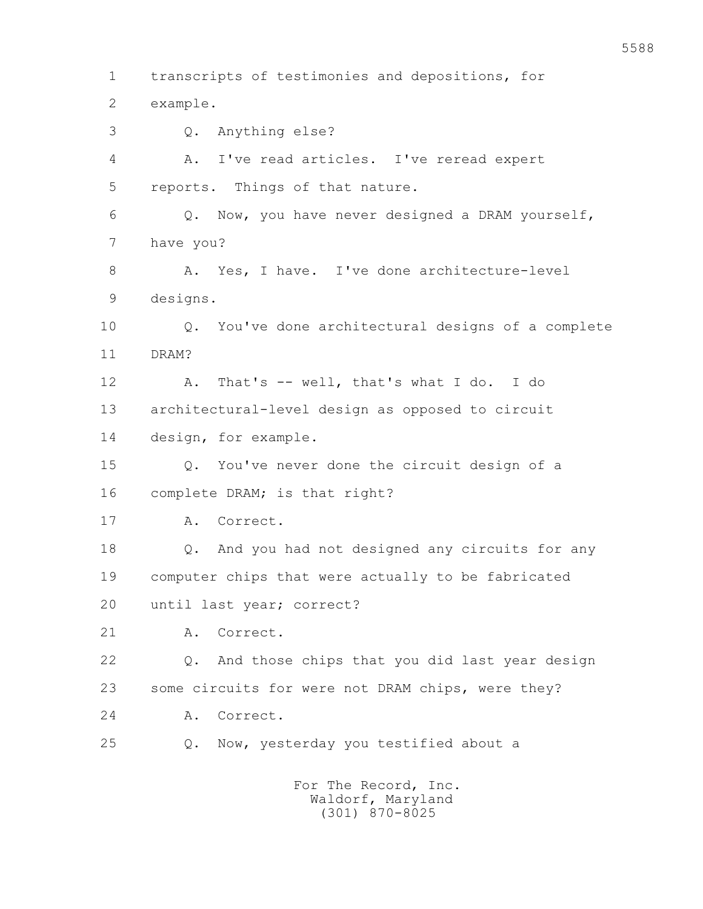1 transcripts of testimonies and depositions, for 2 example. 3 Q. Anything else? 4 A. I've read articles. I've reread expert 5 reports. Things of that nature. 6 Q. Now, you have never designed a DRAM yourself, 7 have you? 8 A. Yes, I have. I've done architecture-level 9 designs. 10 Q. You've done architectural designs of a complete 11 DRAM? 12 A. That's -- well, that's what I do. I do 13 architectural-level design as opposed to circuit 14 design, for example. 15 Q. You've never done the circuit design of a 16 complete DRAM; is that right? 17 A. Correct. 18 Q. And you had not designed any circuits for any 19 computer chips that were actually to be fabricated 20 until last year; correct? 21 A. Correct. 22 Q. And those chips that you did last year design 23 some circuits for were not DRAM chips, were they? 24 A. Correct. 25 Q. Now, yesterday you testified about a For The Record, Inc.

 Waldorf, Maryland (301) 870-8025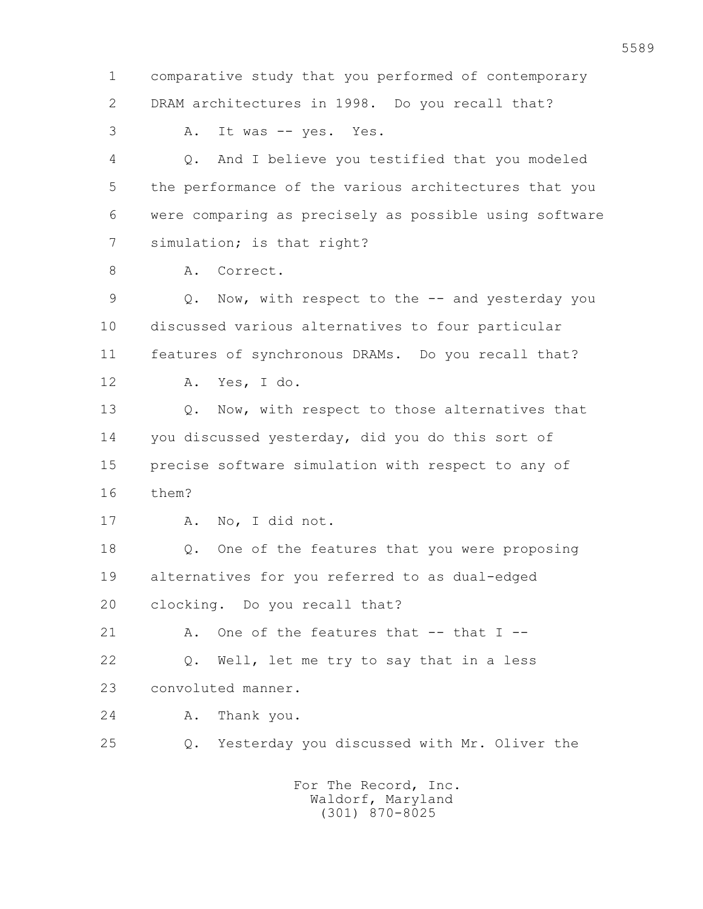1 comparative study that you performed of contemporary 2 DRAM architectures in 1998. Do you recall that? 3 A. It was -- yes. Yes. 4 Q. And I believe you testified that you modeled 5 the performance of the various architectures that you 6 were comparing as precisely as possible using software 7 simulation; is that right? 8 A. Correct. 9 Q. Now, with respect to the -- and yesterday you 10 discussed various alternatives to four particular 11 features of synchronous DRAMs. Do you recall that? 12 A. Yes, I do. 13 Q. Now, with respect to those alternatives that 14 you discussed yesterday, did you do this sort of 15 precise software simulation with respect to any of 16 them? 17 A. No, I did not. 18 Q. One of the features that you were proposing 19 alternatives for you referred to as dual-edged 20 clocking. Do you recall that? 21  $A$ . One of the features that  $-$  that I  $-$  22 Q. Well, let me try to say that in a less 23 convoluted manner. 24 A. Thank you. 25 Q. Yesterday you discussed with Mr. Oliver the For The Record, Inc. Waldorf, Maryland

(301) 870-8025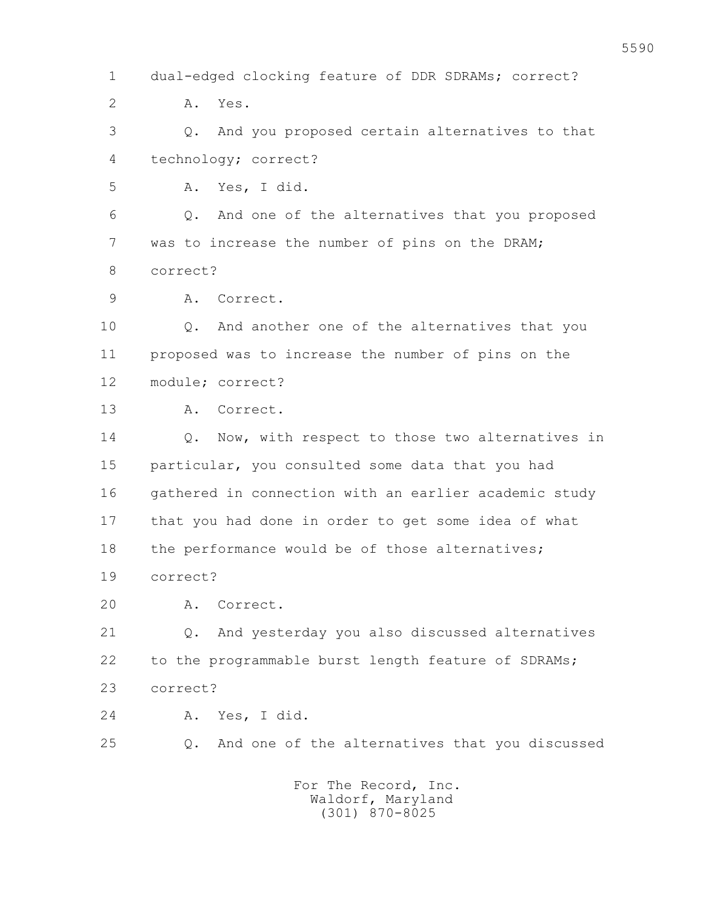1 dual-edged clocking feature of DDR SDRAMs; correct? 2 A. Yes. 3 Q. And you proposed certain alternatives to that 4 technology; correct? 5 A. Yes, I did. 6 Q. And one of the alternatives that you proposed 7 was to increase the number of pins on the DRAM; 8 correct? 9 A. Correct. 10 Q. And another one of the alternatives that you 11 proposed was to increase the number of pins on the 12 module; correct? 13 A. Correct. 14 Q. Now, with respect to those two alternatives in 15 particular, you consulted some data that you had 16 gathered in connection with an earlier academic study 17 that you had done in order to get some idea of what 18 the performance would be of those alternatives; 19 correct? 20 A. Correct. 21 Q. And yesterday you also discussed alternatives 22 to the programmable burst length feature of SDRAMs; 23 correct? 24 A. Yes, I did. 25 Q. And one of the alternatives that you discussed For The Record, Inc. Waldorf, Maryland

(301) 870-8025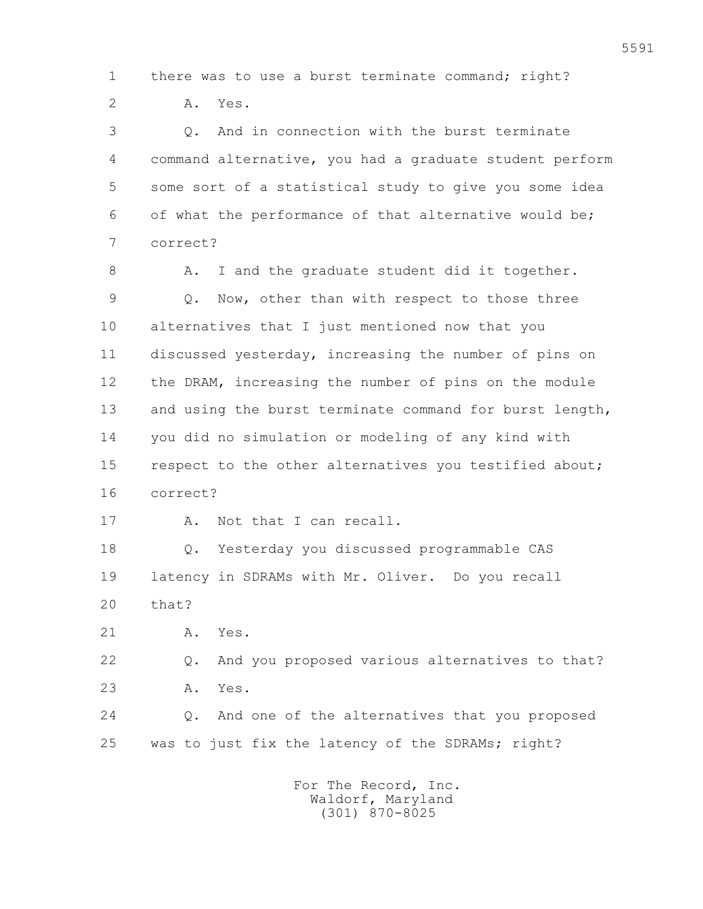1 there was to use a burst terminate command; right?

2 A. Yes.

 3 Q. And in connection with the burst terminate 4 command alternative, you had a graduate student perform 5 some sort of a statistical study to give you some idea 6 of what the performance of that alternative would be; 7 correct?

8 A. I and the graduate student did it together. 9 Q. Now, other than with respect to those three 10 alternatives that I just mentioned now that you 11 discussed yesterday, increasing the number of pins on 12 the DRAM, increasing the number of pins on the module 13 and using the burst terminate command for burst length, 14 you did no simulation or modeling of any kind with 15 respect to the other alternatives you testified about; 16 correct?

17 A. Not that I can recall.

 18 Q. Yesterday you discussed programmable CAS 19 latency in SDRAMs with Mr. Oliver. Do you recall 20 that?

21 A. Yes.

 22 Q. And you proposed various alternatives to that? 23 A. Yes. 24 Q. And one of the alternatives that you proposed

25 was to just fix the latency of the SDRAMs; right?

 For The Record, Inc. Waldorf, Maryland (301) 870-8025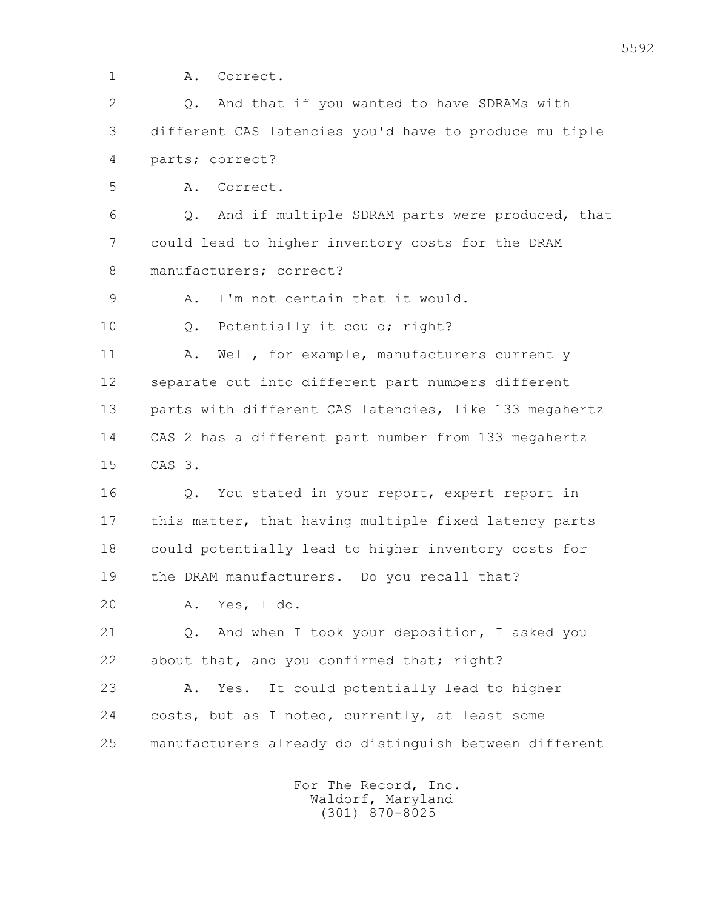1 A. Correct.

 2 Q. And that if you wanted to have SDRAMs with 3 different CAS latencies you'd have to produce multiple 4 parts; correct?

5 A. Correct.

 6 Q. And if multiple SDRAM parts were produced, that 7 could lead to higher inventory costs for the DRAM 8 manufacturers; correct?

9 A. I'm not certain that it would.

10 Q. Potentially it could; right?

11 A. Well, for example, manufacturers currently 12 separate out into different part numbers different 13 parts with different CAS latencies, like 133 megahertz 14 CAS 2 has a different part number from 133 megahertz 15 CAS 3.

 16 Q. You stated in your report, expert report in 17 this matter, that having multiple fixed latency parts 18 could potentially lead to higher inventory costs for 19 the DRAM manufacturers. Do you recall that?

20 A. Yes, I do.

 21 Q. And when I took your deposition, I asked you 22 about that, and you confirmed that; right?

 23 A. Yes. It could potentially lead to higher 24 costs, but as I noted, currently, at least some 25 manufacturers already do distinguish between different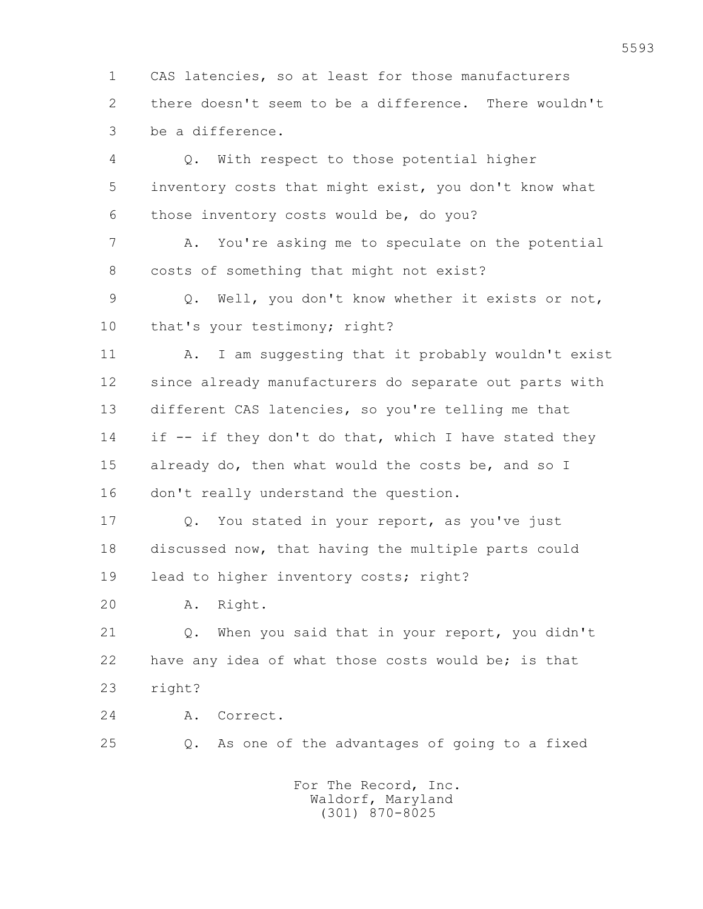1 CAS latencies, so at least for those manufacturers 2 there doesn't seem to be a difference. There wouldn't 3 be a difference.

 4 Q. With respect to those potential higher 5 inventory costs that might exist, you don't know what 6 those inventory costs would be, do you? 7 A. You're asking me to speculate on the potential 8 costs of something that might not exist? 9 Q. Well, you don't know whether it exists or not, 10 that's your testimony; right? 11 A. I am suggesting that it probably wouldn't exist 12 since already manufacturers do separate out parts with 13 different CAS latencies, so you're telling me that 14 if -- if they don't do that, which I have stated they 15 already do, then what would the costs be, and so I 16 don't really understand the question. 17 Q. You stated in your report, as you've just 18 discussed now, that having the multiple parts could 19 lead to higher inventory costs; right?

20 A. Right.

 21 Q. When you said that in your report, you didn't 22 have any idea of what those costs would be; is that 23 right?

24 A. Correct.

25 Q. As one of the advantages of going to a fixed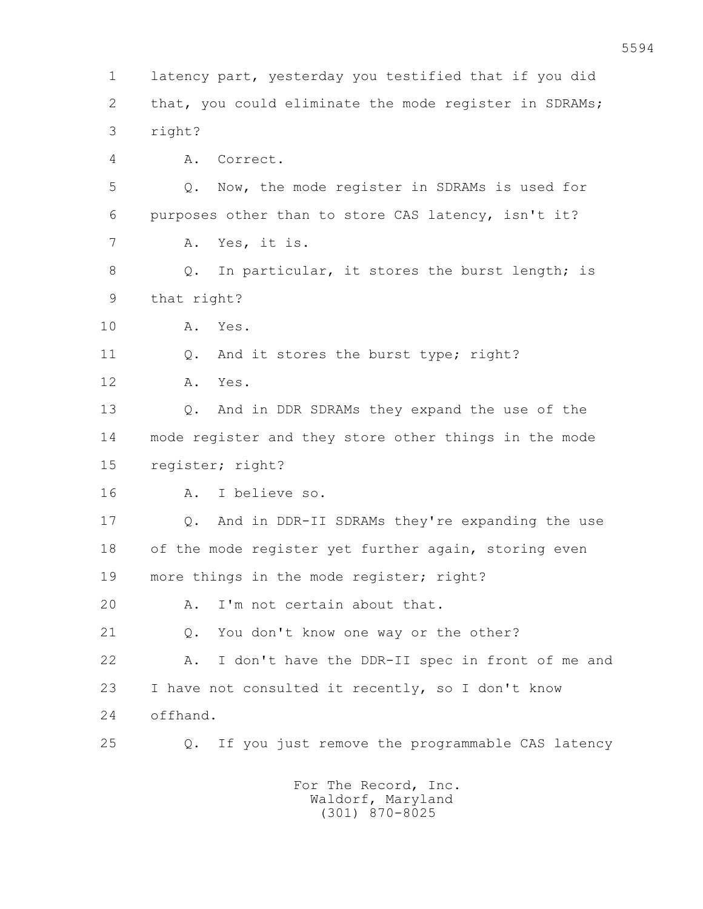1 latency part, yesterday you testified that if you did 2 that, you could eliminate the mode register in SDRAMs; 3 right? 4 A. Correct. 5 Q. Now, the mode register in SDRAMs is used for 6 purposes other than to store CAS latency, isn't it? 7 A. Yes, it is. 8 Q. In particular, it stores the burst length; is 9 that right? 10 A. Yes. 11 Q. And it stores the burst type; right? 12 A. Yes. 13 Q. And in DDR SDRAMs they expand the use of the 14 mode register and they store other things in the mode 15 register; right? 16 A. I believe so. 17 Q. And in DDR-II SDRAMs they're expanding the use 18 of the mode register yet further again, storing even 19 more things in the mode register; right? 20 A. I'm not certain about that. 21 O. You don't know one way or the other? 22 A. I don't have the DDR-II spec in front of me and 23 I have not consulted it recently, so I don't know 24 offhand. 25 Q. If you just remove the programmable CAS latency For The Record, Inc.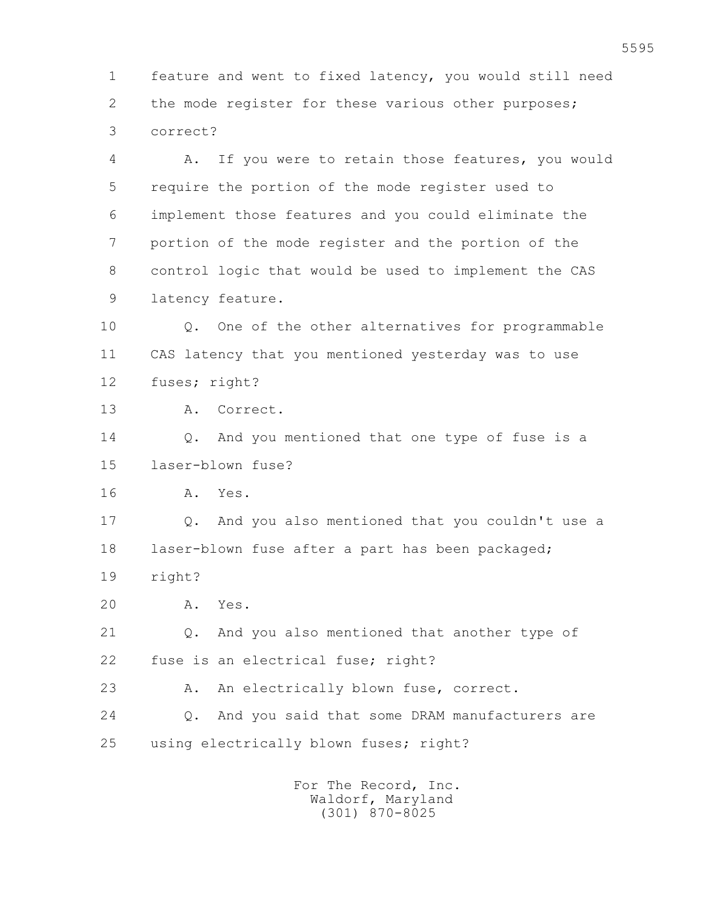1 feature and went to fixed latency, you would still need 2 the mode register for these various other purposes; 3 correct?

 4 A. If you were to retain those features, you would 5 require the portion of the mode register used to 6 implement those features and you could eliminate the 7 portion of the mode register and the portion of the 8 control logic that would be used to implement the CAS 9 latency feature.

 10 Q. One of the other alternatives for programmable 11 CAS latency that you mentioned yesterday was to use 12 fuses; right?

13 A. Correct.

 14 Q. And you mentioned that one type of fuse is a 15 laser-blown fuse?

16 A. Yes.

 17 Q. And you also mentioned that you couldn't use a 18 laser-blown fuse after a part has been packaged;

19 right?

20 A. Yes.

 21 Q. And you also mentioned that another type of 22 fuse is an electrical fuse; right?

23 A. An electrically blown fuse, correct.

 24 Q. And you said that some DRAM manufacturers are 25 using electrically blown fuses; right?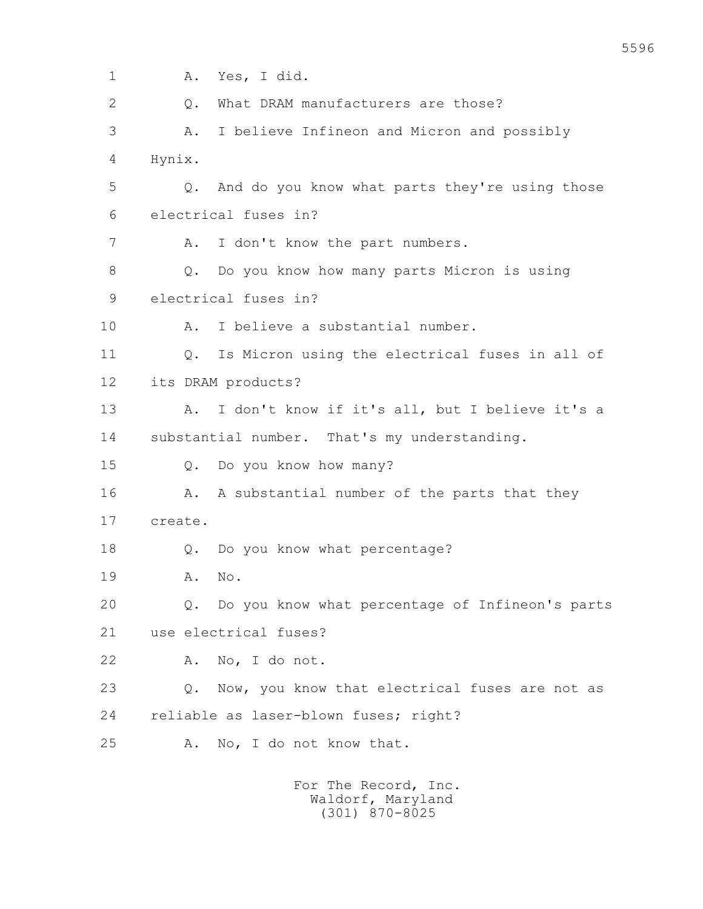| $\mathbf 1$    | Yes, I did.<br>Α.                                               |
|----------------|-----------------------------------------------------------------|
| $\overline{2}$ | What DRAM manufacturers are those?<br>$Q$ .                     |
| 3              | I believe Infineon and Micron and possibly<br>Α.                |
| 4              | Hynix.                                                          |
| 5              | And do you know what parts they're using those<br>$Q_{\bullet}$ |
| 6              | electrical fuses in?                                            |
| 7              | I don't know the part numbers.<br>Α.                            |
| 8              | Do you know how many parts Micron is using<br>Q.                |
| 9              | electrical fuses in?                                            |
| 10             | I believe a substantial number.<br>Α.                           |
| 11             | Is Micron using the electrical fuses in all of<br>Q.            |
| 12             | its DRAM products?                                              |
| 13             | I don't know if it's all, but I believe it's a<br>Α.            |
| 14             | substantial number. That's my understanding.                    |
| 15             | Do you know how many?<br>Q.                                     |
| 16             | A substantial number of the parts that they<br>Α.               |
| 17             | create.                                                         |
| 18             | Do you know what percentage?<br>Q.                              |
| 19             | No.<br>Α.                                                       |
| 20             | Q. Do you know what percentage of Infineon's parts              |
| 21             | use electrical fuses?                                           |
| 22             | No, I do not.<br>Α.                                             |
| 23             | Now, you know that electrical fuses are not as<br>$Q$ .         |
| 24             | reliable as laser-blown fuses; right?                           |
| 25             | No, I do not know that.<br>Α.                                   |
|                | For The Record, Inc.                                            |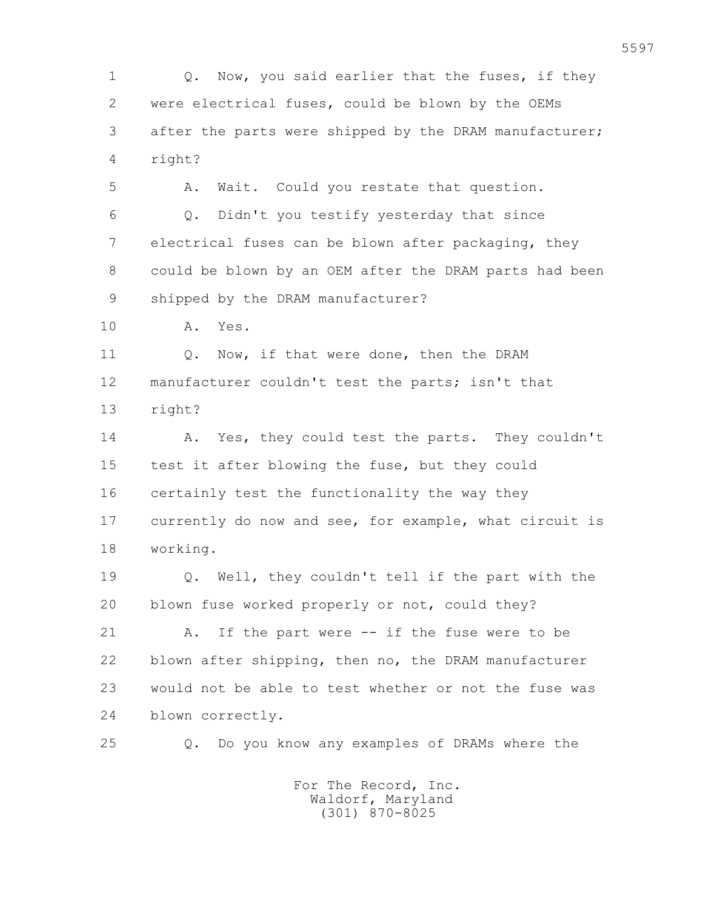1 Q. Now, you said earlier that the fuses, if they 2 were electrical fuses, could be blown by the OEMs 3 after the parts were shipped by the DRAM manufacturer; 4 right? 5 A. Wait. Could you restate that question. 6 Q. Didn't you testify yesterday that since 7 electrical fuses can be blown after packaging, they 8 could be blown by an OEM after the DRAM parts had been 9 shipped by the DRAM manufacturer? 10 A. Yes. 11 Q. Now, if that were done, then the DRAM 12 manufacturer couldn't test the parts; isn't that 13 right? 14 A. Yes, they could test the parts. They couldn't 15 test it after blowing the fuse, but they could 16 certainly test the functionality the way they 17 currently do now and see, for example, what circuit is 18 working. 19 Q. Well, they couldn't tell if the part with the 20 blown fuse worked properly or not, could they? 21 A. If the part were -- if the fuse were to be 22 blown after shipping, then no, the DRAM manufacturer 23 would not be able to test whether or not the fuse was 24 blown correctly. 25 Q. Do you know any examples of DRAMs where the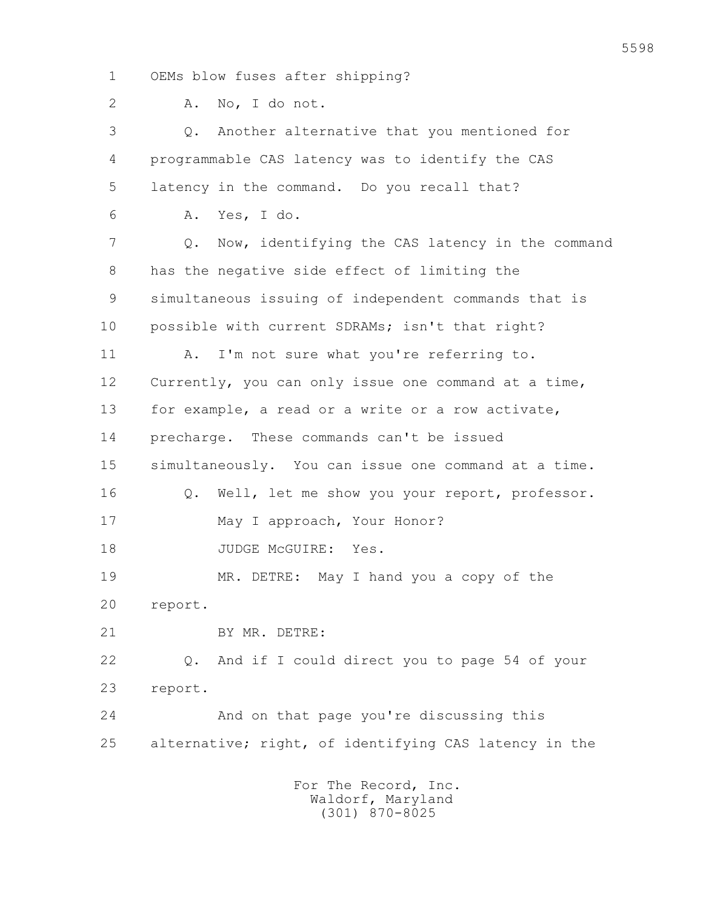1 OEMs blow fuses after shipping?

2 A. No, I do not.

 3 Q. Another alternative that you mentioned for 4 programmable CAS latency was to identify the CAS 5 latency in the command. Do you recall that? 6 A. Yes, I do. 7 Q. Now, identifying the CAS latency in the command 8 has the negative side effect of limiting the 9 simultaneous issuing of independent commands that is 10 possible with current SDRAMs; isn't that right? 11 A. I'm not sure what you're referring to. 12 Currently, you can only issue one command at a time, 13 for example, a read or a write or a row activate, 14 precharge. These commands can't be issued 15 simultaneously. You can issue one command at a time. 16 0. Well, let me show you your report, professor. 17 May I approach, Your Honor? 18 JUDGE McGUIRE: Yes. 19 MR. DETRE: May I hand you a copy of the 20 report. 21 BY MR. DETRE: 22 Q. And if I could direct you to page 54 of your 23 report. 24 And on that page you're discussing this 25 alternative; right, of identifying CAS latency in the For The Record, Inc. Waldorf, Maryland

(301) 870-8025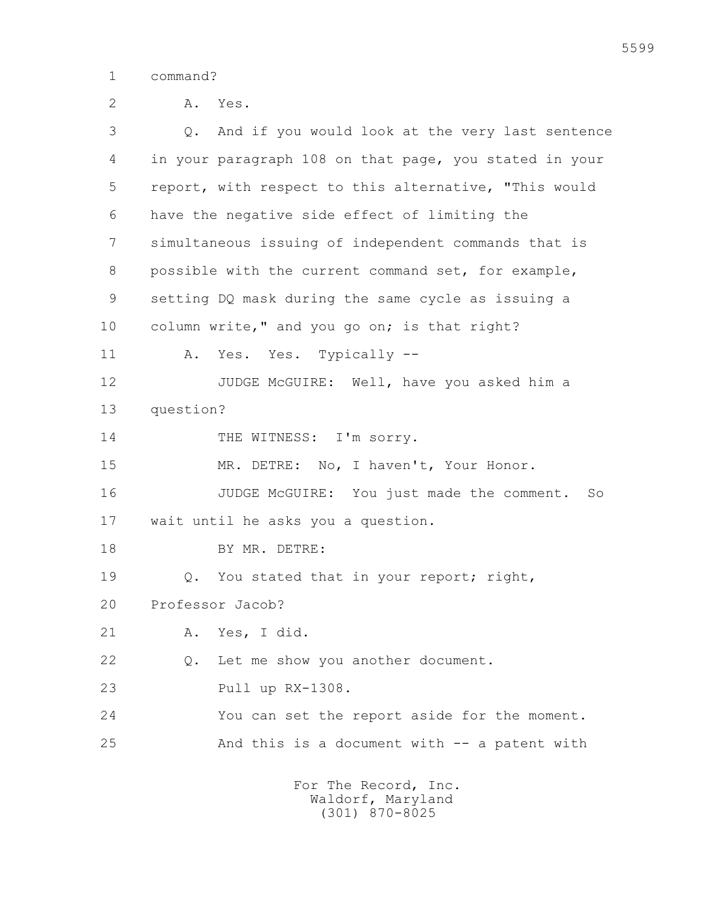1 command?

 2 A. Yes. 3 Q. And if you would look at the very last sentence 4 in your paragraph 108 on that page, you stated in your 5 report, with respect to this alternative, "This would 6 have the negative side effect of limiting the 7 simultaneous issuing of independent commands that is 8 possible with the current command set, for example, 9 setting DQ mask during the same cycle as issuing a 10 column write," and you go on; is that right? 11 A. Yes. Yes. Typically -- 12 JUDGE McGUIRE: Well, have you asked him a 13 question? 14 THE WITNESS: I'm sorry. 15 MR. DETRE: No, I haven't, Your Honor. 16 JUDGE McGUIRE: You just made the comment. So 17 wait until he asks you a question. 18 BY MR. DETRE: 19  $Q.$  You stated that in your report; right, 20 Professor Jacob? 21 A. Yes, I did. 22 Q. Let me show you another document. 23 Pull up RX-1308. 24 You can set the report aside for the moment. 25 And this is a document with -- a patent with For The Record, Inc. Waldorf, Maryland (301) 870-8025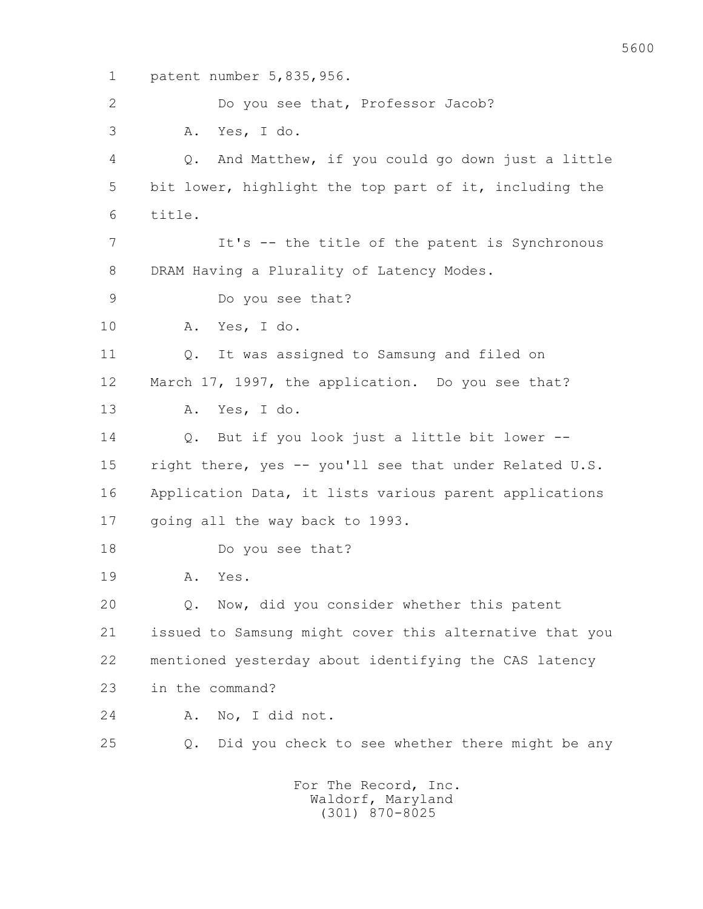1 patent number 5,835,956. 2 Do you see that, Professor Jacob? 3 A. Yes, I do. 4 Q. And Matthew, if you could go down just a little 5 bit lower, highlight the top part of it, including the 6 title. 7 It's -- the title of the patent is Synchronous 8 DRAM Having a Plurality of Latency Modes. 9 Do you see that? 10 A. Yes, I do. 11 Q. It was assigned to Samsung and filed on 12 March 17, 1997, the application. Do you see that? 13 A. Yes, I do. 14 Q. But if you look just a little bit lower -- 15 right there, yes -- you'll see that under Related U.S. 16 Application Data, it lists various parent applications 17 going all the way back to 1993. 18 Do you see that? 19 A. Yes. 20 Q. Now, did you consider whether this patent 21 issued to Samsung might cover this alternative that you 22 mentioned yesterday about identifying the CAS latency 23 in the command? 24 A. No, I did not. 25 Q. Did you check to see whether there might be any For The Record, Inc.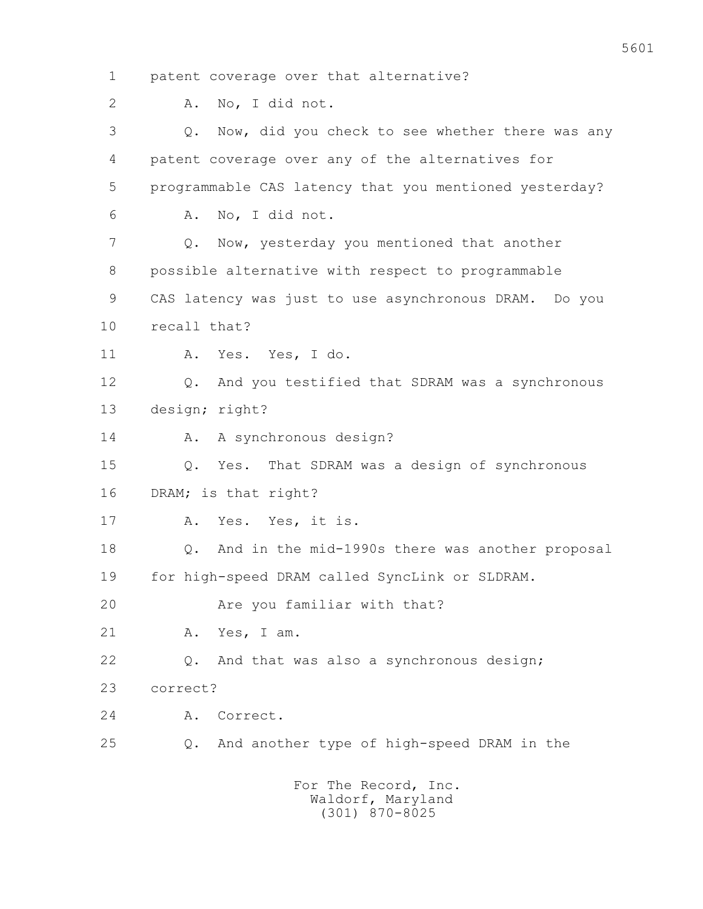1 patent coverage over that alternative? 2 A. No, I did not. 3 Q. Now, did you check to see whether there was any 4 patent coverage over any of the alternatives for 5 programmable CAS latency that you mentioned yesterday? 6 A. No, I did not. 7 Q. Now, yesterday you mentioned that another 8 possible alternative with respect to programmable 9 CAS latency was just to use asynchronous DRAM. Do you 10 recall that? 11 A. Yes. Yes, I do. 12 Q. And you testified that SDRAM was a synchronous 13 design; right? 14 A. A synchronous design? 15 Q. Yes. That SDRAM was a design of synchronous 16 DRAM; is that right? 17 A. Yes. Yes, it is. 18 Q. And in the mid-1990s there was another proposal 19 for high-speed DRAM called SyncLink or SLDRAM. 20 Are you familiar with that? 21 A. Yes, I am. 22 Q. And that was also a synchronous design; 23 correct? 24 A. Correct. 25 Q. And another type of high-speed DRAM in the For The Record, Inc.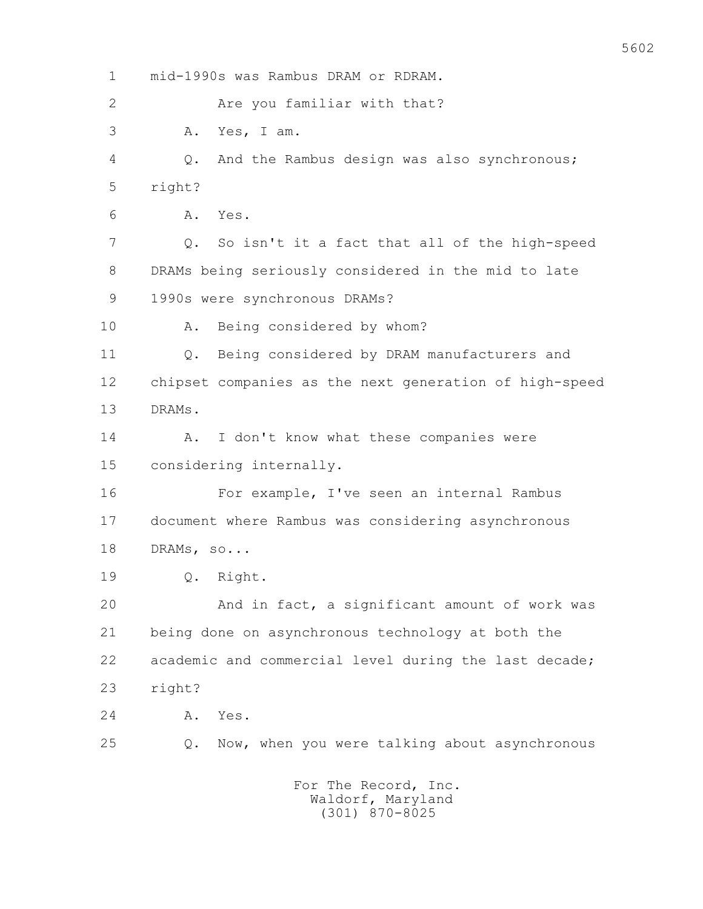1 mid-1990s was Rambus DRAM or RDRAM. 2 Are you familiar with that? 3 A. Yes, I am. 4 Q. And the Rambus design was also synchronous; 5 right? 6 A. Yes. 7 Q. So isn't it a fact that all of the high-speed 8 DRAMs being seriously considered in the mid to late 9 1990s were synchronous DRAMs? 10 A. Being considered by whom? 11 Q. Being considered by DRAM manufacturers and 12 chipset companies as the next generation of high-speed 13 DRAMs. 14 A. I don't know what these companies were 15 considering internally. 16 For example, I've seen an internal Rambus 17 document where Rambus was considering asynchronous 18 DRAMs, so... 19 Q. Right. 20 And in fact, a significant amount of work was 21 being done on asynchronous technology at both the 22 academic and commercial level during the last decade; 23 right? 24 A. Yes. 25 Q. Now, when you were talking about asynchronous For The Record, Inc. Waldorf, Maryland (301) 870-8025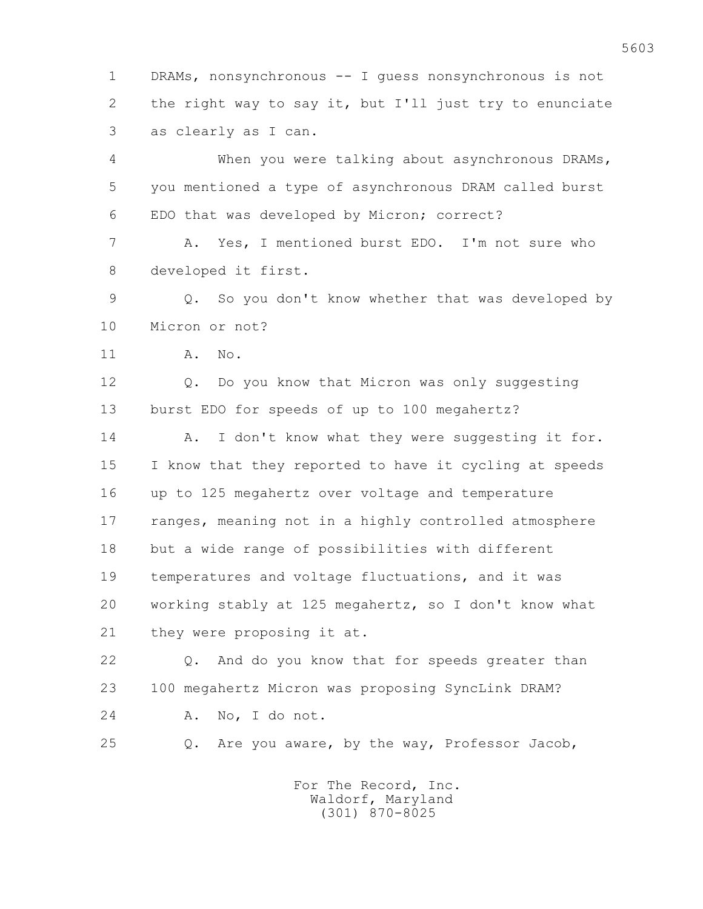1 DRAMs, nonsynchronous -- I guess nonsynchronous is not 2 the right way to say it, but I'll just try to enunciate 3 as clearly as I can.

 4 When you were talking about asynchronous DRAMs, 5 you mentioned a type of asynchronous DRAM called burst 6 EDO that was developed by Micron; correct?

 7 A. Yes, I mentioned burst EDO. I'm not sure who 8 developed it first.

 9 Q. So you don't know whether that was developed by 10 Micron or not?

11 A. No.

12 0. Do you know that Micron was only suggesting 13 burst EDO for speeds of up to 100 megahertz?

14 A. I don't know what they were suggesting it for. 15 I know that they reported to have it cycling at speeds 16 up to 125 megahertz over voltage and temperature 17 ranges, meaning not in a highly controlled atmosphere 18 but a wide range of possibilities with different 19 temperatures and voltage fluctuations, and it was 20 working stably at 125 megahertz, so I don't know what 21 they were proposing it at.

 22 Q. And do you know that for speeds greater than 23 100 megahertz Micron was proposing SyncLink DRAM? 24 A. No, I do not.

25 Q. Are you aware, by the way, Professor Jacob,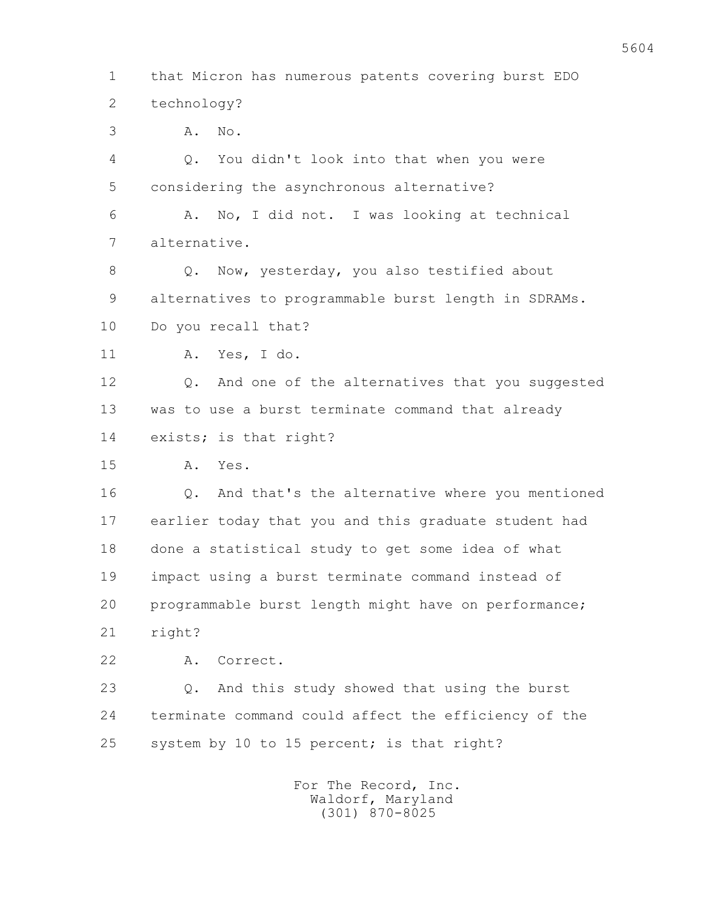1 that Micron has numerous patents covering burst EDO 2 technology? 3 A. No. 4 Q. You didn't look into that when you were 5 considering the asynchronous alternative? 6 A. No, I did not. I was looking at technical 7 alternative. 8 Q. Now, yesterday, you also testified about 9 alternatives to programmable burst length in SDRAMs. 10 Do you recall that? 11 A. Yes, I do. 12 0. And one of the alternatives that you suggested 13 was to use a burst terminate command that already 14 exists; is that right? 15 A. Yes. 16 Q. And that's the alternative where you mentioned 17 earlier today that you and this graduate student had 18 done a statistical study to get some idea of what 19 impact using a burst terminate command instead of 20 programmable burst length might have on performance; 21 right? 22 A. Correct. 23 Q. And this study showed that using the burst 24 terminate command could affect the efficiency of the 25 system by 10 to 15 percent; is that right? For The Record, Inc. Waldorf, Maryland

(301) 870-8025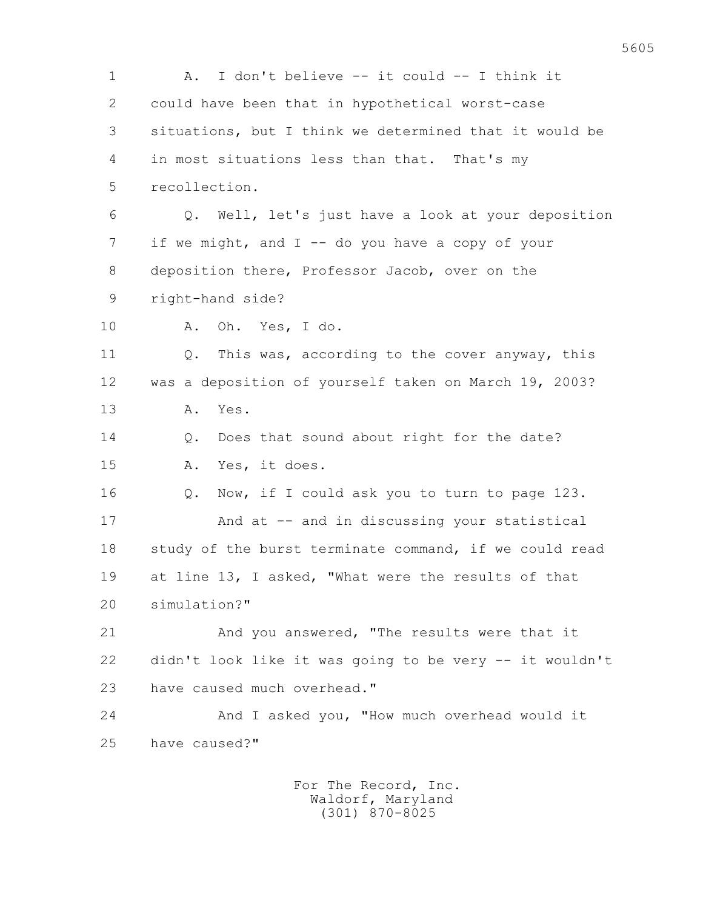1 A. I don't believe -- it could -- I think it 2 could have been that in hypothetical worst-case 3 situations, but I think we determined that it would be 4 in most situations less than that. That's my 5 recollection. 6 Q. Well, let's just have a look at your deposition 7 if we might, and I -- do you have a copy of your 8 deposition there, Professor Jacob, over on the 9 right-hand side? 10 A. Oh. Yes, I do. 11 Q. This was, according to the cover anyway, this 12 was a deposition of yourself taken on March 19, 2003? 13 A. Yes. 14 Q. Does that sound about right for the date? 15 A. Yes, it does. 16 0. Now, if I could ask you to turn to page 123. 17 And at -- and in discussing your statistical 18 study of the burst terminate command, if we could read 19 at line 13, I asked, "What were the results of that 20 simulation?" 21 And you answered, "The results were that it 22 didn't look like it was going to be very -- it wouldn't 23 have caused much overhead." 24 And I asked you, "How much overhead would it 25 have caused?"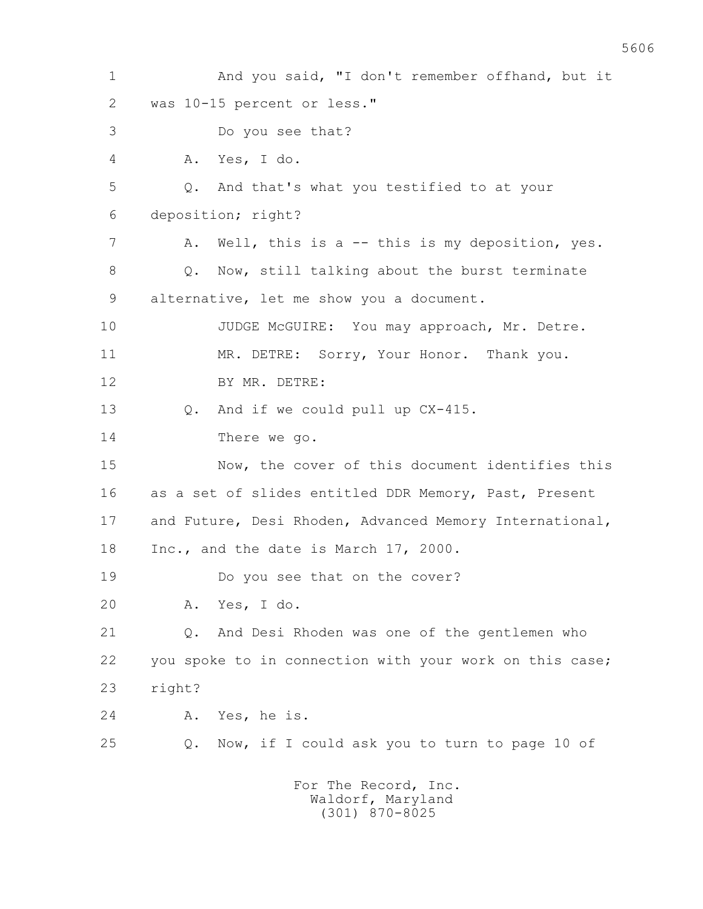1 And you said, "I don't remember offhand, but it 2 was 10-15 percent or less." 3 Do you see that? 4 A. Yes, I do. 5 Q. And that's what you testified to at your 6 deposition; right? 7 A. Well, this is a -- this is my deposition, yes. 8 Q. Now, still talking about the burst terminate 9 alternative, let me show you a document. 10 JUDGE McGUIRE: You may approach, Mr. Detre. 11 MR. DETRE: Sorry, Your Honor. Thank you. 12 BY MR. DETRE: 13 Q. And if we could pull up CX-415. 14 There we go. 15 Now, the cover of this document identifies this 16 as a set of slides entitled DDR Memory, Past, Present 17 and Future, Desi Rhoden, Advanced Memory International, 18 Inc., and the date is March 17, 2000. 19 Do you see that on the cover? 20 A. Yes, I do. 21 Q. And Desi Rhoden was one of the gentlemen who 22 you spoke to in connection with your work on this case; 23 right? 24 A. Yes, he is. 25 Q. Now, if I could ask you to turn to page 10 of For The Record, Inc.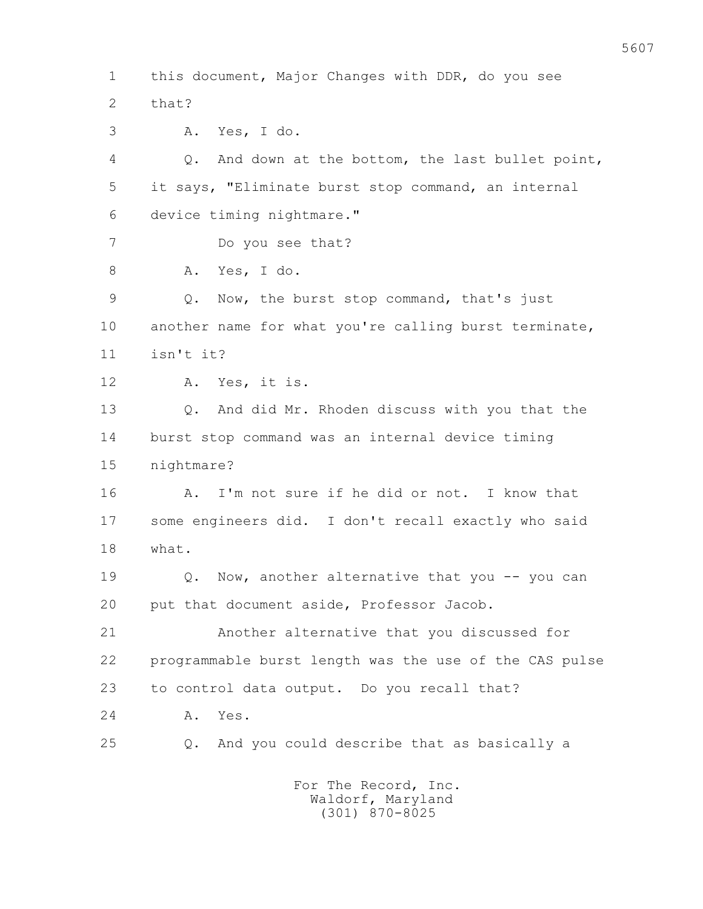1 this document, Major Changes with DDR, do you see 2 that? 3 A. Yes, I do. 4 Q. And down at the bottom, the last bullet point, 5 it says, "Eliminate burst stop command, an internal 6 device timing nightmare." 7 Do you see that? 8 A. Yes, I do. 9 Q. Now, the burst stop command, that's just 10 another name for what you're calling burst terminate, 11 isn't it? 12 A. Yes, it is. 13 Q. And did Mr. Rhoden discuss with you that the 14 burst stop command was an internal device timing 15 nightmare? 16 A. I'm not sure if he did or not. I know that 17 some engineers did. I don't recall exactly who said 18 what. 19 **Q.** Now, another alternative that you -- you can 20 put that document aside, Professor Jacob. 21 Another alternative that you discussed for 22 programmable burst length was the use of the CAS pulse 23 to control data output. Do you recall that? 24 A. Yes. 25 Q. And you could describe that as basically a For The Record, Inc.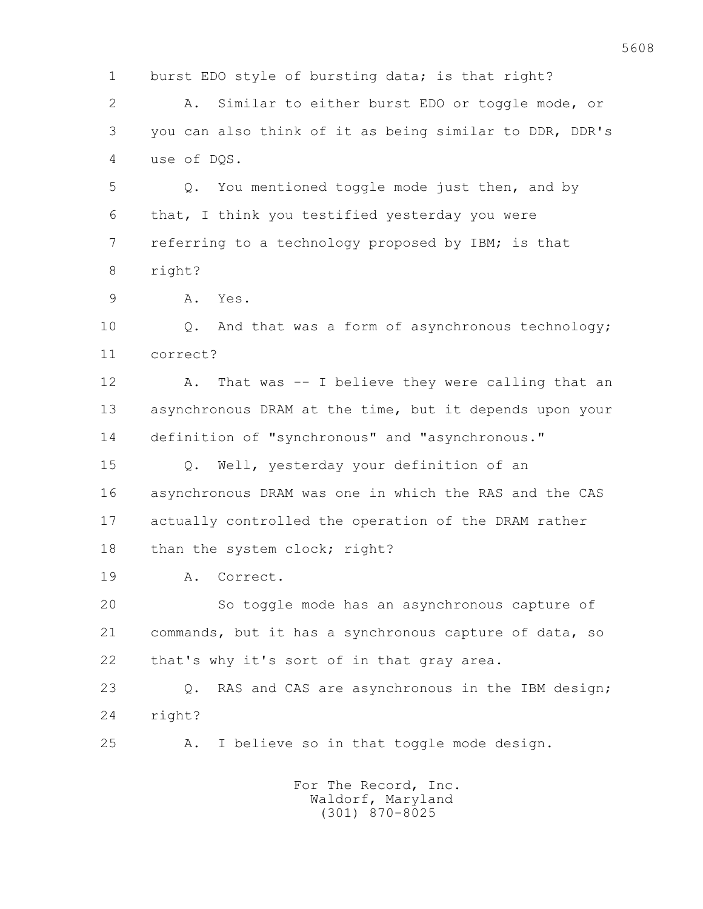1 burst EDO style of bursting data; is that right?

 2 A. Similar to either burst EDO or toggle mode, or 3 you can also think of it as being similar to DDR, DDR's 4 use of DQS.

 5 Q. You mentioned toggle mode just then, and by 6 that, I think you testified yesterday you were 7 referring to a technology proposed by IBM; is that 8 right?

9 A. Yes.

 10 Q. And that was a form of asynchronous technology; 11 correct?

 12 A. That was -- I believe they were calling that an 13 asynchronous DRAM at the time, but it depends upon your 14 definition of "synchronous" and "asynchronous."

 15 Q. Well, yesterday your definition of an 16 asynchronous DRAM was one in which the RAS and the CAS 17 actually controlled the operation of the DRAM rather 18 than the system clock; right?

19 A. Correct.

 20 So toggle mode has an asynchronous capture of 21 commands, but it has a synchronous capture of data, so 22 that's why it's sort of in that gray area.

 23 Q. RAS and CAS are asynchronous in the IBM design; 24 right?

25 A. I believe so in that toggle mode design.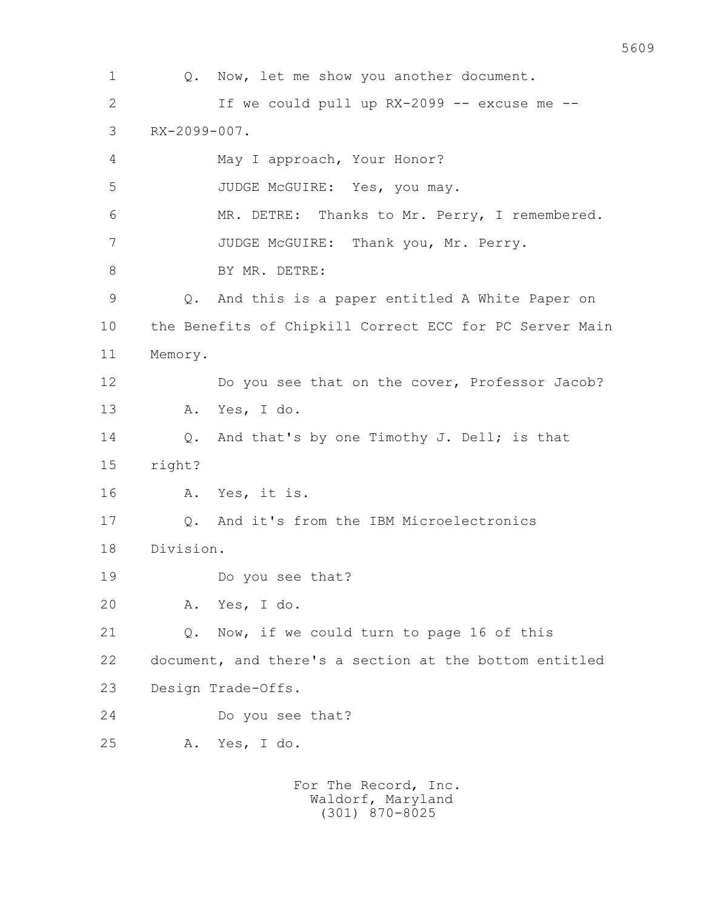1 Q. Now, let me show you another document. 2 If we could pull up RX-2099 -- excuse me -- 3 RX-2099-007. 4 May I approach, Your Honor? 5 JUDGE McGUIRE: Yes, you may. 6 MR. DETRE: Thanks to Mr. Perry, I remembered. 7 JUDGE McGUIRE: Thank you, Mr. Perry. 8 BY MR. DETRE: 9 Q. And this is a paper entitled A White Paper on 10 the Benefits of Chipkill Correct ECC for PC Server Main 11 Memory. 12 Do you see that on the cover, Professor Jacob? 13 A. Yes, I do. 14 Q. And that's by one Timothy J. Dell; is that 15 right? 16 A. Yes, it is. 17 Q. And it's from the IBM Microelectronics 18 Division. 19 Do you see that? 20 A. Yes, I do. 21 O. Now, if we could turn to page 16 of this 22 document, and there's a section at the bottom entitled 23 Design Trade-Offs. 24 Do you see that? 25 A. Yes, I do. For The Record, Inc.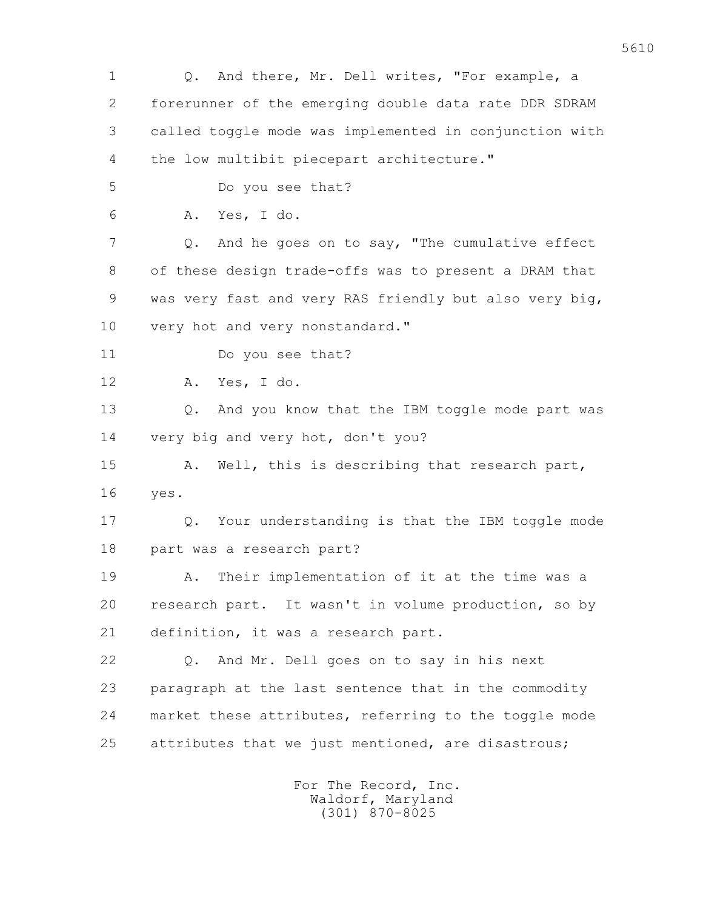1 Q. And there, Mr. Dell writes, "For example, a 2 forerunner of the emerging double data rate DDR SDRAM 3 called toggle mode was implemented in conjunction with 4 the low multibit piecepart architecture." 5 Do you see that? 6 A. Yes, I do. 7 Q. And he goes on to say, "The cumulative effect 8 of these design trade-offs was to present a DRAM that 9 was very fast and very RAS friendly but also very big, 10 very hot and very nonstandard." 11 Do you see that? 12 A. Yes, I do. 13 Q. And you know that the IBM toggle mode part was 14 very big and very hot, don't you? 15 A. Well, this is describing that research part, 16 yes. 17 Q. Your understanding is that the IBM toggle mode 18 part was a research part? 19 A. Their implementation of it at the time was a 20 research part. It wasn't in volume production, so by 21 definition, it was a research part. 22 Q. And Mr. Dell goes on to say in his next 23 paragraph at the last sentence that in the commodity 24 market these attributes, referring to the toggle mode 25 attributes that we just mentioned, are disastrous;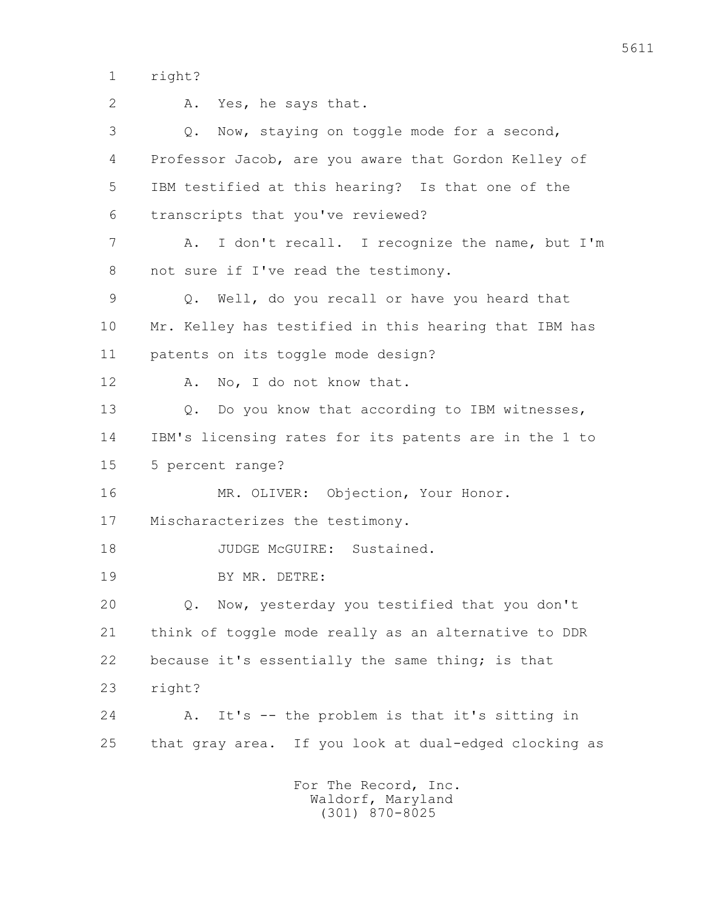1 right?

 2 A. Yes, he says that. 3 Q. Now, staying on toggle mode for a second, 4 Professor Jacob, are you aware that Gordon Kelley of 5 IBM testified at this hearing? Is that one of the 6 transcripts that you've reviewed? 7 A. I don't recall. I recognize the name, but I'm 8 not sure if I've read the testimony. 9 Q. Well, do you recall or have you heard that 10 Mr. Kelley has testified in this hearing that IBM has 11 patents on its toggle mode design? 12 A. No, I do not know that. 13 Q. Do you know that according to IBM witnesses, 14 IBM's licensing rates for its patents are in the 1 to 15 5 percent range? 16 MR. OLIVER: Objection, Your Honor. 17 Mischaracterizes the testimony. 18 JUDGE McGUIRE: Sustained. 19 BY MR. DETRE: 20 Q. Now, yesterday you testified that you don't 21 think of toggle mode really as an alternative to DDR 22 because it's essentially the same thing; is that 23 right? 24 A. It's -- the problem is that it's sitting in 25 that gray area. If you look at dual-edged clocking as For The Record, Inc.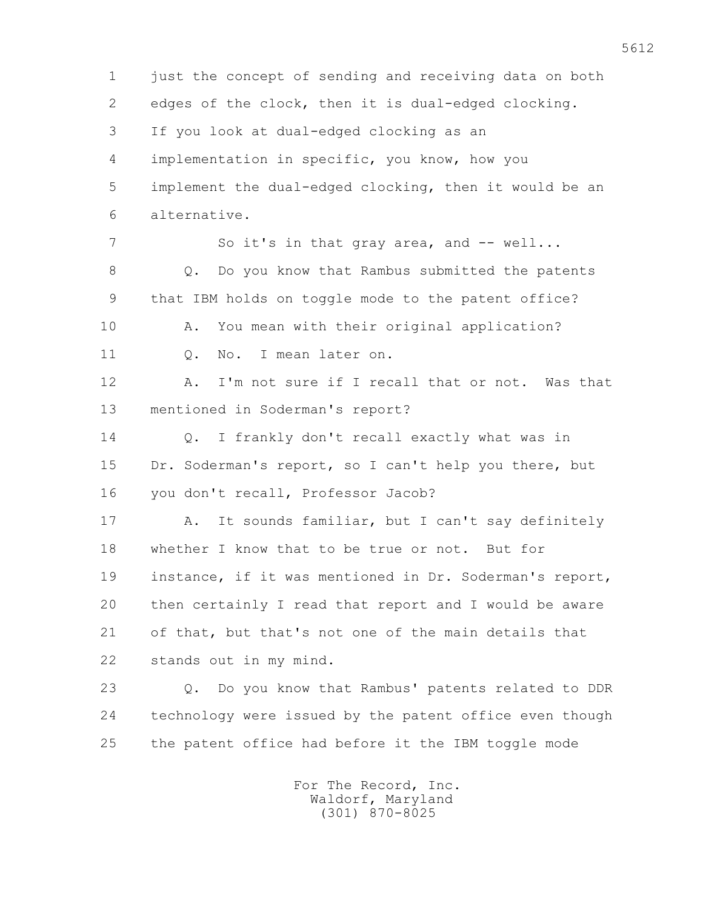1 just the concept of sending and receiving data on both 2 edges of the clock, then it is dual-edged clocking. 3 If you look at dual-edged clocking as an 4 implementation in specific, you know, how you 5 implement the dual-edged clocking, then it would be an 6 alternative. 7 So it's in that gray area, and -- well... 8 Q. Do you know that Rambus submitted the patents 9 that IBM holds on toggle mode to the patent office? 10 A. You mean with their original application? 11 Q. No. I mean later on. 12 A. I'm not sure if I recall that or not. Was that 13 mentioned in Soderman's report? 14 Q. I frankly don't recall exactly what was in 15 Dr. Soderman's report, so I can't help you there, but 16 you don't recall, Professor Jacob? 17 A. It sounds familiar, but I can't say definitely 18 whether I know that to be true or not. But for 19 instance, if it was mentioned in Dr. Soderman's report, 20 then certainly I read that report and I would be aware 21 of that, but that's not one of the main details that 22 stands out in my mind. 23 Q. Do you know that Rambus' patents related to DDR 24 technology were issued by the patent office even though 25 the patent office had before it the IBM toggle mode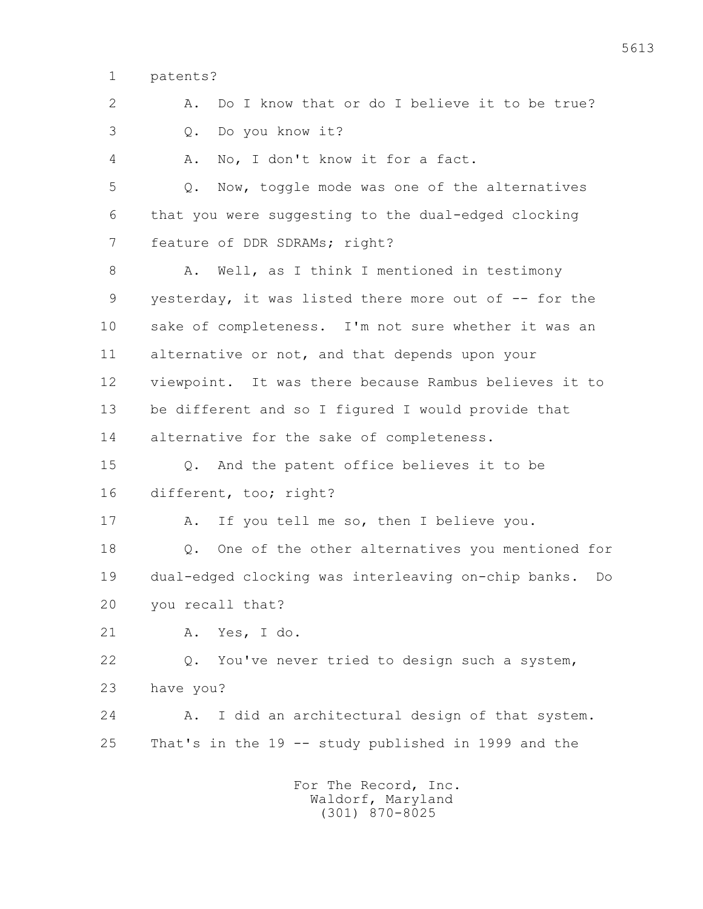1 patents?

 2 A. Do I know that or do I believe it to be true? 3 Q. Do you know it? 4 A. No, I don't know it for a fact. 5 Q. Now, toggle mode was one of the alternatives 6 that you were suggesting to the dual-edged clocking 7 feature of DDR SDRAMs; right? 8 A. Well, as I think I mentioned in testimony 9 yesterday, it was listed there more out of -- for the 10 sake of completeness. I'm not sure whether it was an 11 alternative or not, and that depends upon your 12 viewpoint. It was there because Rambus believes it to 13 be different and so I figured I would provide that 14 alternative for the sake of completeness. 15 Q. And the patent office believes it to be 16 different, too; right? 17 A. If you tell me so, then I believe you. 18 0. One of the other alternatives you mentioned for 19 dual-edged clocking was interleaving on-chip banks. Do 20 you recall that? 21 A. Yes, I do. 22 Q. You've never tried to design such a system, 23 have you? 24 A. I did an architectural design of that system. 25 That's in the 19 -- study published in 1999 and the For The Record, Inc.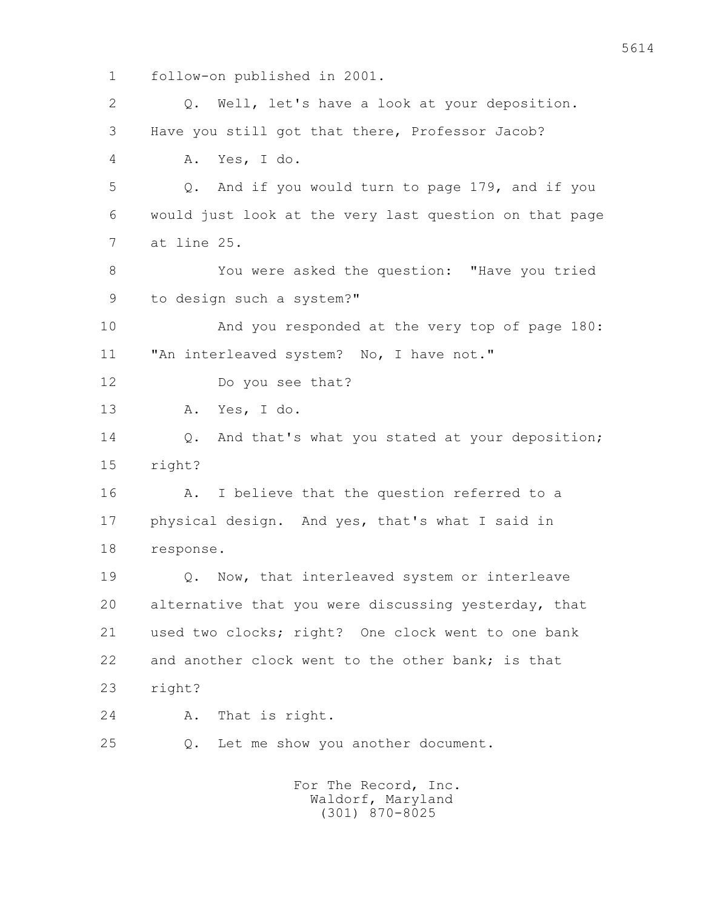1 follow-on published in 2001. 2 Q. Well, let's have a look at your deposition. 3 Have you still got that there, Professor Jacob? 4 A. Yes, I do. 5 Q. And if you would turn to page 179, and if you 6 would just look at the very last question on that page 7 at line 25. 8 You were asked the question: "Have you tried 9 to design such a system?" 10 And you responded at the very top of page 180: 11 "An interleaved system? No, I have not." 12 Do you see that? 13 A. Yes, I do. 14 Q. And that's what you stated at your deposition; 15 right? 16 A. I believe that the question referred to a 17 physical design. And yes, that's what I said in 18 response. 19 Q. Now, that interleaved system or interleave 20 alternative that you were discussing yesterday, that 21 used two clocks; right? One clock went to one bank 22 and another clock went to the other bank; is that 23 right? 24 A. That is right. 25 Q. Let me show you another document. For The Record, Inc. Waldorf, Maryland

(301) 870-8025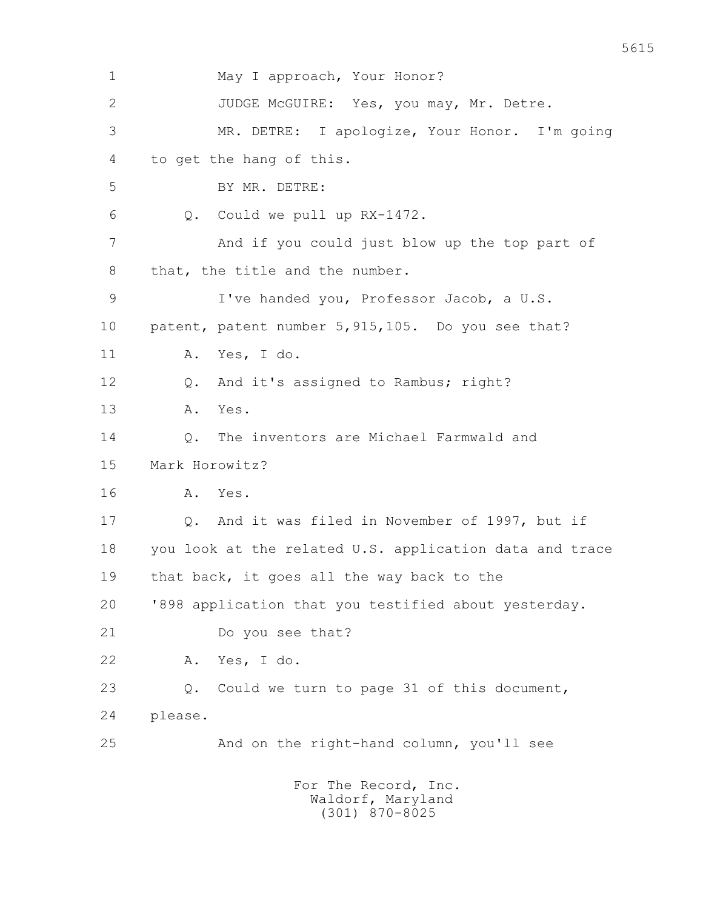| $\mathbf 1$ | May I approach, Your Honor?                                   |
|-------------|---------------------------------------------------------------|
| 2           | JUDGE McGUIRE: Yes, you may, Mr. Detre.                       |
| 3           | MR. DETRE: I apologize, Your Honor. I'm going                 |
| 4           | to get the hang of this.                                      |
| 5           | BY MR. DETRE:                                                 |
| 6           | Could we pull up RX-1472.<br>Q.                               |
| 7           | And if you could just blow up the top part of                 |
| 8           | that, the title and the number.                               |
| 9           | I've handed you, Professor Jacob, a U.S.                      |
| 10          | patent, patent number 5, 915, 105. Do you see that?           |
| 11          | Yes, I do.<br>Α.                                              |
| 12          | And it's assigned to Rambus; right?<br>Q.                     |
| 13          | Yes.<br>Α.                                                    |
| 14          | The inventors are Michael Farmwald and<br>Q.                  |
| 15          | Mark Horowitz?                                                |
| 16          | Yes.<br>Α.                                                    |
| 17          | And it was filed in November of 1997, but if<br>$Q$ .         |
| 18          | you look at the related U.S. application data and trace       |
| 19          | that back, it goes all the way back to the                    |
| 20          | '898 application that you testified about yesterday.          |
| 21          | Do you see that?                                              |
| 22          | Α.<br>Yes, I do.                                              |
| 23          | Could we turn to page 31 of this document,<br>Q.              |
| 24          | please.                                                       |
| 25          | And on the right-hand column, you'll see                      |
|             | For The Record, Inc.<br>Waldorf, Maryland<br>$(301)$ 870-8025 |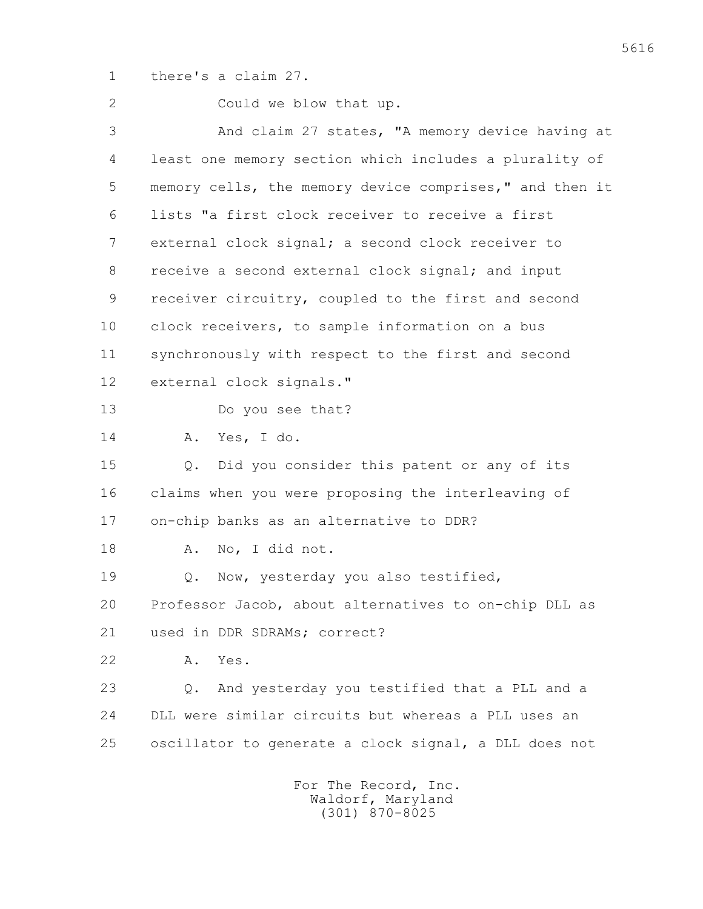1 there's a claim 27.

 2 Could we blow that up. 3 And claim 27 states, "A memory device having at 4 least one memory section which includes a plurality of 5 memory cells, the memory device comprises," and then it 6 lists "a first clock receiver to receive a first 7 external clock signal; a second clock receiver to 8 receive a second external clock signal; and input 9 receiver circuitry, coupled to the first and second 10 clock receivers, to sample information on a bus 11 synchronously with respect to the first and second 12 external clock signals." 13 Do you see that? 14 A. Yes, I do. 15 Q. Did you consider this patent or any of its 16 claims when you were proposing the interleaving of 17 on-chip banks as an alternative to DDR? 18 A. No, I did not. 19 Q. Now, yesterday you also testified, 20 Professor Jacob, about alternatives to on-chip DLL as 21 used in DDR SDRAMs; correct? 22 A. Yes. 23 Q. And yesterday you testified that a PLL and a 24 DLL were similar circuits but whereas a PLL uses an 25 oscillator to generate a clock signal, a DLL does not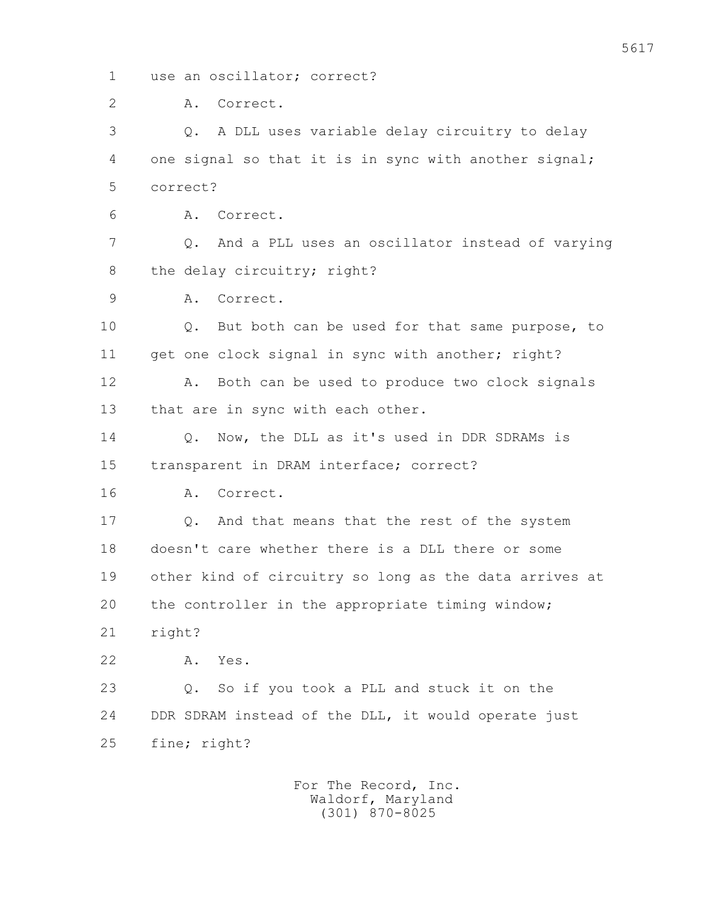1 use an oscillator; correct?

2 A. Correct.

 3 Q. A DLL uses variable delay circuitry to delay 4 one signal so that it is in sync with another signal; 5 correct?

6 A. Correct.

 7 Q. And a PLL uses an oscillator instead of varying 8 the delay circuitry; right?

9 A. Correct.

 10 Q. But both can be used for that same purpose, to 11 get one clock signal in sync with another; right?

12 A. Both can be used to produce two clock signals 13 that are in sync with each other.

 14 Q. Now, the DLL as it's used in DDR SDRAMs is 15 transparent in DRAM interface; correct?

16 A. Correct.

 17 Q. And that means that the rest of the system 18 doesn't care whether there is a DLL there or some 19 other kind of circuitry so long as the data arrives at 20 the controller in the appropriate timing window; 21 right?

22 A. Yes.

 23 Q. So if you took a PLL and stuck it on the 24 DDR SDRAM instead of the DLL, it would operate just 25 fine; right?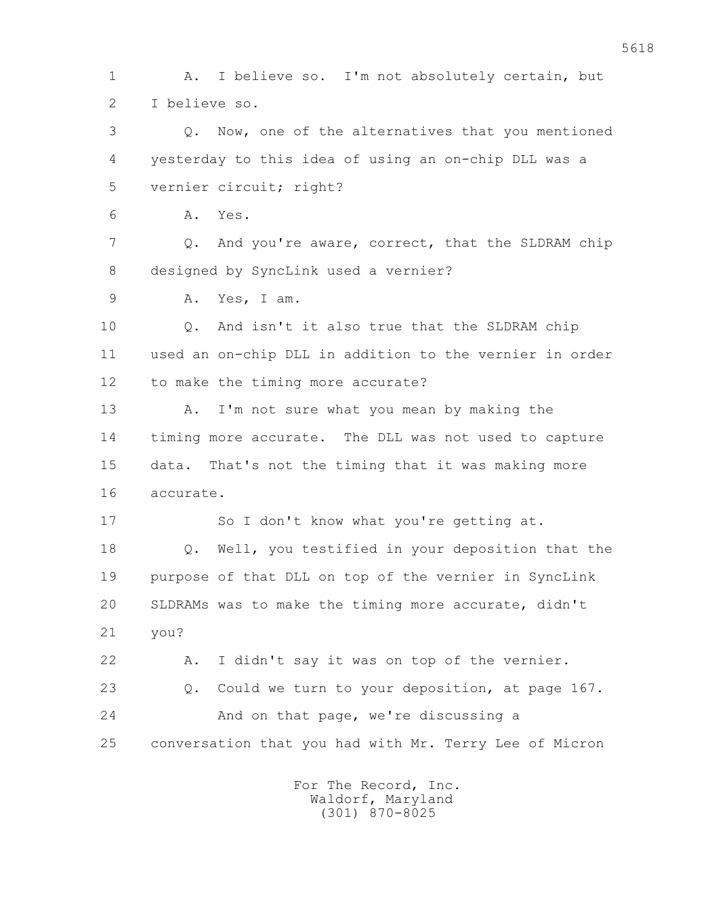1 A. I believe so. I'm not absolutely certain, but 2 I believe so. 3 Q. Now, one of the alternatives that you mentioned 4 yesterday to this idea of using an on-chip DLL was a 5 vernier circuit; right? 6 A. Yes.

7 Q. And you're aware, correct, that the SLDRAM chip 8 designed by SyncLink used a vernier?

9 A. Yes, I am.

 10 Q. And isn't it also true that the SLDRAM chip 11 used an on-chip DLL in addition to the vernier in order 12 to make the timing more accurate?

13 A. I'm not sure what you mean by making the 14 timing more accurate. The DLL was not used to capture 15 data. That's not the timing that it was making more 16 accurate.

17 So I don't know what you're getting at. 18 Q. Well, you testified in your deposition that the 19 purpose of that DLL on top of the vernier in SyncLink 20 SLDRAMs was to make the timing more accurate, didn't 21 you?

 22 A. I didn't say it was on top of the vernier. 23 Q. Could we turn to your deposition, at page 167. 24 And on that page, we're discussing a 25 conversation that you had with Mr. Terry Lee of Micron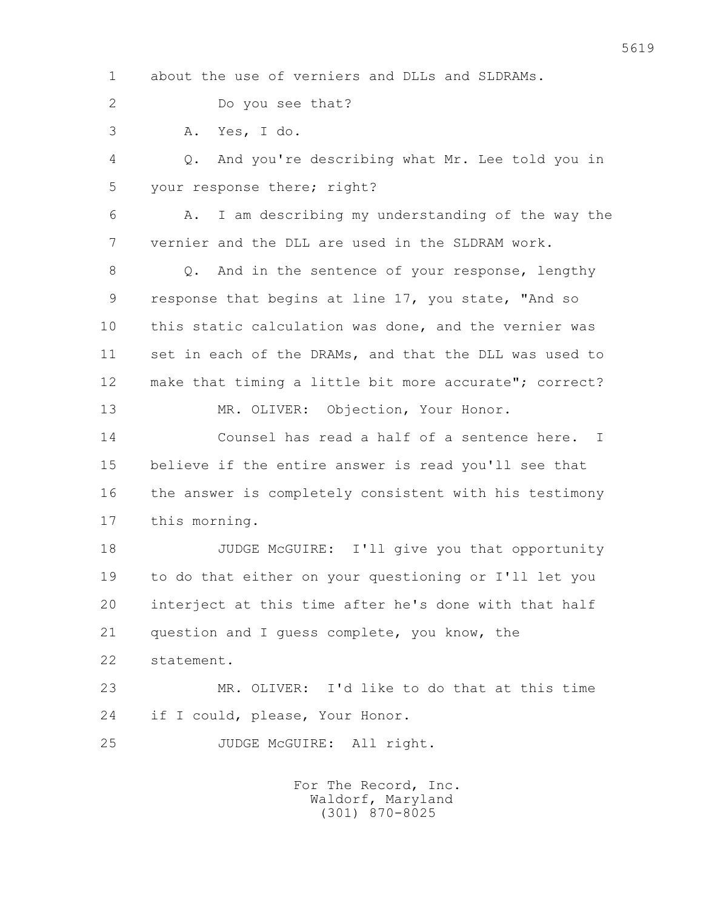1 about the use of verniers and DLLs and SLDRAMs.

2 Do you see that?

3 A. Yes, I do.

 4 Q. And you're describing what Mr. Lee told you in 5 your response there; right?

 6 A. I am describing my understanding of the way the 7 vernier and the DLL are used in the SLDRAM work.

 8 Q. And in the sentence of your response, lengthy 9 response that begins at line 17, you state, "And so 10 this static calculation was done, and the vernier was 11 set in each of the DRAMs, and that the DLL was used to 12 make that timing a little bit more accurate"; correct?

13 MR. OLIVER: Objection, Your Honor.

 14 Counsel has read a half of a sentence here. I 15 believe if the entire answer is read you'll see that 16 the answer is completely consistent with his testimony 17 this morning.

18 JUDGE McGUIRE: I'll give you that opportunity 19 to do that either on your questioning or I'll let you 20 interject at this time after he's done with that half 21 question and I guess complete, you know, the

22 statement.

 23 MR. OLIVER: I'd like to do that at this time 24 if I could, please, Your Honor.

25 JUDGE McGUIRE: All right.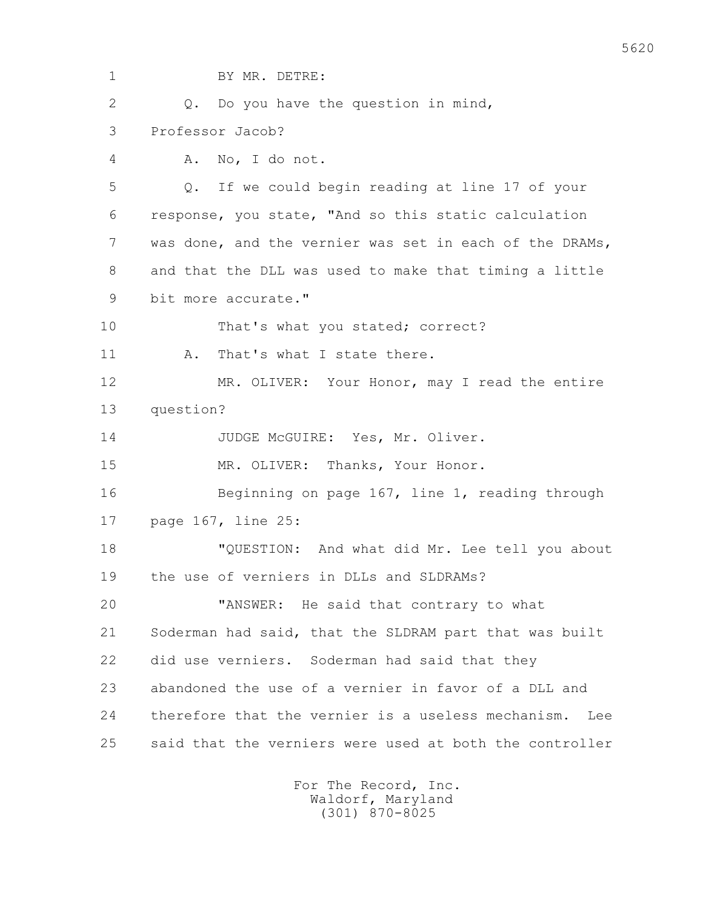1 BY MR. DETRE: 2 Q. Do you have the question in mind, 3 Professor Jacob? 4 A. No, I do not. 5 Q. If we could begin reading at line 17 of your 6 response, you state, "And so this static calculation 7 was done, and the vernier was set in each of the DRAMs, 8 and that the DLL was used to make that timing a little 9 bit more accurate." 10 That's what you stated; correct? 11 A. That's what I state there. 12 MR. OLIVER: Your Honor, may I read the entire 13 question? 14 JUDGE McGUIRE: Yes, Mr. Oliver. 15 MR. OLIVER: Thanks, Your Honor. 16 Beginning on page 167, line 1, reading through 17 page 167, line 25: 18 "QUESTION: And what did Mr. Lee tell you about 19 the use of verniers in DLLs and SLDRAMs? 20 "ANSWER: He said that contrary to what 21 Soderman had said, that the SLDRAM part that was built 22 did use verniers. Soderman had said that they 23 abandoned the use of a vernier in favor of a DLL and 24 therefore that the vernier is a useless mechanism. Lee 25 said that the verniers were used at both the controller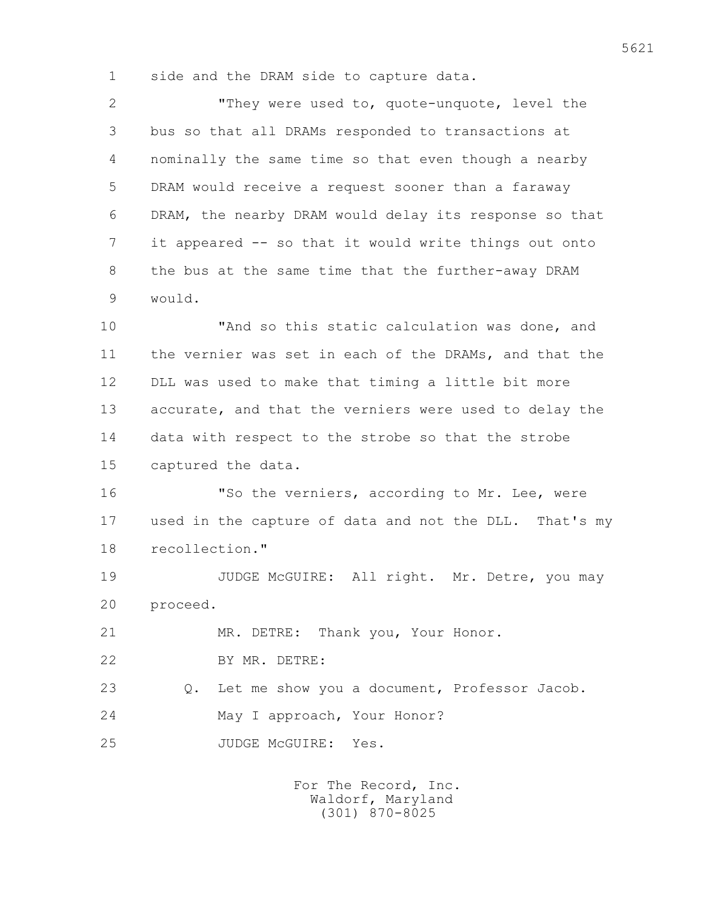1 side and the DRAM side to capture data.

 2 "They were used to, quote-unquote, level the 3 bus so that all DRAMs responded to transactions at 4 nominally the same time so that even though a nearby 5 DRAM would receive a request sooner than a faraway 6 DRAM, the nearby DRAM would delay its response so that 7 it appeared -- so that it would write things out onto 8 the bus at the same time that the further-away DRAM 9 would.

 10 "And so this static calculation was done, and 11 the vernier was set in each of the DRAMs, and that the 12 DLL was used to make that timing a little bit more 13 accurate, and that the verniers were used to delay the 14 data with respect to the strobe so that the strobe 15 captured the data.

 16 "So the verniers, according to Mr. Lee, were 17 used in the capture of data and not the DLL. That's my 18 recollection."

19 JUDGE McGUIRE: All right. Mr. Detre, you may 20 proceed.

21 MR. DETRE: Thank you, Your Honor.

22 BY MR. DETRE:

 23 Q. Let me show you a document, Professor Jacob. 24 May I approach, Your Honor?

25 JUDGE McGUIRE: Yes.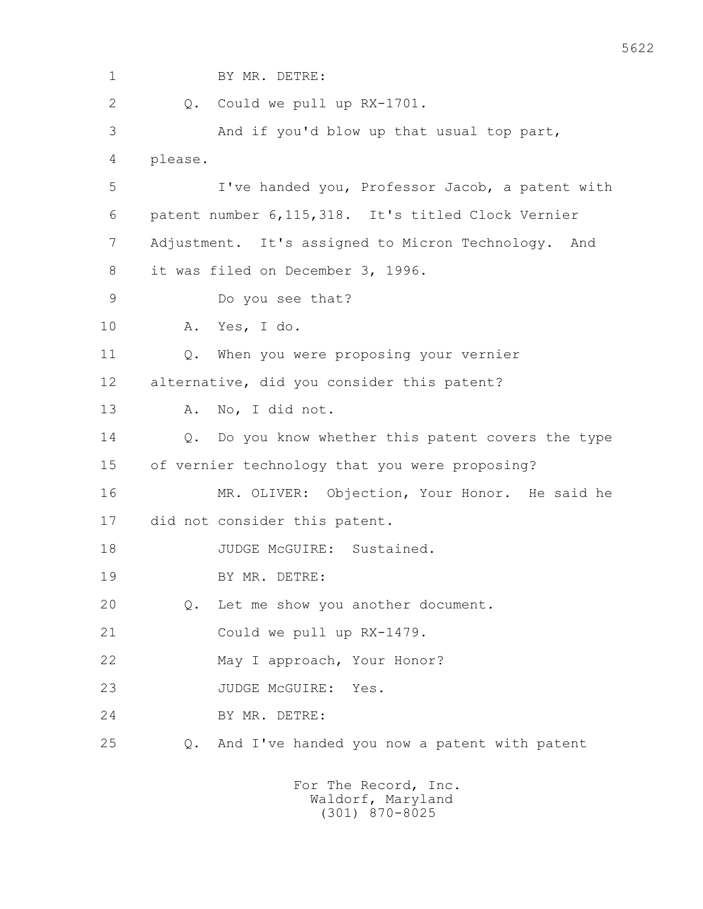| $\mathbf 1$ | BY MR. DETRE:                                                 |
|-------------|---------------------------------------------------------------|
| 2           | Could we pull up RX-1701.<br>$Q$ .                            |
| 3           | And if you'd blow up that usual top part,                     |
| 4           | please.                                                       |
| 5           | I've handed you, Professor Jacob, a patent with               |
| 6           | patent number 6, 115, 318. It's titled Clock Vernier          |
| 7           | Adjustment. It's assigned to Micron Technology. And           |
| 8           | it was filed on December 3, 1996.                             |
| 9           | Do you see that?                                              |
| 10          | Yes, I do.<br>Α.                                              |
| 11          | When you were proposing your vernier<br>Q.                    |
| 12          | alternative, did you consider this patent?                    |
| 13          | No, I did not.<br>Α.                                          |
| 14          | Do you know whether this patent covers the type<br>Q.         |
| 15          | of vernier technology that you were proposing?                |
| 16          | MR. OLIVER: Objection, Your Honor. He said he                 |
| 17          | did not consider this patent.                                 |
| 18          | JUDGE McGUIRE: Sustained.                                     |
| 19          | BY MR. DETRE:                                                 |
| 20          | Let me show you another document.<br>Q.                       |
| 21          | Could we pull up RX-1479.                                     |
| 22          | May I approach, Your Honor?                                   |
| 23          | JUDGE MCGUIRE:<br>Yes.                                        |
| 24          | BY MR. DETRE:                                                 |
| 25          | And I've handed you now a patent with patent<br>$Q_{\bullet}$ |
|             |                                                               |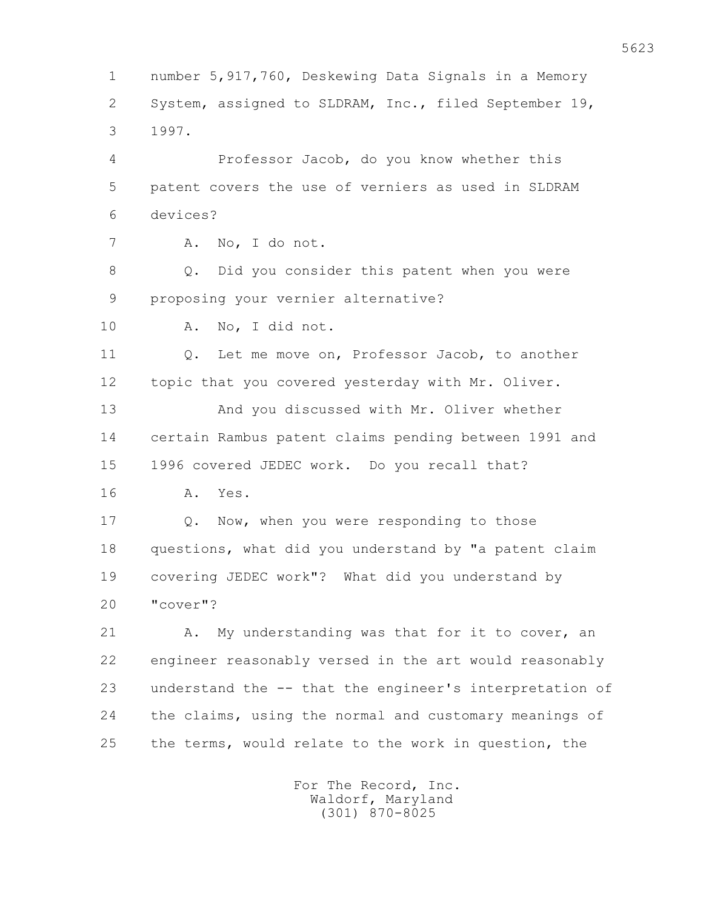1 number 5,917,760, Deskewing Data Signals in a Memory 2 System, assigned to SLDRAM, Inc., filed September 19, 3 1997. 4 Professor Jacob, do you know whether this 5 patent covers the use of verniers as used in SLDRAM 6 devices? 7 A. No, I do not. 8 Q. Did you consider this patent when you were 9 proposing your vernier alternative? 10 A. No, I did not. 11 Q. Let me move on, Professor Jacob, to another 12 topic that you covered yesterday with Mr. Oliver. 13 And you discussed with Mr. Oliver whether 14 certain Rambus patent claims pending between 1991 and 15 1996 covered JEDEC work. Do you recall that? 16 A. Yes. 17 0. Now, when you were responding to those 18 questions, what did you understand by "a patent claim 19 covering JEDEC work"? What did you understand by 20 "cover"? 21 A. My understanding was that for it to cover, an 22 engineer reasonably versed in the art would reasonably 23 understand the -- that the engineer's interpretation of 24 the claims, using the normal and customary meanings of 25 the terms, would relate to the work in question, the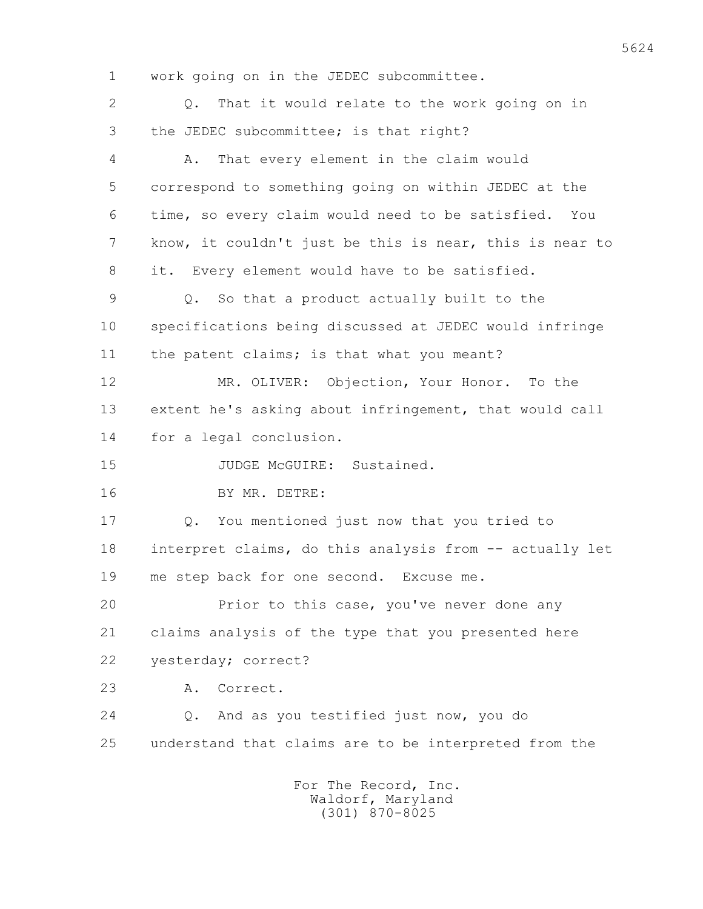1 work going on in the JEDEC subcommittee. 2 Q. That it would relate to the work going on in 3 the JEDEC subcommittee; is that right? 4 A. That every element in the claim would 5 correspond to something going on within JEDEC at the 6 time, so every claim would need to be satisfied. You 7 know, it couldn't just be this is near, this is near to 8 it. Every element would have to be satisfied. 9 Q. So that a product actually built to the 10 specifications being discussed at JEDEC would infringe 11 the patent claims; is that what you meant? 12 MR. OLIVER: Objection, Your Honor. To the 13 extent he's asking about infringement, that would call 14 for a legal conclusion. 15 JUDGE McGUIRE: Sustained. 16 BY MR. DETRE: 17 Q. You mentioned just now that you tried to 18 interpret claims, do this analysis from -- actually let 19 me step back for one second. Excuse me. 20 Prior to this case, you've never done any 21 claims analysis of the type that you presented here 22 yesterday; correct? 23 A. Correct. 24 Q. And as you testified just now, you do 25 understand that claims are to be interpreted from the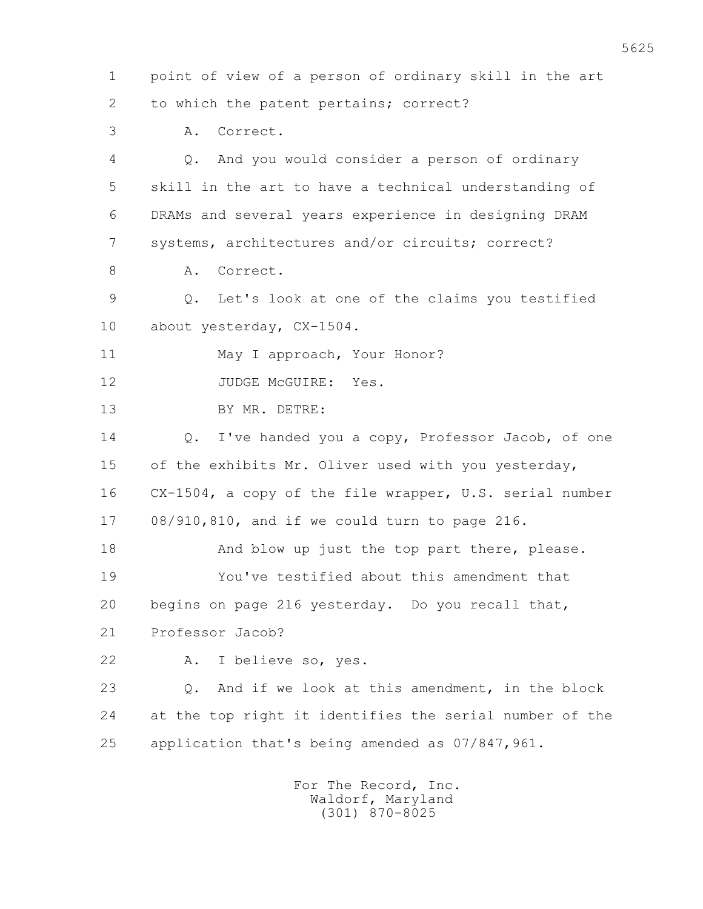1 point of view of a person of ordinary skill in the art 2 to which the patent pertains; correct?

3 A. Correct.

 4 Q. And you would consider a person of ordinary 5 skill in the art to have a technical understanding of 6 DRAMs and several years experience in designing DRAM 7 systems, architectures and/or circuits; correct? 8 A. Correct. 9 Q. Let's look at one of the claims you testified 10 about yesterday, CX-1504. 11 May I approach, Your Honor? 12 JUDGE McGUIRE: Yes. 13 BY MR. DETRE: 14 Q. I've handed you a copy, Professor Jacob, of one 15 of the exhibits Mr. Oliver used with you yesterday, 16 CX-1504, a copy of the file wrapper, U.S. serial number 17 08/910,810, and if we could turn to page 216. 18 And blow up just the top part there, please. 19 You've testified about this amendment that 20 begins on page 216 yesterday. Do you recall that, 21 Professor Jacob? 22 A. I believe so, yes. 23 Q. And if we look at this amendment, in the block 24 at the top right it identifies the serial number of the 25 application that's being amended as 07/847,961.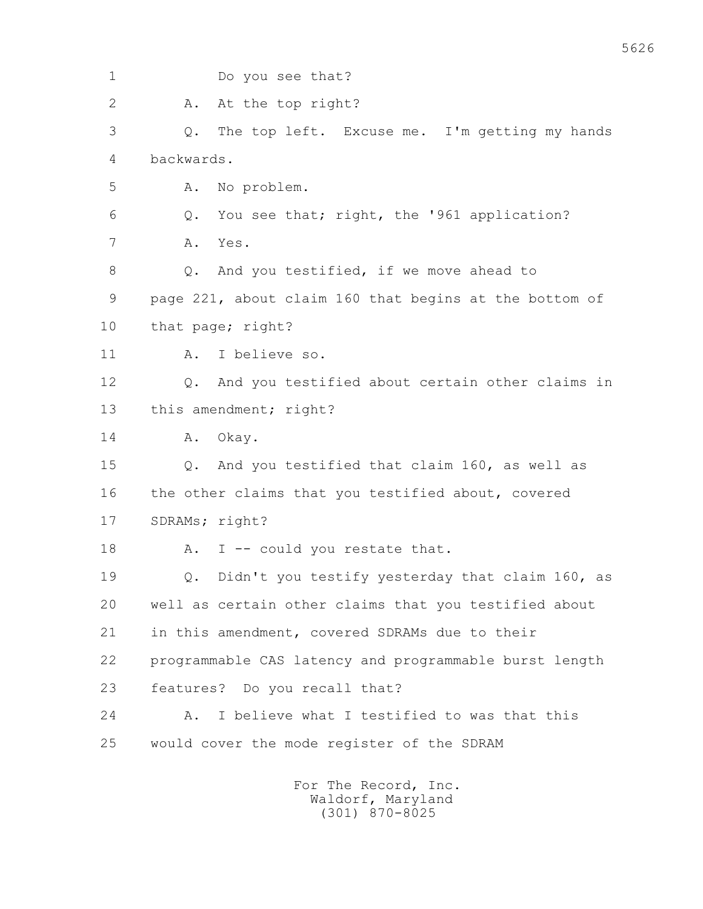| $\mathbf 1$    | Do you see that?                                       |
|----------------|--------------------------------------------------------|
| $\overline{2}$ | At the top right?<br>Α.                                |
| 3              | The top left. Excuse me. I'm getting my hands<br>Q.    |
| 4              | backwards.                                             |
| 5              | No problem.<br>Α.                                      |
| 6              | You see that; right, the '961 application?<br>Q.       |
| 7              | Yes.<br>Α.                                             |
| 8              | And you testified, if we move ahead to<br>Q.           |
| 9              | page 221, about claim 160 that begins at the bottom of |
| 10             | that page; right?                                      |
| 11             | I believe so.<br>Α.                                    |
| 12             | And you testified about certain other claims in<br>Q.  |
| 13             | this amendment; right?                                 |
| 14             | Okay.<br>Α.                                            |
| 15             | And you testified that claim 160, as well as<br>Q.     |
| 16             | the other claims that you testified about, covered     |
| 17             | SDRAMs; right?                                         |
| 18             | I -- could you restate that.<br>Α.                     |
| 19             | Didn't you testify yesterday that claim 160, as<br>Q.  |
| 20             | well as certain other claims that you testified about  |
| 21             | in this amendment, covered SDRAMs due to their         |
| 22             | programmable CAS latency and programmable burst length |
| 23             | features? Do you recall that?                          |
| 24             | I believe what I testified to was that this<br>Α.      |
| 25             | would cover the mode register of the SDRAM             |
|                |                                                        |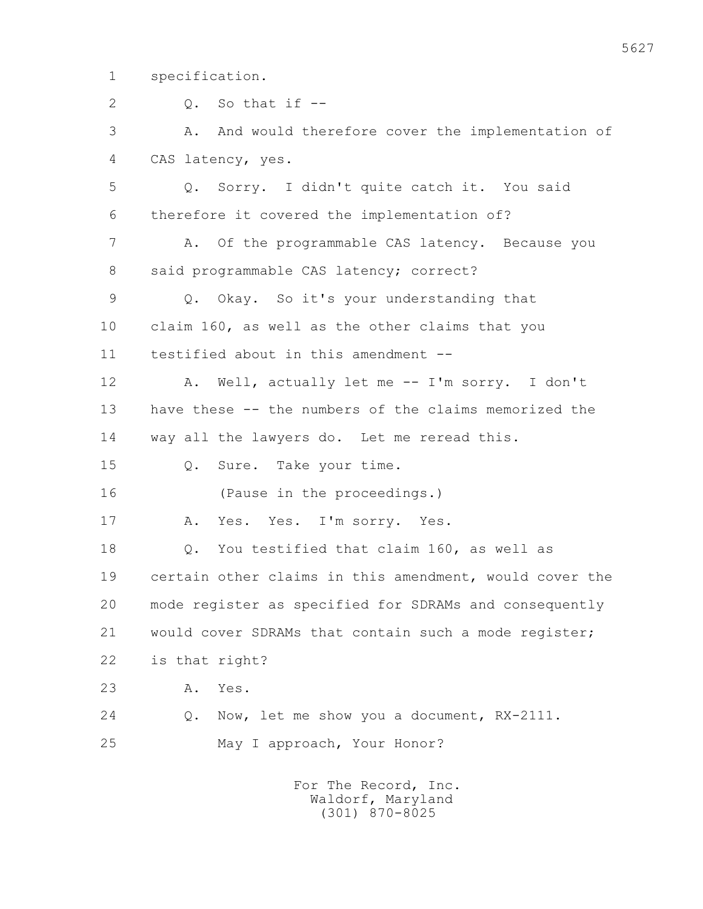1 specification.

2  $Q_2$   $Q_3$   $S_2$  that if  $-$  3 A. And would therefore cover the implementation of 4 CAS latency, yes. 5 Q. Sorry. I didn't quite catch it. You said 6 therefore it covered the implementation of? 7 A. Of the programmable CAS latency. Because you 8 said programmable CAS latency; correct? 9 Q. Okay. So it's your understanding that 10 claim 160, as well as the other claims that you 11 testified about in this amendment -- 12 A. Well, actually let me -- I'm sorry. I don't 13 have these -- the numbers of the claims memorized the 14 way all the lawyers do. Let me reread this. 15 Q. Sure. Take your time. 16 (Pause in the proceedings.) 17 A. Yes. Yes. I'm sorry. Yes. 18 Q. You testified that claim 160, as well as 19 certain other claims in this amendment, would cover the 20 mode register as specified for SDRAMs and consequently 21 would cover SDRAMs that contain such a mode register; 22 is that right? 23 A. Yes. 24 Q. Now, let me show you a document, RX-2111. 25 May I approach, Your Honor?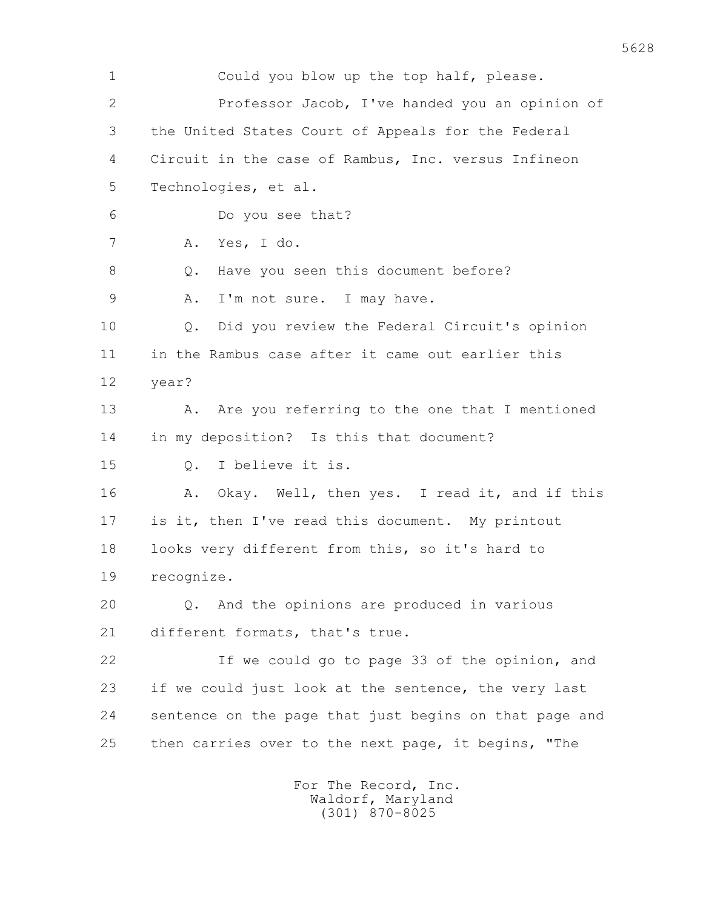1 Could you blow up the top half, please. 2 Professor Jacob, I've handed you an opinion of 3 the United States Court of Appeals for the Federal 4 Circuit in the case of Rambus, Inc. versus Infineon 5 Technologies, et al. 6 Do you see that? 7 A. Yes, I do. 8 Q. Have you seen this document before? 9 A. I'm not sure. I may have. 10 Q. Did you review the Federal Circuit's opinion 11 in the Rambus case after it came out earlier this 12 year? 13 A. Are you referring to the one that I mentioned 14 in my deposition? Is this that document? 15 Q. I believe it is. 16 A. Okay. Well, then yes. I read it, and if this 17 is it, then I've read this document. My printout 18 looks very different from this, so it's hard to 19 recognize. 20 Q. And the opinions are produced in various 21 different formats, that's true. 22 If we could go to page 33 of the opinion, and 23 if we could just look at the sentence, the very last 24 sentence on the page that just begins on that page and 25 then carries over to the next page, it begins, "The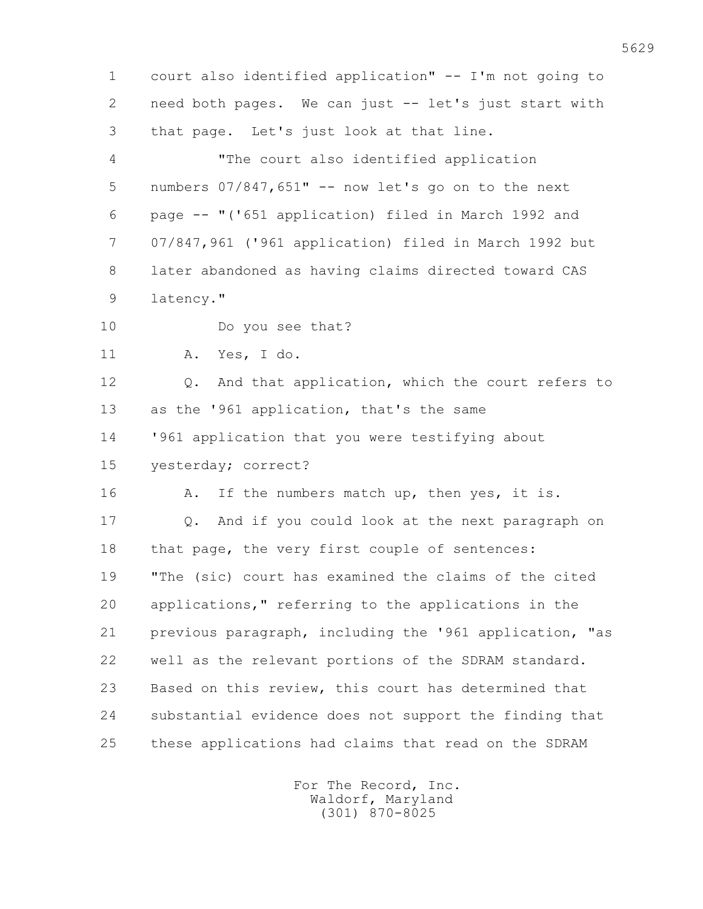1 court also identified application" -- I'm not going to 2 need both pages. We can just -- let's just start with 3 that page. Let's just look at that line. 4 "The court also identified application 5 numbers 07/847,651" -- now let's go on to the next 6 page -- "('651 application) filed in March 1992 and 7 07/847,961 ('961 application) filed in March 1992 but 8 later abandoned as having claims directed toward CAS 9 latency." 10 Do you see that? 11 A. Yes, I do. 12 0. And that application, which the court refers to 13 as the '961 application, that's the same 14 '961 application that you were testifying about 15 yesterday; correct? 16 A. If the numbers match up, then yes, it is. 17 Q. And if you could look at the next paragraph on 18 that page, the very first couple of sentences: 19 "The (sic) court has examined the claims of the cited 20 applications," referring to the applications in the 21 previous paragraph, including the '961 application, "as 22 well as the relevant portions of the SDRAM standard. 23 Based on this review, this court has determined that 24 substantial evidence does not support the finding that 25 these applications had claims that read on the SDRAM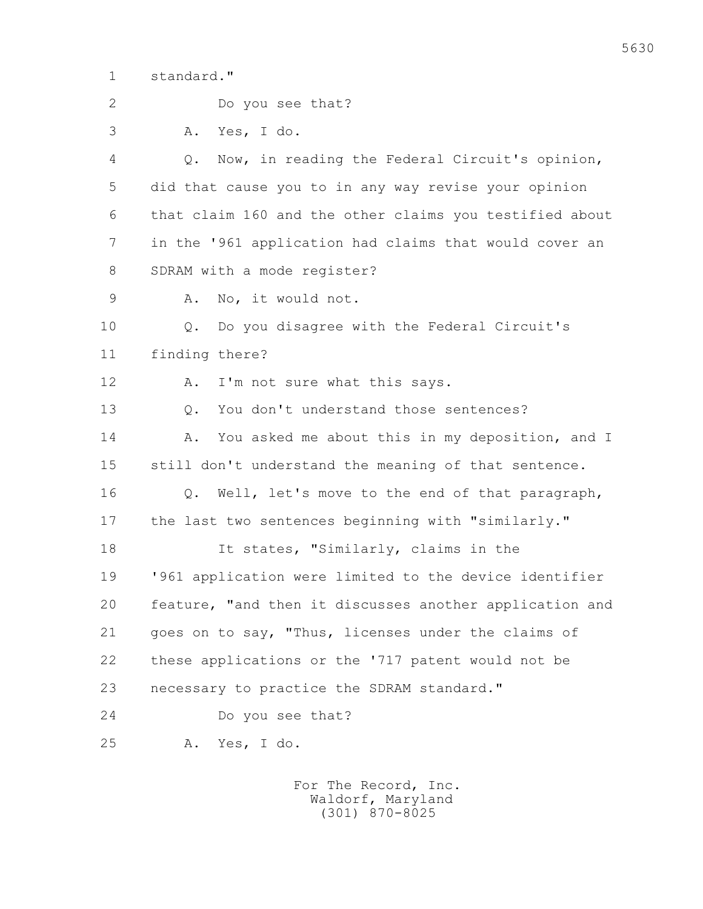1 standard."

 2 Do you see that? 3 A. Yes, I do. 4 Q. Now, in reading the Federal Circuit's opinion, 5 did that cause you to in any way revise your opinion 6 that claim 160 and the other claims you testified about 7 in the '961 application had claims that would cover an 8 SDRAM with a mode register? 9 A. No, it would not. 10 Q. Do you disagree with the Federal Circuit's 11 finding there? 12 A. I'm not sure what this says. 13 0. You don't understand those sentences? 14 A. You asked me about this in my deposition, and I 15 still don't understand the meaning of that sentence. 16 Q. Well, let's move to the end of that paragraph, 17 the last two sentences beginning with "similarly." 18 It states, "Similarly, claims in the 19 '961 application were limited to the device identifier 20 feature, "and then it discusses another application and 21 goes on to say, "Thus, licenses under the claims of 22 these applications or the '717 patent would not be 23 necessary to practice the SDRAM standard." 24 Do you see that? 25 A. Yes, I do.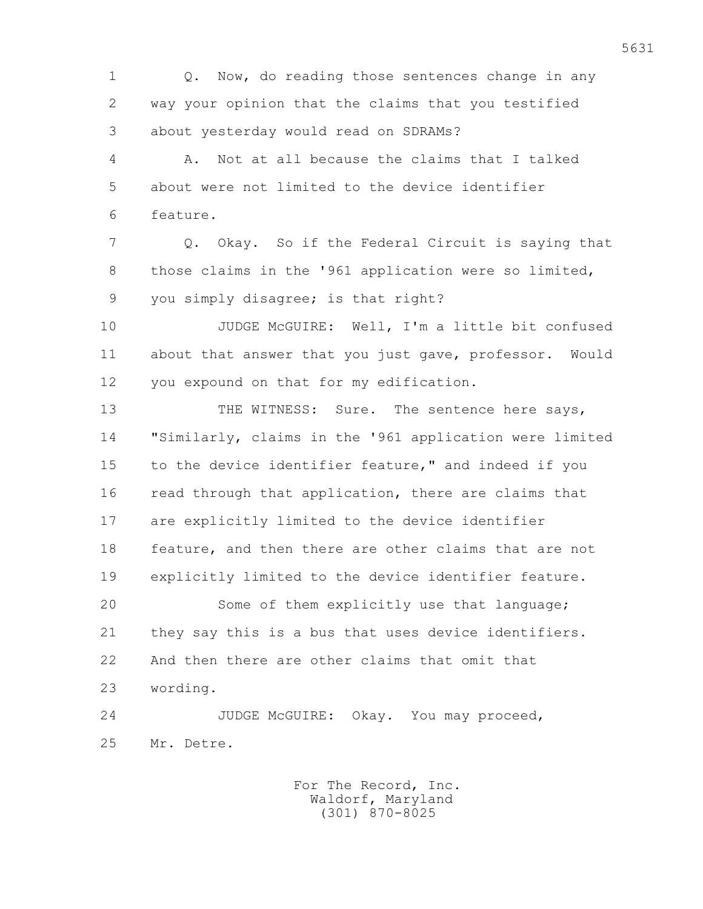1 Q. Now, do reading those sentences change in any 2 way your opinion that the claims that you testified 3 about yesterday would read on SDRAMs?

 4 A. Not at all because the claims that I talked 5 about were not limited to the device identifier 6 feature.

 7 Q. Okay. So if the Federal Circuit is saying that 8 those claims in the '961 application were so limited, 9 you simply disagree; is that right?

 10 JUDGE McGUIRE: Well, I'm a little bit confused 11 about that answer that you just gave, professor. Would 12 you expound on that for my edification.

13 THE WITNESS: Sure. The sentence here says, 14 "Similarly, claims in the '961 application were limited 15 to the device identifier feature," and indeed if you 16 read through that application, there are claims that 17 are explicitly limited to the device identifier 18 feature, and then there are other claims that are not 19 explicitly limited to the device identifier feature. 20 Some of them explicitly use that language;

 21 they say this is a bus that uses device identifiers. 22 And then there are other claims that omit that 23 wording.

 24 JUDGE McGUIRE: Okay. You may proceed, 25 Mr. Detre.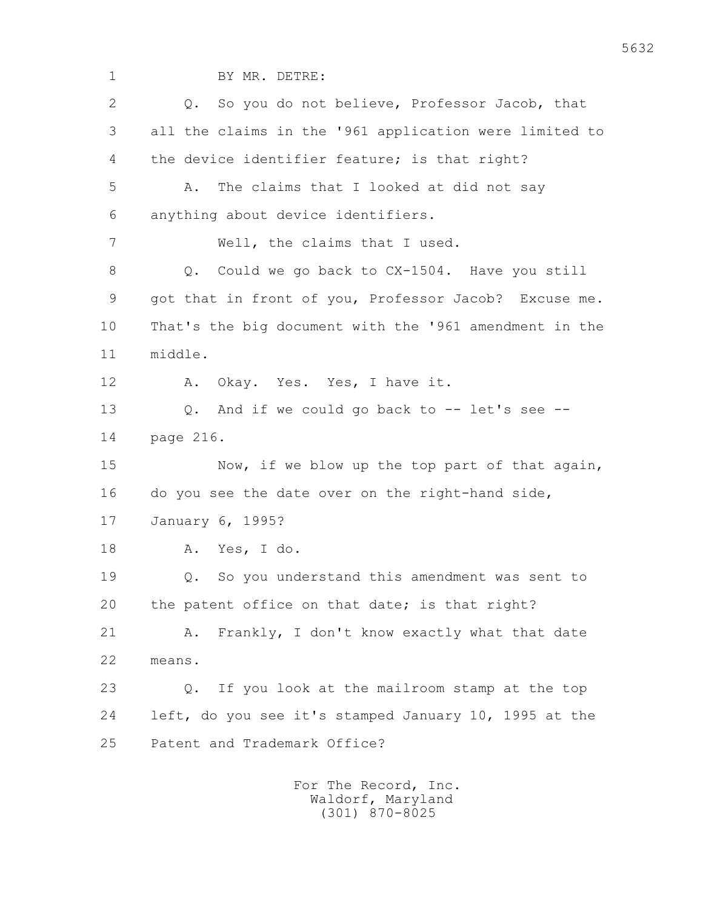1 BY MR. DETRE: 2 Q. So you do not believe, Professor Jacob, that 3 all the claims in the '961 application were limited to 4 the device identifier feature; is that right? 5 A. The claims that I looked at did not say 6 anything about device identifiers. 7 Well, the claims that I used. 8 Q. Could we go back to CX-1504. Have you still 9 got that in front of you, Professor Jacob? Excuse me. 10 That's the big document with the '961 amendment in the 11 middle. 12 A. Okay. Yes. Yes, I have it. 13 Q. And if we could go back to -- let's see -- 14 page 216. 15 Now, if we blow up the top part of that again, 16 do you see the date over on the right-hand side, 17 January 6, 1995? 18 A. Yes, I do. 19 Q. So you understand this amendment was sent to 20 the patent office on that date; is that right? 21 A. Frankly, I don't know exactly what that date 22 means. 23 Q. If you look at the mailroom stamp at the top 24 left, do you see it's stamped January 10, 1995 at the 25 Patent and Trademark Office?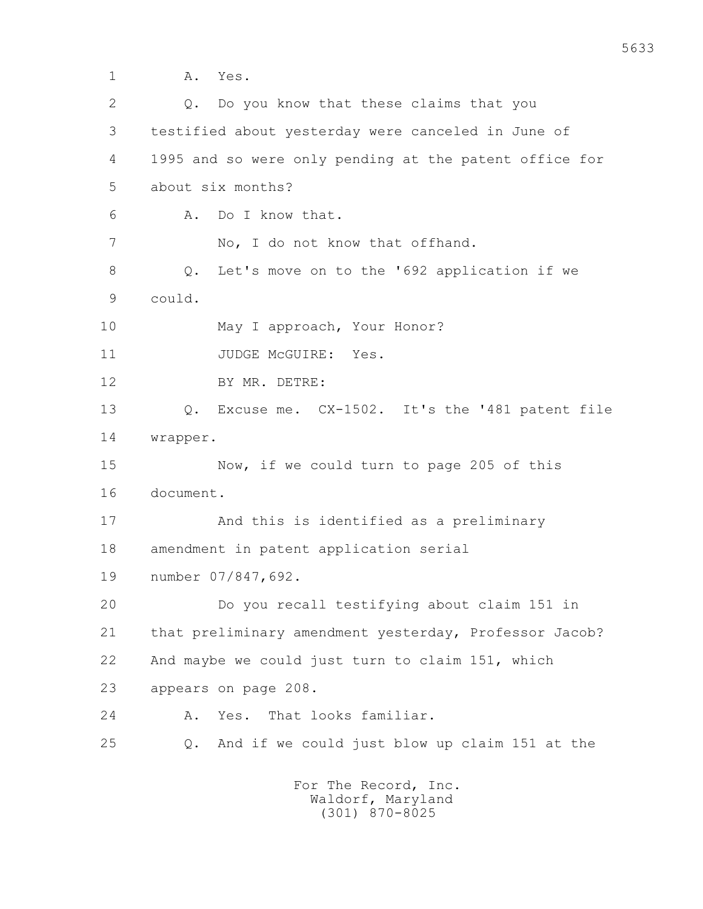1 A. Yes. 2 Q. Do you know that these claims that you 3 testified about yesterday were canceled in June of 4 1995 and so were only pending at the patent office for 5 about six months? 6 A. Do I know that. 7 No, I do not know that offhand. 8 Q. Let's move on to the '692 application if we 9 could. 10 May I approach, Your Honor? 11 JUDGE McGUIRE: Yes. 12 BY MR. DETRE: 13 Q. Excuse me. CX-1502. It's the '481 patent file 14 wrapper. 15 Now, if we could turn to page 205 of this 16 document. 17 And this is identified as a preliminary 18 amendment in patent application serial 19 number 07/847,692. 20 Do you recall testifying about claim 151 in 21 that preliminary amendment yesterday, Professor Jacob? 22 And maybe we could just turn to claim 151, which 23 appears on page 208. 24 A. Yes. That looks familiar. 25 Q. And if we could just blow up claim 151 at the For The Record, Inc.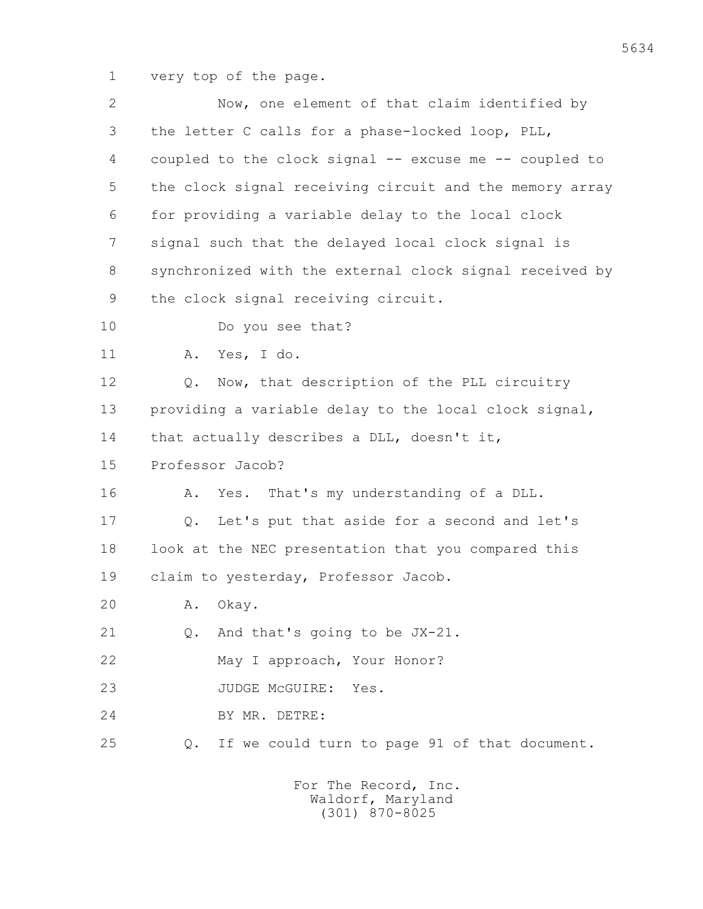1 very top of the page.

| $\mathbf{2}$ | Now, one element of that claim identified by            |
|--------------|---------------------------------------------------------|
| 3            | the letter C calls for a phase-locked loop, PLL,        |
| 4            | coupled to the clock signal -- excuse me -- coupled to  |
| 5            | the clock signal receiving circuit and the memory array |
| 6            | for providing a variable delay to the local clock       |
| 7            | signal such that the delayed local clock signal is      |
| 8            | synchronized with the external clock signal received by |
| 9            | the clock signal receiving circuit.                     |
| 10           | Do you see that?                                        |
| 11           | Yes, I do.<br>Α.                                        |
| 12           | Now, that description of the PLL circuitry<br>Q.        |
| 13           | providing a variable delay to the local clock signal,   |
| 14           | that actually describes a DLL, doesn't it,              |
| 15           | Professor Jacob?                                        |
| 16           | That's my understanding of a DLL.<br>Yes.<br>Α.         |
| 17           | Let's put that aside for a second and let's<br>Q.       |
| 18           | look at the NEC presentation that you compared this     |
| 19           | claim to yesterday, Professor Jacob.                    |
| 20           | Okay.<br>Α.                                             |
| 21           | And that's going to be JX-21.<br>$Q_{\bullet}$          |
| 22           | May I approach, Your Honor?                             |
| 23           | JUDGE McGUIRE: Yes.                                     |
| 24           | BY MR. DETRE:                                           |
| 25           | If we could turn to page 91 of that document.<br>$Q$ .  |
|              | For The Record, Inc.                                    |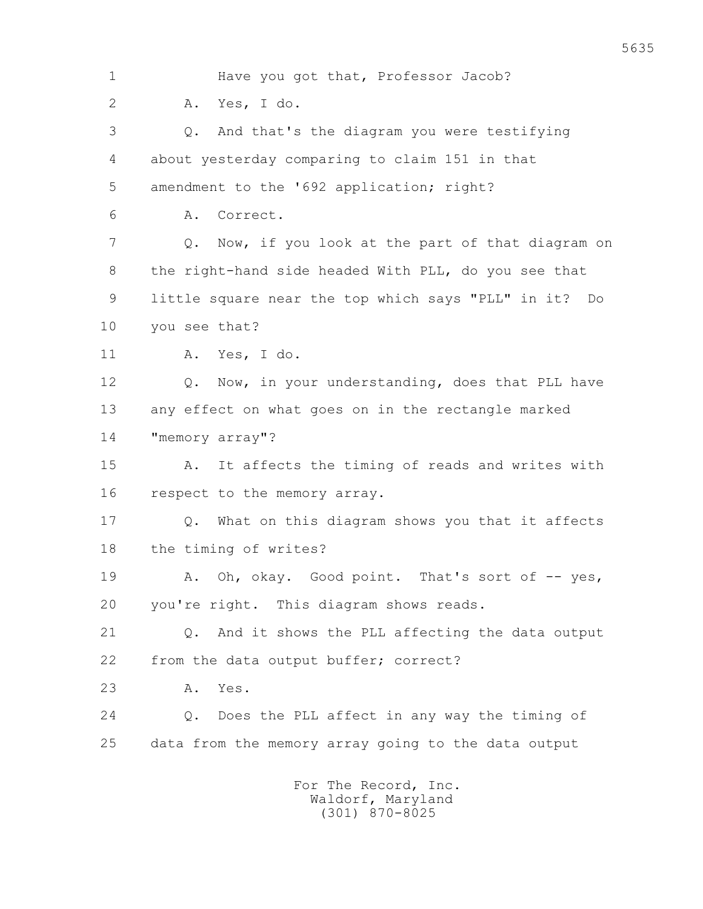1 Have you got that, Professor Jacob? 2 A. Yes, I do. 3 Q. And that's the diagram you were testifying 4 about yesterday comparing to claim 151 in that 5 amendment to the '692 application; right? 6 A. Correct. 7 Q. Now, if you look at the part of that diagram on 8 the right-hand side headed With PLL, do you see that 9 little square near the top which says "PLL" in it? Do 10 you see that? 11 A. Yes, I do. 12 0. Now, in your understanding, does that PLL have 13 any effect on what goes on in the rectangle marked 14 "memory array"? 15 A. It affects the timing of reads and writes with 16 respect to the memory array. 17 Q. What on this diagram shows you that it affects 18 the timing of writes? 19 A. Oh, okay. Good point. That's sort of -- yes, 20 you're right. This diagram shows reads. 21 Q. And it shows the PLL affecting the data output 22 from the data output buffer; correct? 23 A. Yes. 24 Q. Does the PLL affect in any way the timing of 25 data from the memory array going to the data output For The Record, Inc.

 Waldorf, Maryland (301) 870-8025

5635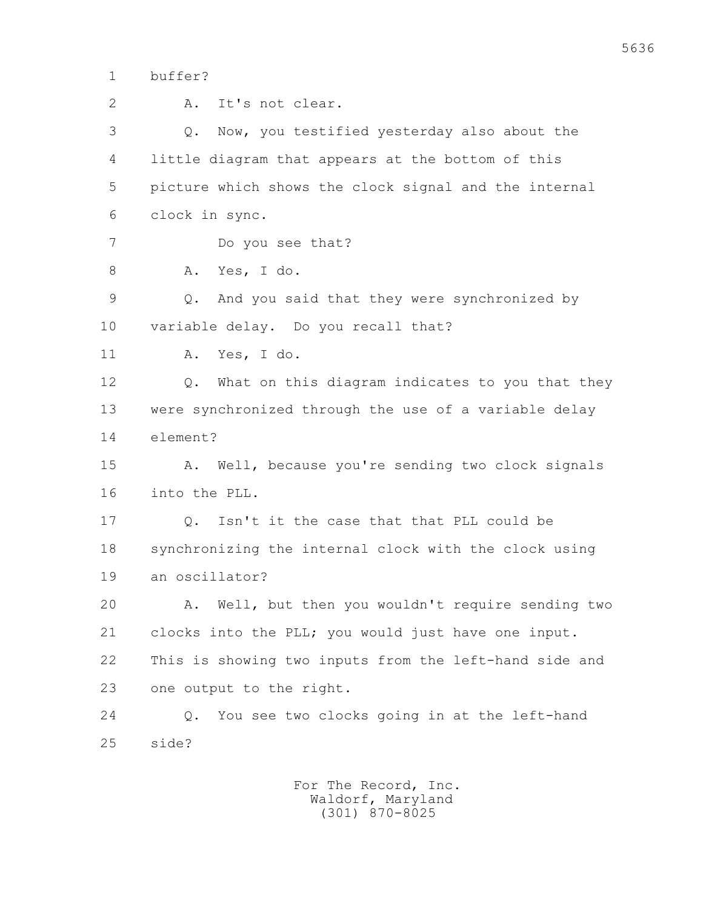1 buffer?

 2 A. It's not clear. 3 Q. Now, you testified yesterday also about the 4 little diagram that appears at the bottom of this 5 picture which shows the clock signal and the internal 6 clock in sync. 7 Do you see that? 8 A. Yes, I do. 9 Q. And you said that they were synchronized by 10 variable delay. Do you recall that? 11 A. Yes, I do. 12 0. What on this diagram indicates to you that they 13 were synchronized through the use of a variable delay 14 element? 15 A. Well, because you're sending two clock signals 16 into the PLL. 17 Q. Isn't it the case that that PLL could be 18 synchronizing the internal clock with the clock using 19 an oscillator? 20 A. Well, but then you wouldn't require sending two 21 clocks into the PLL; you would just have one input. 22 This is showing two inputs from the left-hand side and 23 one output to the right. 24 Q. You see two clocks going in at the left-hand 25 side?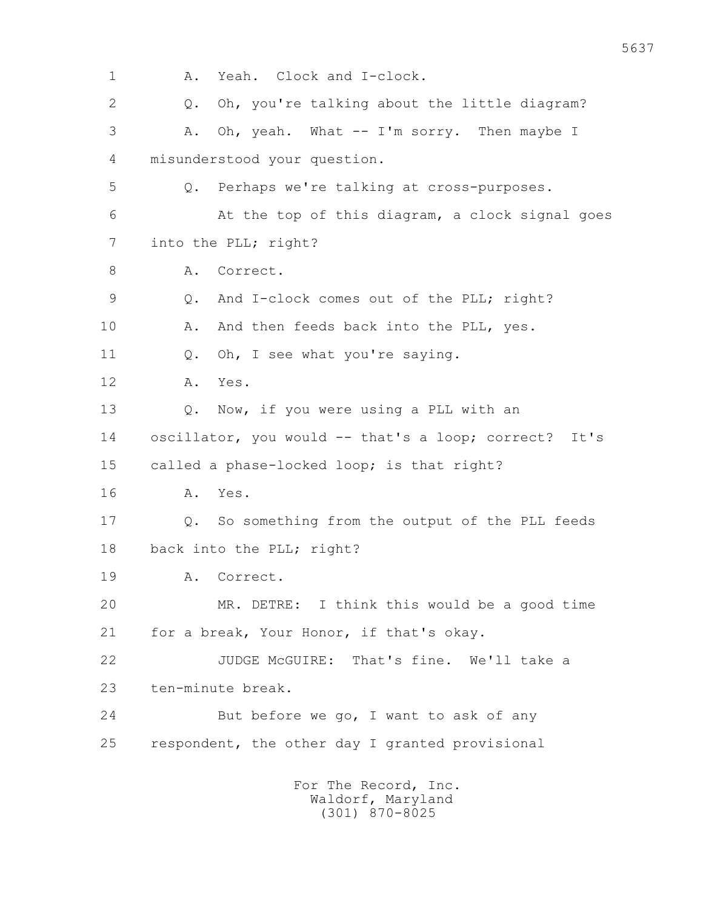1 A. Yeah. Clock and I-clock. 2 Q. Oh, you're talking about the little diagram? 3 A. Oh, yeah. What -- I'm sorry. Then maybe I 4 misunderstood your question. 5 Q. Perhaps we're talking at cross-purposes. 6 At the top of this diagram, a clock signal goes 7 into the PLL; right? 8 A. Correct. 9 Q. And I-clock comes out of the PLL; right? 10 A. And then feeds back into the PLL, yes. 11 Q. Oh, I see what you're saying. 12 A. Yes. 13 Q. Now, if you were using a PLL with an 14 oscillator, you would -- that's a loop; correct? It's 15 called a phase-locked loop; is that right? 16 A. Yes. 17 Q. So something from the output of the PLL feeds 18 back into the PLL; right? 19 A. Correct. 20 MR. DETRE: I think this would be a good time 21 for a break, Your Honor, if that's okay. 22 JUDGE McGUIRE: That's fine. We'll take a 23 ten-minute break. 24 But before we go, I want to ask of any 25 respondent, the other day I granted provisional For The Record, Inc.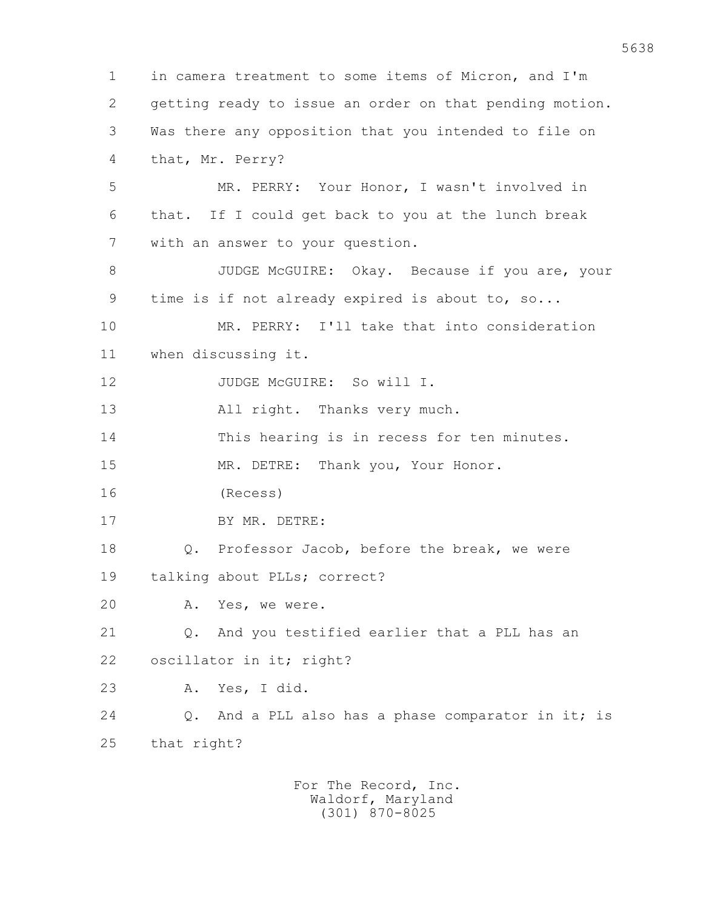1 in camera treatment to some items of Micron, and I'm 2 getting ready to issue an order on that pending motion. 3 Was there any opposition that you intended to file on 4 that, Mr. Perry? 5 MR. PERRY: Your Honor, I wasn't involved in 6 that. If I could get back to you at the lunch break 7 with an answer to your question. 8 JUDGE McGUIRE: Okay. Because if you are, your 9 time is if not already expired is about to, so... 10 MR. PERRY: I'll take that into consideration 11 when discussing it. 12 JUDGE McGUIRE: So will I. 13 All right. Thanks very much. 14 This hearing is in recess for ten minutes. 15 MR. DETRE: Thank you, Your Honor. 16 (Recess) 17 BY MR. DETRE: 18 Q. Professor Jacob, before the break, we were 19 talking about PLLs; correct? 20 A. Yes, we were. 21 0. And you testified earlier that a PLL has an 22 oscillator in it; right? 23 A. Yes, I did. 24 Q. And a PLL also has a phase comparator in it; is 25 that right? For The Record, Inc.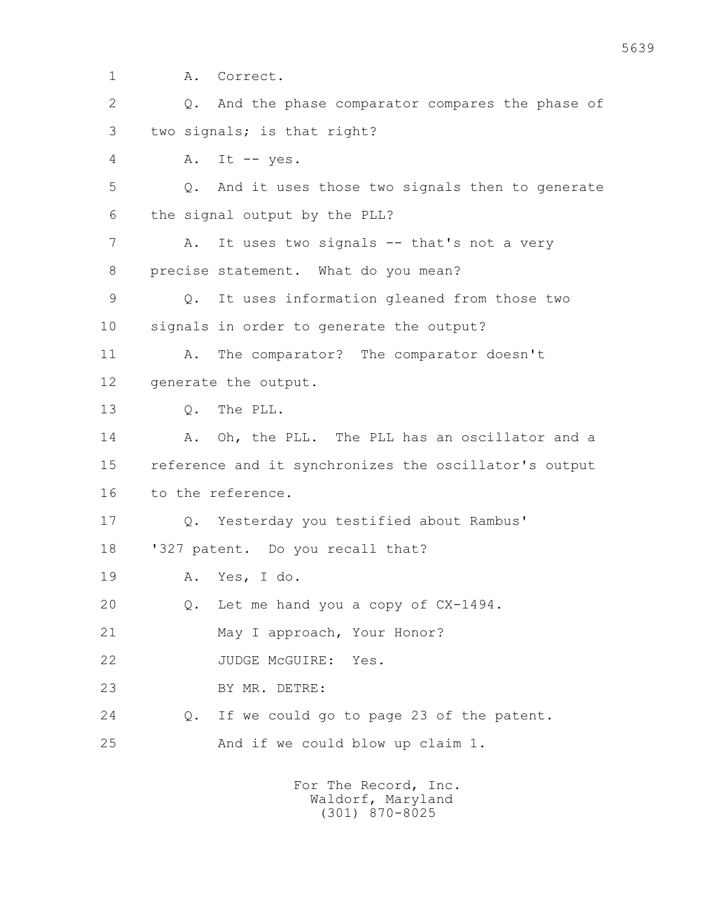1 A. Correct.

| $\overline{2}$ | And the phase comparator compares the phase of<br>$Q_{\bullet}$ |
|----------------|-----------------------------------------------------------------|
| 3              | two signals; is that right?                                     |
| 4              | Α.<br>It $--$ yes.                                              |
| 5              | And it uses those two signals then to generate<br>$Q$ .         |
| 6              | the signal output by the PLL?                                   |
| 7              | It uses two signals -- that's not a very<br>Α.                  |
| 8              | precise statement. What do you mean?                            |
| $\mathcal{G}$  | It uses information gleaned from those two<br>$Q$ .             |
| 10             | signals in order to generate the output?                        |
| 11             | The comparator? The comparator doesn't<br>Α.                    |
| 12             | generate the output.                                            |
| 13             | The PLL.<br>$Q$ .                                               |
| 14             | Oh, the PLL. The PLL has an oscillator and a<br>Α.              |
| 15             | reference and it synchronizes the oscillator's output           |
| 16             | to the reference.                                               |
| 17             | Yesterday you testified about Rambus'<br>Q.                     |
| 18             | '327 patent. Do you recall that?                                |
| 19             | Yes, I do.<br>Α.                                                |
| 20             | Let me hand you a copy of CX-1494.<br>Q.                        |
| 21             | May I approach, Your Honor?                                     |
| 22             | JUDGE MCGUIRE:<br>Yes.                                          |
| 23             | BY MR. DETRE:                                                   |
| 24             | If we could go to page 23 of the patent.<br>Q.                  |
| 25             | And if we could blow up claim 1.                                |
|                |                                                                 |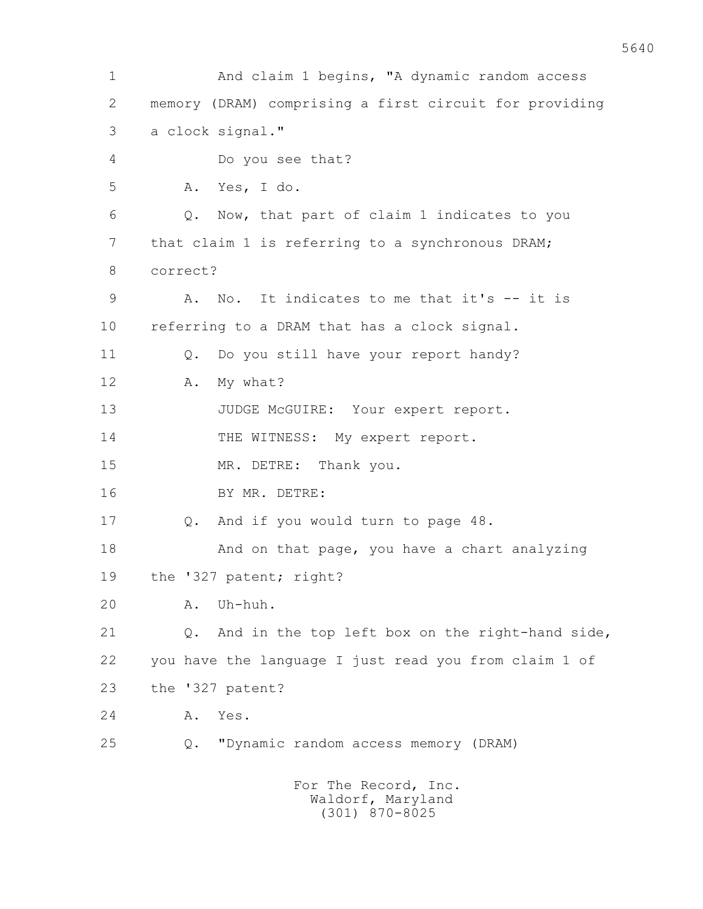1 And claim 1 begins, "A dynamic random access 2 memory (DRAM) comprising a first circuit for providing 3 a clock signal." 4 Do you see that? 5 A. Yes, I do. 6 Q. Now, that part of claim 1 indicates to you 7 that claim 1 is referring to a synchronous DRAM; 8 correct? 9 A. No. It indicates to me that it's -- it is 10 referring to a DRAM that has a clock signal. 11 Q. Do you still have your report handy? 12 A. My what? 13 JUDGE McGUIRE: Your expert report. 14 THE WITNESS: My expert report. 15 MR. DETRE: Thank you. 16 BY MR. DETRE: 17 Q. And if you would turn to page 48. 18 And on that page, you have a chart analyzing 19 the '327 patent; right? 20 A. Uh-huh. 21 0. And in the top left box on the right-hand side, 22 you have the language I just read you from claim 1 of 23 the '327 patent? 24 A. Yes. 25 Q. "Dynamic random access memory (DRAM) For The Record, Inc.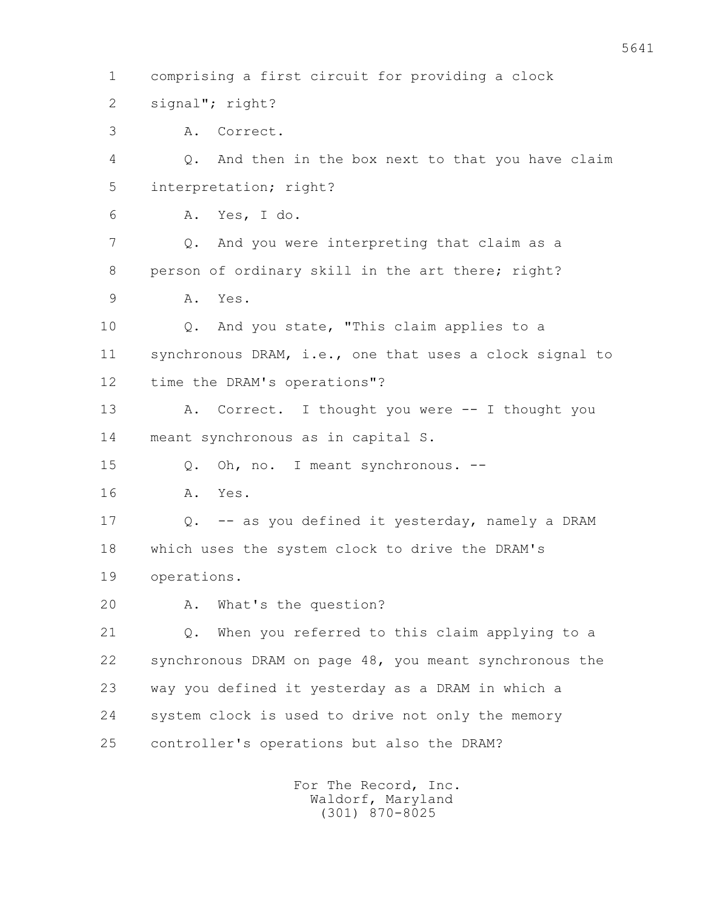1 comprising a first circuit for providing a clock 2 signal"; right? 3 A. Correct. 4 Q. And then in the box next to that you have claim 5 interpretation; right? 6 A. Yes, I do. 7 Q. And you were interpreting that claim as a 8 person of ordinary skill in the art there; right? 9 A. Yes. 10 Q. And you state, "This claim applies to a 11 synchronous DRAM, i.e., one that uses a clock signal to 12 time the DRAM's operations"? 13 A. Correct. I thought you were -- I thought you 14 meant synchronous as in capital S. 15 Q. Oh, no. I meant synchronous. -- 16 A. Yes. 17 Q. -- as you defined it yesterday, namely a DRAM 18 which uses the system clock to drive the DRAM's 19 operations. 20 A. What's the question? 21 Q. When you referred to this claim applying to a 22 synchronous DRAM on page 48, you meant synchronous the 23 way you defined it yesterday as a DRAM in which a 24 system clock is used to drive not only the memory 25 controller's operations but also the DRAM?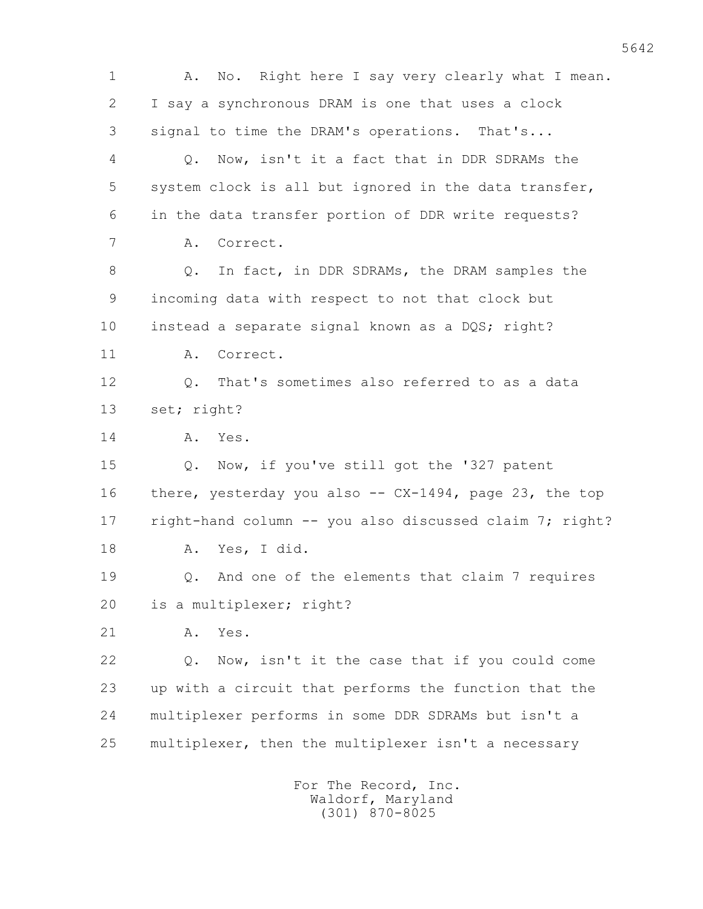1 A. No. Right here I say very clearly what I mean. 2 I say a synchronous DRAM is one that uses a clock 3 signal to time the DRAM's operations. That's... 4 Q. Now, isn't it a fact that in DDR SDRAMs the 5 system clock is all but ignored in the data transfer, 6 in the data transfer portion of DDR write requests? 7 A. Correct. 8 Q. In fact, in DDR SDRAMs, the DRAM samples the 9 incoming data with respect to not that clock but 10 instead a separate signal known as a DQS; right? 11 A. Correct. 12 Q. That's sometimes also referred to as a data 13 set; right? 14 A. Yes. 15 Q. Now, if you've still got the '327 patent 16 there, yesterday you also -- CX-1494, page 23, the top 17 right-hand column -- you also discussed claim 7; right? 18 A. Yes, I did. 19 Q. And one of the elements that claim 7 requires 20 is a multiplexer; right? 21 A. Yes. 22 Q. Now, isn't it the case that if you could come 23 up with a circuit that performs the function that the 24 multiplexer performs in some DDR SDRAMs but isn't a 25 multiplexer, then the multiplexer isn't a necessary For The Record, Inc.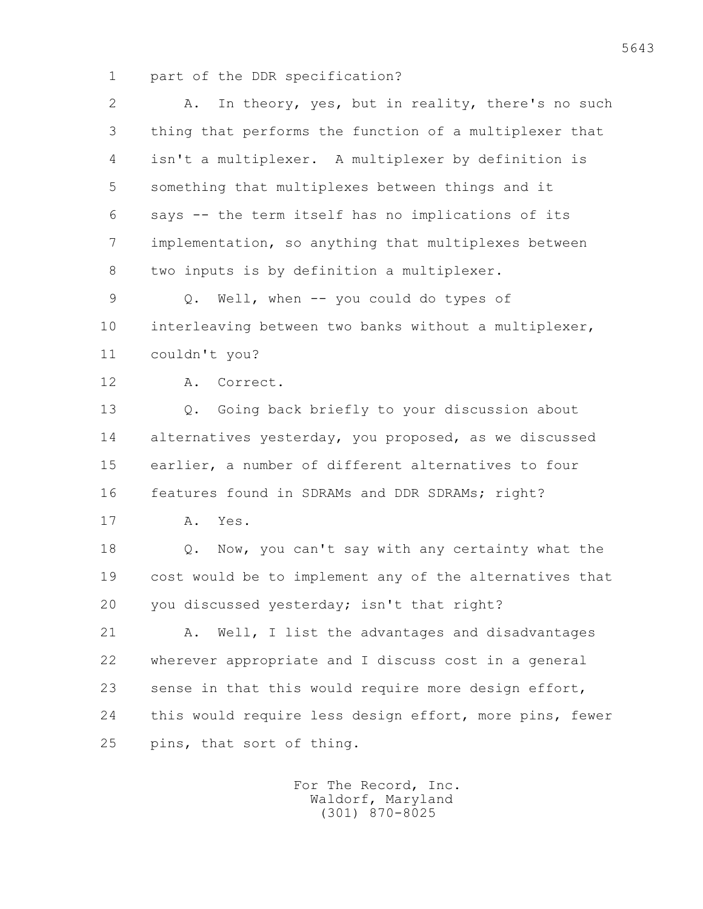1 part of the DDR specification?

| $\overline{2}$ | In theory, yes, but in reality, there's no such<br>Α.   |
|----------------|---------------------------------------------------------|
| 3              | thing that performs the function of a multiplexer that  |
| 4              | isn't a multiplexer. A multiplexer by definition is     |
| 5              | something that multiplexes between things and it        |
| 6              | says -- the term itself has no implications of its      |
| 7              | implementation, so anything that multiplexes between    |
| 8              | two inputs is by definition a multiplexer.              |
| $\overline{9}$ | Well, when -- you could do types of<br>Q.               |
| 10             | interleaving between two banks without a multiplexer,   |
| 11             | couldn't you?                                           |
| 12             | Correct.<br>Α.                                          |
| 13             | Going back briefly to your discussion about<br>Q.       |
| 14             | alternatives yesterday, you proposed, as we discussed   |
| 15             | earlier, a number of different alternatives to four     |
| 16             | features found in SDRAMs and DDR SDRAMs; right?         |
| 17             | Α.<br>Yes.                                              |
| 18             | Now, you can't say with any certainty what the<br>Q.    |
| 19             | cost would be to implement any of the alternatives that |
| 20             | you discussed yesterday; isn't that right?              |
| 21             | Well, I list the advantages and disadvantages<br>Α.     |
| 22             | wherever appropriate and I discuss cost in a general    |
| 23             | sense in that this would require more design effort,    |
| 24             | this would require less design effort, more pins, fewer |
| 25             | pins, that sort of thing.                               |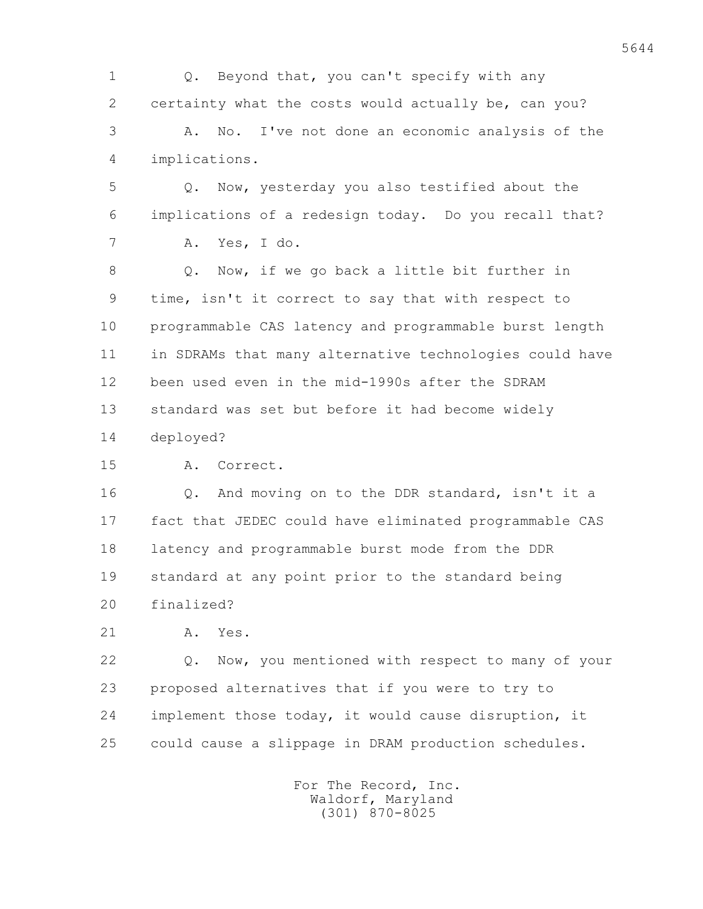1 Q. Beyond that, you can't specify with any 2 certainty what the costs would actually be, can you? 3 A. No. I've not done an economic analysis of the 4 implications.

 5 Q. Now, yesterday you also testified about the 6 implications of a redesign today. Do you recall that? 7 A. Yes, I do.

 8 Q. Now, if we go back a little bit further in 9 time, isn't it correct to say that with respect to 10 programmable CAS latency and programmable burst length 11 in SDRAMs that many alternative technologies could have 12 been used even in the mid-1990s after the SDRAM 13 standard was set but before it had become widely 14 deployed?

15 A. Correct.

16 0. And moving on to the DDR standard, isn't it a 17 fact that JEDEC could have eliminated programmable CAS 18 latency and programmable burst mode from the DDR 19 standard at any point prior to the standard being 20 finalized?

21 A. Yes.

 22 Q. Now, you mentioned with respect to many of your 23 proposed alternatives that if you were to try to 24 implement those today, it would cause disruption, it 25 could cause a slippage in DRAM production schedules.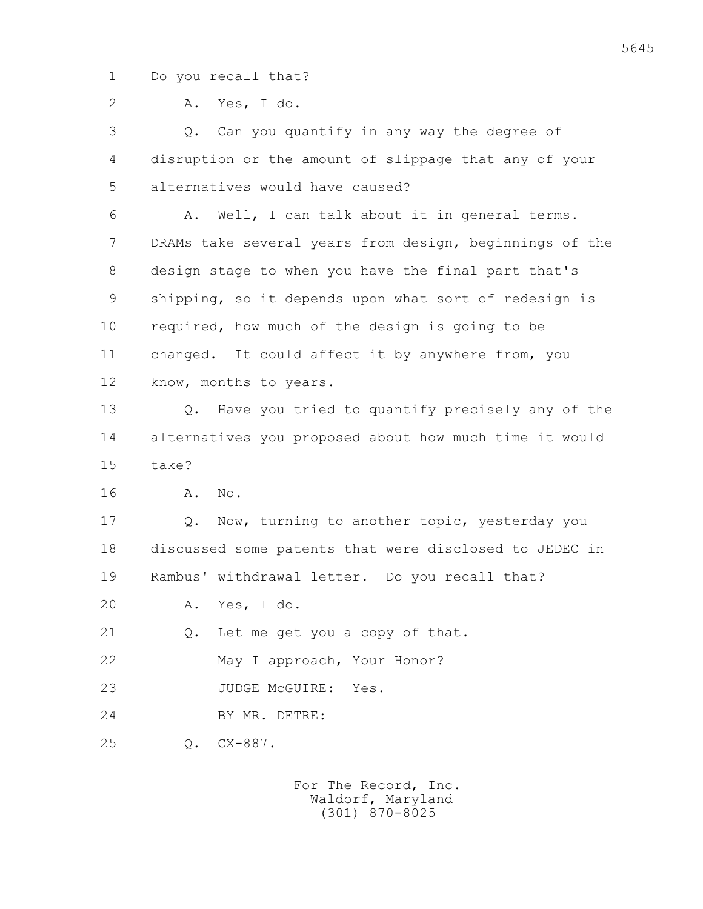1 Do you recall that?

2 A. Yes, I do.

 3 Q. Can you quantify in any way the degree of 4 disruption or the amount of slippage that any of your 5 alternatives would have caused?

 6 A. Well, I can talk about it in general terms. 7 DRAMs take several years from design, beginnings of the 8 design stage to when you have the final part that's 9 shipping, so it depends upon what sort of redesign is 10 required, how much of the design is going to be 11 changed. It could affect it by anywhere from, you 12 know, months to years.

 13 Q. Have you tried to quantify precisely any of the 14 alternatives you proposed about how much time it would 15 take?

16 A. No.

 17 Q. Now, turning to another topic, yesterday you 18 discussed some patents that were disclosed to JEDEC in 19 Rambus' withdrawal letter. Do you recall that?

20 A. Yes, I do.

21 O. Let me get you a copy of that.

22 May I approach, Your Honor?

23 JUDGE McGUIRE: Yes.

24 BY MR. DETRE:

25 Q. CX-887.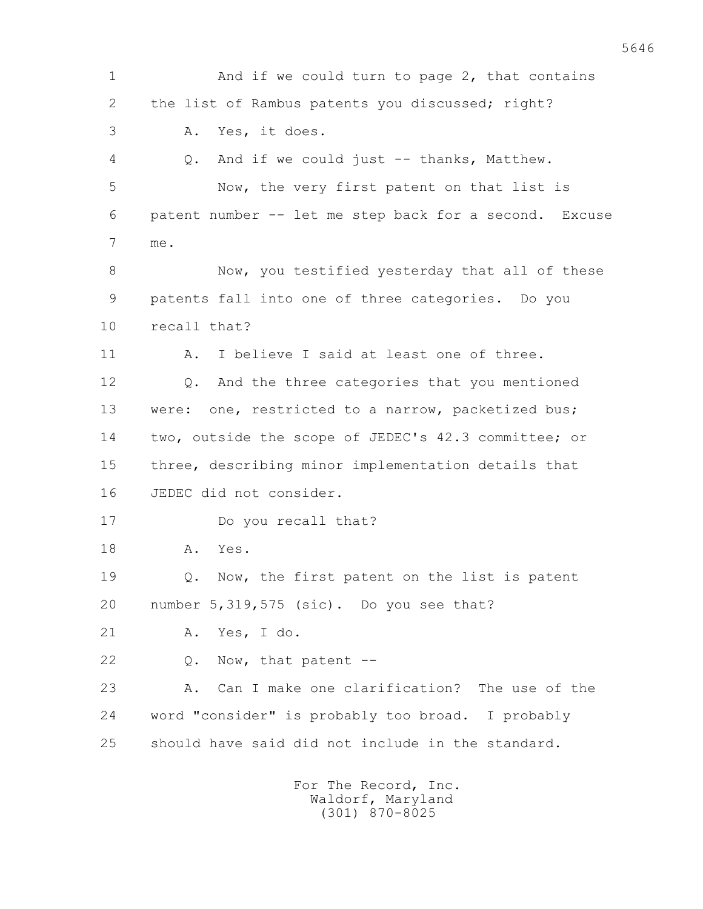1 And if we could turn to page 2, that contains 2 the list of Rambus patents you discussed; right? 3 A. Yes, it does. 4 Q. And if we could just -- thanks, Matthew. 5 Now, the very first patent on that list is 6 patent number -- let me step back for a second. Excuse 7 me. 8 Now, you testified yesterday that all of these 9 patents fall into one of three categories. Do you 10 recall that? 11 A. I believe I said at least one of three. 12 0. And the three categories that you mentioned 13 were: one, restricted to a narrow, packetized bus; 14 two, outside the scope of JEDEC's 42.3 committee; or 15 three, describing minor implementation details that 16 JEDEC did not consider. 17 Do you recall that? 18 A. Yes. 19 Q. Now, the first patent on the list is patent 20 number 5,319,575 (sic). Do you see that? 21 A. Yes, I do. 22 Q. Now, that patent -- 23 A. Can I make one clarification? The use of the 24 word "consider" is probably too broad. I probably 25 should have said did not include in the standard. For The Record, Inc.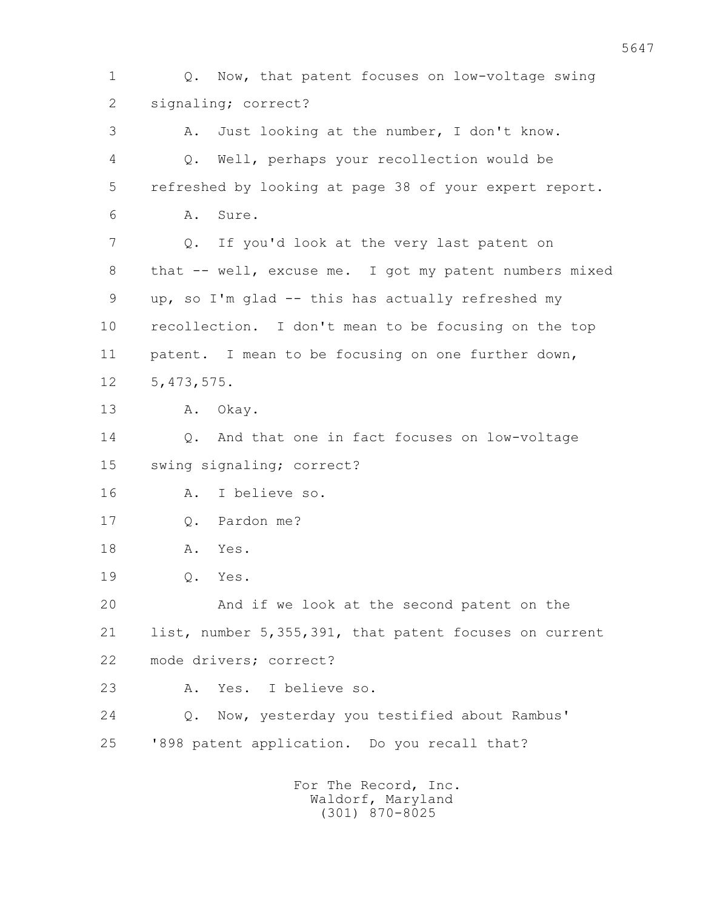1 Q. Now, that patent focuses on low-voltage swing 2 signaling; correct? 3 A. Just looking at the number, I don't know. 4 Q. Well, perhaps your recollection would be 5 refreshed by looking at page 38 of your expert report. 6 A. Sure. 7 Q. If you'd look at the very last patent on 8 that -- well, excuse me. I got my patent numbers mixed 9 up, so I'm glad -- this has actually refreshed my 10 recollection. I don't mean to be focusing on the top 11 patent. I mean to be focusing on one further down, 12 5,473,575. 13 A. Okay. 14 Q. And that one in fact focuses on low-voltage 15 swing signaling; correct? 16 A. I believe so. 17 0. Pardon me? 18 A. Yes. 19 Q. Yes. 20 And if we look at the second patent on the 21 list, number 5,355,391, that patent focuses on current 22 mode drivers; correct? 23 A. Yes. I believe so. 24 Q. Now, yesterday you testified about Rambus' 25 '898 patent application. Do you recall that? For The Record, Inc.

 Waldorf, Maryland (301) 870-8025

5647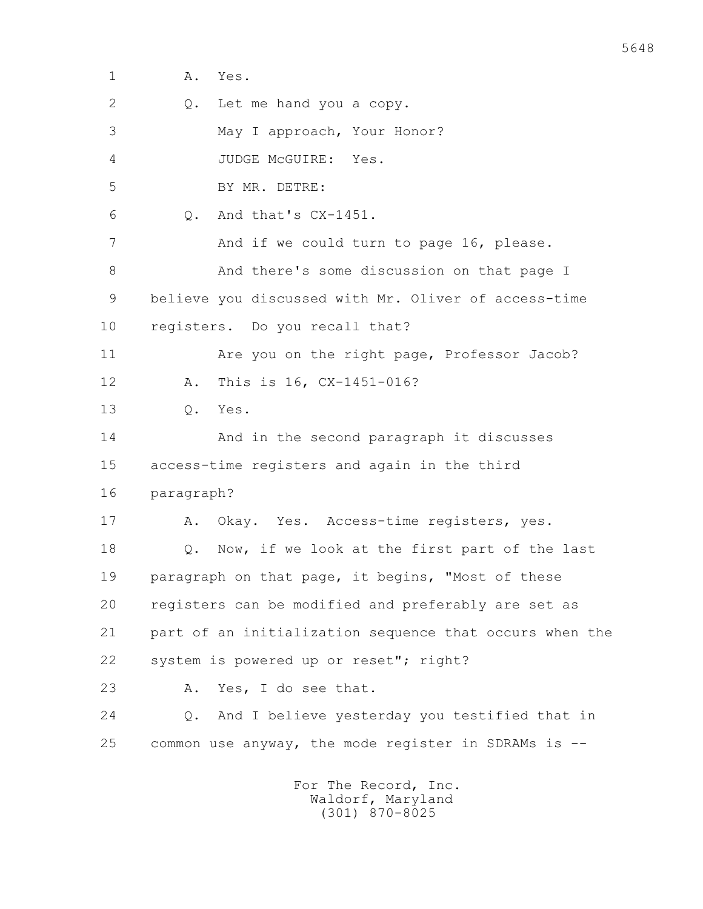| 1  | Α.<br>Yes.                                              |
|----|---------------------------------------------------------|
| 2  | Let me hand you a copy.<br>Q.                           |
| 3  | May I approach, Your Honor?                             |
| 4  | JUDGE McGUIRE: Yes.                                     |
| 5  | BY MR. DETRE:                                           |
| 6  | And that's CX-1451.<br>$Q_{\bullet}$                    |
| 7  | And if we could turn to page 16, please.                |
| 8  | And there's some discussion on that page I              |
| 9  | believe you discussed with Mr. Oliver of access-time    |
| 10 | registers. Do you recall that?                          |
| 11 | Are you on the right page, Professor Jacob?             |
| 12 | This is 16, CX-1451-016?<br>Α.                          |
| 13 | Yes.<br>Q.                                              |
| 14 | And in the second paragraph it discusses                |
| 15 | access-time registers and again in the third            |
| 16 | paragraph?                                              |
| 17 | Okay. Yes. Access-time registers, yes.<br>Α.            |
| 18 | Now, if we look at the first part of the last<br>Q.     |
| 19 | paragraph on that page, it begins, "Most of these       |
| 20 | registers can be modified and preferably are set as     |
| 21 | part of an initialization sequence that occurs when the |
| 22 | system is powered up or reset"; right?                  |
| 23 | Yes, I do see that.<br>Α.                               |
| 24 | And I believe yesterday you testified that in<br>Q.     |
| 25 | common use anyway, the mode register in SDRAMs is --    |
|    | For The Record, Inc.                                    |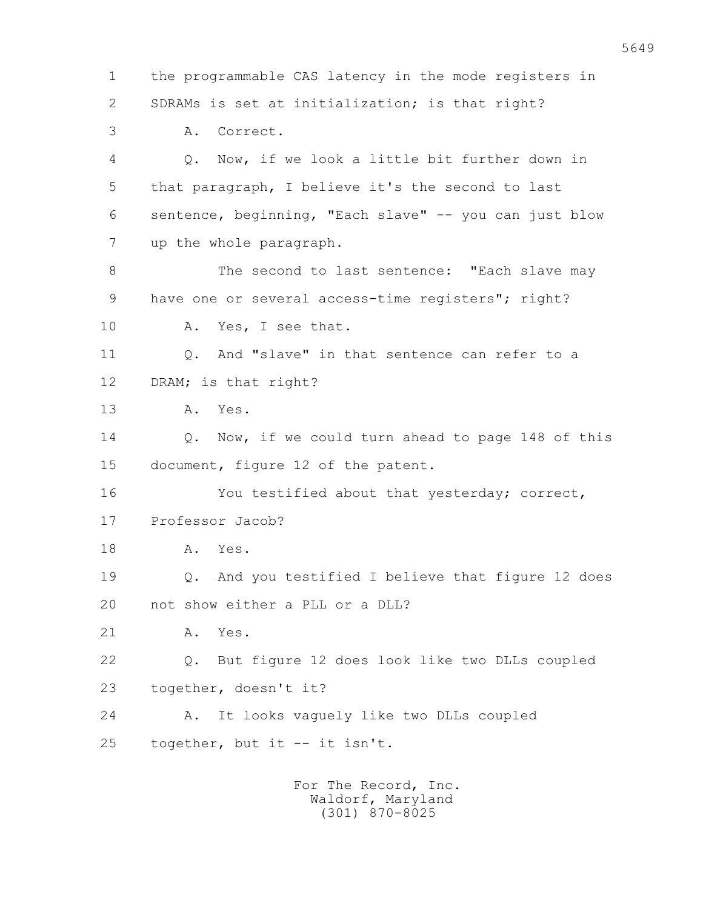1 the programmable CAS latency in the mode registers in 2 SDRAMs is set at initialization; is that right? 3 A. Correct. 4 Q. Now, if we look a little bit further down in 5 that paragraph, I believe it's the second to last 6 sentence, beginning, "Each slave" -- you can just blow 7 up the whole paragraph. 8 The second to last sentence: "Each slave may 9 have one or several access-time registers"; right? 10 A. Yes, I see that. 11 Q. And "slave" in that sentence can refer to a 12 DRAM; is that right? 13 A. Yes. 14 Q. Now, if we could turn ahead to page 148 of this 15 document, figure 12 of the patent. 16 You testified about that yesterday; correct, 17 Professor Jacob? 18 A. Yes. 19 Q. And you testified I believe that figure 12 does 20 not show either a PLL or a DLL? 21 A. Yes. 22 Q. But figure 12 does look like two DLLs coupled 23 together, doesn't it? 24 A. It looks vaguely like two DLLs coupled 25 together, but it -- it isn't.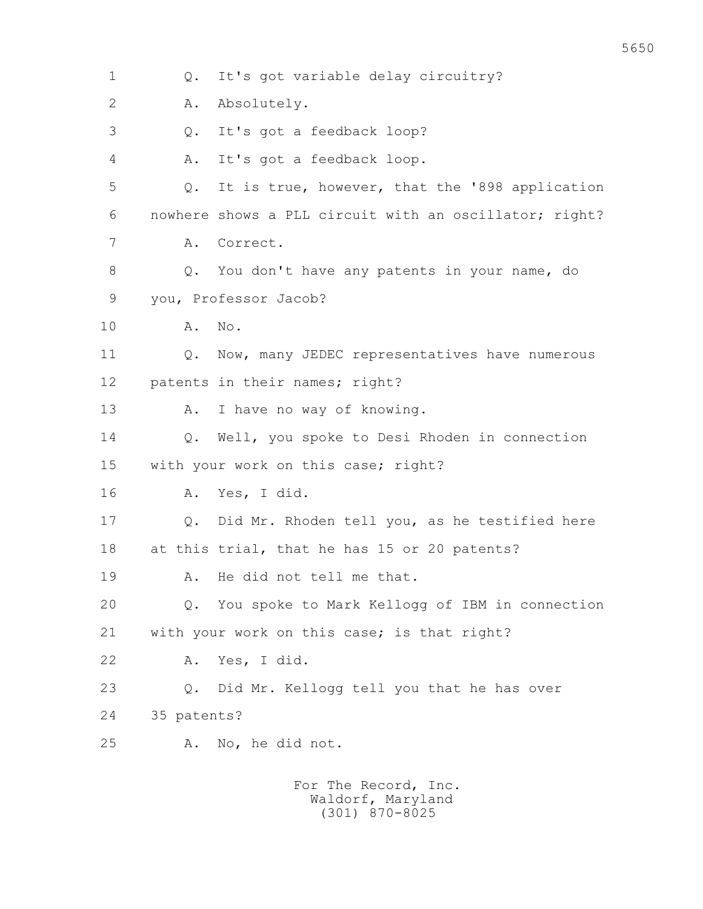1 Q. It's got variable delay circuitry? 2 A. Absolutely. 3 Q. It's got a feedback loop? 4 A. It's got a feedback loop. 5 Q. It is true, however, that the '898 application 6 nowhere shows a PLL circuit with an oscillator; right? 7 A. Correct. 8 Q. You don't have any patents in your name, do 9 you, Professor Jacob? 10 A. No. 11 Q. Now, many JEDEC representatives have numerous 12 patents in their names; right? 13 A. I have no way of knowing. 14 Q. Well, you spoke to Desi Rhoden in connection 15 with your work on this case; right? 16 A. Yes, I did. 17 Q. Did Mr. Rhoden tell you, as he testified here 18 at this trial, that he has 15 or 20 patents? 19 A. He did not tell me that. 20 Q. You spoke to Mark Kellogg of IBM in connection 21 with your work on this case; is that right? 22 A. Yes, I did. 23 Q. Did Mr. Kellogg tell you that he has over 24 35 patents? 25 A. No, he did not. For The Record, Inc. Waldorf, Maryland

(301) 870-8025

5650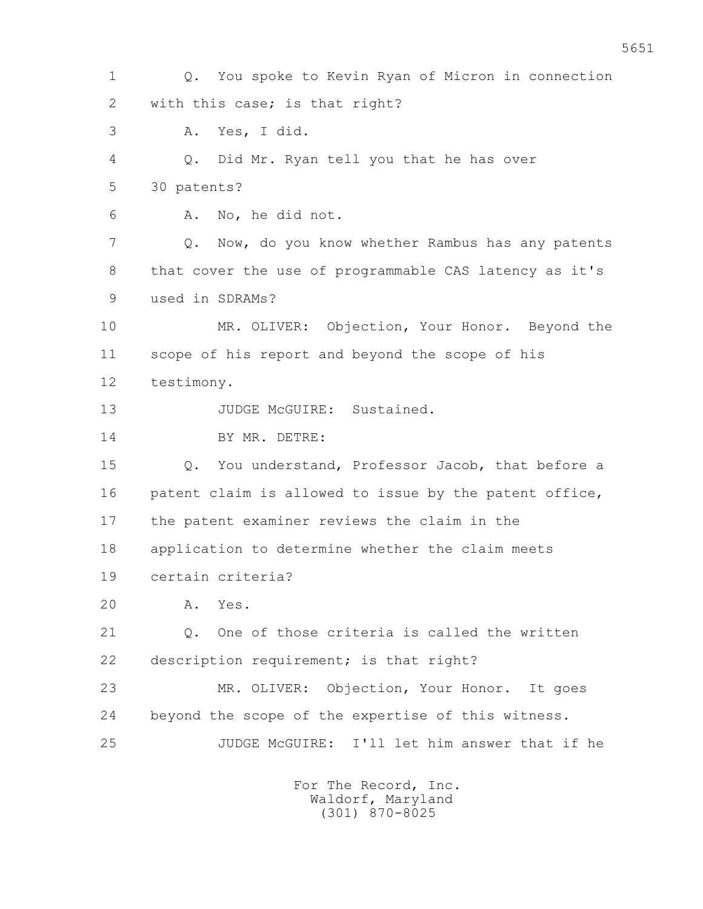1 Q. You spoke to Kevin Ryan of Micron in connection 2 with this case; is that right? 3 A. Yes, I did. 4 Q. Did Mr. Ryan tell you that he has over 5 30 patents? 6 A. No, he did not. 7 Q. Now, do you know whether Rambus has any patents 8 that cover the use of programmable CAS latency as it's 9 used in SDRAMs? 10 MR. OLIVER: Objection, Your Honor. Beyond the 11 scope of his report and beyond the scope of his 12 testimony. 13 JUDGE McGUIRE: Sustained. 14 BY MR. DETRE: 15 Q. You understand, Professor Jacob, that before a 16 patent claim is allowed to issue by the patent office, 17 the patent examiner reviews the claim in the 18 application to determine whether the claim meets 19 certain criteria? 20 A. Yes. 21 0. One of those criteria is called the written 22 description requirement; is that right? 23 MR. OLIVER: Objection, Your Honor. It goes 24 beyond the scope of the expertise of this witness. 25 JUDGE McGUIRE: I'll let him answer that if he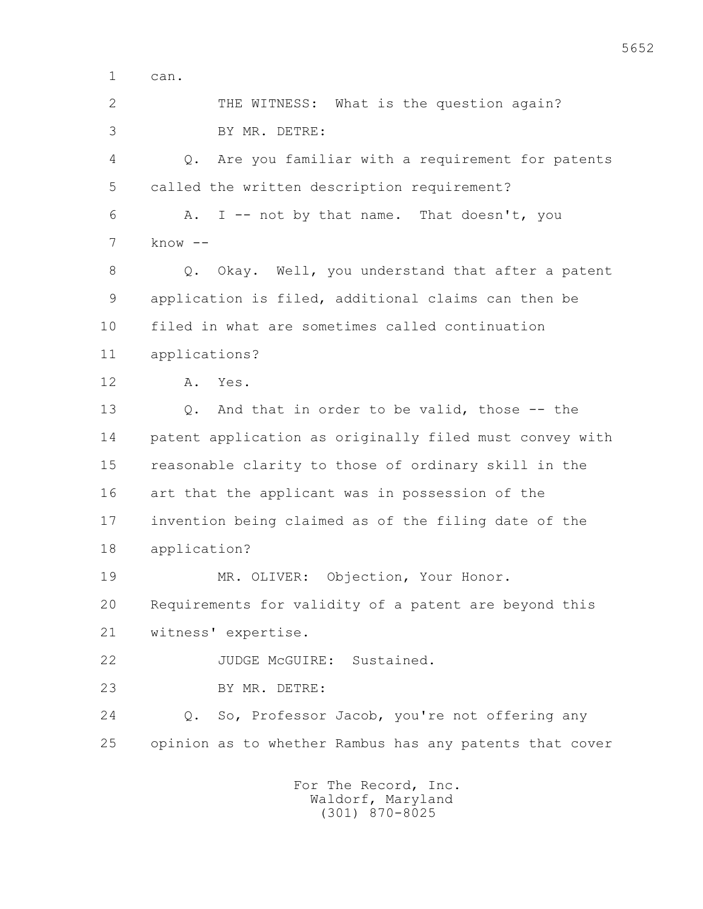1 can.

| $\overline{2}$<br>THE WITNESS: What is the question again?<br>3<br>BY MR. DETRE:<br>Are you familiar with a requirement for patents<br>4<br>$Q_{\bullet}$<br>5<br>called the written description requirement?<br>I -- not by that name. That doesn't, you<br>6<br>Α.<br>$know --$<br>7<br>8<br>Q. Okay. Well, you understand that after a patent<br>9<br>application is filed, additional claims can then be<br>filed in what are sometimes called continuation<br>10<br>11<br>applications?<br>12<br>Α.<br>Yes.<br>13<br>And that in order to be valid, those -- the<br>$Q$ .<br>14<br>patent application as originally filed must convey with<br>15<br>reasonable clarity to those of ordinary skill in the<br>16<br>art that the applicant was in possession of the<br>17<br>invention being claimed as of the filing date of the<br>18<br>application?<br>19<br>Objection, Your Honor.<br>MR. OLIVER: |
|-----------------------------------------------------------------------------------------------------------------------------------------------------------------------------------------------------------------------------------------------------------------------------------------------------------------------------------------------------------------------------------------------------------------------------------------------------------------------------------------------------------------------------------------------------------------------------------------------------------------------------------------------------------------------------------------------------------------------------------------------------------------------------------------------------------------------------------------------------------------------------------------------------------|
|                                                                                                                                                                                                                                                                                                                                                                                                                                                                                                                                                                                                                                                                                                                                                                                                                                                                                                           |
|                                                                                                                                                                                                                                                                                                                                                                                                                                                                                                                                                                                                                                                                                                                                                                                                                                                                                                           |
|                                                                                                                                                                                                                                                                                                                                                                                                                                                                                                                                                                                                                                                                                                                                                                                                                                                                                                           |
|                                                                                                                                                                                                                                                                                                                                                                                                                                                                                                                                                                                                                                                                                                                                                                                                                                                                                                           |
|                                                                                                                                                                                                                                                                                                                                                                                                                                                                                                                                                                                                                                                                                                                                                                                                                                                                                                           |
|                                                                                                                                                                                                                                                                                                                                                                                                                                                                                                                                                                                                                                                                                                                                                                                                                                                                                                           |
|                                                                                                                                                                                                                                                                                                                                                                                                                                                                                                                                                                                                                                                                                                                                                                                                                                                                                                           |
|                                                                                                                                                                                                                                                                                                                                                                                                                                                                                                                                                                                                                                                                                                                                                                                                                                                                                                           |
|                                                                                                                                                                                                                                                                                                                                                                                                                                                                                                                                                                                                                                                                                                                                                                                                                                                                                                           |
|                                                                                                                                                                                                                                                                                                                                                                                                                                                                                                                                                                                                                                                                                                                                                                                                                                                                                                           |
|                                                                                                                                                                                                                                                                                                                                                                                                                                                                                                                                                                                                                                                                                                                                                                                                                                                                                                           |
|                                                                                                                                                                                                                                                                                                                                                                                                                                                                                                                                                                                                                                                                                                                                                                                                                                                                                                           |
|                                                                                                                                                                                                                                                                                                                                                                                                                                                                                                                                                                                                                                                                                                                                                                                                                                                                                                           |
|                                                                                                                                                                                                                                                                                                                                                                                                                                                                                                                                                                                                                                                                                                                                                                                                                                                                                                           |
|                                                                                                                                                                                                                                                                                                                                                                                                                                                                                                                                                                                                                                                                                                                                                                                                                                                                                                           |
|                                                                                                                                                                                                                                                                                                                                                                                                                                                                                                                                                                                                                                                                                                                                                                                                                                                                                                           |
|                                                                                                                                                                                                                                                                                                                                                                                                                                                                                                                                                                                                                                                                                                                                                                                                                                                                                                           |
|                                                                                                                                                                                                                                                                                                                                                                                                                                                                                                                                                                                                                                                                                                                                                                                                                                                                                                           |
| 20<br>Requirements for validity of a patent are beyond this                                                                                                                                                                                                                                                                                                                                                                                                                                                                                                                                                                                                                                                                                                                                                                                                                                               |
| 21<br>witness' expertise.                                                                                                                                                                                                                                                                                                                                                                                                                                                                                                                                                                                                                                                                                                                                                                                                                                                                                 |
| 22<br>JUDGE McGUIRE: Sustained.                                                                                                                                                                                                                                                                                                                                                                                                                                                                                                                                                                                                                                                                                                                                                                                                                                                                           |
| 23<br>BY MR. DETRE:                                                                                                                                                                                                                                                                                                                                                                                                                                                                                                                                                                                                                                                                                                                                                                                                                                                                                       |
| 24<br>Q. So, Professor Jacob, you're not offering any                                                                                                                                                                                                                                                                                                                                                                                                                                                                                                                                                                                                                                                                                                                                                                                                                                                     |
| 25<br>opinion as to whether Rambus has any patents that cover                                                                                                                                                                                                                                                                                                                                                                                                                                                                                                                                                                                                                                                                                                                                                                                                                                             |
| For The Record, Inc.                                                                                                                                                                                                                                                                                                                                                                                                                                                                                                                                                                                                                                                                                                                                                                                                                                                                                      |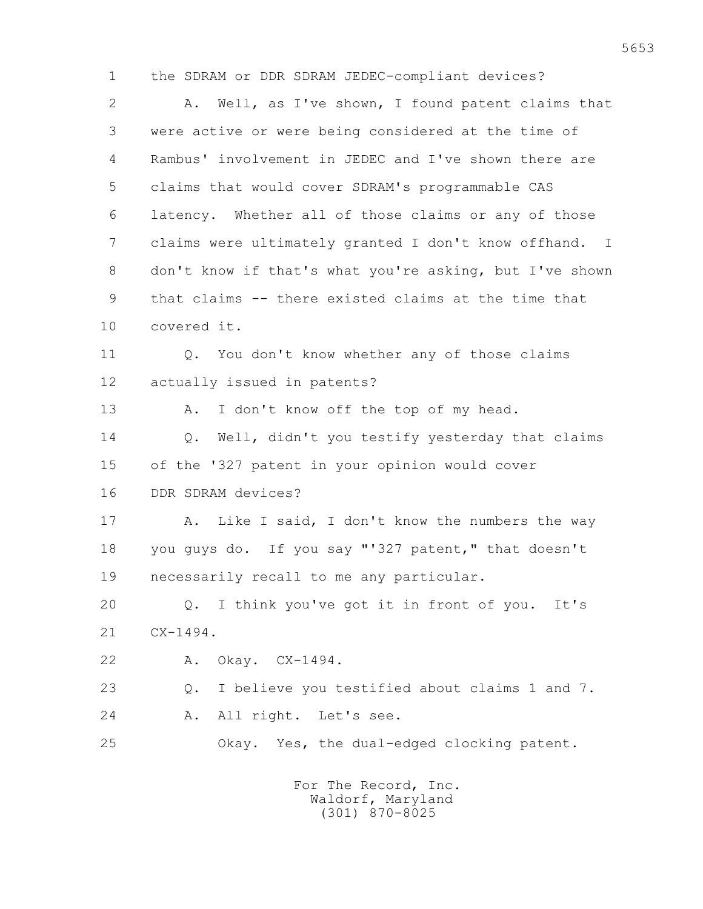1 the SDRAM or DDR SDRAM JEDEC-compliant devices?

 2 A. Well, as I've shown, I found patent claims that 3 were active or were being considered at the time of 4 Rambus' involvement in JEDEC and I've shown there are 5 claims that would cover SDRAM's programmable CAS 6 latency. Whether all of those claims or any of those 7 claims were ultimately granted I don't know offhand. I 8 don't know if that's what you're asking, but I've shown 9 that claims -- there existed claims at the time that 10 covered it. 11 Q. You don't know whether any of those claims 12 actually issued in patents? 13 A. I don't know off the top of my head. 14 Q. Well, didn't you testify yesterday that claims 15 of the '327 patent in your opinion would cover 16 DDR SDRAM devices? 17 A. Like I said, I don't know the numbers the way 18 you guys do. If you say "'327 patent," that doesn't 19 necessarily recall to me any particular. 20 Q. I think you've got it in front of you. It's 21 CX-1494. 22 A. Okay. CX-1494. 23 Q. I believe you testified about claims 1 and 7. 24 A. All right. Let's see. 25 Okay. Yes, the dual-edged clocking patent.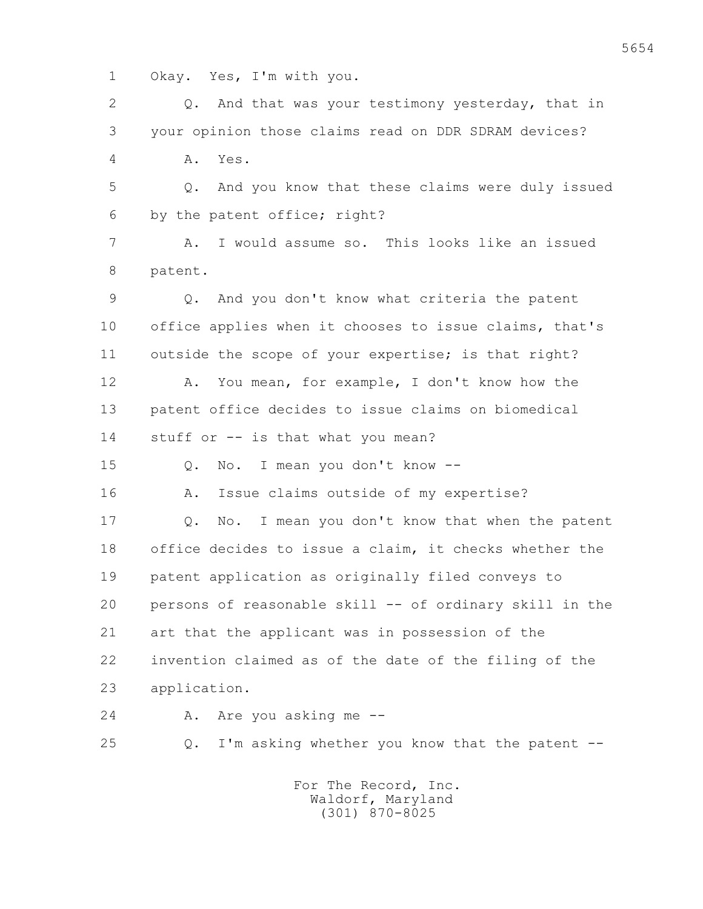1 Okay. Yes, I'm with you.

 2 Q. And that was your testimony yesterday, that in 3 your opinion those claims read on DDR SDRAM devices? 4 A. Yes. 5 Q. And you know that these claims were duly issued 6 by the patent office; right? 7 A. I would assume so. This looks like an issued 8 patent. 9 Q. And you don't know what criteria the patent 10 office applies when it chooses to issue claims, that's 11 outside the scope of your expertise; is that right? 12 A. You mean, for example, I don't know how the 13 patent office decides to issue claims on biomedical 14 stuff or -- is that what you mean? 15 Q. No. I mean you don't know -- 16 A. Issue claims outside of my expertise? 17 Q. No. I mean you don't know that when the patent 18 office decides to issue a claim, it checks whether the 19 patent application as originally filed conveys to 20 persons of reasonable skill -- of ordinary skill in the 21 art that the applicant was in possession of the 22 invention claimed as of the date of the filing of the 23 application. 24 A. Are you asking me -- 25 Q. I'm asking whether you know that the patent -- For The Record, Inc.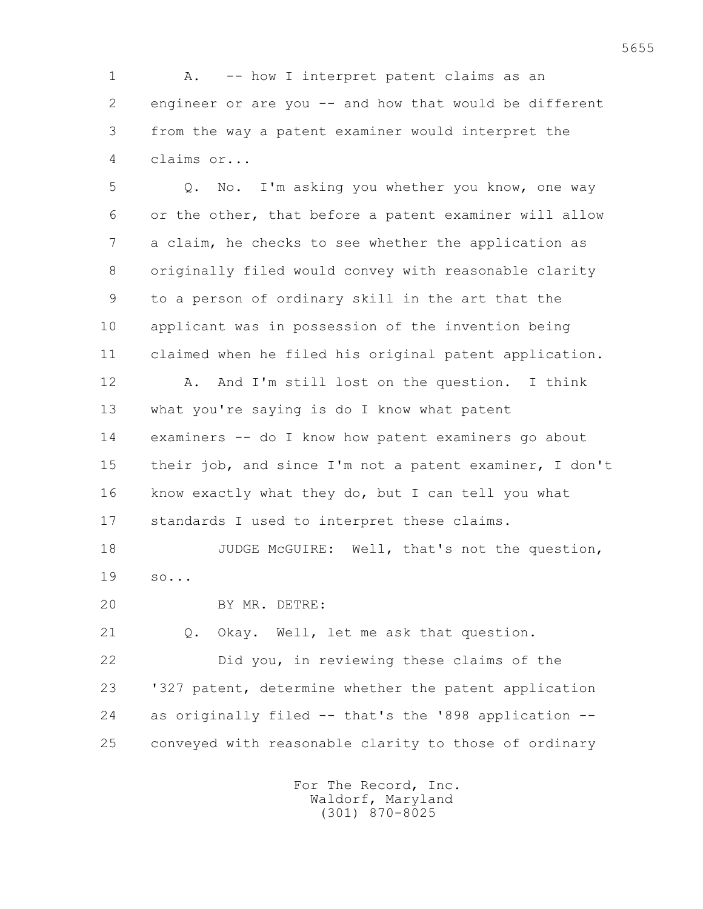1 A. -- how I interpret patent claims as an 2 engineer or are you -- and how that would be different 3 from the way a patent examiner would interpret the 4 claims or...

 5 Q. No. I'm asking you whether you know, one way 6 or the other, that before a patent examiner will allow 7 a claim, he checks to see whether the application as 8 originally filed would convey with reasonable clarity 9 to a person of ordinary skill in the art that the 10 applicant was in possession of the invention being 11 claimed when he filed his original patent application. 12 A. And I'm still lost on the question. I think 13 what you're saying is do I know what patent 14 examiners -- do I know how patent examiners go about 15 their job, and since I'm not a patent examiner, I don't 16 know exactly what they do, but I can tell you what 17 standards I used to interpret these claims. 18 JUDGE McGUIRE: Well, that's not the question, 19 so... 20 BY MR. DETRE:

21 O. Okay. Well, let me ask that question.

 22 Did you, in reviewing these claims of the 23 '327 patent, determine whether the patent application 24 as originally filed -- that's the '898 application -- 25 conveyed with reasonable clarity to those of ordinary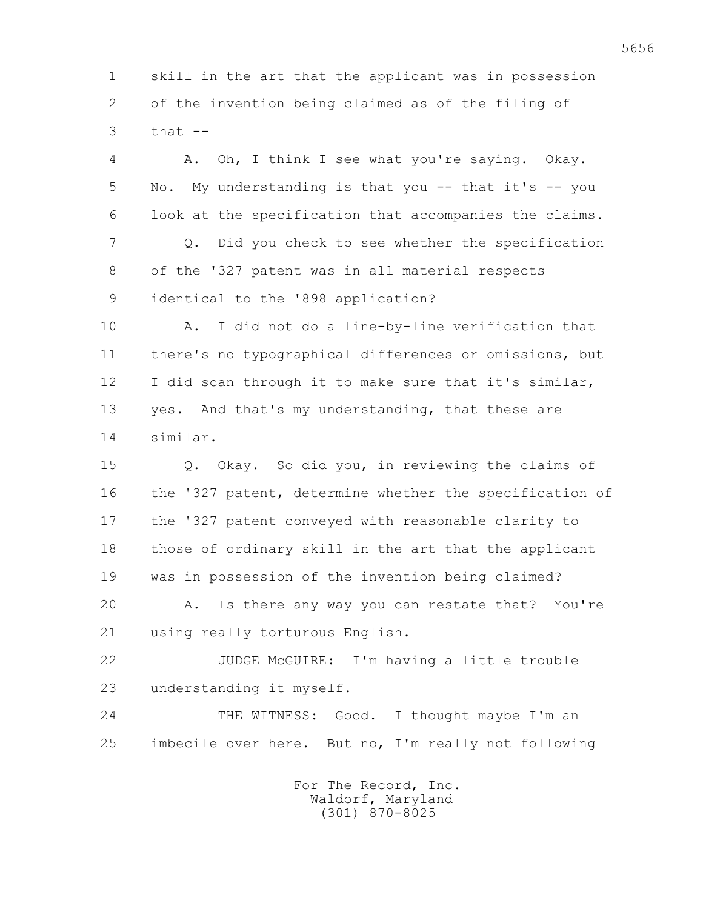1 skill in the art that the applicant was in possession 2 of the invention being claimed as of the filing of  $3$  that  $-$ 

 4 A. Oh, I think I see what you're saying. Okay. 5 No. My understanding is that you -- that it's -- you 6 look at the specification that accompanies the claims. 7 Q. Did you check to see whether the specification 8 of the '327 patent was in all material respects 9 identical to the '898 application? 10 A. I did not do a line-by-line verification that 11 there's no typographical differences or omissions, but 12 I did scan through it to make sure that it's similar, 13 yes. And that's my understanding, that these are

14 similar.

 15 Q. Okay. So did you, in reviewing the claims of 16 the '327 patent, determine whether the specification of 17 the '327 patent conveyed with reasonable clarity to 18 those of ordinary skill in the art that the applicant 19 was in possession of the invention being claimed? 20 A. Is there any way you can restate that? You're 21 using really torturous English.

 22 JUDGE McGUIRE: I'm having a little trouble 23 understanding it myself.

24 THE WITNESS: Good. I thought maybe I'm an 25 imbecile over here. But no, I'm really not following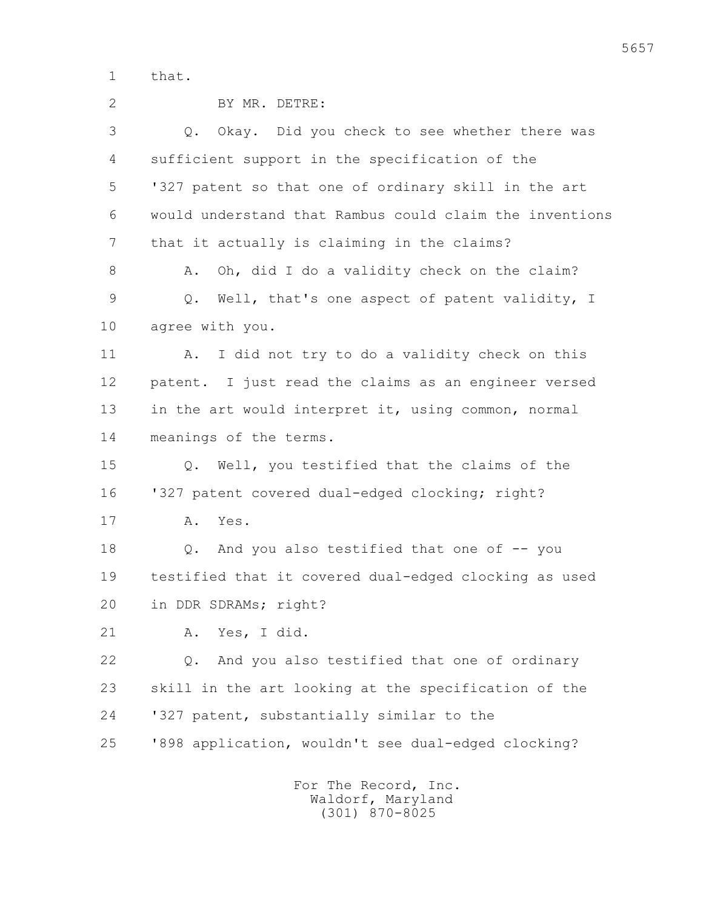1 that.

| $\overline{2}$ | BY MR. DETRE:                                           |
|----------------|---------------------------------------------------------|
| 3              | Q. Okay. Did you check to see whether there was         |
| 4              | sufficient support in the specification of the          |
| 5              | '327 patent so that one of ordinary skill in the art    |
| 6              | would understand that Rambus could claim the inventions |
| 7              | that it actually is claiming in the claims?             |
| 8              | Oh, did I do a validity check on the claim?<br>Α.       |
| 9              | Well, that's one aspect of patent validity, I<br>Q.     |
| 10             | agree with you.                                         |
| 11             | I did not try to do a validity check on this<br>Α.      |
| 12             | patent. I just read the claims as an engineer versed    |
| 13             | in the art would interpret it, using common, normal     |
| 14             | meanings of the terms.                                  |
| 15             | Q. Well, you testified that the claims of the           |
| 16             | '327 patent covered dual-edged clocking; right?         |
| 17             | Yes.<br>Α.                                              |
| 18             | And you also testified that one of -- you<br>$Q$ .      |
| 19             | testified that it covered dual-edged clocking as used   |
| 20             | in DDR SDRAMs; right?                                   |
| 21             | Yes, I did.<br>Α.                                       |
| 22             | And you also testified that one of ordinary<br>Q.       |
| 23             | skill in the art looking at the specification of the    |
| 24             | '327 patent, substantially similar to the               |
| 25             | '898 application, wouldn't see dual-edged clocking?     |
|                |                                                         |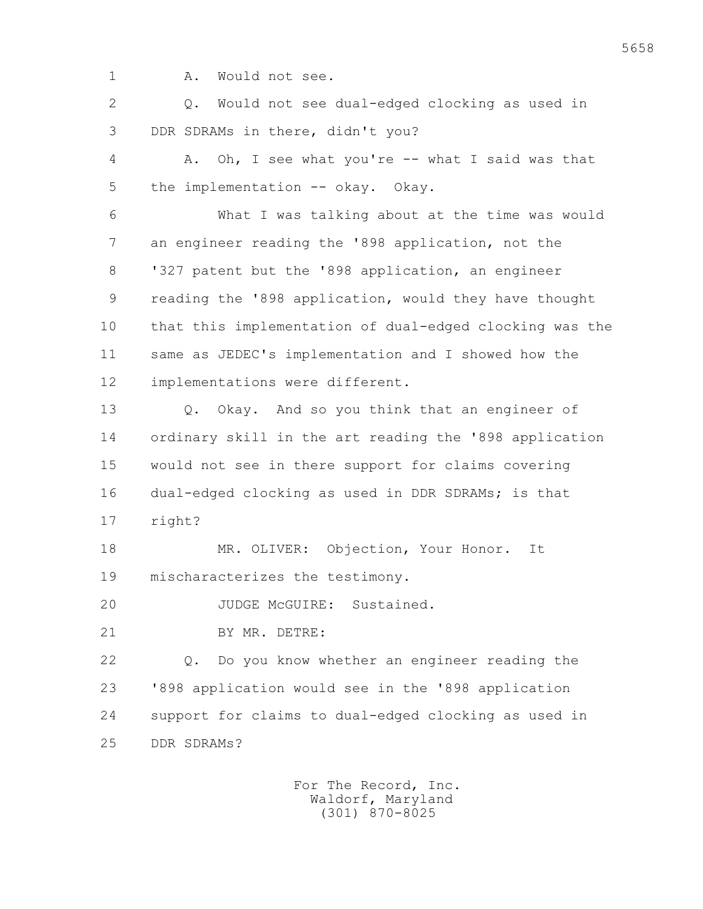- 
- 1 A. Would not see.

 2 Q. Would not see dual-edged clocking as used in 3 DDR SDRAMs in there, didn't you?

 4 A. Oh, I see what you're -- what I said was that 5 the implementation -- okay. Okay.

 6 What I was talking about at the time was would 7 an engineer reading the '898 application, not the 8 '327 patent but the '898 application, an engineer 9 reading the '898 application, would they have thought 10 that this implementation of dual-edged clocking was the 11 same as JEDEC's implementation and I showed how the 12 implementations were different.

 13 Q. Okay. And so you think that an engineer of 14 ordinary skill in the art reading the '898 application 15 would not see in there support for claims covering 16 dual-edged clocking as used in DDR SDRAMs; is that 17 right?

 18 MR. OLIVER: Objection, Your Honor. It 19 mischaracterizes the testimony.

20 JUDGE McGUIRE: Sustained.

21 BY MR. DETRE:

 22 Q. Do you know whether an engineer reading the 23 '898 application would see in the '898 application 24 support for claims to dual-edged clocking as used in 25 DDR SDRAMs?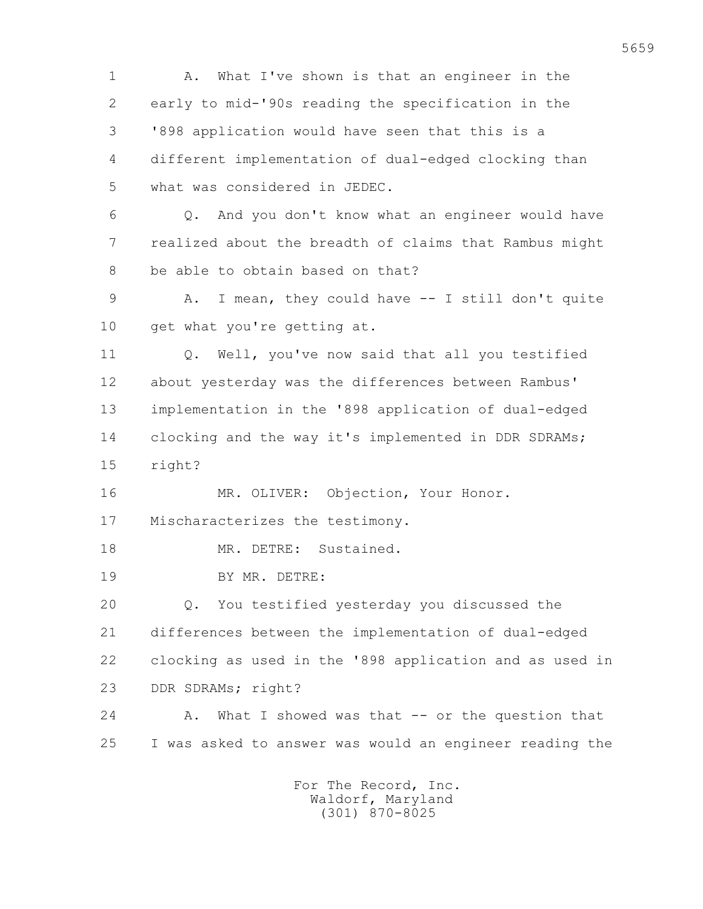1 A. What I've shown is that an engineer in the 2 early to mid-'90s reading the specification in the 3 '898 application would have seen that this is a 4 different implementation of dual-edged clocking than 5 what was considered in JEDEC. 6 Q. And you don't know what an engineer would have 7 realized about the breadth of claims that Rambus might 8 be able to obtain based on that? 9 A. I mean, they could have -- I still don't quite 10 get what you're getting at. 11 Q. Well, you've now said that all you testified 12 about yesterday was the differences between Rambus' 13 implementation in the '898 application of dual-edged 14 clocking and the way it's implemented in DDR SDRAMs; 15 right? 16 MR. OLIVER: Objection, Your Honor. 17 Mischaracterizes the testimony. 18 MR. DETRE: Sustained. 19 BY MR. DETRE: 20 Q. You testified yesterday you discussed the 21 differences between the implementation of dual-edged 22 clocking as used in the '898 application and as used in 23 DDR SDRAMs; right? 24 A. What I showed was that -- or the question that 25 I was asked to answer was would an engineer reading the For The Record, Inc.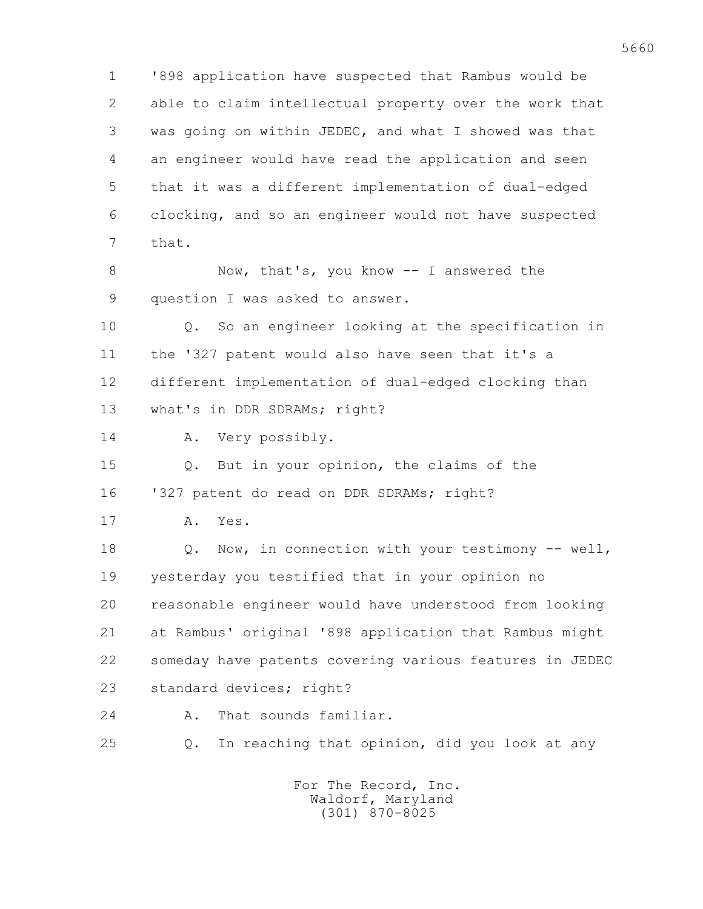1 '898 application have suspected that Rambus would be 2 able to claim intellectual property over the work that 3 was going on within JEDEC, and what I showed was that 4 an engineer would have read the application and seen 5 that it was a different implementation of dual-edged 6 clocking, and so an engineer would not have suspected 7 that.

8 Now, that's, you know -- I answered the 9 question I was asked to answer.

 10 Q. So an engineer looking at the specification in 11 the '327 patent would also have seen that it's a 12 different implementation of dual-edged clocking than 13 what's in DDR SDRAMs; right?

14 A. Very possibly.

 15 Q. But in your opinion, the claims of the 16 '327 patent do read on DDR SDRAMs; right?

17 A. Yes.

 18 Q. Now, in connection with your testimony -- well, 19 yesterday you testified that in your opinion no 20 reasonable engineer would have understood from looking 21 at Rambus' original '898 application that Rambus might 22 someday have patents covering various features in JEDEC 23 standard devices; right?

24 A. That sounds familiar.

25 Q. In reaching that opinion, did you look at any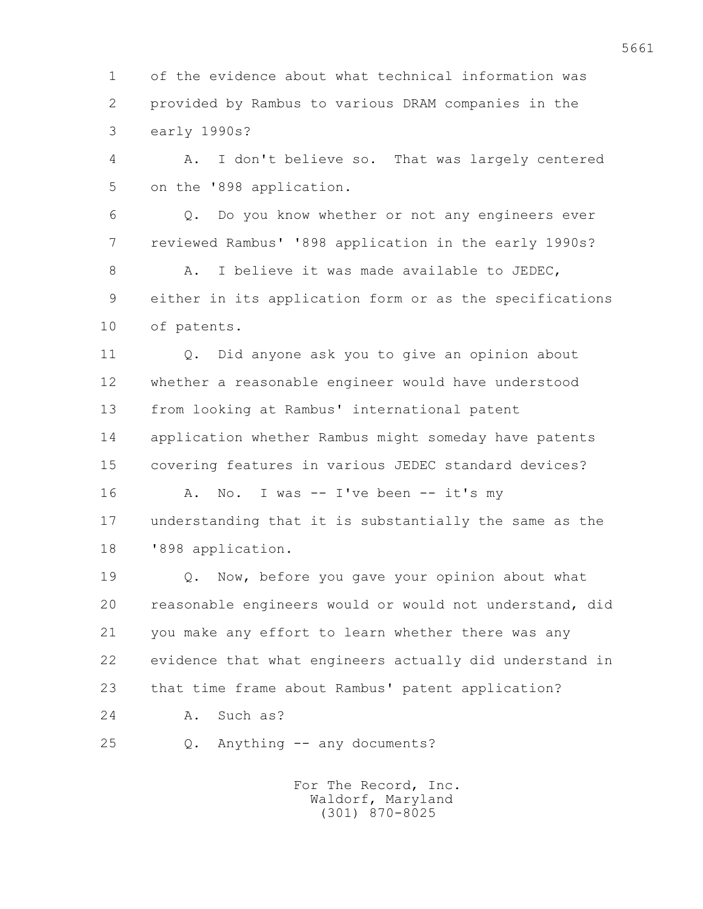1 of the evidence about what technical information was 2 provided by Rambus to various DRAM companies in the 3 early 1990s?

 4 A. I don't believe so. That was largely centered 5 on the '898 application.

 6 Q. Do you know whether or not any engineers ever 7 reviewed Rambus' '898 application in the early 1990s?

8 A. I believe it was made available to JEDEC, 9 either in its application form or as the specifications 10 of patents.

 11 Q. Did anyone ask you to give an opinion about 12 whether a reasonable engineer would have understood 13 from looking at Rambus' international patent 14 application whether Rambus might someday have patents 15 covering features in various JEDEC standard devices?

16 A. No. I was -- I've been -- it's my 17 understanding that it is substantially the same as the 18 '898 application.

 19 Q. Now, before you gave your opinion about what 20 reasonable engineers would or would not understand, did 21 you make any effort to learn whether there was any 22 evidence that what engineers actually did understand in 23 that time frame about Rambus' patent application?

24 A. Such as?

25 Q. Anything -- any documents?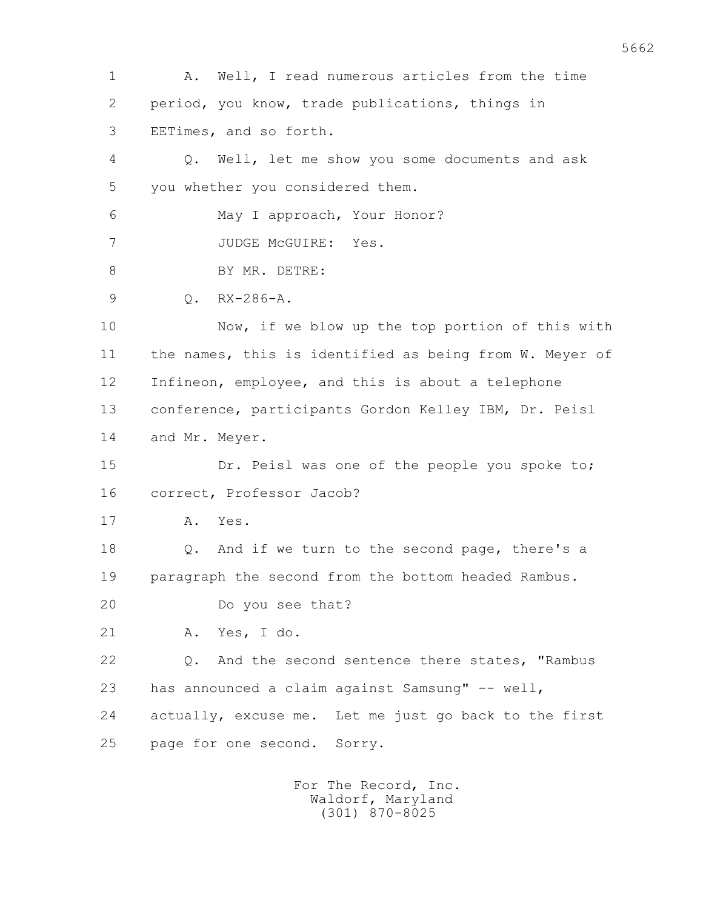1 A. Well, I read numerous articles from the time 2 period, you know, trade publications, things in 3 EETimes, and so forth. 4 Q. Well, let me show you some documents and ask 5 you whether you considered them. 6 May I approach, Your Honor? 7 JUDGE McGUIRE: Yes. 8 BY MR. DETRE: 9 Q. RX-286-A. 10 Now, if we blow up the top portion of this with 11 the names, this is identified as being from W. Meyer of 12 Infineon, employee, and this is about a telephone 13 conference, participants Gordon Kelley IBM, Dr. Peisl 14 and Mr. Meyer. 15 Dr. Peisl was one of the people you spoke to; 16 correct, Professor Jacob? 17 A. Yes. 18 Q. And if we turn to the second page, there's a 19 paragraph the second from the bottom headed Rambus. 20 Do you see that? 21 A. Yes, I do. 22 Q. And the second sentence there states, "Rambus 23 has announced a claim against Samsung" -- well, 24 actually, excuse me. Let me just go back to the first 25 page for one second. Sorry.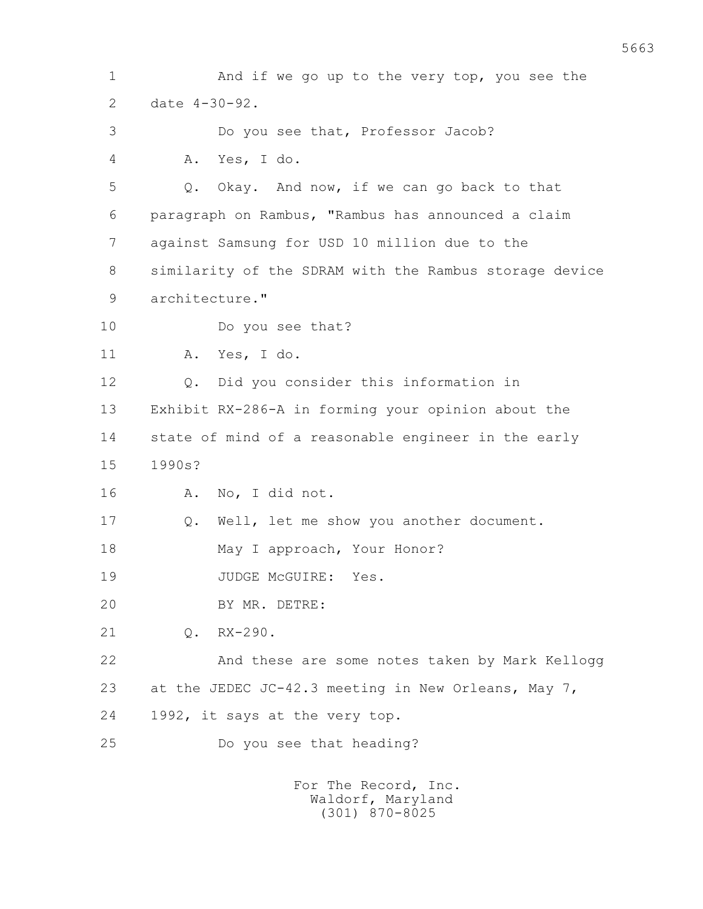1 And if we go up to the very top, you see the 2 date 4-30-92. 3 Do you see that, Professor Jacob? 4 A. Yes, I do. 5 Q. Okay. And now, if we can go back to that 6 paragraph on Rambus, "Rambus has announced a claim 7 against Samsung for USD 10 million due to the 8 similarity of the SDRAM with the Rambus storage device 9 architecture." 10 Do you see that? 11 A. Yes, I do. 12 0. Did you consider this information in 13 Exhibit RX-286-A in forming your opinion about the 14 state of mind of a reasonable engineer in the early 15 1990s? 16 A. No, I did not. 17 Q. Well, let me show you another document. 18 May I approach, Your Honor? 19 JUDGE McGUIRE: Yes. 20 BY MR. DETRE: 21 Q. RX-290. 22 And these are some notes taken by Mark Kellogg 23 at the JEDEC JC-42.3 meeting in New Orleans, May 7, 24 1992, it says at the very top. 25 Do you see that heading? For The Record, Inc.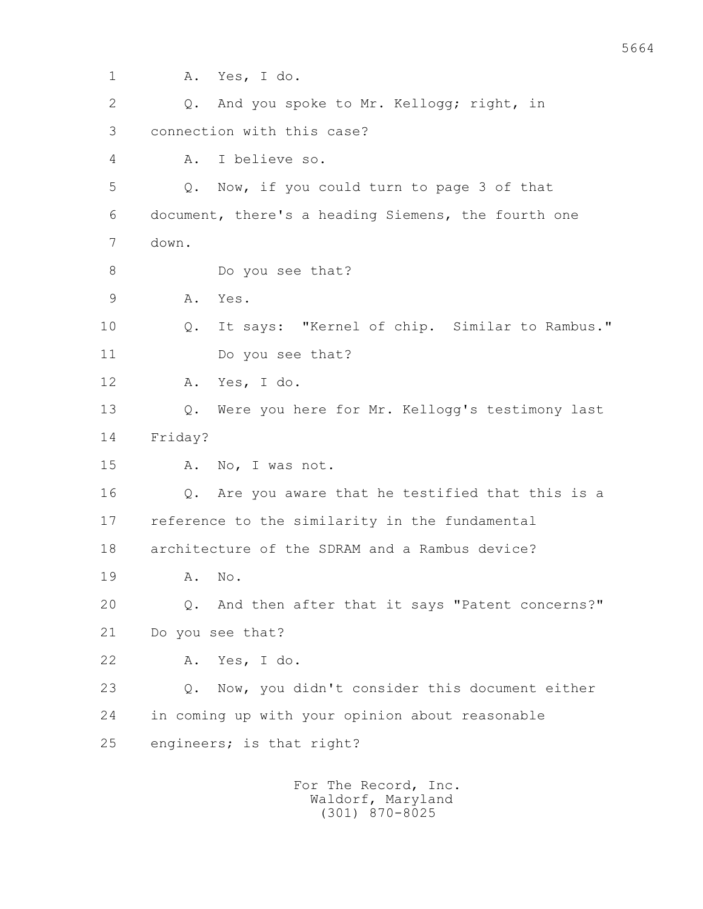| 1  | Yes, I do.<br>Α.                                                |
|----|-----------------------------------------------------------------|
| 2  | And you spoke to Mr. Kellogg; right, in<br>Q.                   |
| 3  | connection with this case?                                      |
| 4  | I believe so.<br>Α.                                             |
| 5  | Now, if you could turn to page 3 of that<br>Q.                  |
| 6  | document, there's a heading Siemens, the fourth one             |
| 7  | down.                                                           |
| 8  | Do you see that?                                                |
| 9  | Yes.<br>Α.                                                      |
| 10 | It says: "Kernel of chip. Similar to Rambus."<br>Q.             |
| 11 | Do you see that?                                                |
| 12 | Yes, I do.<br>Α.                                                |
| 13 | Were you here for Mr. Kellogg's testimony last<br>Q.            |
| 14 | Friday?                                                         |
| 15 | Α.<br>No, I was not.                                            |
| 16 | Are you aware that he testified that this is a<br>Q.            |
| 17 | reference to the similarity in the fundamental                  |
| 18 | architecture of the SDRAM and a Rambus device?                  |
| 19 | Α.<br>No.                                                       |
| 20 | And then after that it says "Patent concerns?"<br>$Q_{\bullet}$ |
| 21 | Do you see that?                                                |
| 22 | Yes, I do.<br>Α.                                                |
| 23 | Now, you didn't consider this document either<br>$Q_{\bullet}$  |
| 24 | in coming up with your opinion about reasonable                 |
| 25 | engineers; is that right?                                       |
|    | For The Record, Inc.                                            |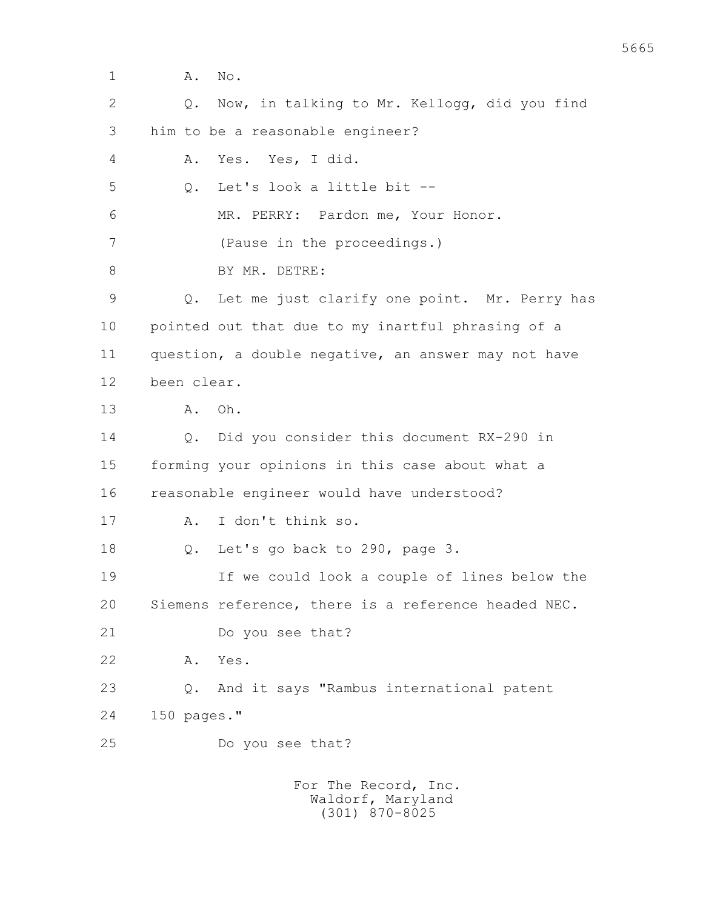1 **A.** No. 2 Q. Now, in talking to Mr. Kellogg, did you find 3 him to be a reasonable engineer? 4 A. Yes. Yes, I did. 5 Q. Let's look a little bit -- 6 MR. PERRY: Pardon me, Your Honor. 7 (Pause in the proceedings.) 8 BY MR. DETRE: 9 Q. Let me just clarify one point. Mr. Perry has 10 pointed out that due to my inartful phrasing of a 11 question, a double negative, an answer may not have 12 been clear. 13 A. Oh. 14 Q. Did you consider this document RX-290 in 15 forming your opinions in this case about what a 16 reasonable engineer would have understood? 17 A. I don't think so. 18 Q. Let's go back to 290, page 3. 19 If we could look a couple of lines below the 20 Siemens reference, there is a reference headed NEC. 21 Do you see that? 22 A. Yes. 23 Q. And it says "Rambus international patent 24 150 pages." 25 Do you see that? For The Record, Inc.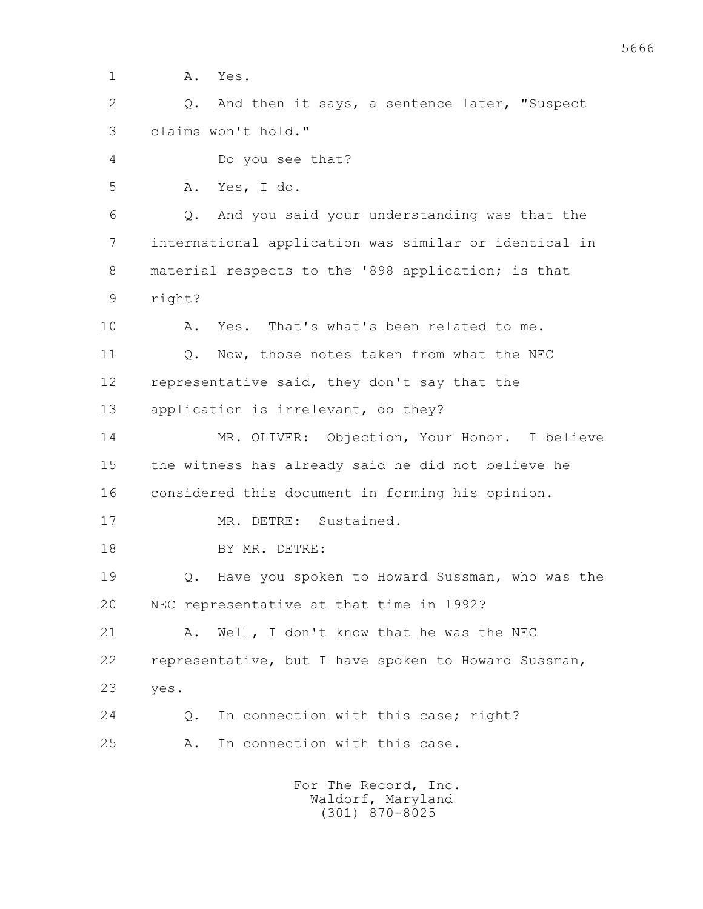1 A. Yes.

 2 Q. And then it says, a sentence later, "Suspect 3 claims won't hold."

4 Do you see that?

5 A. Yes, I do.

 6 Q. And you said your understanding was that the 7 international application was similar or identical in 8 material respects to the '898 application; is that 9 right?

10 A. Yes. That's what's been related to me.

11 0. Now, those notes taken from what the NEC 12 representative said, they don't say that the

13 application is irrelevant, do they?

 14 MR. OLIVER: Objection, Your Honor. I believe 15 the witness has already said he did not believe he 16 considered this document in forming his opinion.

17 MR. DETRE: Sustained.

18 BY MR. DETRE:

 19 Q. Have you spoken to Howard Sussman, who was the 20 NEC representative at that time in 1992?

21 A. Well, I don't know that he was the NEC 22 representative, but I have spoken to Howard Sussman, 23 yes.

24 0. In connection with this case; right?

25 A. In connection with this case.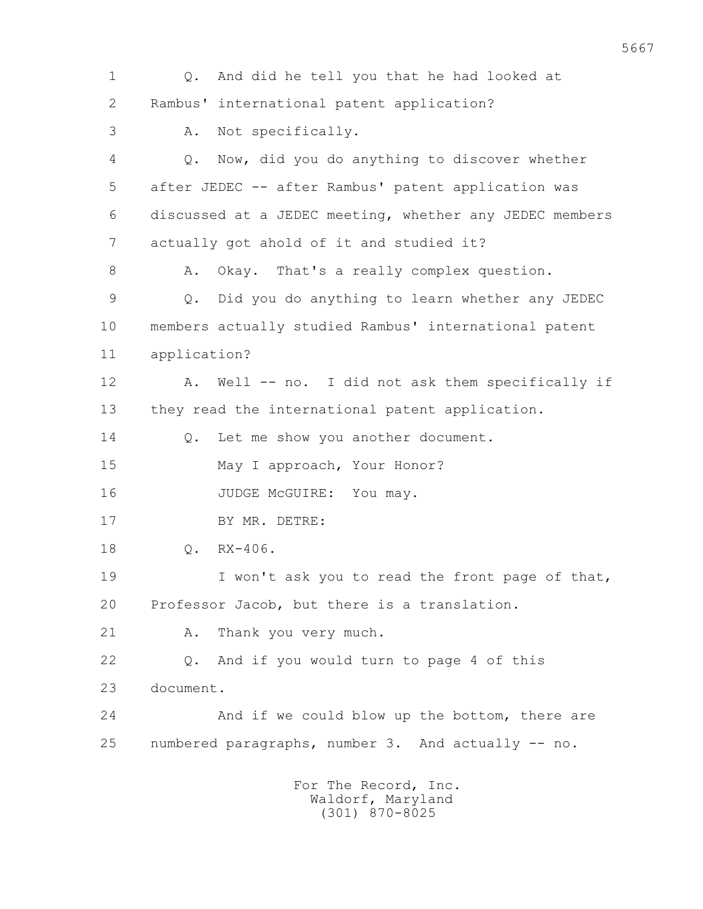1 Q. And did he tell you that he had looked at 2 Rambus' international patent application? 3 A. Not specifically. 4 Q. Now, did you do anything to discover whether 5 after JEDEC -- after Rambus' patent application was 6 discussed at a JEDEC meeting, whether any JEDEC members 7 actually got ahold of it and studied it? 8 A. Okay. That's a really complex question. 9 Q. Did you do anything to learn whether any JEDEC 10 members actually studied Rambus' international patent 11 application? 12 A. Well -- no. I did not ask them specifically if 13 they read the international patent application. 14 Q. Let me show you another document. 15 May I approach, Your Honor? 16 JUDGE McGUIRE: You may. 17 BY MR. DETRE: 18 Q. RX-406. 19 I won't ask you to read the front page of that, 20 Professor Jacob, but there is a translation. 21 A. Thank you very much. 22 Q. And if you would turn to page 4 of this 23 document. 24 And if we could blow up the bottom, there are 25 numbered paragraphs, number 3. And actually -- no. For The Record, Inc. Waldorf, Maryland

(301) 870-8025

5667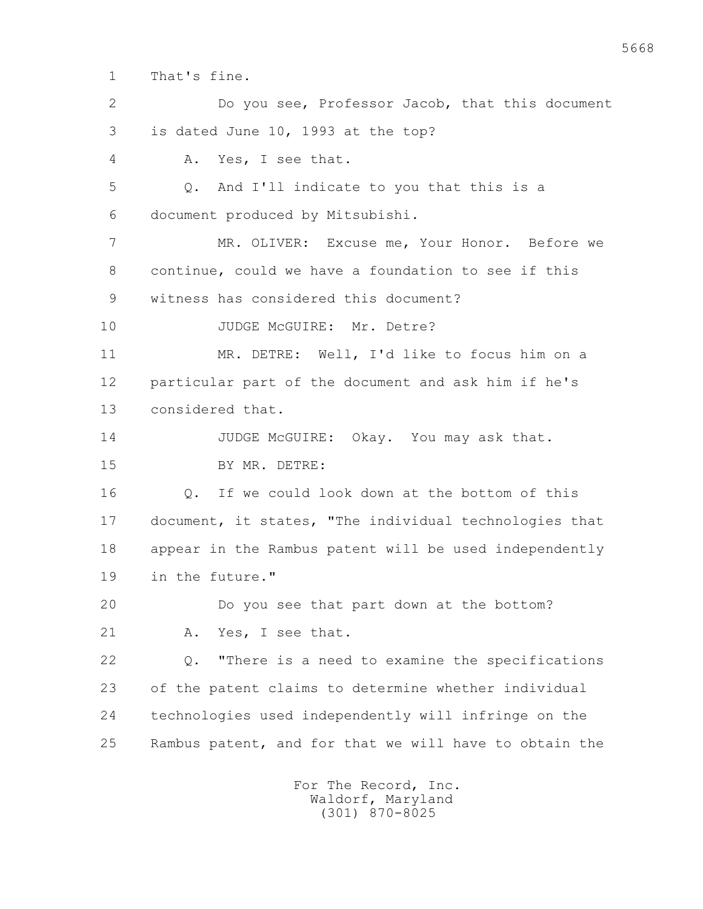1 That's fine.

 2 Do you see, Professor Jacob, that this document 3 is dated June 10, 1993 at the top? 4 A. Yes, I see that. 5 Q. And I'll indicate to you that this is a 6 document produced by Mitsubishi. 7 MR. OLIVER: Excuse me, Your Honor. Before we 8 continue, could we have a foundation to see if this 9 witness has considered this document? 10 JUDGE McGUIRE: Mr. Detre? 11 MR. DETRE: Well, I'd like to focus him on a 12 particular part of the document and ask him if he's 13 considered that. 14 JUDGE McGUIRE: Okay. You may ask that. 15 BY MR. DETRE: 16 Q. If we could look down at the bottom of this 17 document, it states, "The individual technologies that 18 appear in the Rambus patent will be used independently 19 in the future." 20 Do you see that part down at the bottom? 21 A. Yes, I see that. 22 Q. "There is a need to examine the specifications 23 of the patent claims to determine whether individual 24 technologies used independently will infringe on the 25 Rambus patent, and for that we will have to obtain the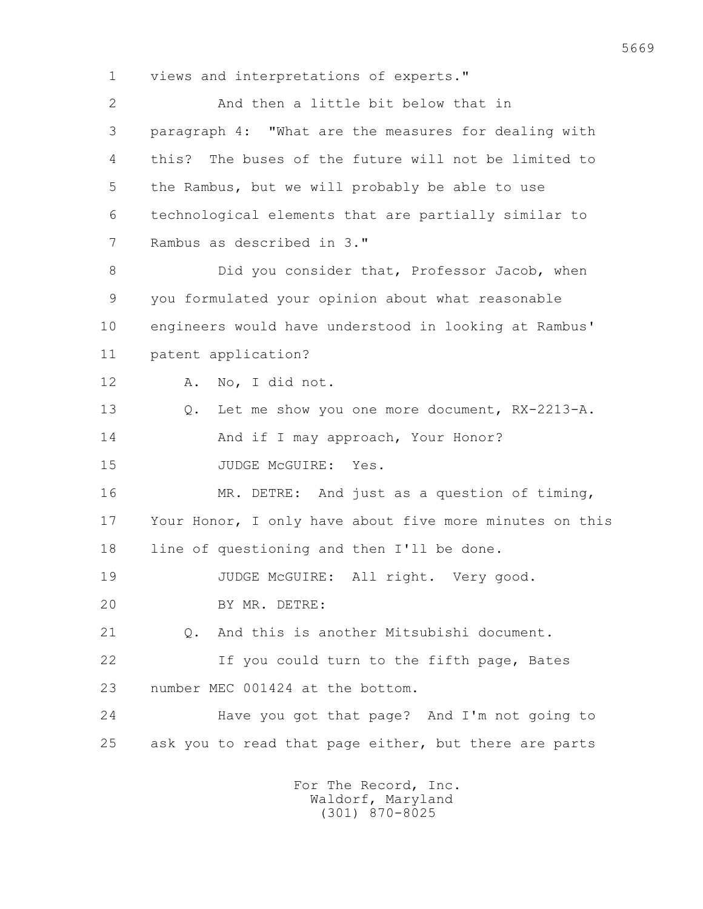1 views and interpretations of experts."

 2 And then a little bit below that in 3 paragraph 4: "What are the measures for dealing with 4 this? The buses of the future will not be limited to 5 the Rambus, but we will probably be able to use 6 technological elements that are partially similar to 7 Rambus as described in 3." 8 Did you consider that, Professor Jacob, when 9 you formulated your opinion about what reasonable 10 engineers would have understood in looking at Rambus' 11 patent application? 12 A. No, I did not. 13 Q. Let me show you one more document, RX-2213-A. 14 And if I may approach, Your Honor? 15 JUDGE McGUIRE: Yes. 16 MR. DETRE: And just as a question of timing, 17 Your Honor, I only have about five more minutes on this 18 line of questioning and then I'll be done. 19 JUDGE McGUIRE: All right. Very good. 20 BY MR. DETRE: 21 Q. And this is another Mitsubishi document. 22 If you could turn to the fifth page, Bates 23 number MEC 001424 at the bottom. 24 Have you got that page? And I'm not going to 25 ask you to read that page either, but there are parts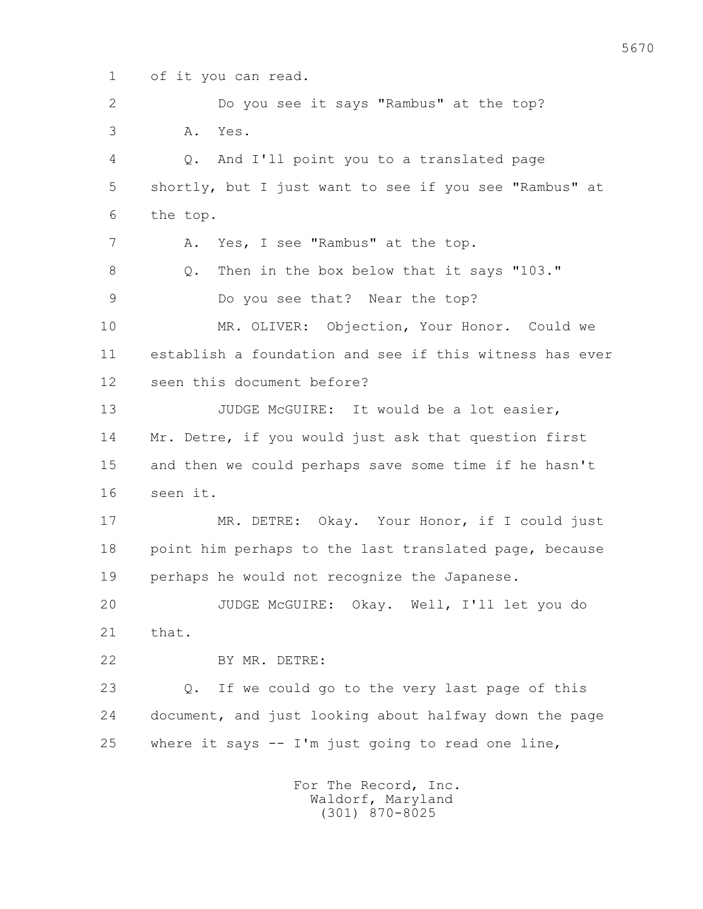1 of it you can read.

 2 Do you see it says "Rambus" at the top? 3 A. Yes. 4 Q. And I'll point you to a translated page 5 shortly, but I just want to see if you see "Rambus" at 6 the top. 7 A. Yes, I see "Rambus" at the top. 8 Q. Then in the box below that it says "103." 9 Do you see that? Near the top? 10 MR. OLIVER: Objection, Your Honor. Could we 11 establish a foundation and see if this witness has ever 12 seen this document before? 13 JUDGE McGUIRE: It would be a lot easier, 14 Mr. Detre, if you would just ask that question first 15 and then we could perhaps save some time if he hasn't 16 seen it. 17 MR. DETRE: Okay. Your Honor, if I could just 18 point him perhaps to the last translated page, because 19 perhaps he would not recognize the Japanese. 20 JUDGE McGUIRE: Okay. Well, I'll let you do 21 that. 22 BY MR. DETRE: 23 Q. If we could go to the very last page of this 24 document, and just looking about halfway down the page 25 where it says -- I'm just going to read one line,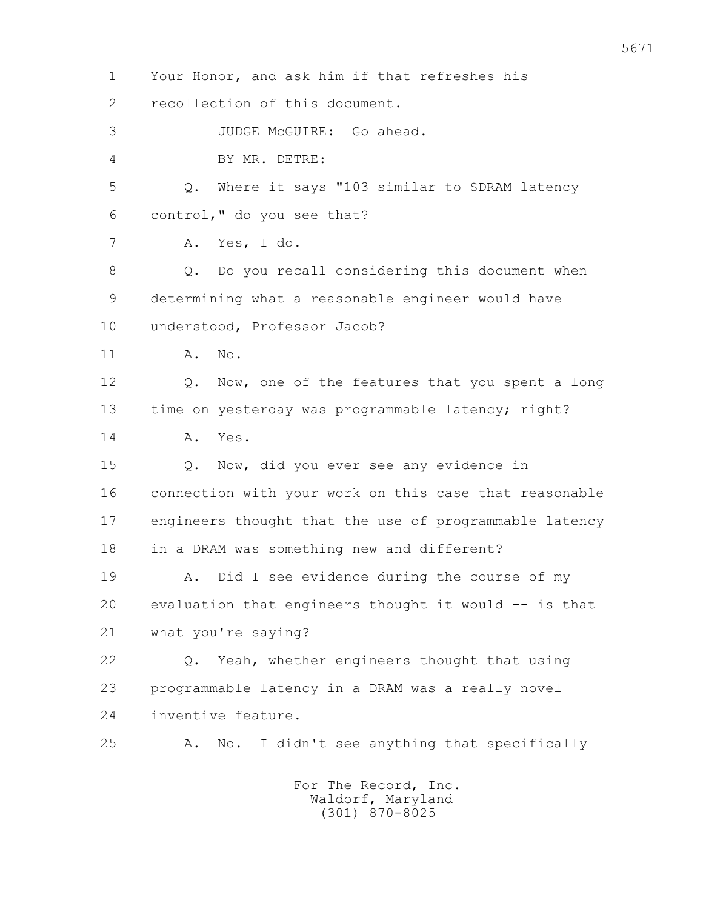1 Your Honor, and ask him if that refreshes his 2 recollection of this document. 3 JUDGE McGUIRE: Go ahead. 4 BY MR. DETRE: 5 Q. Where it says "103 similar to SDRAM latency 6 control," do you see that? 7 A. Yes, I do. 8 Q. Do you recall considering this document when 9 determining what a reasonable engineer would have 10 understood, Professor Jacob? 11 A. No. 12 0. Now, one of the features that you spent a long 13 time on yesterday was programmable latency; right? 14 A. Yes. 15 Q. Now, did you ever see any evidence in 16 connection with your work on this case that reasonable 17 engineers thought that the use of programmable latency 18 in a DRAM was something new and different? 19 A. Did I see evidence during the course of my 20 evaluation that engineers thought it would -- is that 21 what you're saying? 22 Q. Yeah, whether engineers thought that using 23 programmable latency in a DRAM was a really novel 24 inventive feature. 25 A. No. I didn't see anything that specifically For The Record, Inc. Waldorf, Maryland

(301) 870-8025

5671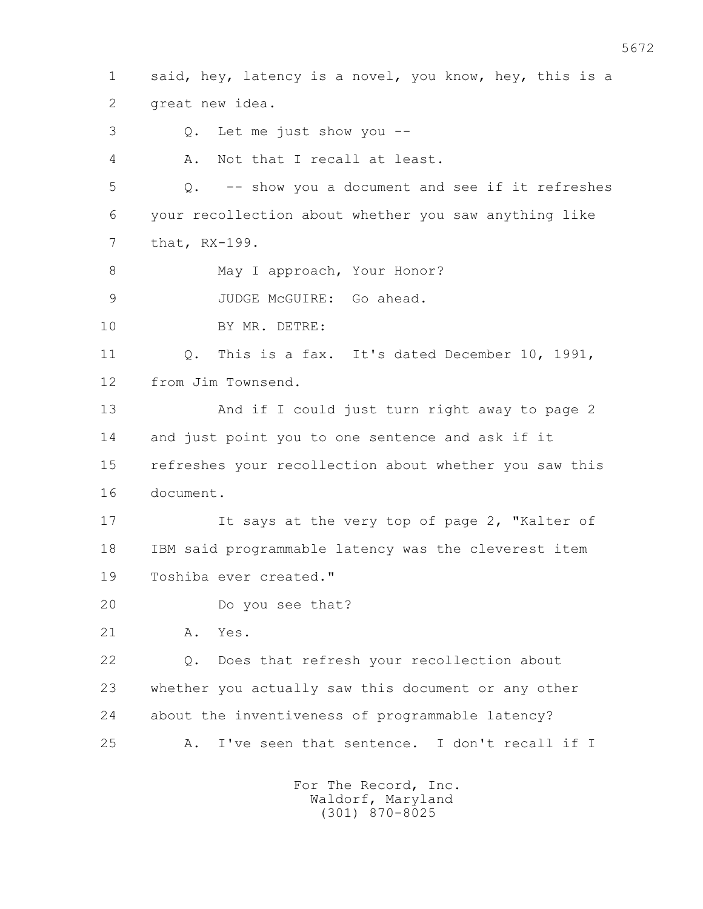1 said, hey, latency is a novel, you know, hey, this is a 2 great new idea. 3 Q. Let me just show you -- 4 A. Not that I recall at least. 5 Q. -- show you a document and see if it refreshes 6 your recollection about whether you saw anything like 7 that, RX-199. 8 May I approach, Your Honor? 9 JUDGE McGUIRE: Go ahead. 10 BY MR. DETRE: 11 Q. This is a fax. It's dated December 10, 1991, 12 from Jim Townsend. 13 And if I could just turn right away to page 2 14 and just point you to one sentence and ask if it 15 refreshes your recollection about whether you saw this 16 document. 17 It says at the very top of page 2, "Kalter of 18 IBM said programmable latency was the cleverest item 19 Toshiba ever created." 20 Do you see that? 21 A. Yes. 22 Q. Does that refresh your recollection about 23 whether you actually saw this document or any other 24 about the inventiveness of programmable latency? 25 A. I've seen that sentence. I don't recall if I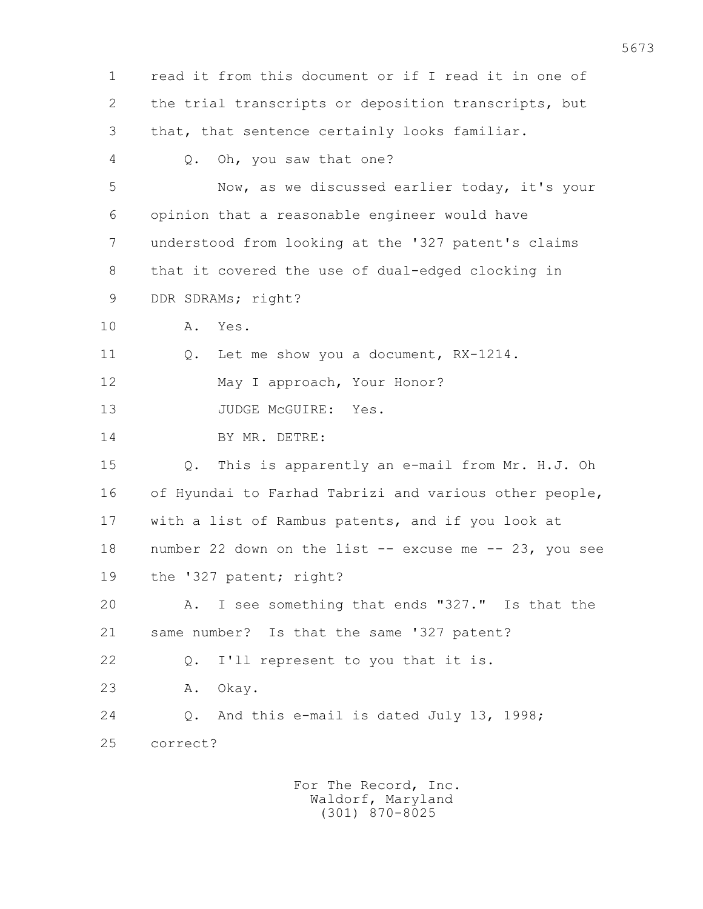1 read it from this document or if I read it in one of 2 the trial transcripts or deposition transcripts, but 3 that, that sentence certainly looks familiar. 4 Q. Oh, you saw that one? 5 Now, as we discussed earlier today, it's your 6 opinion that a reasonable engineer would have 7 understood from looking at the '327 patent's claims 8 that it covered the use of dual-edged clocking in 9 DDR SDRAMs; right? 10 A. Yes. 11 Q. Let me show you a document, RX-1214. 12 May I approach, Your Honor? 13 JUDGE McGUIRE: Yes. 14 BY MR. DETRE: 15 Q. This is apparently an e-mail from Mr. H.J. Oh 16 of Hyundai to Farhad Tabrizi and various other people, 17 with a list of Rambus patents, and if you look at 18 number 22 down on the list -- excuse me -- 23, you see 19 the '327 patent; right? 20 A. I see something that ends "327." Is that the 21 same number? Is that the same '327 patent? 22 Q. I'll represent to you that it is. 23 A. Okay. 24 Q. And this e-mail is dated July 13, 1998; 25 correct?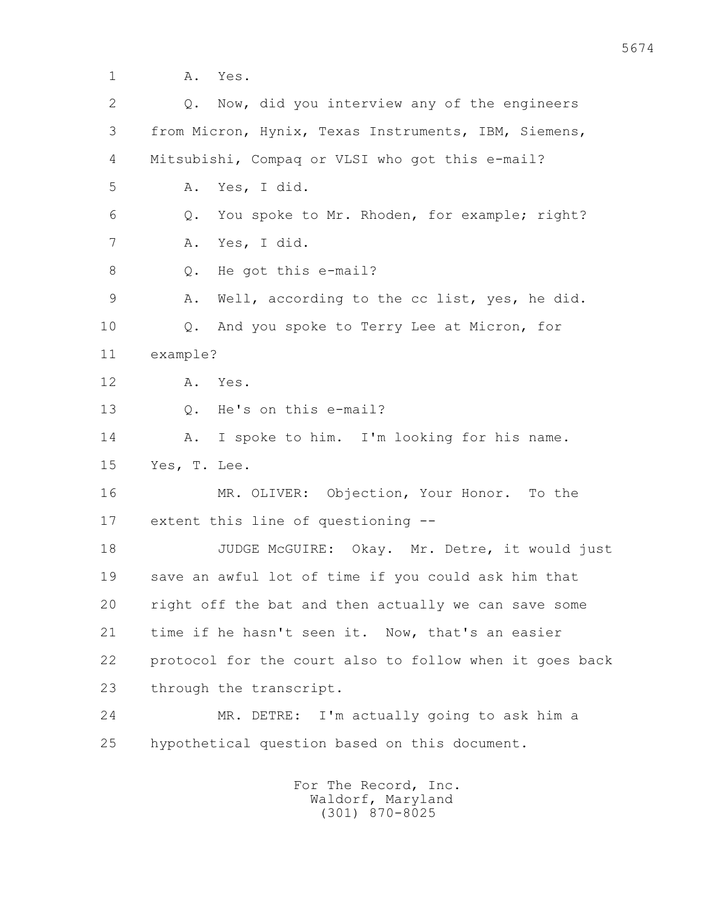1 A. Yes. 2 Q. Now, did you interview any of the engineers 3 from Micron, Hynix, Texas Instruments, IBM, Siemens, 4 Mitsubishi, Compaq or VLSI who got this e-mail? 5 A. Yes, I did. 6 Q. You spoke to Mr. Rhoden, for example; right? 7 A. Yes, I did. 8 Q. He got this e-mail? 9 A. Well, according to the cc list, yes, he did. 10 Q. And you spoke to Terry Lee at Micron, for 11 example? 12 A. Yes. 13 Q. He's on this e-mail? 14 A. I spoke to him. I'm looking for his name. 15 Yes, T. Lee. 16 MR. OLIVER: Objection, Your Honor. To the 17 extent this line of questioning -- 18 JUDGE McGUIRE: Okay. Mr. Detre, it would just 19 save an awful lot of time if you could ask him that 20 right off the bat and then actually we can save some 21 time if he hasn't seen it. Now, that's an easier 22 protocol for the court also to follow when it goes back 23 through the transcript. 24 MR. DETRE: I'm actually going to ask him a 25 hypothetical question based on this document. For The Record, Inc.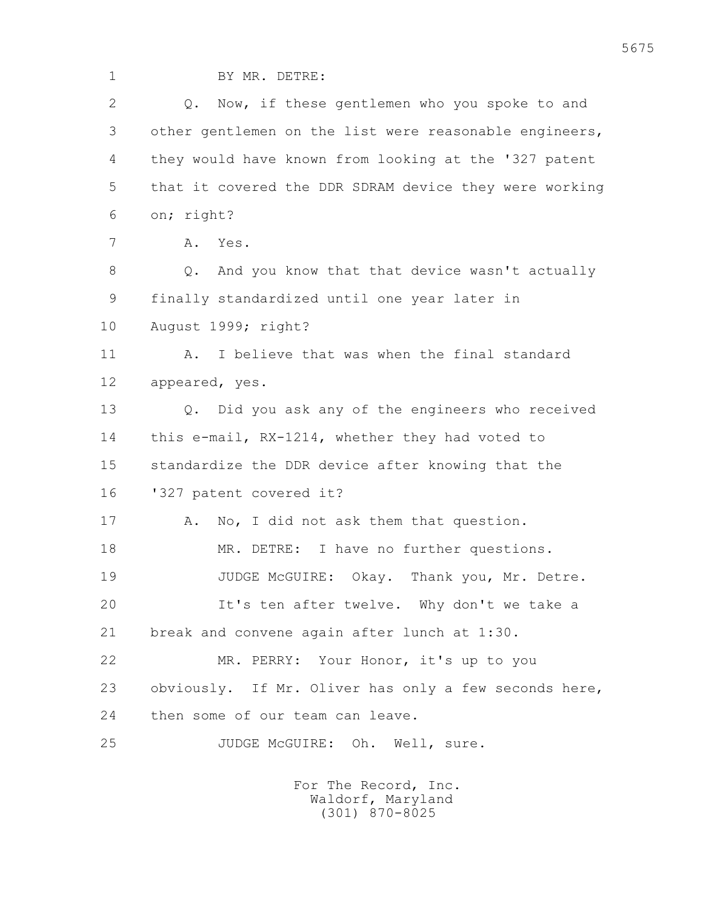1 BY MR. DETRE: 2 Q. Now, if these gentlemen who you spoke to and 3 other gentlemen on the list were reasonable engineers, 4 they would have known from looking at the '327 patent 5 that it covered the DDR SDRAM device they were working 6 on; right? 7 A. Yes. 8 Q. And you know that that device wasn't actually 9 finally standardized until one year later in 10 August 1999; right? 11 A. I believe that was when the final standard 12 appeared, yes. 13 Q. Did you ask any of the engineers who received 14 this e-mail, RX-1214, whether they had voted to 15 standardize the DDR device after knowing that the 16 '327 patent covered it? 17 A. No, I did not ask them that question. 18 MR. DETRE: I have no further questions. 19 JUDGE McGUIRE: Okay. Thank you, Mr. Detre. 20 It's ten after twelve. Why don't we take a 21 break and convene again after lunch at 1:30. 22 MR. PERRY: Your Honor, it's up to you 23 obviously. If Mr. Oliver has only a few seconds here, 24 then some of our team can leave. 25 JUDGE McGUIRE: Oh. Well, sure.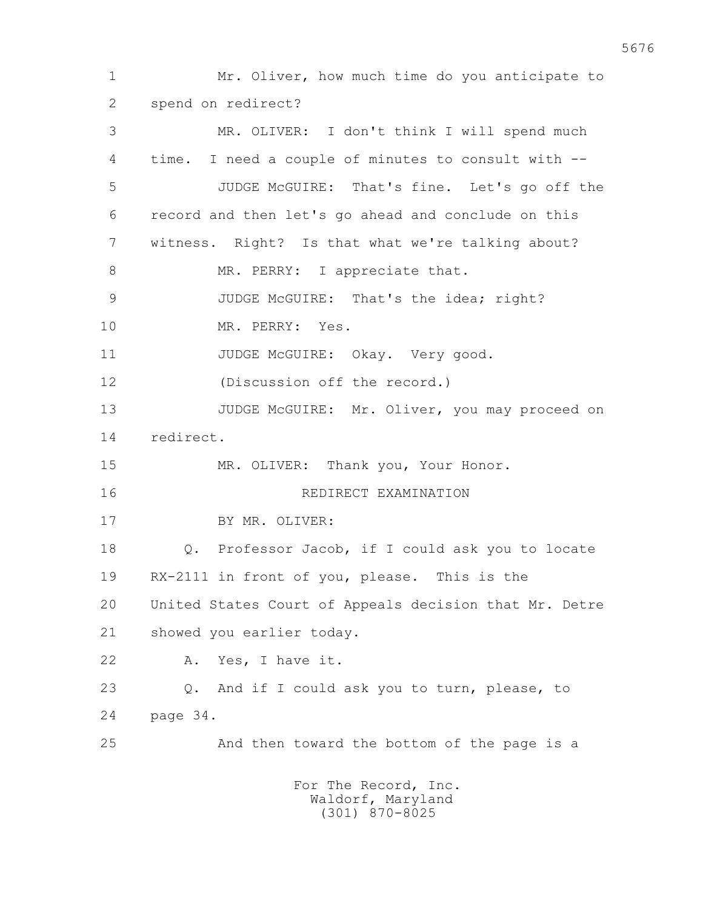1 Mr. Oliver, how much time do you anticipate to 2 spend on redirect? 3 MR. OLIVER: I don't think I will spend much 4 time. I need a couple of minutes to consult with -- 5 JUDGE McGUIRE: That's fine. Let's go off the 6 record and then let's go ahead and conclude on this 7 witness. Right? Is that what we're talking about? 8 MR. PERRY: I appreciate that. 9 JUDGE McGUIRE: That's the idea; right? 10 MR. PERRY: Yes. 11 JUDGE McGUIRE: Okay. Very good. 12 (Discussion off the record.) 13 JUDGE McGUIRE: Mr. Oliver, you may proceed on 14 redirect. 15 MR. OLIVER: Thank you, Your Honor. 16 REDIRECT EXAMINATION 17 BY MR. OLIVER: 18 Q. Professor Jacob, if I could ask you to locate 19 RX-2111 in front of you, please. This is the 20 United States Court of Appeals decision that Mr. Detre 21 showed you earlier today. 22 A. Yes, I have it. 23 Q. And if I could ask you to turn, please, to 24 page 34. 25 And then toward the bottom of the page is a For The Record, Inc. Waldorf, Maryland

(301) 870-8025

5676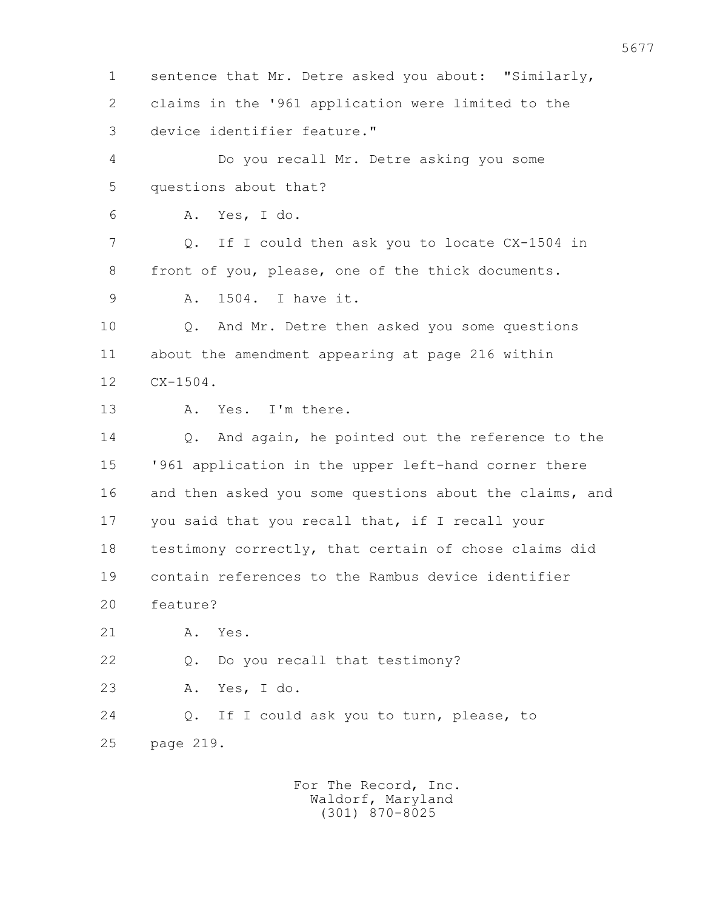1 sentence that Mr. Detre asked you about: "Similarly, 2 claims in the '961 application were limited to the 3 device identifier feature." 4 Do you recall Mr. Detre asking you some 5 questions about that? 6 A. Yes, I do. 7 Q. If I could then ask you to locate CX-1504 in 8 front of you, please, one of the thick documents. 9 A. 1504. I have it. 10 Q. And Mr. Detre then asked you some questions 11 about the amendment appearing at page 216 within 12 CX-1504. 13 A. Yes. I'm there. 14 Q. And again, he pointed out the reference to the 15 '961 application in the upper left-hand corner there 16 and then asked you some questions about the claims, and 17 you said that you recall that, if I recall your 18 testimony correctly, that certain of chose claims did 19 contain references to the Rambus device identifier 20 feature? 21 A. Yes. 22 Q. Do you recall that testimony? 23 A. Yes, I do. 24 Q. If I could ask you to turn, please, to 25 page 219.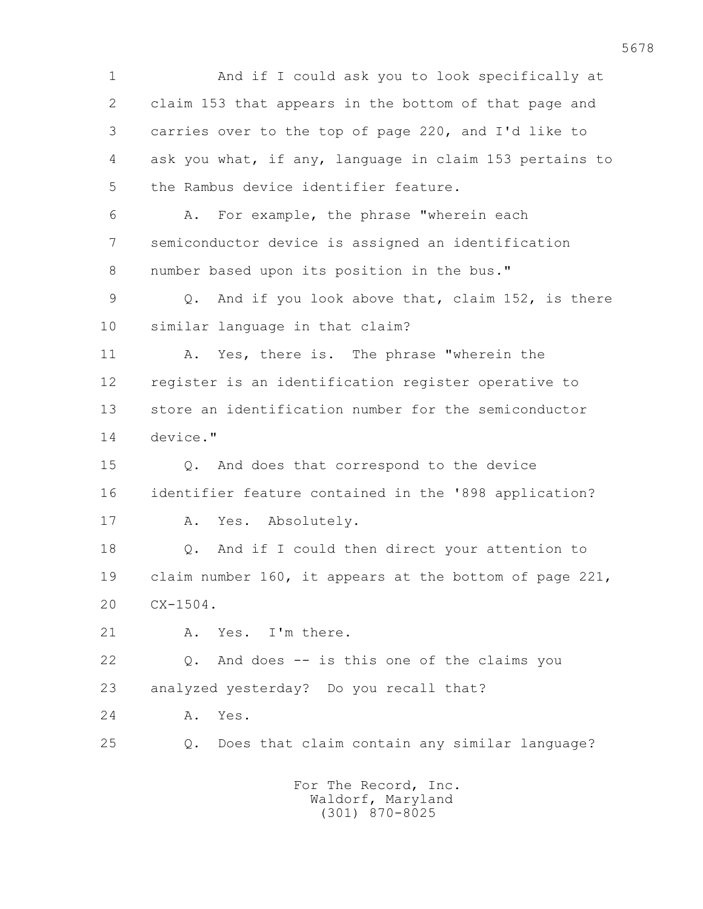1 And if I could ask you to look specifically at 2 claim 153 that appears in the bottom of that page and 3 carries over to the top of page 220, and I'd like to 4 ask you what, if any, language in claim 153 pertains to 5 the Rambus device identifier feature. 6 A. For example, the phrase "wherein each 7 semiconductor device is assigned an identification 8 number based upon its position in the bus." 9 Q. And if you look above that, claim 152, is there 10 similar language in that claim? 11 A. Yes, there is. The phrase "wherein the 12 register is an identification register operative to 13 store an identification number for the semiconductor 14 device." 15 Q. And does that correspond to the device 16 identifier feature contained in the '898 application? 17 A. Yes. Absolutely. 18 0. And if I could then direct your attention to 19 claim number 160, it appears at the bottom of page 221, 20 CX-1504. 21 A. Yes. I'm there. 22 Q. And does -- is this one of the claims you 23 analyzed yesterday? Do you recall that? 24 A. Yes. 25 Q. Does that claim contain any similar language? For The Record, Inc. Waldorf, Maryland (301) 870-8025

5678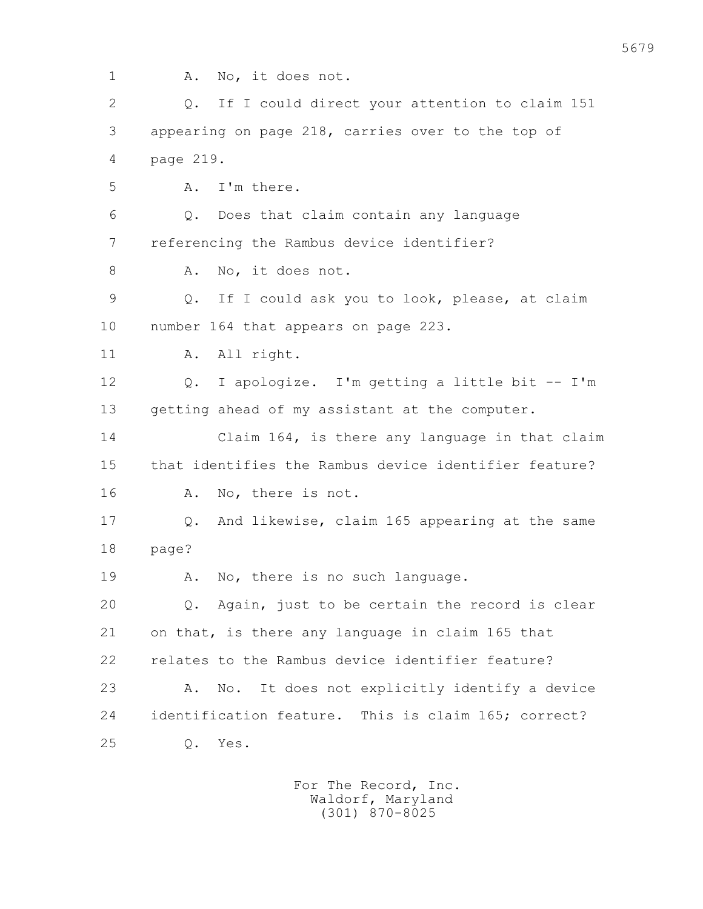1 A. No, it does not. 2 Q. If I could direct your attention to claim 151 3 appearing on page 218, carries over to the top of 4 page 219. 5 A. I'm there. 6 Q. Does that claim contain any language 7 referencing the Rambus device identifier? 8 A. No, it does not. 9 Q. If I could ask you to look, please, at claim 10 number 164 that appears on page 223. 11 A. All right. 12 Q. I apologize. I'm getting a little bit -- I'm 13 getting ahead of my assistant at the computer. 14 Claim 164, is there any language in that claim 15 that identifies the Rambus device identifier feature? 16 A. No, there is not. 17 Q. And likewise, claim 165 appearing at the same 18 page? 19 A. No, there is no such language. 20 Q. Again, just to be certain the record is clear 21 on that, is there any language in claim 165 that 22 relates to the Rambus device identifier feature? 23 A. No. It does not explicitly identify a device 24 identification feature. This is claim 165; correct? 25 Q. Yes.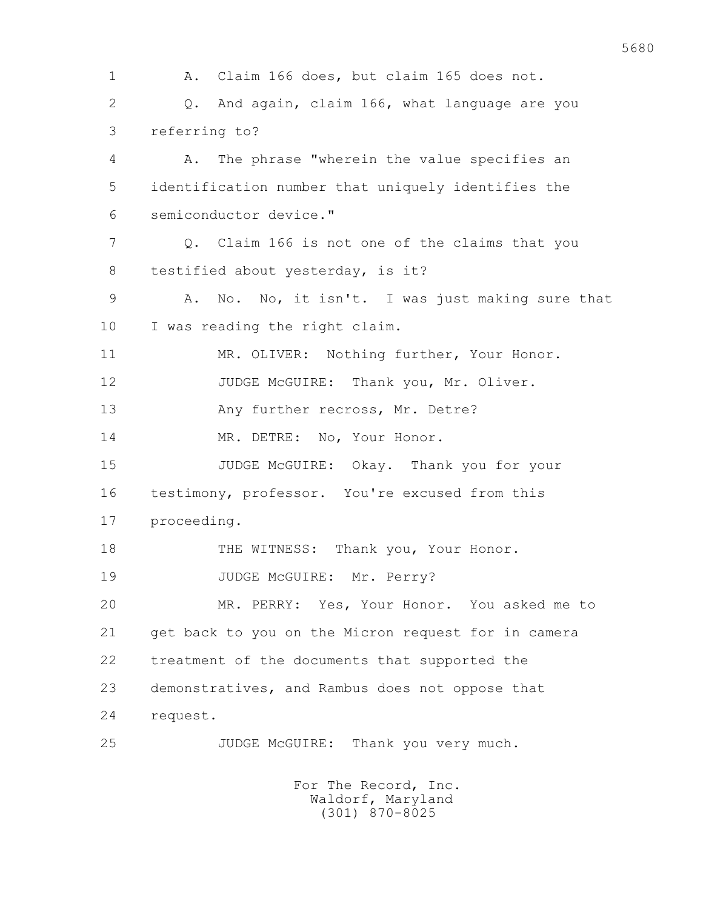1 A. Claim 166 does, but claim 165 does not. 2 Q. And again, claim 166, what language are you 3 referring to? 4 A. The phrase "wherein the value specifies an 5 identification number that uniquely identifies the 6 semiconductor device." 7 Q. Claim 166 is not one of the claims that you 8 testified about yesterday, is it? 9 A. No. No, it isn't. I was just making sure that 10 I was reading the right claim. 11 MR. OLIVER: Nothing further, Your Honor. 12 JUDGE McGUIRE: Thank you, Mr. Oliver. 13 Any further recross, Mr. Detre? 14 MR. DETRE: No, Your Honor. 15 JUDGE McGUIRE: Okay. Thank you for your 16 testimony, professor. You're excused from this 17 proceeding. 18 THE WITNESS: Thank you, Your Honor. 19 JUDGE McGUIRE: Mr. Perry? 20 MR. PERRY: Yes, Your Honor. You asked me to 21 get back to you on the Micron request for in camera 22 treatment of the documents that supported the 23 demonstratives, and Rambus does not oppose that 24 request. 25 JUDGE McGUIRE: Thank you very much. For The Record, Inc.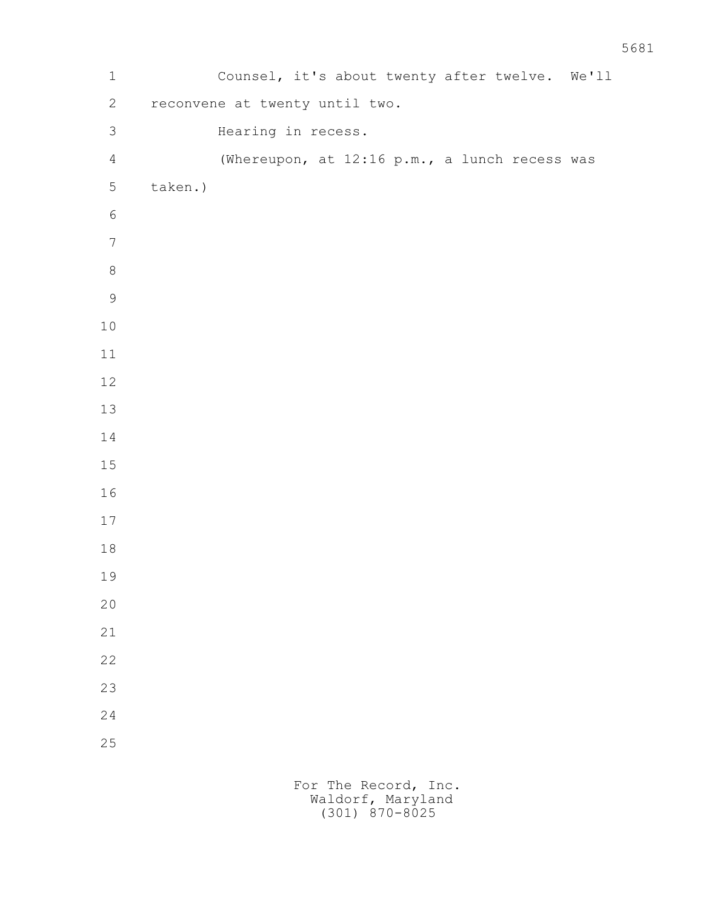1 Counsel, it's about twenty after twelve. We'll 2 reconvene at twenty until two. 3 Hearing in recess. 4 (Whereupon, at 12:16 p.m., a lunch recess was 5 taken.)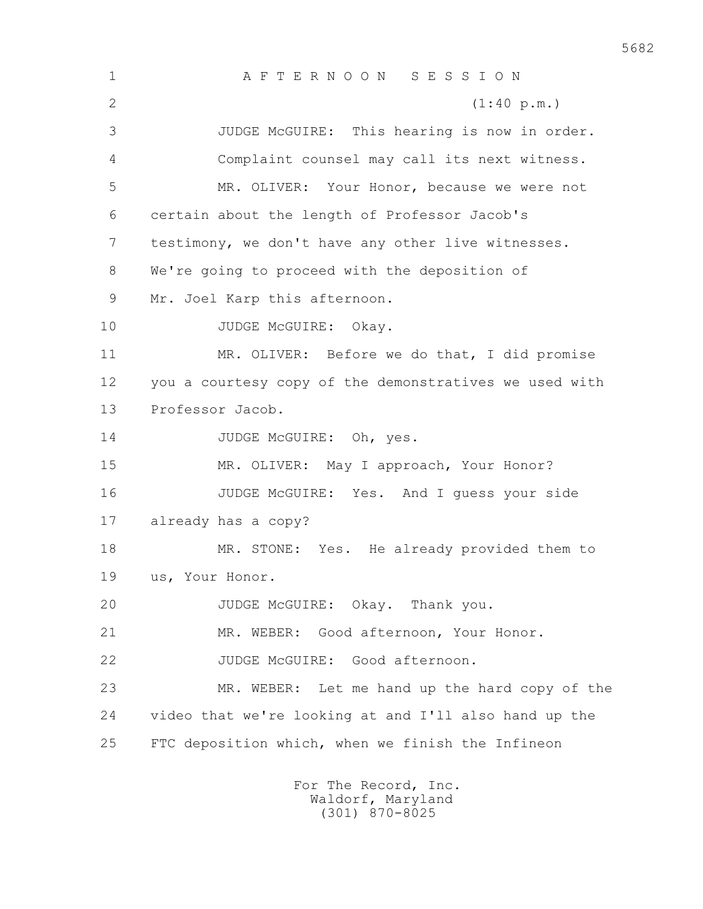1 A F T E R N O O N S E S S I O N 2 (1:40 p.m.) 3 JUDGE McGUIRE: This hearing is now in order. 4 Complaint counsel may call its next witness. 5 MR. OLIVER: Your Honor, because we were not 6 certain about the length of Professor Jacob's 7 testimony, we don't have any other live witnesses. 8 We're going to proceed with the deposition of 9 Mr. Joel Karp this afternoon. 10 JUDGE McGUIRE: Okay. 11 MR. OLIVER: Before we do that, I did promise 12 you a courtesy copy of the demonstratives we used with 13 Professor Jacob. 14 JUDGE McGUIRE: Oh, yes. 15 MR. OLIVER: May I approach, Your Honor? 16 JUDGE McGUIRE: Yes. And I guess your side 17 already has a copy? 18 MR. STONE: Yes. He already provided them to 19 us, Your Honor. 20 JUDGE McGUIRE: Okay. Thank you. 21 MR. WEBER: Good afternoon, Your Honor. 22 JUDGE McGUIRE: Good afternoon. 23 MR. WEBER: Let me hand up the hard copy of the 24 video that we're looking at and I'll also hand up the 25 FTC deposition which, when we finish the Infineon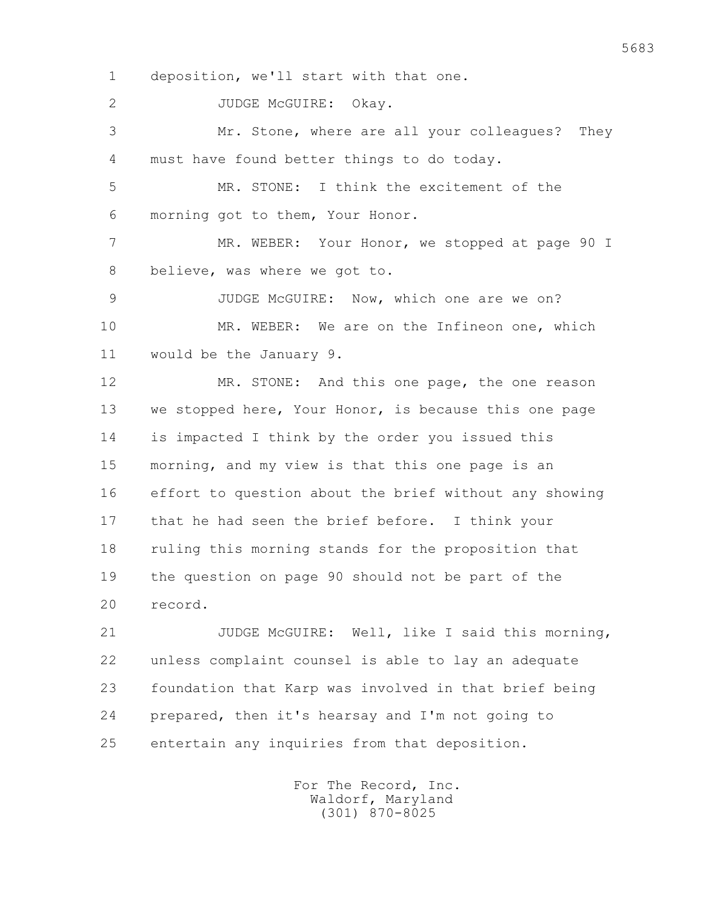1 deposition, we'll start with that one.

2 JUDGE McGUIRE: Okay.

 3 Mr. Stone, where are all your colleagues? They 4 must have found better things to do today.

 5 MR. STONE: I think the excitement of the 6 morning got to them, Your Honor.

7 MR. WEBER: Your Honor, we stopped at page 90 I 8 believe, was where we got to.

 9 JUDGE McGUIRE: Now, which one are we on? 10 MR. WEBER: We are on the Infineon one, which 11 would be the January 9.

 12 MR. STONE: And this one page, the one reason 13 we stopped here, Your Honor, is because this one page 14 is impacted I think by the order you issued this 15 morning, and my view is that this one page is an 16 effort to question about the brief without any showing 17 that he had seen the brief before. I think your 18 ruling this morning stands for the proposition that 19 the question on page 90 should not be part of the 20 record.

 21 JUDGE McGUIRE: Well, like I said this morning, 22 unless complaint counsel is able to lay an adequate 23 foundation that Karp was involved in that brief being 24 prepared, then it's hearsay and I'm not going to 25 entertain any inquiries from that deposition.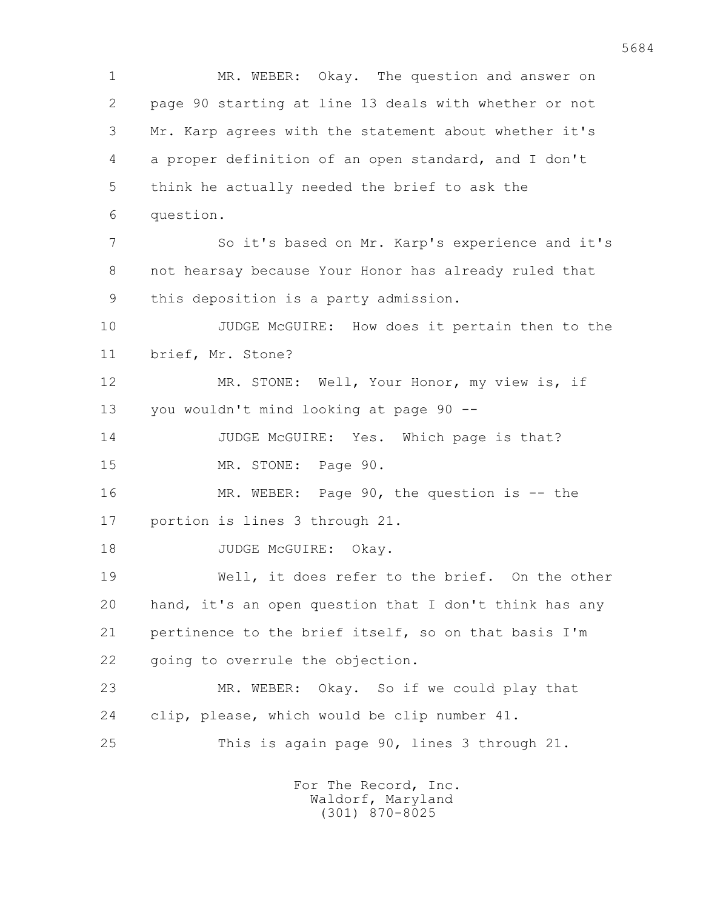1 MR. WEBER: Okay. The question and answer on 2 page 90 starting at line 13 deals with whether or not 3 Mr. Karp agrees with the statement about whether it's 4 a proper definition of an open standard, and I don't 5 think he actually needed the brief to ask the 6 question. 7 So it's based on Mr. Karp's experience and it's 8 not hearsay because Your Honor has already ruled that 9 this deposition is a party admission. 10 JUDGE McGUIRE: How does it pertain then to the 11 brief, Mr. Stone? 12 MR. STONE: Well, Your Honor, my view is, if 13 you wouldn't mind looking at page 90 -- 14 JUDGE McGUIRE: Yes. Which page is that? 15 MR. STONE: Page 90. 16 MR. WEBER: Page 90, the question is -- the 17 portion is lines 3 through 21. 18 JUDGE McGUIRE: Okay. 19 Well, it does refer to the brief. On the other 20 hand, it's an open question that I don't think has any 21 pertinence to the brief itself, so on that basis I'm 22 going to overrule the objection. 23 MR. WEBER: Okay. So if we could play that 24 clip, please, which would be clip number 41. 25 This is again page 90, lines 3 through 21. For The Record, Inc.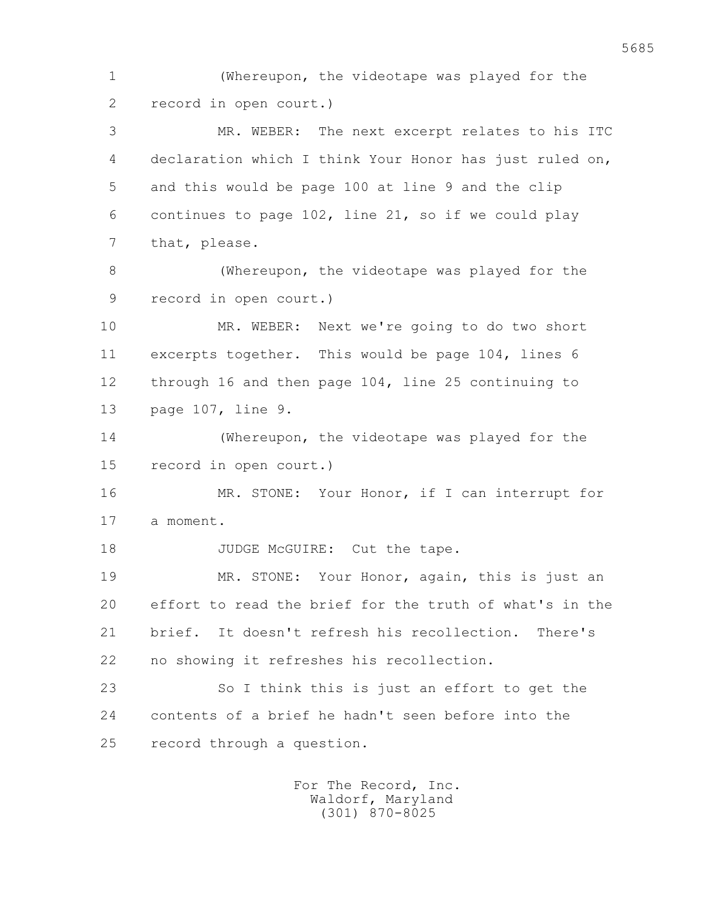1 (Whereupon, the videotape was played for the 2 record in open court.)

 3 MR. WEBER: The next excerpt relates to his ITC 4 declaration which I think Your Honor has just ruled on, 5 and this would be page 100 at line 9 and the clip 6 continues to page 102, line 21, so if we could play 7 that, please.

 8 (Whereupon, the videotape was played for the 9 record in open court.)

 10 MR. WEBER: Next we're going to do two short 11 excerpts together. This would be page 104, lines 6 12 through 16 and then page 104, line 25 continuing to 13 page 107, line 9.

 14 (Whereupon, the videotape was played for the 15 record in open court.)

 16 MR. STONE: Your Honor, if I can interrupt for 17 a moment.

18 JUDGE McGUIRE: Cut the tape.

 19 MR. STONE: Your Honor, again, this is just an 20 effort to read the brief for the truth of what's in the 21 brief. It doesn't refresh his recollection. There's 22 no showing it refreshes his recollection.

 23 So I think this is just an effort to get the 24 contents of a brief he hadn't seen before into the 25 record through a question.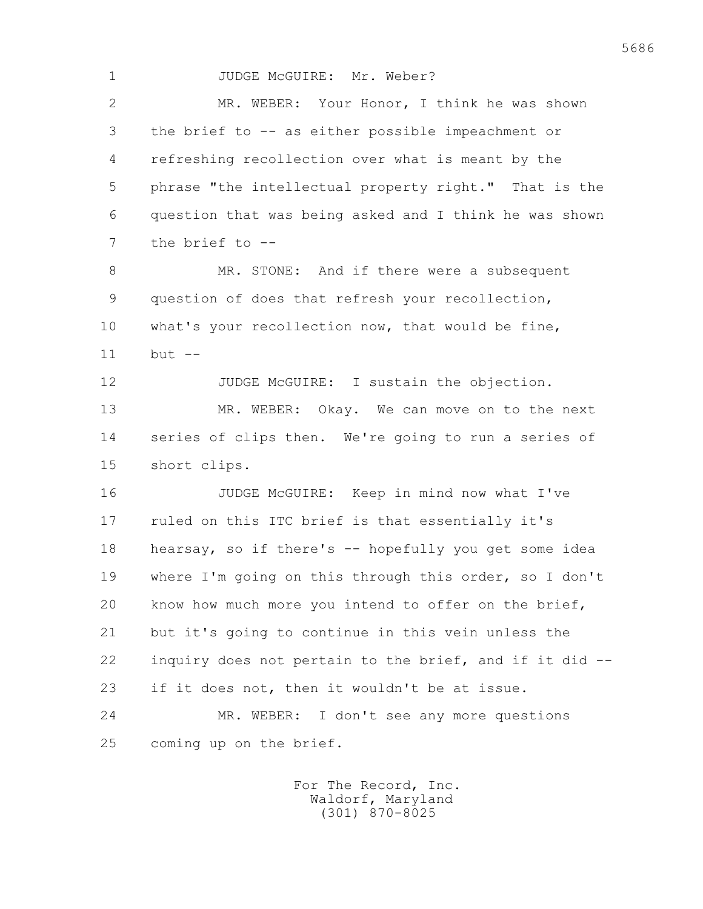1 JUDGE McGUIRE: Mr. Weber? 2 MR. WEBER: Your Honor, I think he was shown 3 the brief to -- as either possible impeachment or 4 refreshing recollection over what is meant by the 5 phrase "the intellectual property right." That is the 6 question that was being asked and I think he was shown 7 the brief to -- 8 MR. STONE: And if there were a subsequent 9 question of does that refresh your recollection, 10 what's your recollection now, that would be fine, 11 but -- 12 JUDGE McGUIRE: I sustain the objection. 13 MR. WEBER: Okay. We can move on to the next 14 series of clips then. We're going to run a series of 15 short clips. 16 JUDGE McGUIRE: Keep in mind now what I've 17 ruled on this ITC brief is that essentially it's 18 hearsay, so if there's -- hopefully you get some idea 19 where I'm going on this through this order, so I don't 20 know how much more you intend to offer on the brief, 21 but it's going to continue in this vein unless the 22 inquiry does not pertain to the brief, and if it did -- 23 if it does not, then it wouldn't be at issue. 24 MR. WEBER: I don't see any more questions 25 coming up on the brief.

> For The Record, Inc. Waldorf, Maryland (301) 870-8025

5686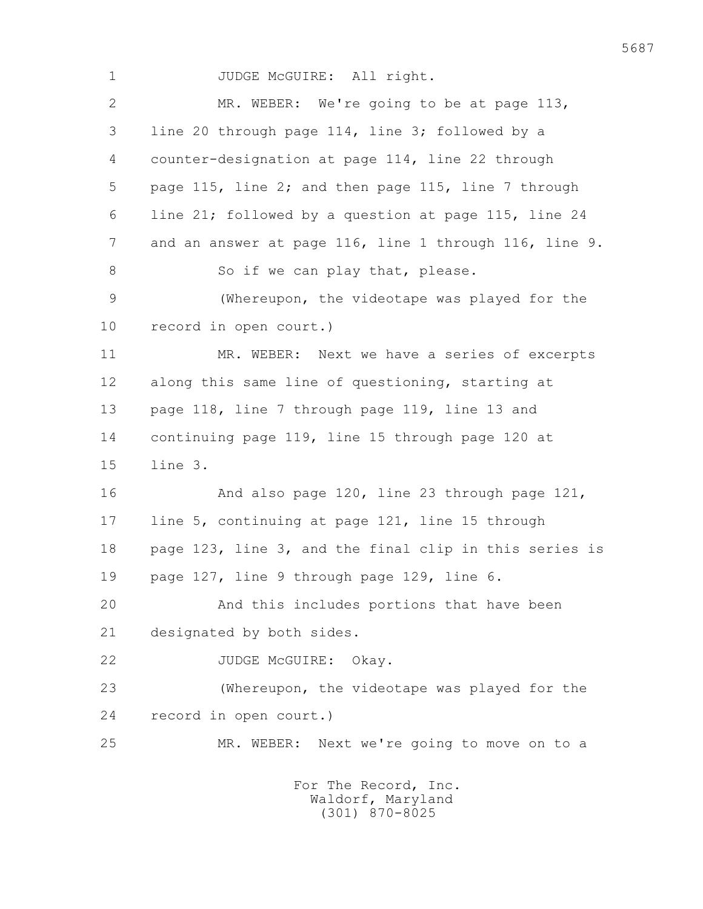1 JUDGE McGUIRE: All right. 2 MR. WEBER: We're going to be at page 113, 3 line 20 through page 114, line 3; followed by a 4 counter-designation at page 114, line 22 through 5 page 115, line 2; and then page 115, line 7 through 6 line 21; followed by a question at page 115, line 24 7 and an answer at page 116, line 1 through 116, line 9. 8 So if we can play that, please. 9 (Whereupon, the videotape was played for the 10 record in open court.) 11 MR. WEBER: Next we have a series of excerpts 12 along this same line of questioning, starting at 13 page 118, line 7 through page 119, line 13 and 14 continuing page 119, line 15 through page 120 at 15 line 3. 16 And also page 120, line 23 through page 121, 17 line 5, continuing at page 121, line 15 through 18 page 123, line 3, and the final clip in this series is 19 page 127, line 9 through page 129, line 6. 20 And this includes portions that have been 21 designated by both sides. 22 JUDGE McGUIRE: Okay. 23 (Whereupon, the videotape was played for the 24 record in open court.) 25 MR. WEBER: Next we're going to move on to a For The Record, Inc.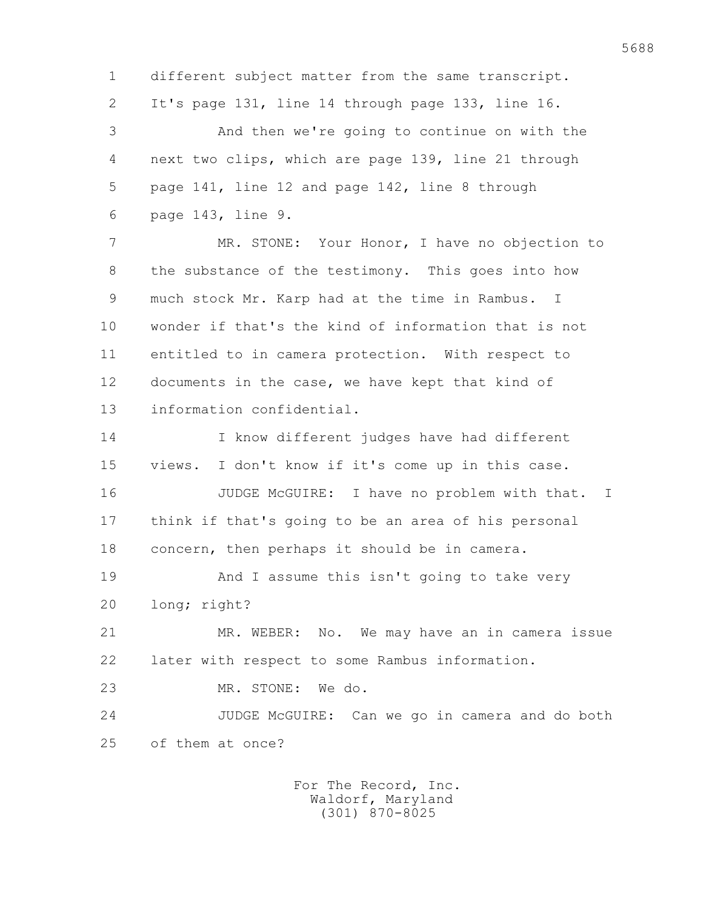1 different subject matter from the same transcript. 2 It's page 131, line 14 through page 133, line 16. 3 And then we're going to continue on with the 4 next two clips, which are page 139, line 21 through 5 page 141, line 12 and page 142, line 8 through 6 page 143, line 9. 7 MR. STONE: Your Honor, I have no objection to 8 the substance of the testimony. This goes into how 9 much stock Mr. Karp had at the time in Rambus. I 10 wonder if that's the kind of information that is not

 11 entitled to in camera protection. With respect to 12 documents in the case, we have kept that kind of 13 information confidential.

 14 I know different judges have had different 15 views. I don't know if it's come up in this case.

16 JUDGE McGUIRE: I have no problem with that. I 17 think if that's going to be an area of his personal 18 concern, then perhaps it should be in camera.

 19 And I assume this isn't going to take very 20 long; right?

 21 MR. WEBER: No. We may have an in camera issue 22 later with respect to some Rambus information.

23 MR. STONE: We do.

 24 JUDGE McGUIRE: Can we go in camera and do both 25 of them at once?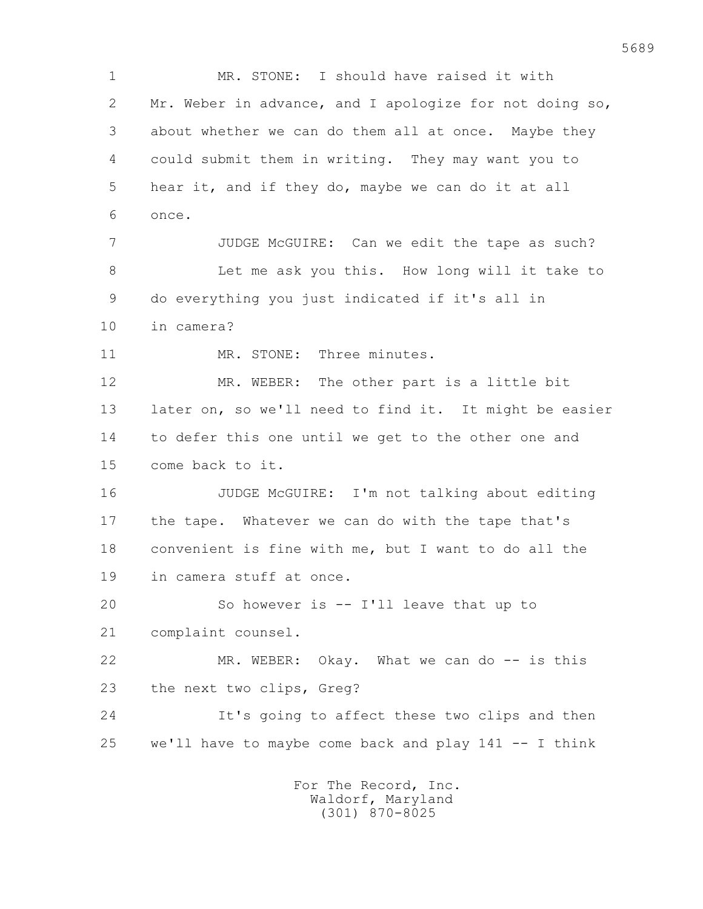1 MR. STONE: I should have raised it with 2 Mr. Weber in advance, and I apologize for not doing so, 3 about whether we can do them all at once. Maybe they 4 could submit them in writing. They may want you to 5 hear it, and if they do, maybe we can do it at all 6 once. 7 JUDGE McGUIRE: Can we edit the tape as such? 8 Let me ask you this. How long will it take to 9 do everything you just indicated if it's all in 10 in camera? 11 MR. STONE: Three minutes. 12 MR. WEBER: The other part is a little bit 13 later on, so we'll need to find it. It might be easier 14 to defer this one until we get to the other one and 15 come back to it. 16 JUDGE McGUIRE: I'm not talking about editing 17 the tape. Whatever we can do with the tape that's 18 convenient is fine with me, but I want to do all the 19 in camera stuff at once. 20 So however is -- I'll leave that up to 21 complaint counsel. 22 MR. WEBER: Okay. What we can do -- is this 23 the next two clips, Greg? 24 It's going to affect these two clips and then 25 we'll have to maybe come back and play 141 -- I think For The Record, Inc.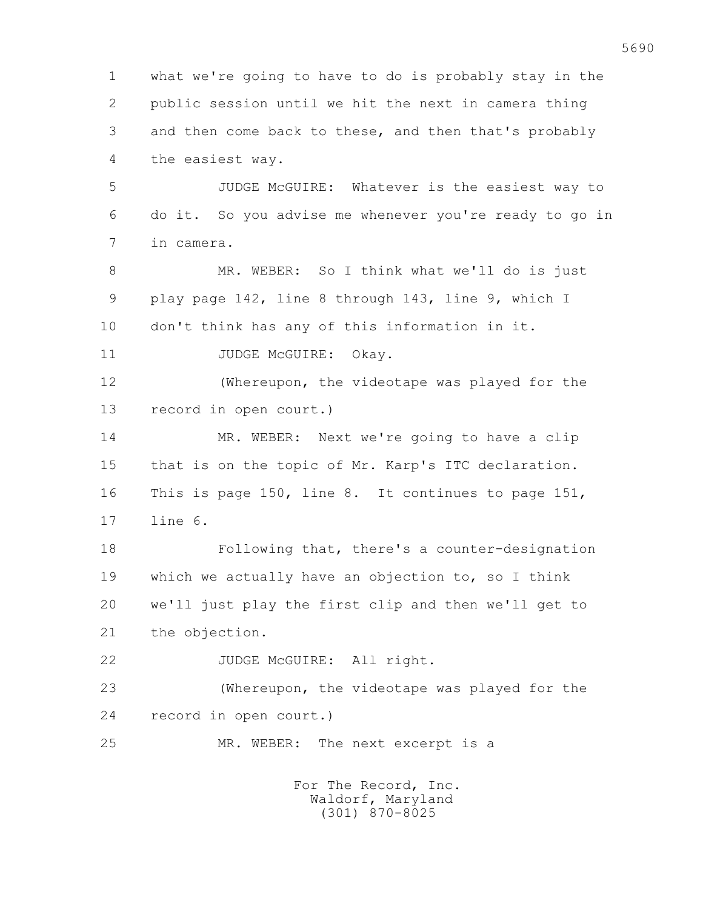1 what we're going to have to do is probably stay in the 2 public session until we hit the next in camera thing 3 and then come back to these, and then that's probably 4 the easiest way.

 5 JUDGE McGUIRE: Whatever is the easiest way to 6 do it. So you advise me whenever you're ready to go in 7 in camera.

 8 MR. WEBER: So I think what we'll do is just 9 play page 142, line 8 through 143, line 9, which I 10 don't think has any of this information in it.

11 JUDGE McGUIRE: Okay.

 12 (Whereupon, the videotape was played for the 13 record in open court.)

 14 MR. WEBER: Next we're going to have a clip 15 that is on the topic of Mr. Karp's ITC declaration. 16 This is page 150, line 8. It continues to page 151, 17 line 6.

 18 Following that, there's a counter-designation 19 which we actually have an objection to, so I think 20 we'll just play the first clip and then we'll get to 21 the objection.

22 JUDGE McGUIRE: All right.

 23 (Whereupon, the videotape was played for the 24 record in open court.)

25 MR. WEBER: The next excerpt is a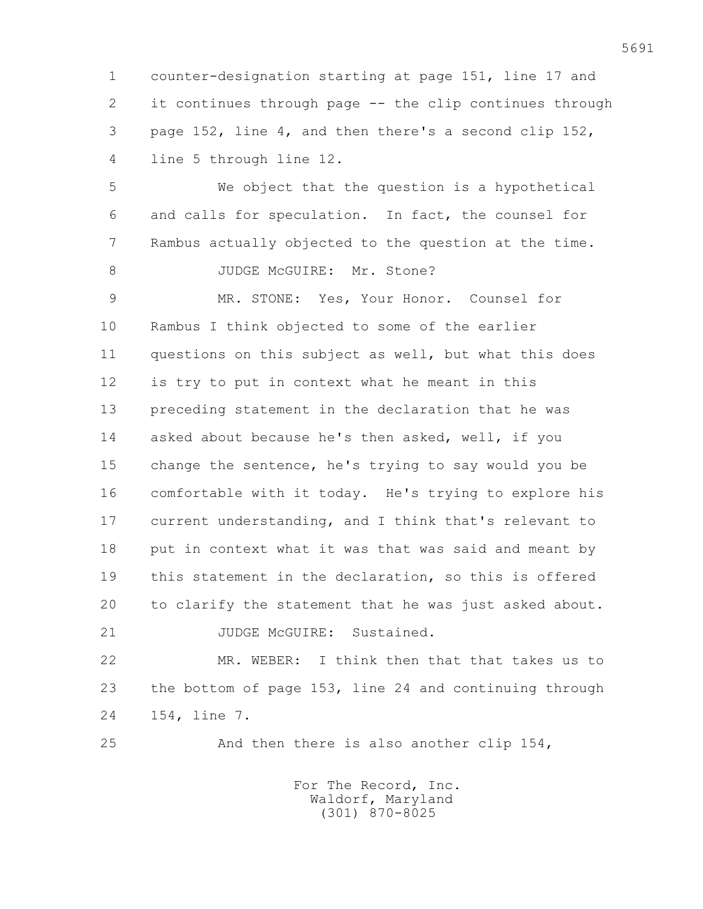1 counter-designation starting at page 151, line 17 and 2 it continues through page -- the clip continues through 3 page 152, line 4, and then there's a second clip 152, 4 line 5 through line 12.

 5 We object that the question is a hypothetical 6 and calls for speculation. In fact, the counsel for 7 Rambus actually objected to the question at the time. 8 JUDGE McGUIRE: Mr. Stone?

 9 MR. STONE: Yes, Your Honor. Counsel for 10 Rambus I think objected to some of the earlier 11 questions on this subject as well, but what this does 12 is try to put in context what he meant in this 13 preceding statement in the declaration that he was 14 asked about because he's then asked, well, if you 15 change the sentence, he's trying to say would you be 16 comfortable with it today. He's trying to explore his 17 current understanding, and I think that's relevant to 18 put in context what it was that was said and meant by 19 this statement in the declaration, so this is offered 20 to clarify the statement that he was just asked about. 21 JUDGE McGUIRE: Sustained.

 22 MR. WEBER: I think then that that takes us to 23 the bottom of page 153, line 24 and continuing through 24 154, line 7.

25 And then there is also another clip 154,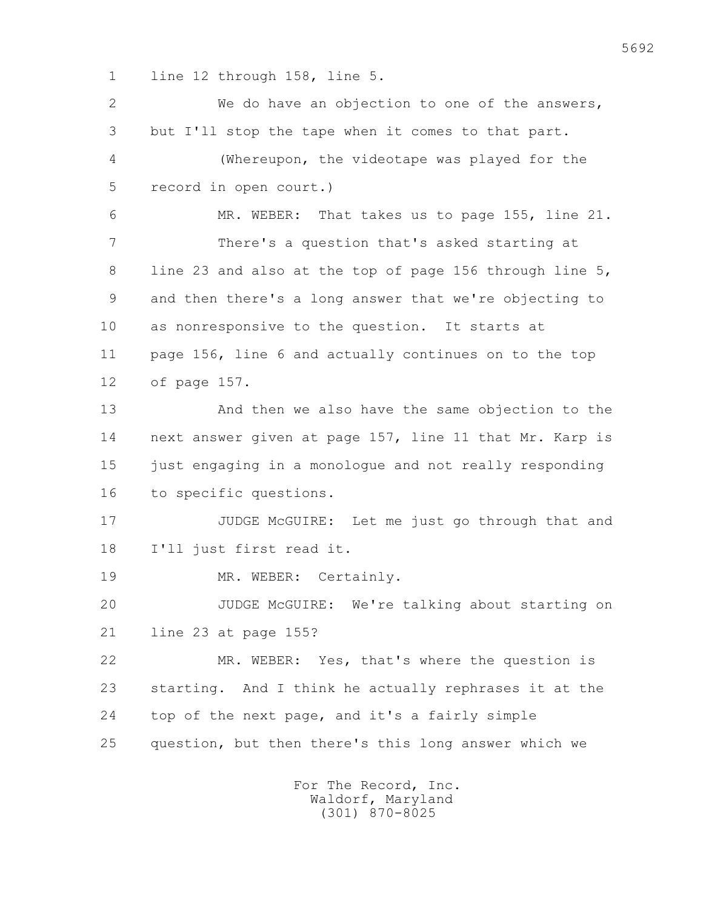1 line 12 through 158, line 5.

 2 We do have an objection to one of the answers, 3 but I'll stop the tape when it comes to that part. 4 (Whereupon, the videotape was played for the 5 record in open court.) 6 MR. WEBER: That takes us to page 155, line 21. 7 There's a question that's asked starting at 8 line 23 and also at the top of page 156 through line 5, 9 and then there's a long answer that we're objecting to 10 as nonresponsive to the question. It starts at 11 page 156, line 6 and actually continues on to the top 12 of page 157. 13 And then we also have the same objection to the 14 next answer given at page 157, line 11 that Mr. Karp is 15 just engaging in a monologue and not really responding 16 to specific questions. 17 JUDGE McGUIRE: Let me just go through that and 18 I'll just first read it. 19 MR. WEBER: Certainly. 20 JUDGE McGUIRE: We're talking about starting on 21 line 23 at page 155? 22 MR. WEBER: Yes, that's where the question is 23 starting. And I think he actually rephrases it at the 24 top of the next page, and it's a fairly simple 25 question, but then there's this long answer which we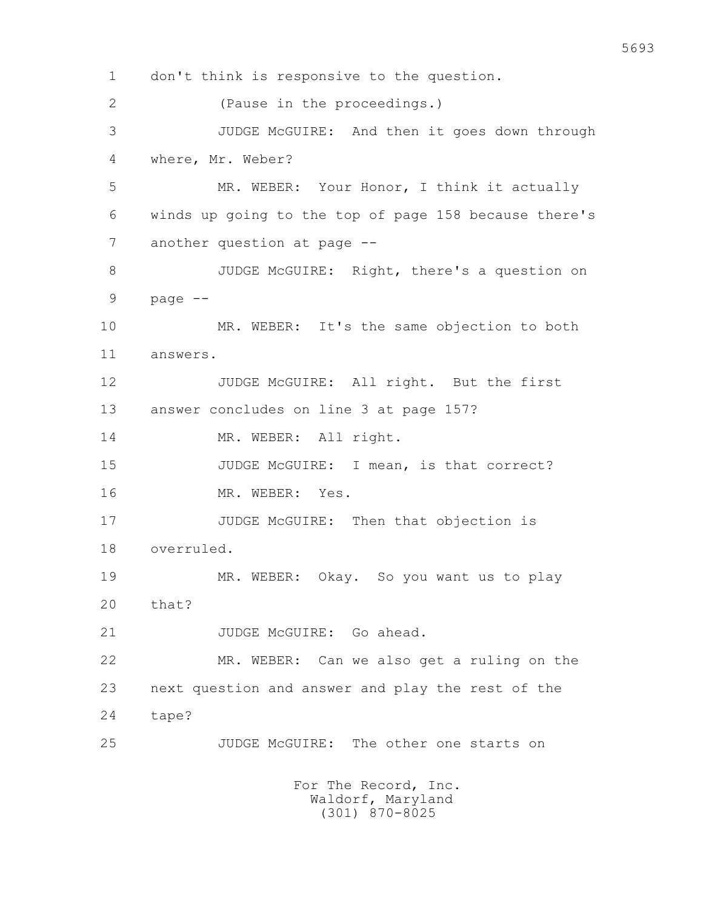1 don't think is responsive to the question. 2 (Pause in the proceedings.) 3 JUDGE McGUIRE: And then it goes down through 4 where, Mr. Weber? 5 MR. WEBER: Your Honor, I think it actually 6 winds up going to the top of page 158 because there's 7 another question at page -- 8 JUDGE McGUIRE: Right, there's a question on  $9$  page  $-$  10 MR. WEBER: It's the same objection to both 11 answers. 12 JUDGE McGUIRE: All right. But the first 13 answer concludes on line 3 at page 157? 14 MR. WEBER: All right. 15 JUDGE McGUIRE: I mean, is that correct? 16 MR. WEBER: Yes. 17 JUDGE McGUIRE: Then that objection is 18 overruled. 19 MR. WEBER: Okay. So you want us to play 20 that? 21 JUDGE McGUIRE: Go ahead. 22 MR. WEBER: Can we also get a ruling on the 23 next question and answer and play the rest of the 24 tape? 25 JUDGE McGUIRE: The other one starts on For The Record, Inc. Waldorf, Maryland

(301) 870-8025

5693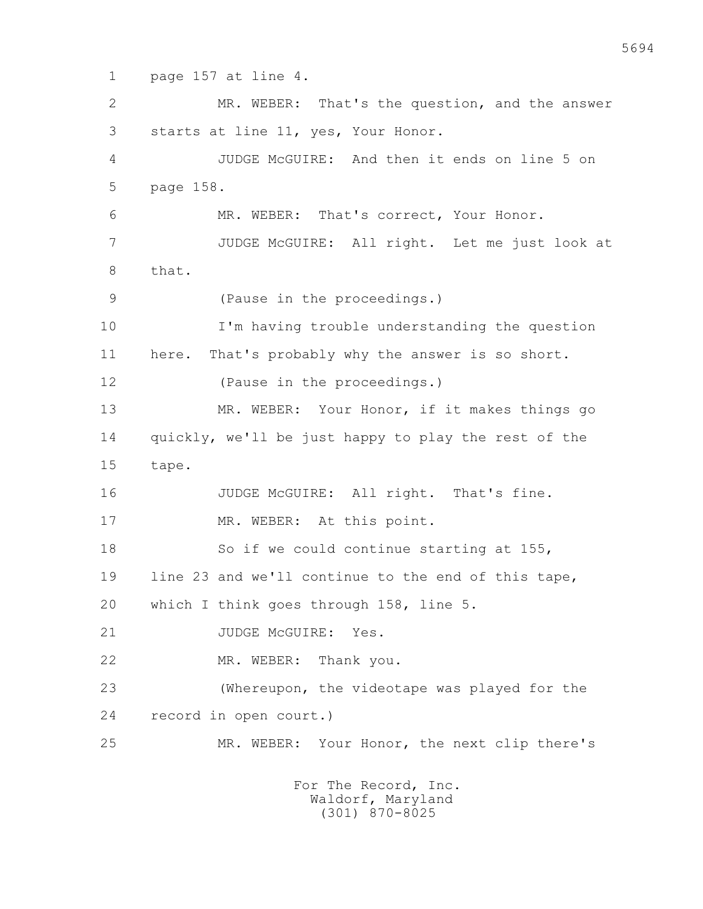1 page 157 at line 4.

 2 MR. WEBER: That's the question, and the answer 3 starts at line 11, yes, Your Honor. 4 JUDGE McGUIRE: And then it ends on line 5 on 5 page 158. 6 MR. WEBER: That's correct, Your Honor. 7 JUDGE McGUIRE: All right. Let me just look at 8 that. 9 (Pause in the proceedings.) 10 I'm having trouble understanding the question 11 here. That's probably why the answer is so short. 12 (Pause in the proceedings.) 13 MR. WEBER: Your Honor, if it makes things go 14 quickly, we'll be just happy to play the rest of the 15 tape. 16 JUDGE McGUIRE: All right. That's fine. 17 MR. WEBER: At this point. 18 So if we could continue starting at 155, 19 line 23 and we'll continue to the end of this tape, 20 which I think goes through 158, line 5. 21 JUDGE McGUIRE: Yes. 22 MR. WEBER: Thank you. 23 (Whereupon, the videotape was played for the 24 record in open court.) 25 MR. WEBER: Your Honor, the next clip there's For The Record, Inc.

 Waldorf, Maryland (301) 870-8025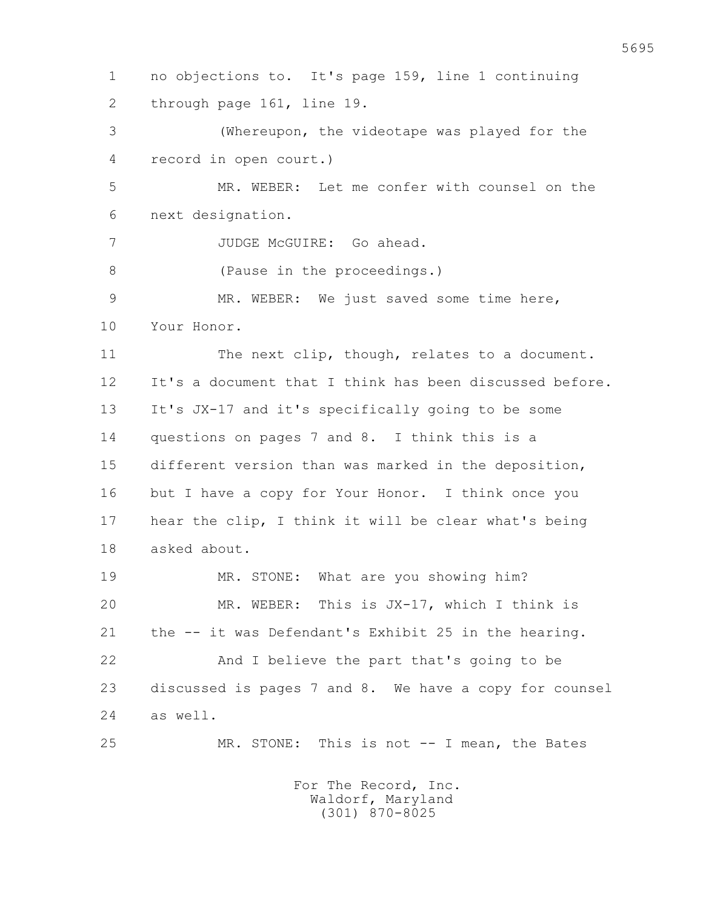1 no objections to. It's page 159, line 1 continuing 2 through page 161, line 19. 3 (Whereupon, the videotape was played for the 4 record in open court.) 5 MR. WEBER: Let me confer with counsel on the 6 next designation. 7 JUDGE McGUIRE: Go ahead. 8 (Pause in the proceedings.) 9 MR. WEBER: We just saved some time here, 10 Your Honor. 11 The next clip, though, relates to a document. 12 It's a document that I think has been discussed before. 13 It's JX-17 and it's specifically going to be some 14 questions on pages 7 and 8. I think this is a 15 different version than was marked in the deposition, 16 but I have a copy for Your Honor. I think once you 17 hear the clip, I think it will be clear what's being 18 asked about. 19 MR. STONE: What are you showing him? 20 MR. WEBER: This is JX-17, which I think is 21 the -- it was Defendant's Exhibit 25 in the hearing. 22 And I believe the part that's going to be 23 discussed is pages 7 and 8. We have a copy for counsel 24 as well. 25 MR. STONE: This is not -- I mean, the Bates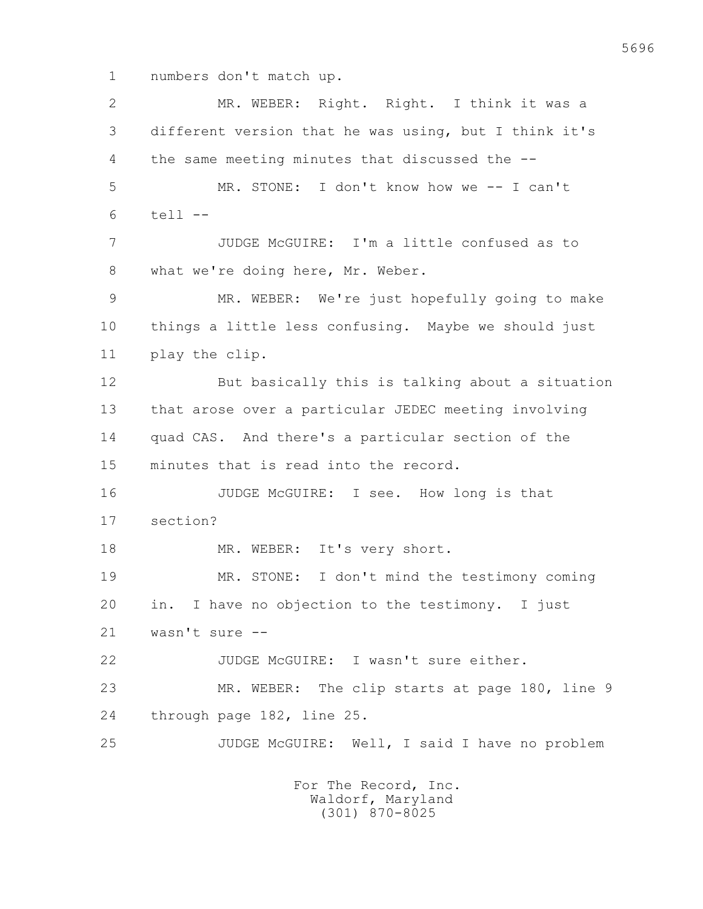1 numbers don't match up.

 2 MR. WEBER: Right. Right. I think it was a 3 different version that he was using, but I think it's 4 the same meeting minutes that discussed the -- 5 MR. STONE: I don't know how we -- I can't 6 tell -- 7 JUDGE McGUIRE: I'm a little confused as to 8 what we're doing here, Mr. Weber. 9 MR. WEBER: We're just hopefully going to make 10 things a little less confusing. Maybe we should just 11 play the clip. 12 But basically this is talking about a situation 13 that arose over a particular JEDEC meeting involving 14 quad CAS. And there's a particular section of the 15 minutes that is read into the record. 16 JUDGE McGUIRE: I see. How long is that 17 section? 18 MR. WEBER: It's very short. 19 MR. STONE: I don't mind the testimony coming 20 in. I have no objection to the testimony. I just 21 wasn't sure -- 22 JUDGE McGUIRE: I wasn't sure either. 23 MR. WEBER: The clip starts at page 180, line 9 24 through page 182, line 25. 25 JUDGE McGUIRE: Well, I said I have no problem For The Record, Inc.

 Waldorf, Maryland (301) 870-8025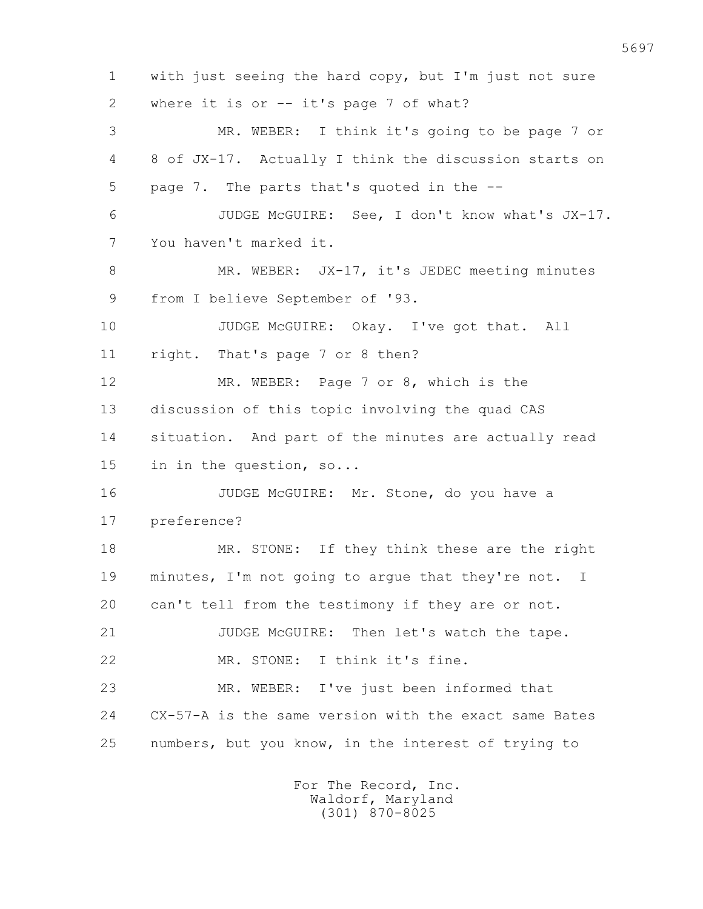1 with just seeing the hard copy, but I'm just not sure 2 where it is or -- it's page 7 of what? 3 MR. WEBER: I think it's going to be page 7 or 4 8 of JX-17. Actually I think the discussion starts on 5 page 7. The parts that's quoted in the -- 6 JUDGE McGUIRE: See, I don't know what's JX-17. 7 You haven't marked it. 8 MR. WEBER: JX-17, it's JEDEC meeting minutes 9 from I believe September of '93. 10 JUDGE McGUIRE: Okay. I've got that. All 11 right. That's page 7 or 8 then? 12 MR. WEBER: Page 7 or 8, which is the 13 discussion of this topic involving the quad CAS 14 situation. And part of the minutes are actually read 15 in in the question, so... 16 JUDGE McGUIRE: Mr. Stone, do you have a 17 preference? 18 MR. STONE: If they think these are the right 19 minutes, I'm not going to argue that they're not. I 20 can't tell from the testimony if they are or not. 21 JUDGE McGUIRE: Then let's watch the tape. 22 MR. STONE: I think it's fine. 23 MR. WEBER: I've just been informed that 24 CX-57-A is the same version with the exact same Bates 25 numbers, but you know, in the interest of trying to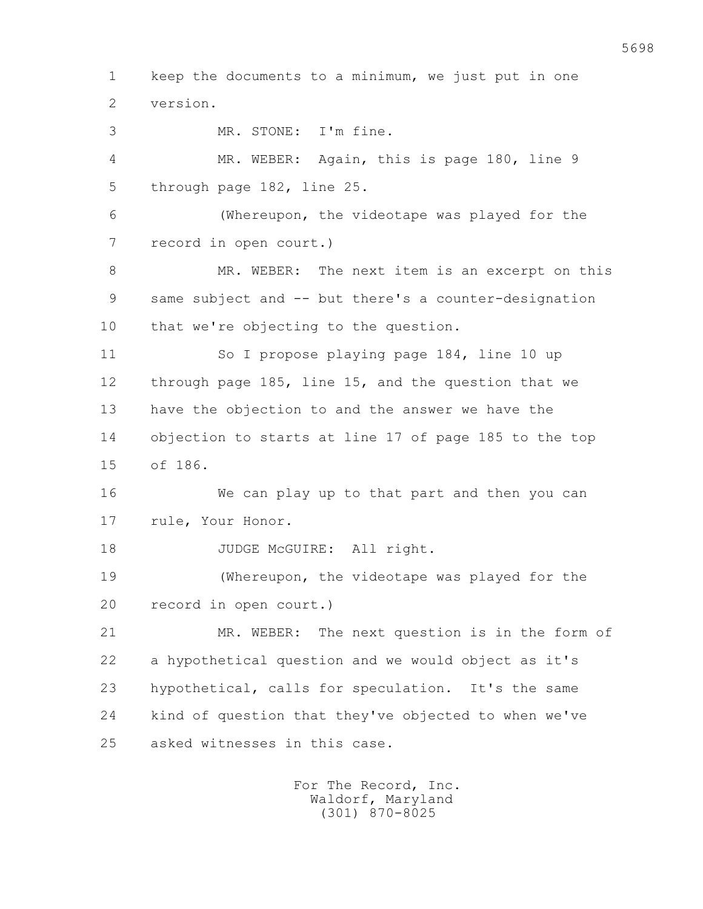1 keep the documents to a minimum, we just put in one 2 version. 3 MR. STONE: I'm fine. 4 MR. WEBER: Again, this is page 180, line 9 5 through page 182, line 25. 6 (Whereupon, the videotape was played for the 7 record in open court.) 8 MR. WEBER: The next item is an excerpt on this 9 same subject and -- but there's a counter-designation 10 that we're objecting to the question. 11 So I propose playing page 184, line 10 up 12 through page 185, line 15, and the question that we 13 have the objection to and the answer we have the 14 objection to starts at line 17 of page 185 to the top 15 of 186. 16 We can play up to that part and then you can 17 rule, Your Honor. 18 JUDGE McGUIRE: All right. 19 (Whereupon, the videotape was played for the 20 record in open court.) 21 MR. WEBER: The next question is in the form of 22 a hypothetical question and we would object as it's 23 hypothetical, calls for speculation. It's the same 24 kind of question that they've objected to when we've 25 asked witnesses in this case.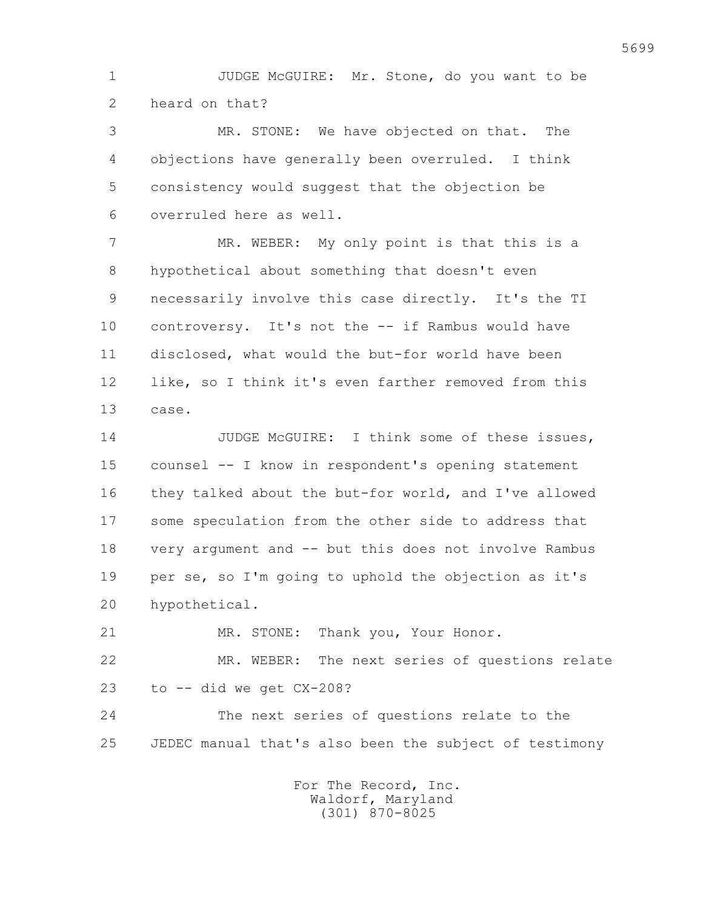1 JUDGE McGUIRE: Mr. Stone, do you want to be 2 heard on that?

 3 MR. STONE: We have objected on that. The 4 objections have generally been overruled. I think 5 consistency would suggest that the objection be 6 overruled here as well.

7 MR. WEBER: My only point is that this is a 8 hypothetical about something that doesn't even 9 necessarily involve this case directly. It's the TI 10 controversy. It's not the -- if Rambus would have 11 disclosed, what would the but-for world have been 12 like, so I think it's even farther removed from this 13 case.

14 JUDGE McGUIRE: I think some of these issues, 15 counsel -- I know in respondent's opening statement 16 they talked about the but-for world, and I've allowed 17 some speculation from the other side to address that 18 very argument and -- but this does not involve Rambus 19 per se, so I'm going to uphold the objection as it's 20 hypothetical.

 21 MR. STONE: Thank you, Your Honor. 22 MR. WEBER: The next series of questions relate  $23$  to  $-$  did we get  $CX-208$ ?

 24 The next series of questions relate to the 25 JEDEC manual that's also been the subject of testimony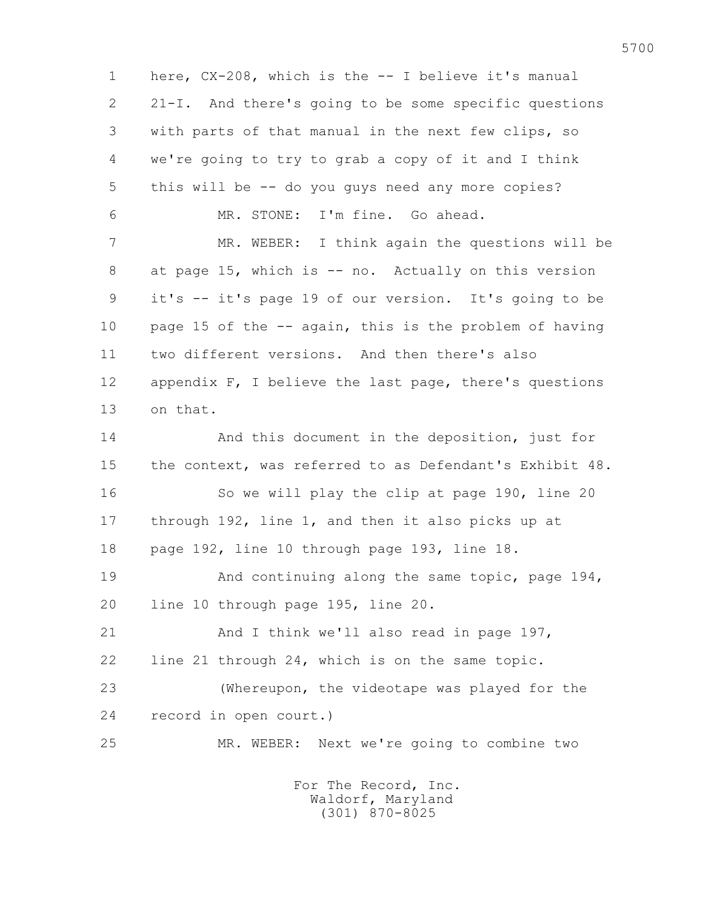1 here, CX-208, which is the -- I believe it's manual 2 21-I. And there's going to be some specific questions 3 with parts of that manual in the next few clips, so 4 we're going to try to grab a copy of it and I think 5 this will be -- do you guys need any more copies? 6 MR. STONE: I'm fine. Go ahead. 7 MR. WEBER: I think again the questions will be 8 at page 15, which is -- no. Actually on this version 9 it's -- it's page 19 of our version. It's going to be 10 page 15 of the -- again, this is the problem of having 11 two different versions. And then there's also 12 appendix F, I believe the last page, there's questions 13 on that. 14 And this document in the deposition, just for 15 the context, was referred to as Defendant's Exhibit 48. 16 So we will play the clip at page 190, line 20 17 through 192, line 1, and then it also picks up at 18 page 192, line 10 through page 193, line 18. 19 And continuing along the same topic, page 194, 20 line 10 through page 195, line 20. 21 And I think we'll also read in page 197, 22 line 21 through 24, which is on the same topic. 23 (Whereupon, the videotape was played for the 24 record in open court.) 25 MR. WEBER: Next we're going to combine two For The Record, Inc.

 Waldorf, Maryland (301) 870-8025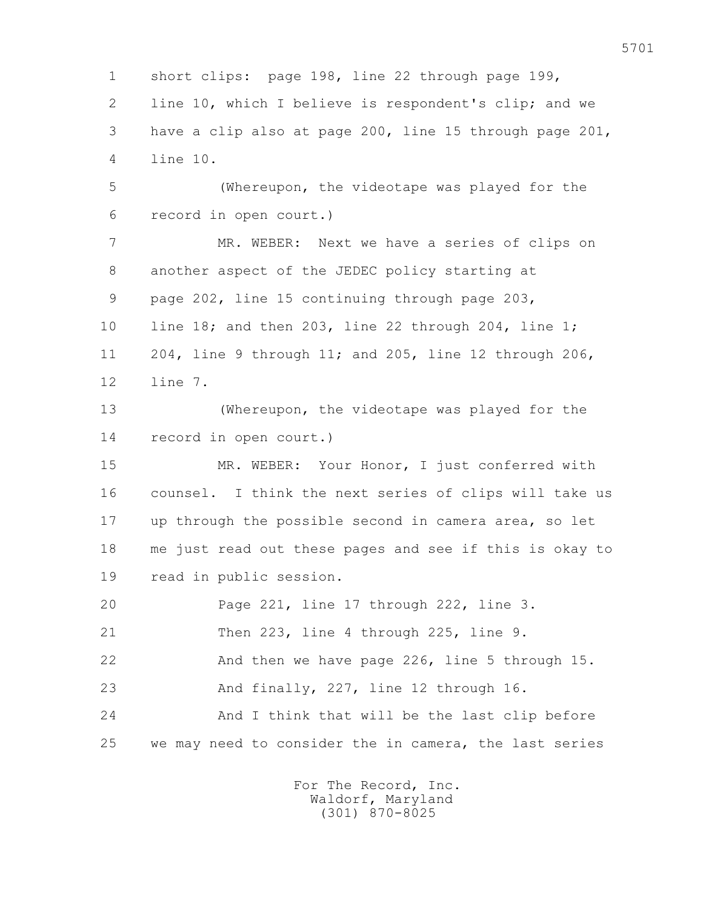1 short clips: page 198, line 22 through page 199, 2 line 10, which I believe is respondent's clip; and we 3 have a clip also at page 200, line 15 through page 201, 4 line 10.

 5 (Whereupon, the videotape was played for the 6 record in open court.)

 7 MR. WEBER: Next we have a series of clips on 8 another aspect of the JEDEC policy starting at 9 page 202, line 15 continuing through page 203, 10 line 18; and then 203, line 22 through 204, line 1; 11 204, line 9 through 11; and 205, line 12 through 206, 12 line 7.

 13 (Whereupon, the videotape was played for the 14 record in open court.)

 15 MR. WEBER: Your Honor, I just conferred with 16 counsel. I think the next series of clips will take us 17 up through the possible second in camera area, so let 18 me just read out these pages and see if this is okay to 19 read in public session.

 20 Page 221, line 17 through 222, line 3. 21 Then 223, line 4 through 225, line 9. 22 And then we have page 226, line 5 through 15. 23 And finally, 227, line 12 through 16. 24 And I think that will be the last clip before 25 we may need to consider the in camera, the last series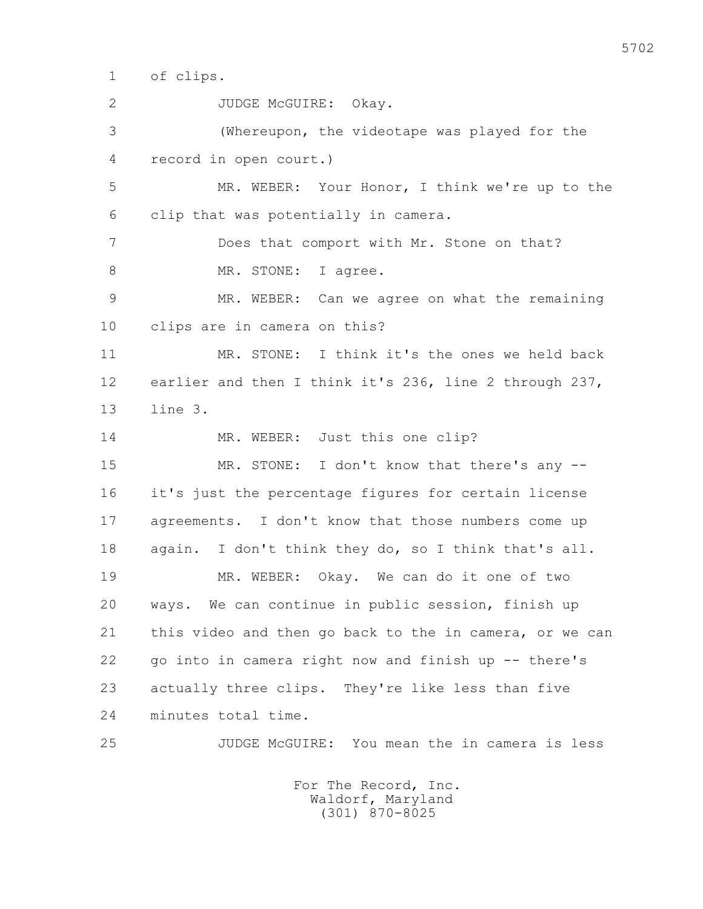1 of clips.

 2 JUDGE McGUIRE: Okay. 3 (Whereupon, the videotape was played for the 4 record in open court.) 5 MR. WEBER: Your Honor, I think we're up to the 6 clip that was potentially in camera. 7 Does that comport with Mr. Stone on that? 8 MR. STONE: I agree. 9 MR. WEBER: Can we agree on what the remaining 10 clips are in camera on this? 11 MR. STONE: I think it's the ones we held back 12 earlier and then I think it's 236, line 2 through 237, 13 line 3. 14 MR. WEBER: Just this one clip? 15 MR. STONE: I don't know that there's any -- 16 it's just the percentage figures for certain license 17 agreements. I don't know that those numbers come up 18 again. I don't think they do, so I think that's all. 19 MR. WEBER: Okay. We can do it one of two 20 ways. We can continue in public session, finish up 21 this video and then go back to the in camera, or we can 22 go into in camera right now and finish up -- there's 23 actually three clips. They're like less than five 24 minutes total time. 25 JUDGE McGUIRE: You mean the in camera is less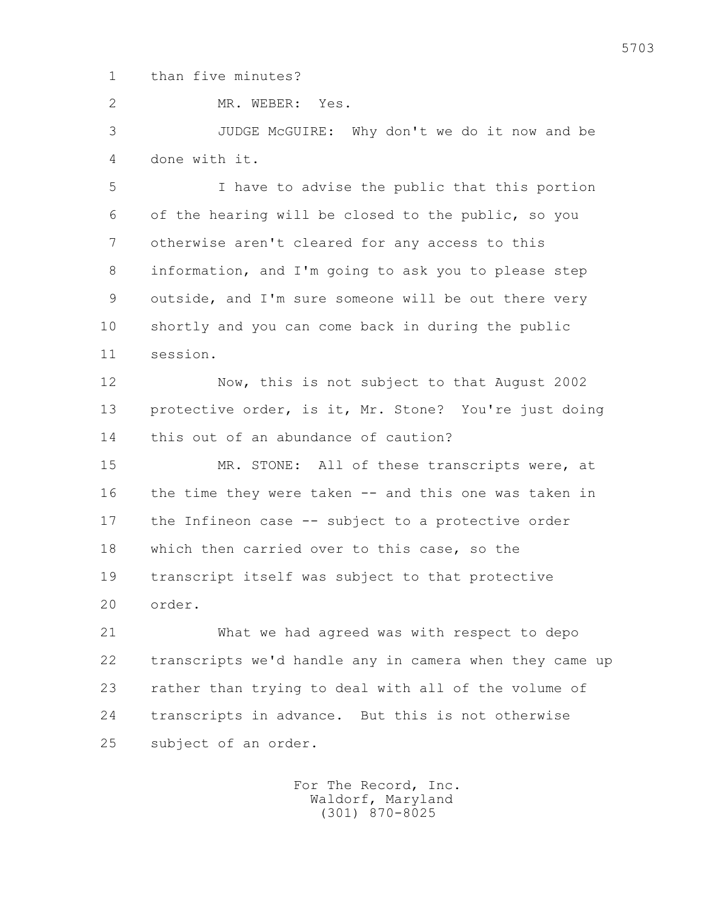1 than five minutes?

2 MR. WEBER: Yes.

 3 JUDGE McGUIRE: Why don't we do it now and be 4 done with it.

 5 I have to advise the public that this portion 6 of the hearing will be closed to the public, so you 7 otherwise aren't cleared for any access to this 8 information, and I'm going to ask you to please step 9 outside, and I'm sure someone will be out there very 10 shortly and you can come back in during the public 11 session.

 12 Now, this is not subject to that August 2002 13 protective order, is it, Mr. Stone? You're just doing 14 this out of an abundance of caution?

 15 MR. STONE: All of these transcripts were, at 16 the time they were taken -- and this one was taken in 17 the Infineon case -- subject to a protective order 18 which then carried over to this case, so the 19 transcript itself was subject to that protective 20 order.

 21 What we had agreed was with respect to depo 22 transcripts we'd handle any in camera when they came up 23 rather than trying to deal with all of the volume of 24 transcripts in advance. But this is not otherwise 25 subject of an order.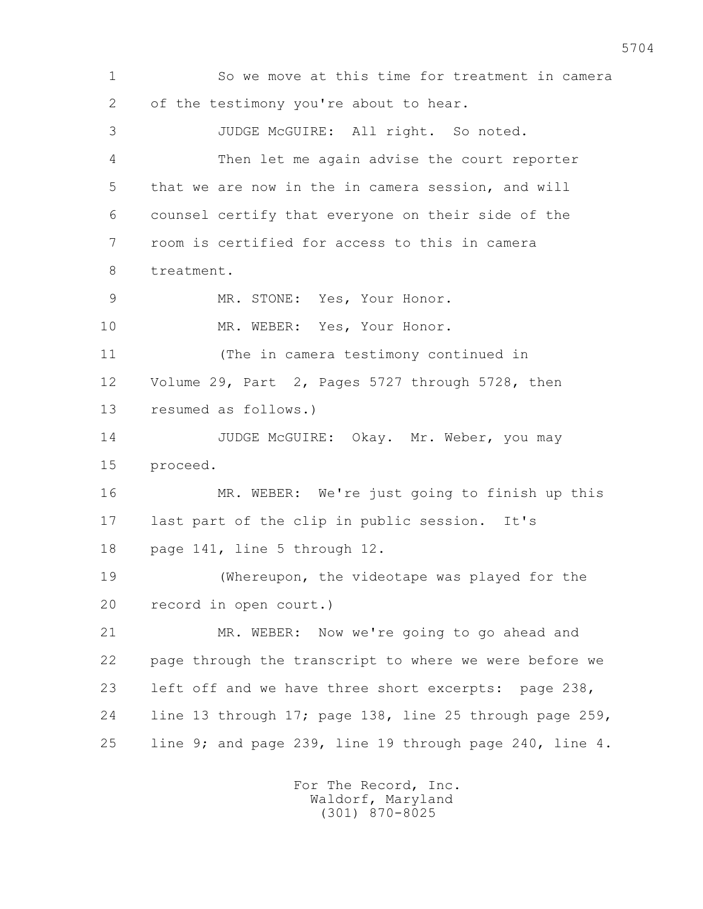1 So we move at this time for treatment in camera 2 of the testimony you're about to hear. 3 JUDGE McGUIRE: All right. So noted. 4 Then let me again advise the court reporter 5 that we are now in the in camera session, and will 6 counsel certify that everyone on their side of the 7 room is certified for access to this in camera 8 treatment. 9 MR. STONE: Yes, Your Honor. 10 MR. WEBER: Yes, Your Honor. 11 (The in camera testimony continued in 12 Volume 29, Part 2, Pages 5727 through 5728, then 13 resumed as follows.) 14 JUDGE McGUIRE: Okay. Mr. Weber, you may 15 proceed. 16 MR. WEBER: We're just going to finish up this 17 last part of the clip in public session. It's 18 page 141, line 5 through 12. 19 (Whereupon, the videotape was played for the 20 record in open court.) 21 MR. WEBER: Now we're going to go ahead and 22 page through the transcript to where we were before we 23 left off and we have three short excerpts: page 238, 24 line 13 through 17; page 138, line 25 through page 259, 25 line 9; and page 239, line 19 through page 240, line 4.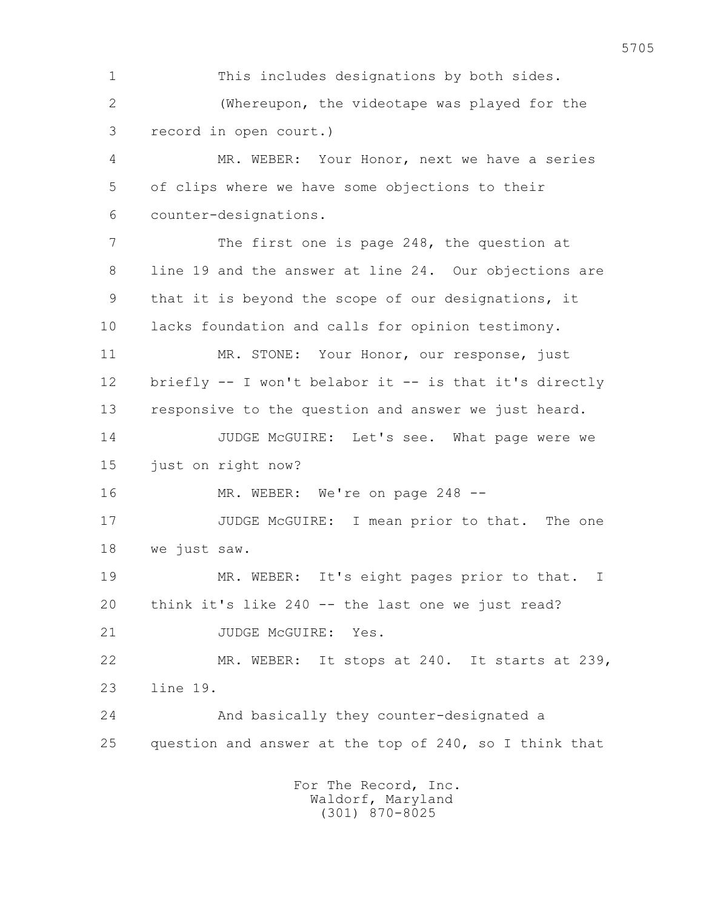1 This includes designations by both sides. 2 (Whereupon, the videotape was played for the 3 record in open court.)

 4 MR. WEBER: Your Honor, next we have a series 5 of clips where we have some objections to their 6 counter-designations.

7 The first one is page 248, the question at 8 line 19 and the answer at line 24. Our objections are 9 that it is beyond the scope of our designations, it 10 lacks foundation and calls for opinion testimony.

 11 MR. STONE: Your Honor, our response, just 12 briefly -- I won't belabor it -- is that it's directly 13 responsive to the question and answer we just heard.

 14 JUDGE McGUIRE: Let's see. What page were we 15 just on right now?

16 MR. WEBER: We're on page 248 --

17 JUDGE McGUIRE: I mean prior to that. The one 18 we just saw.

 19 MR. WEBER: It's eight pages prior to that. I 20 think it's like 240 -- the last one we just read? 21 JUDGE McGUIRE: Yes.

 22 MR. WEBER: It stops at 240. It starts at 239, 23 line 19.

 24 And basically they counter-designated a 25 question and answer at the top of 240, so I think that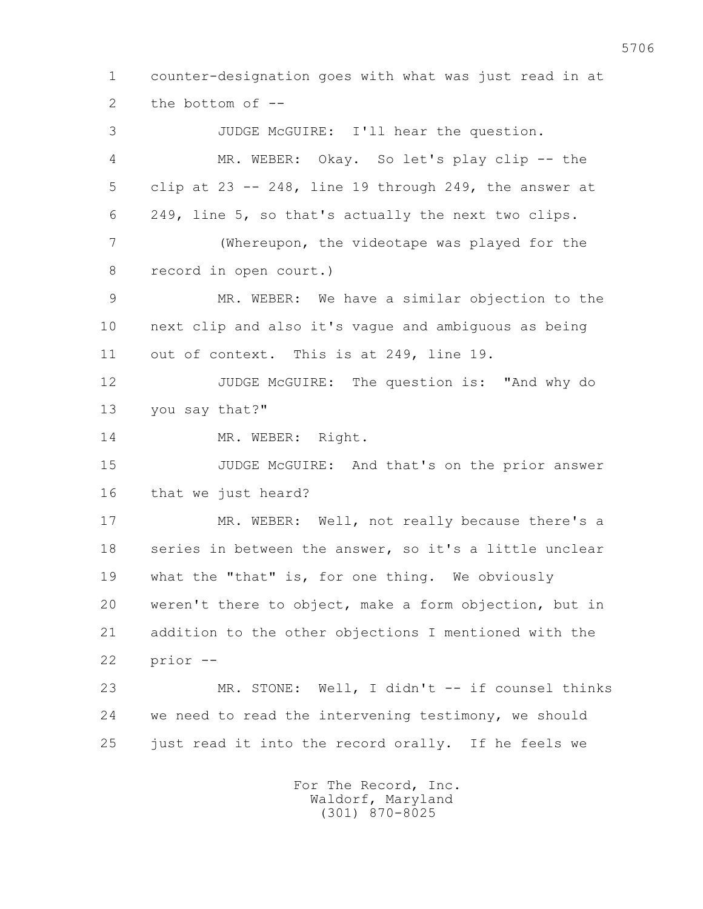1 counter-designation goes with what was just read in at 2 the bottom of -- 3 JUDGE McGUIRE: I'll hear the question. 4 MR. WEBER: Okay. So let's play clip -- the 5 clip at 23 -- 248, line 19 through 249, the answer at 6 249, line 5, so that's actually the next two clips. 7 (Whereupon, the videotape was played for the 8 record in open court.) 9 MR. WEBER: We have a similar objection to the 10 next clip and also it's vague and ambiguous as being 11 out of context. This is at 249, line 19. 12 JUDGE McGUIRE: The question is: "And why do 13 you say that?" 14 MR. WEBER: Right. 15 JUDGE McGUIRE: And that's on the prior answer 16 that we just heard? 17 MR. WEBER: Well, not really because there's a 18 series in between the answer, so it's a little unclear 19 what the "that" is, for one thing. We obviously 20 weren't there to object, make a form objection, but in 21 addition to the other objections I mentioned with the 22 prior -- 23 MR. STONE: Well, I didn't -- if counsel thinks 24 we need to read the intervening testimony, we should 25 just read it into the record orally. If he feels we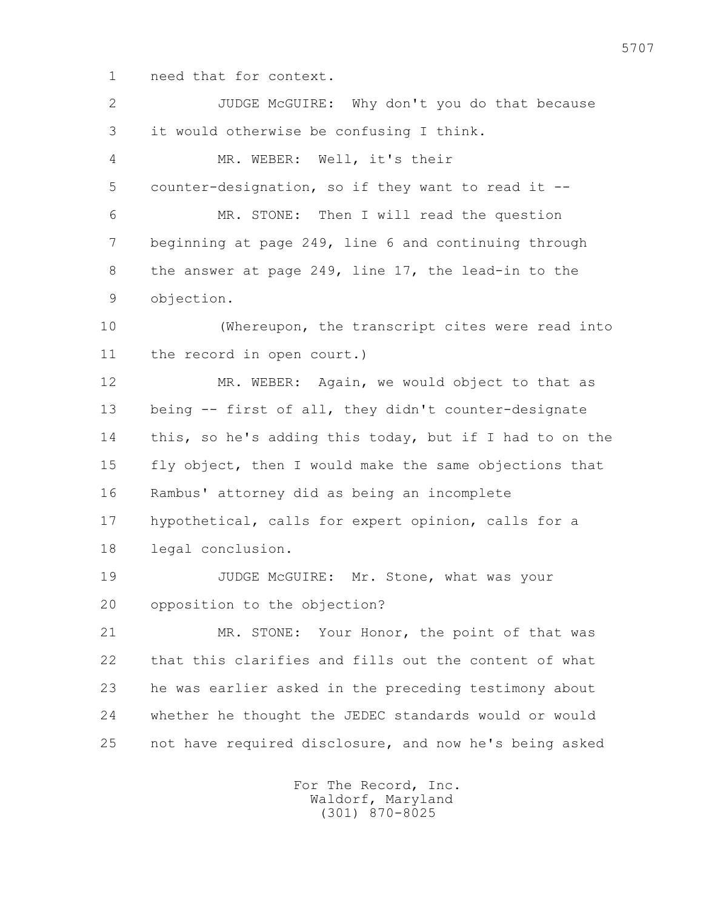1 need that for context.

| $\overline{2}$ | JUDGE McGUIRE: Why don't you do that because            |
|----------------|---------------------------------------------------------|
| 3              | it would otherwise be confusing I think.                |
| 4              | MR. WEBER: Well, it's their                             |
| 5              | counter-designation, so if they want to read it --      |
| 6              | MR. STONE: Then I will read the question                |
| 7              | beginning at page 249, line 6 and continuing through    |
| 8              | the answer at page 249, line 17, the lead-in to the     |
| 9              | objection.                                              |
| 10             | (Whereupon, the transcript cites were read into         |
| 11             | the record in open court.)                              |
| 12             | MR. WEBER: Again, we would object to that as            |
| 13             | being -- first of all, they didn't counter-designate    |
| 14             | this, so he's adding this today, but if I had to on the |
| 15             | fly object, then I would make the same objections that  |
| 16             | Rambus' attorney did as being an incomplete             |
| 17             | hypothetical, calls for expert opinion, calls for a     |
| 18             | legal conclusion.                                       |
| 19             | JUDGE McGUIRE: Mr. Stone, what was your                 |
| 20             | opposition to the objection?                            |
| 21             | MR. STONE: Your Honor, the point of that was            |
| 22             | that this clarifies and fills out the content of what   |
| 23             | he was earlier asked in the preceding testimony about   |
| 24             | whether he thought the JEDEC standards would or would   |
| 25             | not have required disclosure, and now he's being asked  |
|                |                                                         |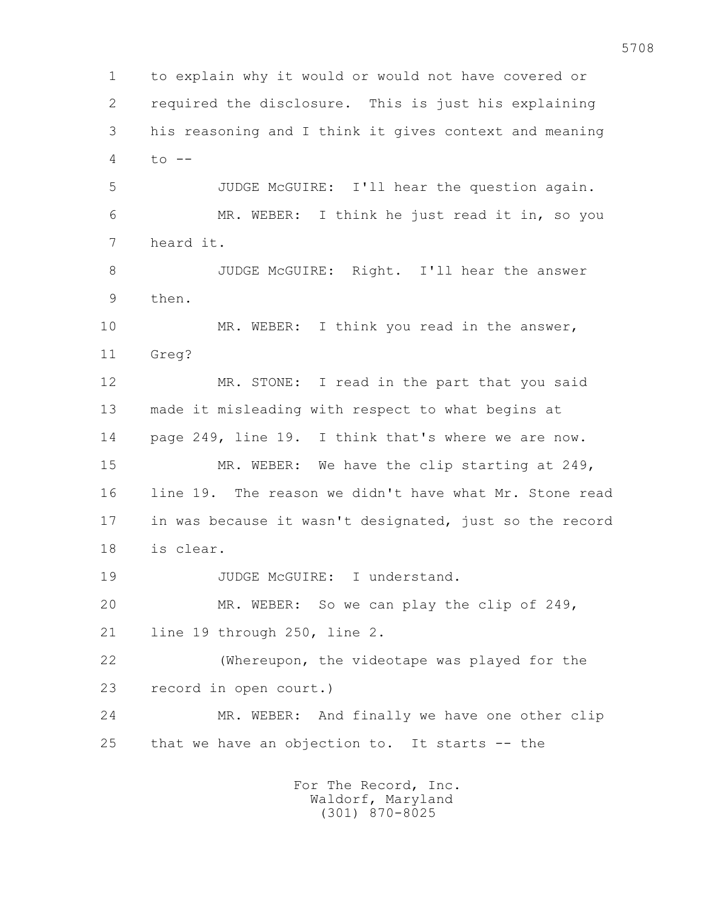1 to explain why it would or would not have covered or 2 required the disclosure. This is just his explaining 3 his reasoning and I think it gives context and meaning 4 to -- 5 JUDGE McGUIRE: I'll hear the question again. 6 MR. WEBER: I think he just read it in, so you 7 heard it. 8 JUDGE McGUIRE: Right. I'll hear the answer 9 then. 10 MR. WEBER: I think you read in the answer, 11 Greg? 12 MR. STONE: I read in the part that you said 13 made it misleading with respect to what begins at 14 page 249, line 19. I think that's where we are now. 15 MR. WEBER: We have the clip starting at 249, 16 line 19. The reason we didn't have what Mr. Stone read 17 in was because it wasn't designated, just so the record 18 is clear. 19 JUDGE McGUIRE: I understand. 20 MR. WEBER: So we can play the clip of 249, 21 line 19 through 250, line 2. 22 (Whereupon, the videotape was played for the 23 record in open court.) 24 MR. WEBER: And finally we have one other clip 25 that we have an objection to. It starts -- the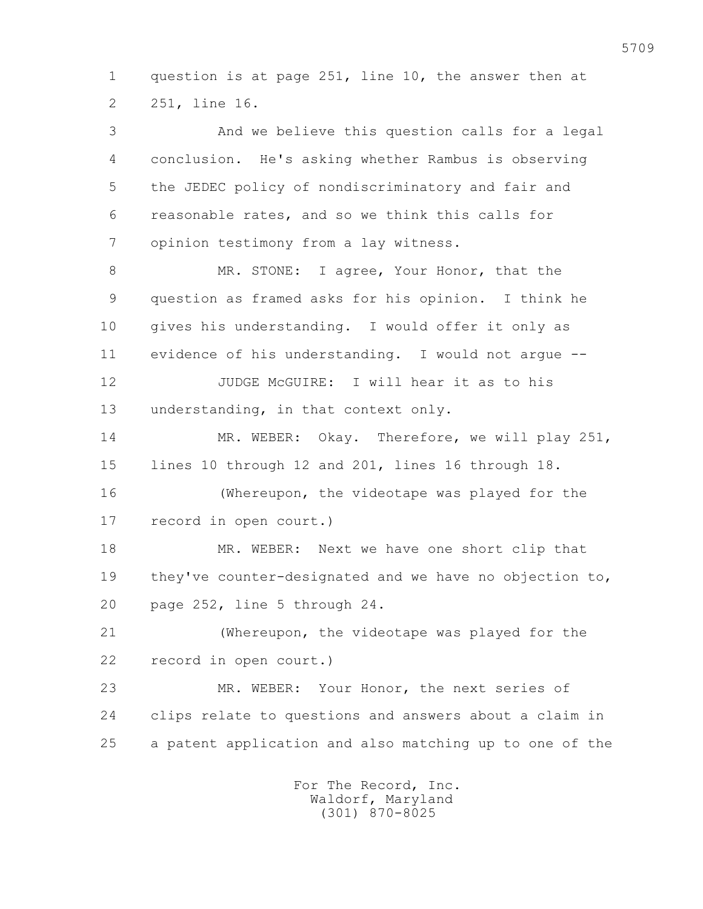1 question is at page 251, line 10, the answer then at 2 251, line 16.

 3 And we believe this question calls for a legal 4 conclusion. He's asking whether Rambus is observing 5 the JEDEC policy of nondiscriminatory and fair and 6 reasonable rates, and so we think this calls for 7 opinion testimony from a lay witness.

8 MR. STONE: I agree, Your Honor, that the 9 question as framed asks for his opinion. I think he 10 gives his understanding. I would offer it only as 11 evidence of his understanding. I would not argue --

 12 JUDGE McGUIRE: I will hear it as to his 13 understanding, in that context only.

 14 MR. WEBER: Okay. Therefore, we will play 251, 15 lines 10 through 12 and 201, lines 16 through 18.

 16 (Whereupon, the videotape was played for the 17 record in open court.)

 18 MR. WEBER: Next we have one short clip that 19 they've counter-designated and we have no objection to, 20 page 252, line 5 through 24.

 21 (Whereupon, the videotape was played for the 22 record in open court.)

 23 MR. WEBER: Your Honor, the next series of 24 clips relate to questions and answers about a claim in 25 a patent application and also matching up to one of the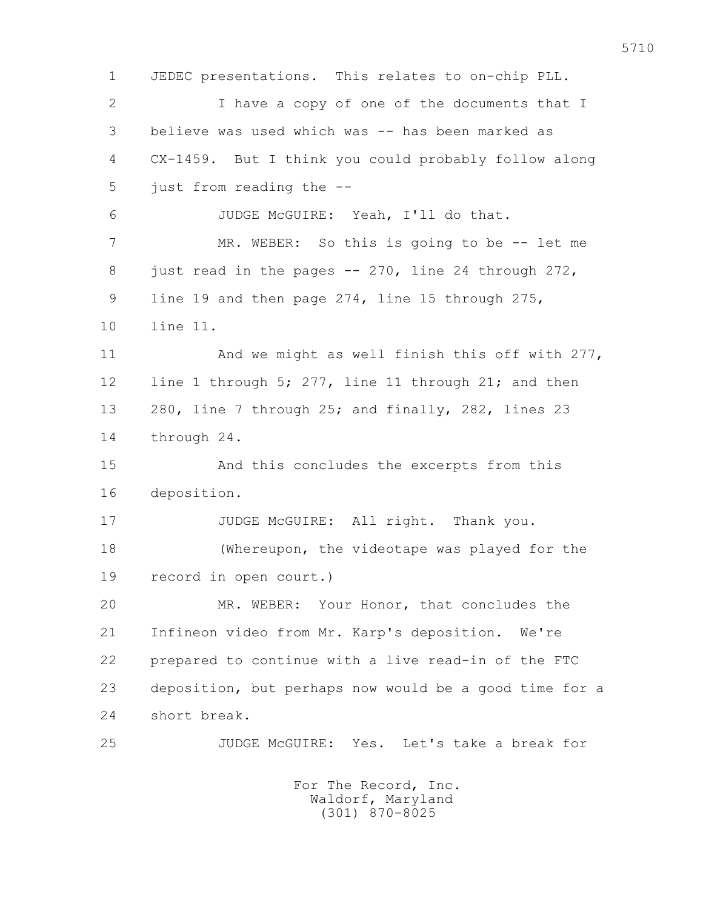1 JEDEC presentations. This relates to on-chip PLL. 2 I have a copy of one of the documents that I 3 believe was used which was -- has been marked as 4 CX-1459. But I think you could probably follow along 5 just from reading the -- 6 JUDGE McGUIRE: Yeah, I'll do that. 7 MR. WEBER: So this is going to be -- let me 8 just read in the pages -- 270, line 24 through 272, 9 line 19 and then page 274, line 15 through 275, 10 line 11. 11 And we might as well finish this off with 277, 12 line 1 through 5; 277, line 11 through 21; and then 13 280, line 7 through 25; and finally, 282, lines 23 14 through 24. 15 And this concludes the excerpts from this 16 deposition. 17 JUDGE McGUIRE: All right. Thank you. 18 (Whereupon, the videotape was played for the 19 record in open court.) 20 MR. WEBER: Your Honor, that concludes the 21 Infineon video from Mr. Karp's deposition. We're 22 prepared to continue with a live read-in of the FTC 23 deposition, but perhaps now would be a good time for a 24 short break. 25 JUDGE McGUIRE: Yes. Let's take a break for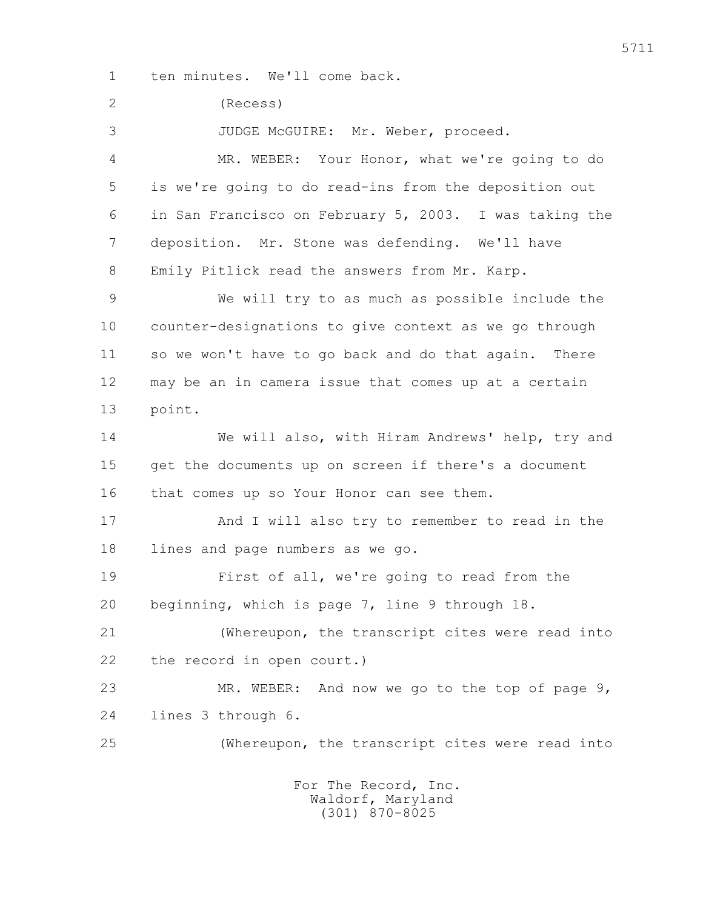1 ten minutes. We'll come back.

2 (Recess)

3 JUDGE McGUIRE: Mr. Weber, proceed.

 4 MR. WEBER: Your Honor, what we're going to do 5 is we're going to do read-ins from the deposition out 6 in San Francisco on February 5, 2003. I was taking the 7 deposition. Mr. Stone was defending. We'll have 8 Emily Pitlick read the answers from Mr. Karp.

 9 We will try to as much as possible include the 10 counter-designations to give context as we go through 11 so we won't have to go back and do that again. There 12 may be an in camera issue that comes up at a certain 13 point.

 14 We will also, with Hiram Andrews' help, try and 15 get the documents up on screen if there's a document 16 that comes up so Your Honor can see them.

 17 And I will also try to remember to read in the 18 lines and page numbers as we go.

 19 First of all, we're going to read from the 20 beginning, which is page 7, line 9 through 18.

 21 (Whereupon, the transcript cites were read into 22 the record in open court.)

23 MR. WEBER: And now we go to the top of page 9, 24 lines 3 through 6.

25 (Whereupon, the transcript cites were read into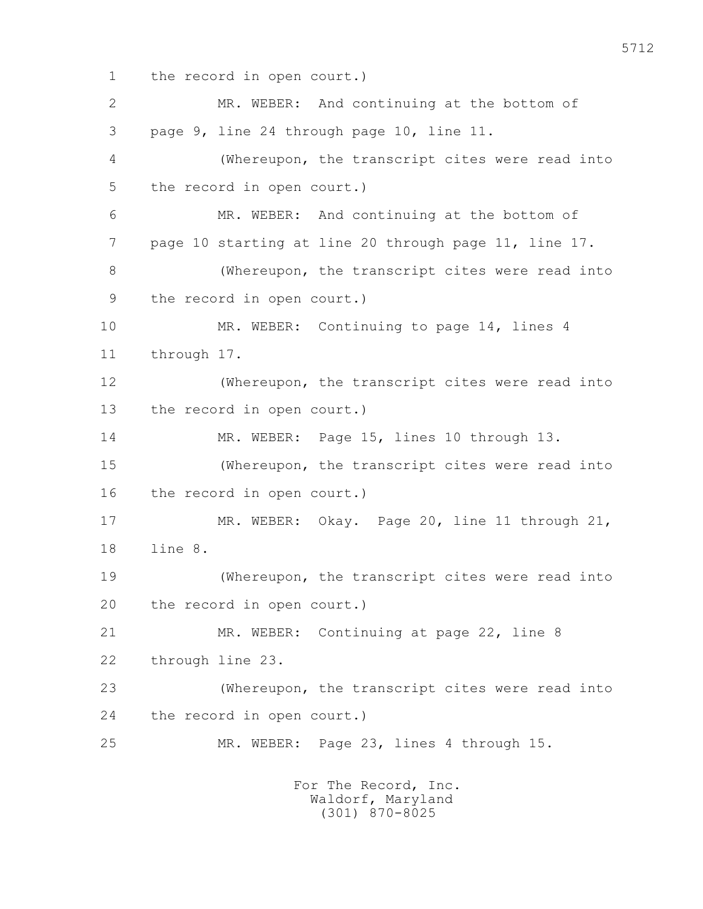1 the record in open court.)

 2 MR. WEBER: And continuing at the bottom of 3 page 9, line 24 through page 10, line 11. 4 (Whereupon, the transcript cites were read into 5 the record in open court.) 6 MR. WEBER: And continuing at the bottom of 7 page 10 starting at line 20 through page 11, line 17. 8 (Whereupon, the transcript cites were read into 9 the record in open court.) 10 MR. WEBER: Continuing to page 14, lines 4 11 through 17. 12 (Whereupon, the transcript cites were read into 13 the record in open court.) 14 MR. WEBER: Page 15, lines 10 through 13. 15 (Whereupon, the transcript cites were read into 16 the record in open court.) 17 MR. WEBER: Okay. Page 20, line 11 through 21, 18 line 8. 19 (Whereupon, the transcript cites were read into 20 the record in open court.) 21 MR. WEBER: Continuing at page 22, line 8 22 through line 23. 23 (Whereupon, the transcript cites were read into 24 the record in open court.) 25 MR. WEBER: Page 23, lines 4 through 15. For The Record, Inc.

 Waldorf, Maryland (301) 870-8025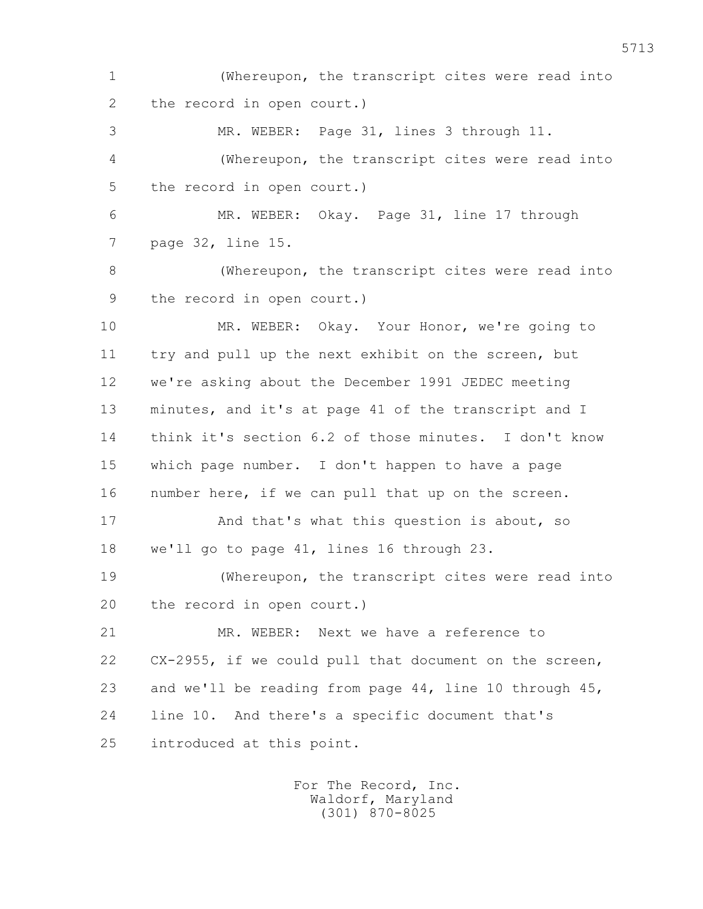1 (Whereupon, the transcript cites were read into 2 the record in open court.) 3 MR. WEBER: Page 31, lines 3 through 11. 4 (Whereupon, the transcript cites were read into 5 the record in open court.) 6 MR. WEBER: Okay. Page 31, line 17 through 7 page 32, line 15. 8 (Whereupon, the transcript cites were read into 9 the record in open court.) 10 MR. WEBER: Okay. Your Honor, we're going to 11 try and pull up the next exhibit on the screen, but 12 we're asking about the December 1991 JEDEC meeting 13 minutes, and it's at page 41 of the transcript and I 14 think it's section 6.2 of those minutes. I don't know 15 which page number. I don't happen to have a page 16 number here, if we can pull that up on the screen. 17 **And that's what this question is about, so**  18 we'll go to page 41, lines 16 through 23. 19 (Whereupon, the transcript cites were read into 20 the record in open court.) 21 MR. WEBER: Next we have a reference to 22 CX-2955, if we could pull that document on the screen, 23 and we'll be reading from page 44, line 10 through 45, 24 line 10. And there's a specific document that's 25 introduced at this point.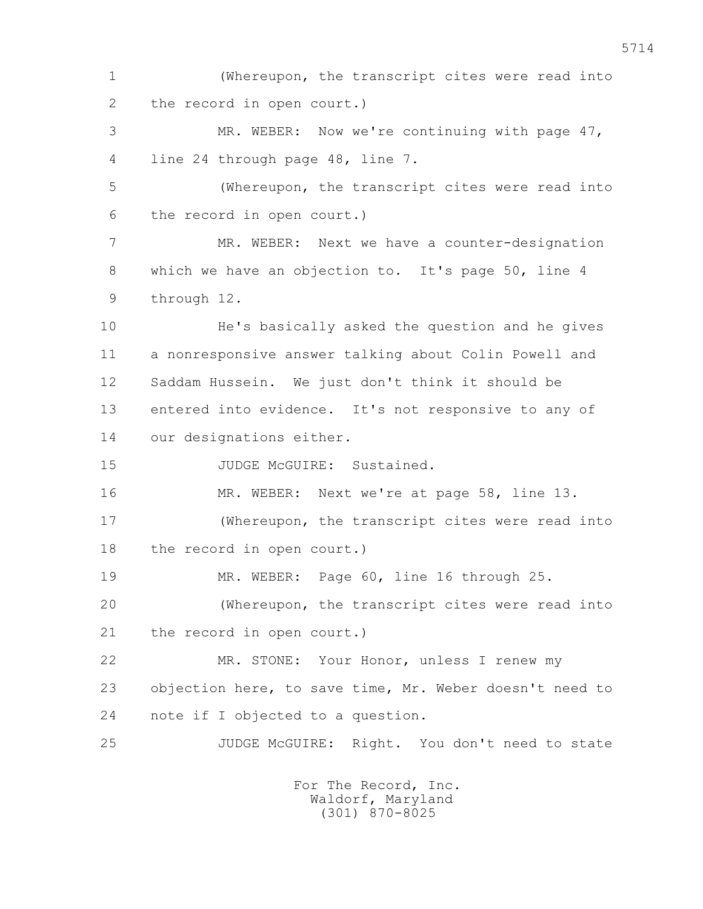1 (Whereupon, the transcript cites were read into 2 the record in open court.)

 3 MR. WEBER: Now we're continuing with page 47, 4 line 24 through page 48, line 7.

 5 (Whereupon, the transcript cites were read into 6 the record in open court.)

 7 MR. WEBER: Next we have a counter-designation 8 which we have an objection to. It's page 50, line 4 9 through 12.

 10 He's basically asked the question and he gives 11 a nonresponsive answer talking about Colin Powell and 12 Saddam Hussein. We just don't think it should be 13 entered into evidence. It's not responsive to any of 14 our designations either.

15 JUDGE McGUIRE: Sustained.

 16 MR. WEBER: Next we're at page 58, line 13. 17 (Whereupon, the transcript cites were read into 18 the record in open court.)

19 MR. WEBER: Page 60, line 16 through 25.

 20 (Whereupon, the transcript cites were read into 21 the record in open court.)

 22 MR. STONE: Your Honor, unless I renew my 23 objection here, to save time, Mr. Weber doesn't need to 24 note if I objected to a question.

25 JUDGE McGUIRE: Right. You don't need to state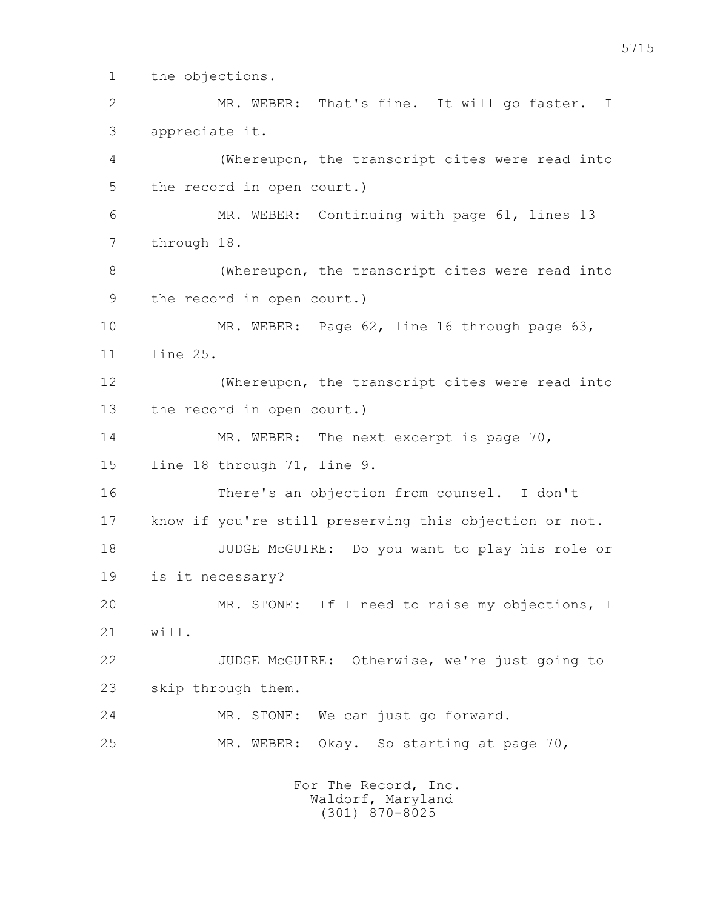1 the objections.

 2 MR. WEBER: That's fine. It will go faster. I 3 appreciate it. 4 (Whereupon, the transcript cites were read into 5 the record in open court.) 6 MR. WEBER: Continuing with page 61, lines 13 7 through 18. 8 (Whereupon, the transcript cites were read into 9 the record in open court.) 10 MR. WEBER: Page 62, line 16 through page 63, 11 line 25. 12 (Whereupon, the transcript cites were read into 13 the record in open court.) 14 MR. WEBER: The next excerpt is page 70, 15 line 18 through 71, line 9. 16 There's an objection from counsel. I don't 17 know if you're still preserving this objection or not. 18 JUDGE McGUIRE: Do you want to play his role or 19 is it necessary? 20 MR. STONE: If I need to raise my objections, I 21 will. 22 JUDGE McGUIRE: Otherwise, we're just going to 23 skip through them. 24 MR. STONE: We can just go forward.

25 MR. WEBER: Okay. So starting at page 70,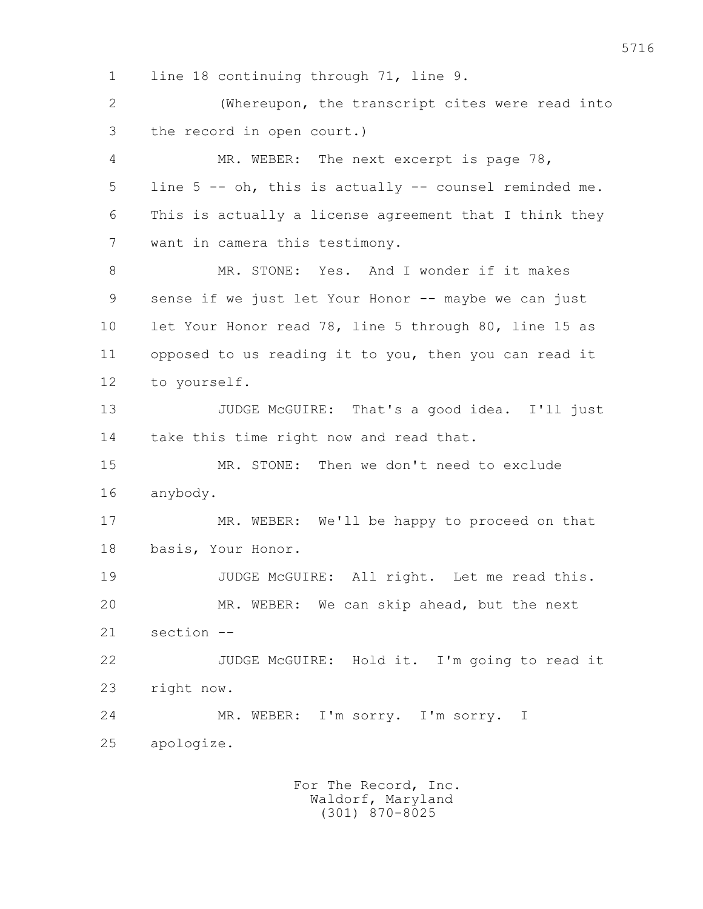1 line 18 continuing through 71, line 9.

 2 (Whereupon, the transcript cites were read into 3 the record in open court.)

 4 MR. WEBER: The next excerpt is page 78, 5 line 5 -- oh, this is actually -- counsel reminded me. 6 This is actually a license agreement that I think they 7 want in camera this testimony.

 8 MR. STONE: Yes. And I wonder if it makes 9 sense if we just let Your Honor -- maybe we can just 10 let Your Honor read 78, line 5 through 80, line 15 as 11 opposed to us reading it to you, then you can read it 12 to yourself.

 13 JUDGE McGUIRE: That's a good idea. I'll just 14 take this time right now and read that.

 15 MR. STONE: Then we don't need to exclude 16 anybody.

 17 MR. WEBER: We'll be happy to proceed on that 18 basis, Your Honor.

19 JUDGE McGUIRE: All right. Let me read this. 20 MR. WEBER: We can skip ahead, but the next 21 section --

 22 JUDGE McGUIRE: Hold it. I'm going to read it 23 right now.

 24 MR. WEBER: I'm sorry. I'm sorry. I 25 apologize.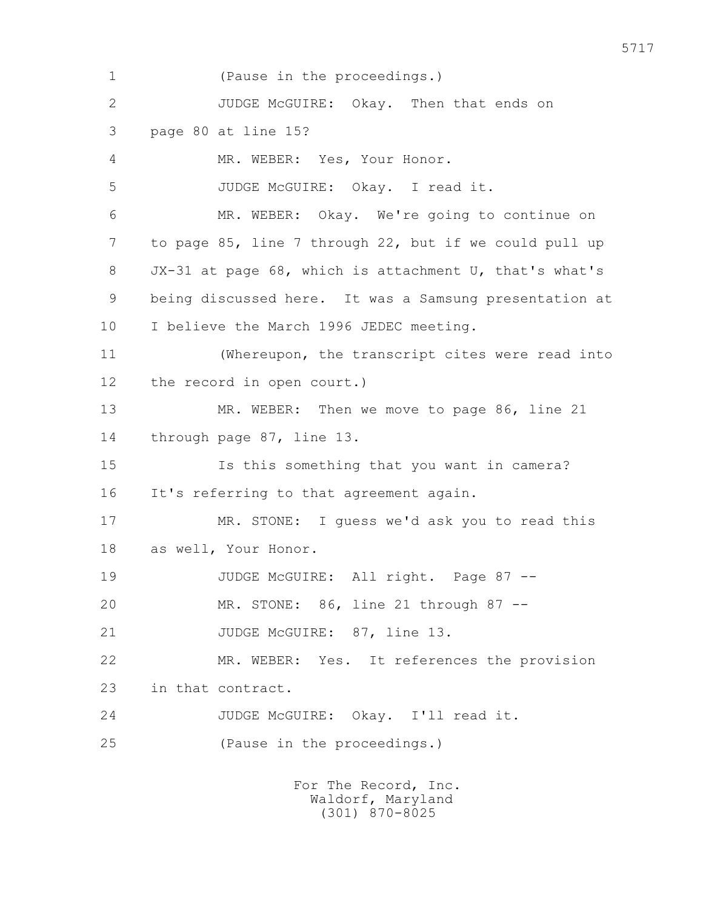1 (Pause in the proceedings.) 2 JUDGE McGUIRE: Okay. Then that ends on 3 page 80 at line 15? 4 MR. WEBER: Yes, Your Honor. 5 JUDGE McGUIRE: Okay. I read it. 6 MR. WEBER: Okay. We're going to continue on 7 to page 85, line 7 through 22, but if we could pull up 8 JX-31 at page 68, which is attachment U, that's what's 9 being discussed here. It was a Samsung presentation at 10 I believe the March 1996 JEDEC meeting. 11 (Whereupon, the transcript cites were read into 12 the record in open court.) 13 MR. WEBER: Then we move to page 86, line 21 14 through page 87, line 13. 15 Is this something that you want in camera? 16 It's referring to that agreement again. 17 MR. STONE: I guess we'd ask you to read this 18 as well, Your Honor. 19 JUDGE McGUIRE: All right. Page 87 -- 20 MR. STONE: 86, line 21 through 87 -- 21 JUDGE McGUIRE: 87, line 13. 22 MR. WEBER: Yes. It references the provision 23 in that contract. 24 JUDGE McGUIRE: Okay. I'll read it. 25 (Pause in the proceedings.)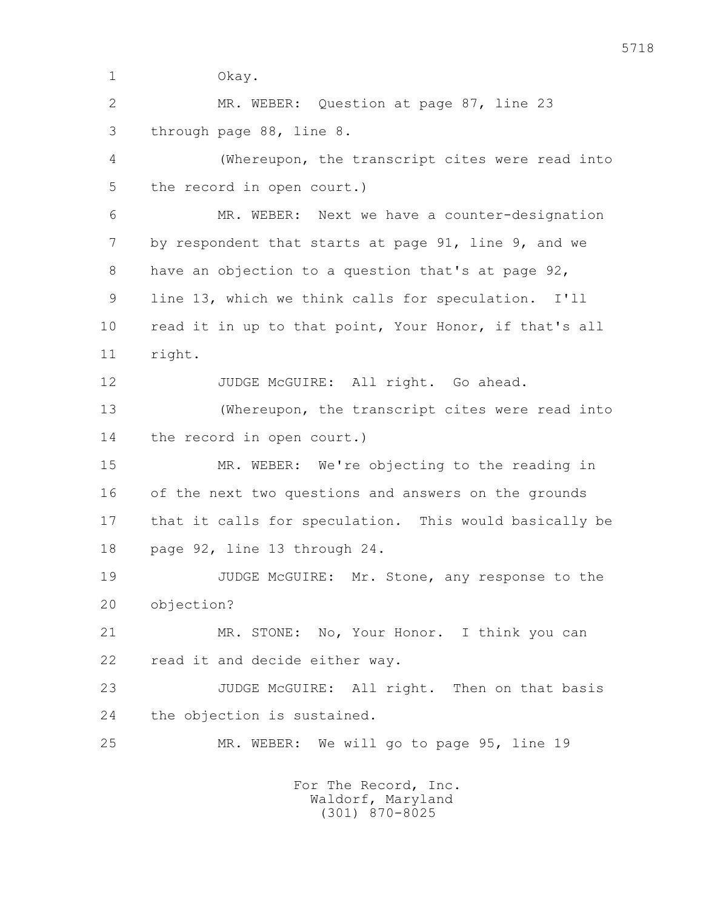1 Okay.

 2 MR. WEBER: Question at page 87, line 23 3 through page 88, line 8.

 4 (Whereupon, the transcript cites were read into 5 the record in open court.)

 6 MR. WEBER: Next we have a counter-designation 7 by respondent that starts at page 91, line 9, and we 8 have an objection to a question that's at page 92, 9 line 13, which we think calls for speculation. I'll 10 read it in up to that point, Your Honor, if that's all 11 right.

12 JUDGE McGUIRE: All right. Go ahead.

 13 (Whereupon, the transcript cites were read into 14 the record in open court.)

 15 MR. WEBER: We're objecting to the reading in 16 of the next two questions and answers on the grounds 17 that it calls for speculation. This would basically be 18 page 92, line 13 through 24.

 19 JUDGE McGUIRE: Mr. Stone, any response to the 20 objection?

 21 MR. STONE: No, Your Honor. I think you can 22 read it and decide either way.

23 JUDGE McGUIRE: All right. Then on that basis 24 the objection is sustained.

25 MR. WEBER: We will go to page 95, line 19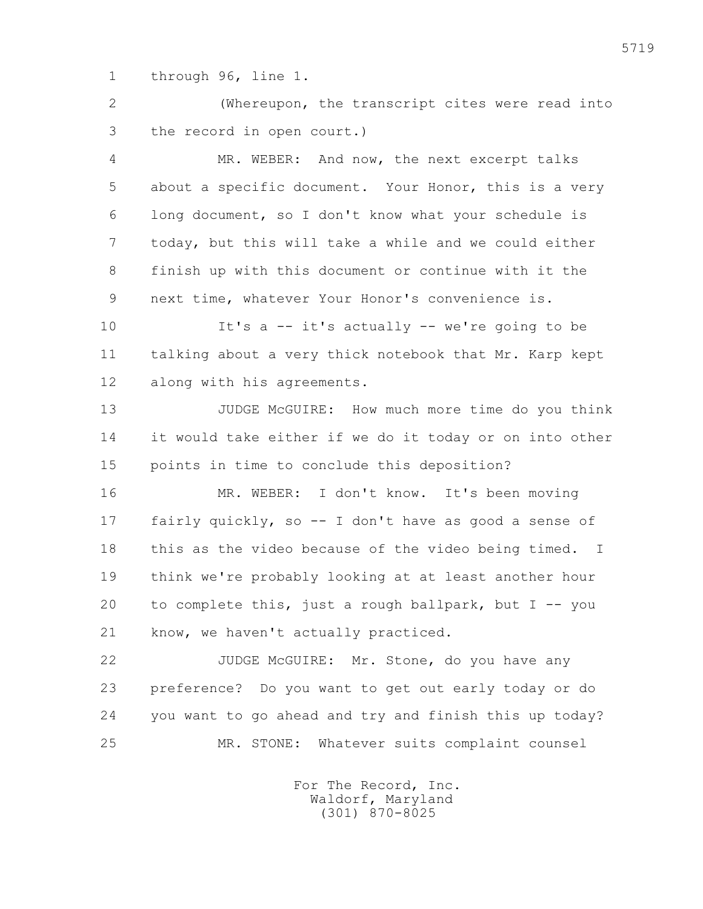1 through 96, line 1.

 2 (Whereupon, the transcript cites were read into 3 the record in open court.)

 4 MR. WEBER: And now, the next excerpt talks 5 about a specific document. Your Honor, this is a very 6 long document, so I don't know what your schedule is 7 today, but this will take a while and we could either 8 finish up with this document or continue with it the 9 next time, whatever Your Honor's convenience is.

 10 It's a -- it's actually -- we're going to be 11 talking about a very thick notebook that Mr. Karp kept 12 along with his agreements.

 13 JUDGE McGUIRE: How much more time do you think 14 it would take either if we do it today or on into other 15 points in time to conclude this deposition?

 16 MR. WEBER: I don't know. It's been moving 17 fairly quickly, so -- I don't have as good a sense of 18 this as the video because of the video being timed. I 19 think we're probably looking at at least another hour 20 to complete this, just a rough ballpark, but I -- you 21 know, we haven't actually practiced.

 22 JUDGE McGUIRE: Mr. Stone, do you have any 23 preference? Do you want to get out early today or do 24 you want to go ahead and try and finish this up today? 25 MR. STONE: Whatever suits complaint counsel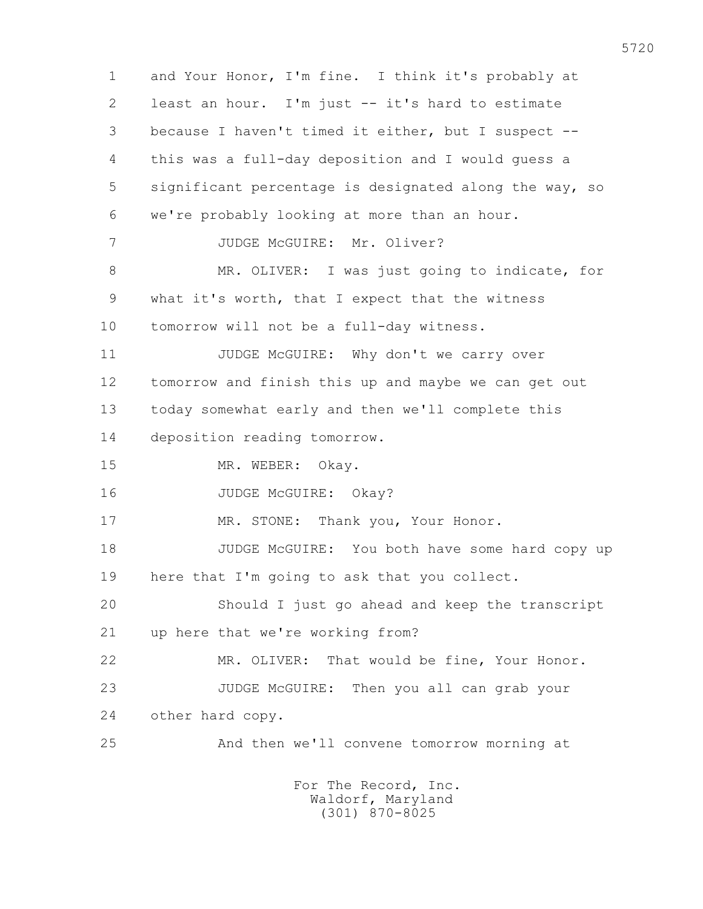1 and Your Honor, I'm fine. I think it's probably at 2 least an hour. I'm just -- it's hard to estimate 3 because I haven't timed it either, but I suspect -- 4 this was a full-day deposition and I would guess a 5 significant percentage is designated along the way, so 6 we're probably looking at more than an hour. 7 JUDGE McGUIRE: Mr. Oliver? 8 MR. OLIVER: I was just going to indicate, for 9 what it's worth, that I expect that the witness 10 tomorrow will not be a full-day witness. 11 JUDGE McGUIRE: Why don't we carry over 12 tomorrow and finish this up and maybe we can get out 13 today somewhat early and then we'll complete this 14 deposition reading tomorrow. 15 MR. WEBER: Okay. 16 JUDGE McGUIRE: Okay? 17 MR. STONE: Thank you, Your Honor. 18 JUDGE McGUIRE: You both have some hard copy up 19 here that I'm going to ask that you collect. 20 Should I just go ahead and keep the transcript 21 up here that we're working from? 22 MR. OLIVER: That would be fine, Your Honor. 23 JUDGE McGUIRE: Then you all can grab your 24 other hard copy. 25 And then we'll convene tomorrow morning at For The Record, Inc.

 Waldorf, Maryland (301) 870-8025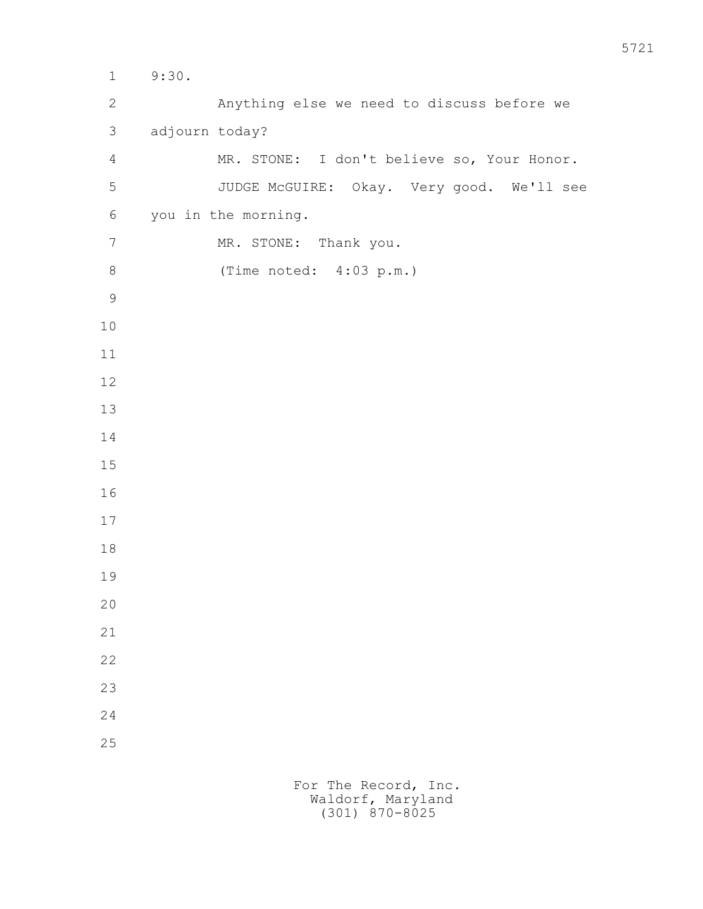1 9:30. 2 Anything else we need to discuss before we 3 adjourn today? 4 MR. STONE: I don't believe so, Your Honor. 5 JUDGE McGUIRE: Okay. Very good. We'll see 6 you in the morning. 7 MR. STONE: Thank you. 8 (Time noted: 4:03 p.m.)